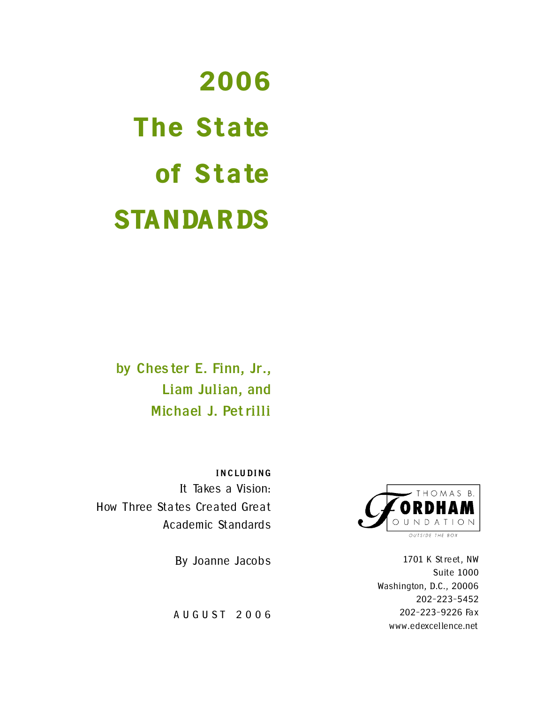# 2006 The State of State **STANDARDS**

**by Ches ter E. Finn, Jr., Liam Julian, and Michael J. Pet rilli** 

**INCLUDING**  It Takes a Vision: How Three States Created Great Academic Standards

By Joanne Jacobs

AUGUST 2006



1701 K St reet, NW Suite 1000 Washington, D.C., 20006 202-223-5452 202-223-9226 Fax www.edexcellence.net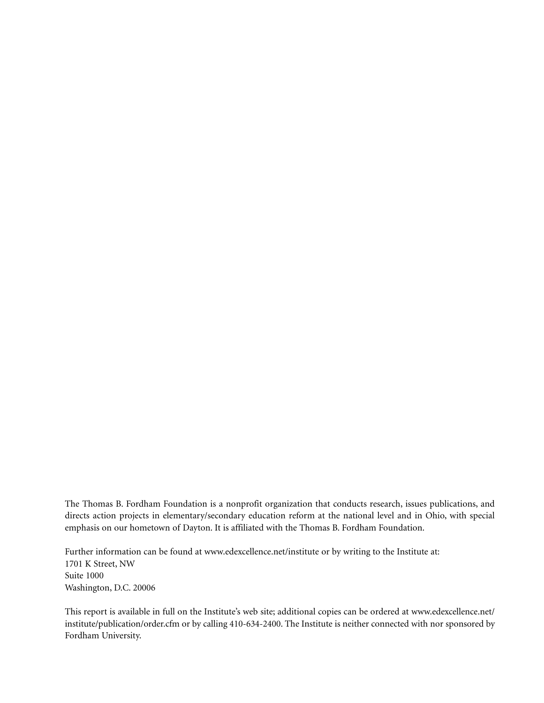The Thomas B. Fordham Foundation is a nonprofit organization that conducts research, issues publications, and directs action projects in elementary/secondary education reform at the national level and in Ohio, with special emphasis on our hometown of Dayton. It is affiliated with the Thomas B. Fordham Foundation.

Further information can be found at www.edexcellence.net/institute or by writing to the Institute at: 1701 K Street, NW Suite 1000 Washington, D.C. 20006

This report is available in full on the Institute's web site; additional copies can be ordered at www.edexcellence.net/ institute/publication/order.cfm or by calling 410-634-2400. The Institute is neither connected with nor sponsored by Fordham University.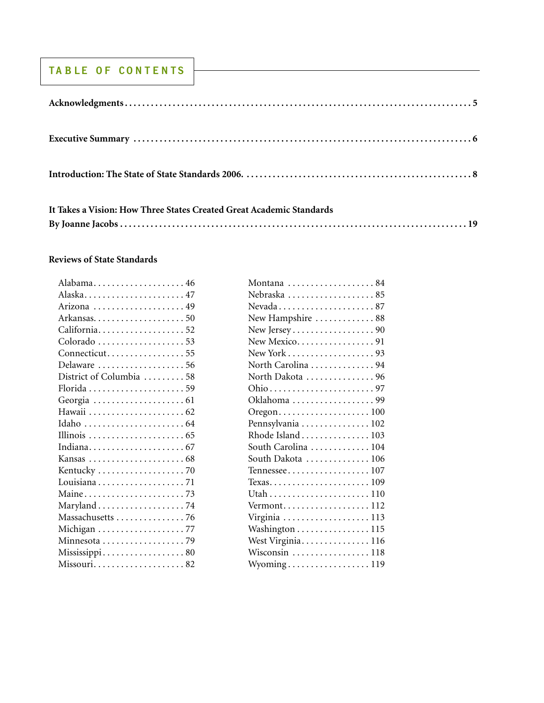#### **TA B LE OF CO N T E N TS**

| It Takes a Vision: How Three States Created Great Academic Standards |  |
|----------------------------------------------------------------------|--|
|                                                                      |  |

#### **Reviews of State Standards**

| Montana 84          |
|---------------------|
| Nebraska 85         |
| Nevada87            |
| New Hampshire 88    |
| New Jersey90        |
| New Mexico91        |
|                     |
| North Carolina 94   |
| North Dakota 96     |
|                     |
| Oklahoma 99         |
| Oregon100           |
| Pennsylvania  102   |
| Rhode Island  103   |
| South Carolina  104 |
| South Dakota  106   |
| Tennessee107        |
| Texas109            |
|                     |
| Vermont112          |
| Virginia  113       |
| Washington 115      |
| West Virginia116    |
| Wisconsin 118       |
| Wyoming119          |
|                     |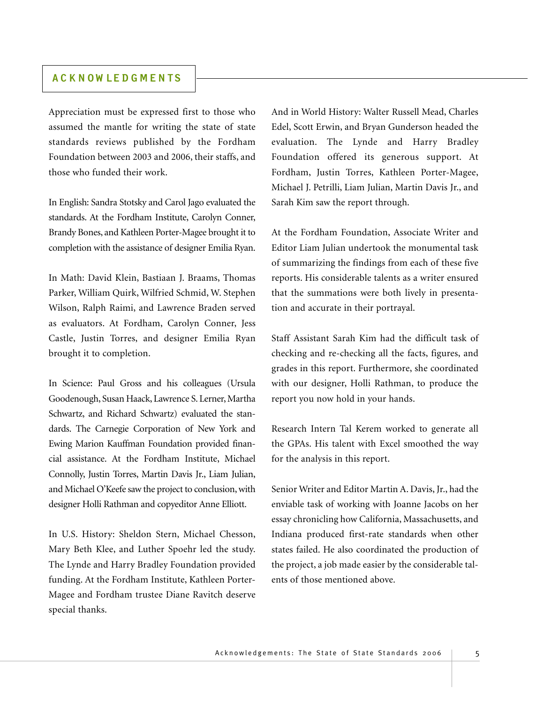#### **ACKNOWL EDGMENTS**

Appreciation must be expressed first to those who assumed the mantle for writing the state of state standards reviews published by the Fordham Foundation between 2003 and 2006, their staffs, and those who funded their work.

In English: Sandra Stotsky and Carol Jago evaluated the standards. At the Fordham Institute, Carolyn Conner, Brandy Bones, and Kathleen Porter-Magee brought it to completion with the assistance of designer Emilia Ryan.

In Math: David Klein, Bastiaan J. Braams, Thomas Parker, William Quirk, Wilfried Schmid, W. Stephen Wilson, Ralph Raimi, and Lawrence Braden served as evaluators. At Fordham, Carolyn Conner, Jess Castle, Justin Torres, and designer Emilia Ryan brought it to completion.

In Science: Paul Gross and his colleagues (Ursula Goodenough, Susan Haack, Lawrence S. Lerner, Martha Schwartz, and Richard Schwartz) evaluated the standards. The Carnegie Corporation of New York and Ewing Marion Kauffman Foundation provided financial assistance. At the Fordham Institute, Michael Connolly, Justin Torres, Martin Davis Jr., Liam Julian, and Michael O'Keefe saw the project to conclusion, with designer Holli Rathman and copyeditor Anne Elliott.

In U.S. History: Sheldon Stern, Michael Chesson, Mary Beth Klee, and Luther Spoehr led the study. The Lynde and Harry Bradley Foundation provided funding. At the Fordham Institute, Kathleen Porter-Magee and Fordham trustee Diane Ravitch deserve special thanks.

And in World History: Walter Russell Mead, Charles Edel, Scott Erwin, and Bryan Gunderson headed the evaluation. The Lynde and Harry Bradley Foundation offered its generous support. At Fordham, Justin Torres, Kathleen Porter-Magee, Michael J. Petrilli, Liam Julian, Martin Davis Jr., and Sarah Kim saw the report through.

At the Fordham Foundation, Associate Writer and Editor Liam Julian undertook the monumental task of summarizing the findings from each of these five reports. His considerable talents as a writer ensured that the summations were both lively in presentation and accurate in their portrayal.

Staff Assistant Sarah Kim had the difficult task of checking and re-checking all the facts, figures, and grades in this report. Furthermore, she coordinated with our designer, Holli Rathman, to produce the report you now hold in your hands.

Research Intern Tal Kerem worked to generate all the GPAs. His talent with Excel smoothed the way for the analysis in this report.

Senior Writer and Editor Martin A. Davis, Jr., had the enviable task of working with Joanne Jacobs on her essay chronicling how California, Massachusetts, and Indiana produced first-rate standards when other states failed. He also coordinated the production of the project, a job made easier by the considerable talents of those mentioned above.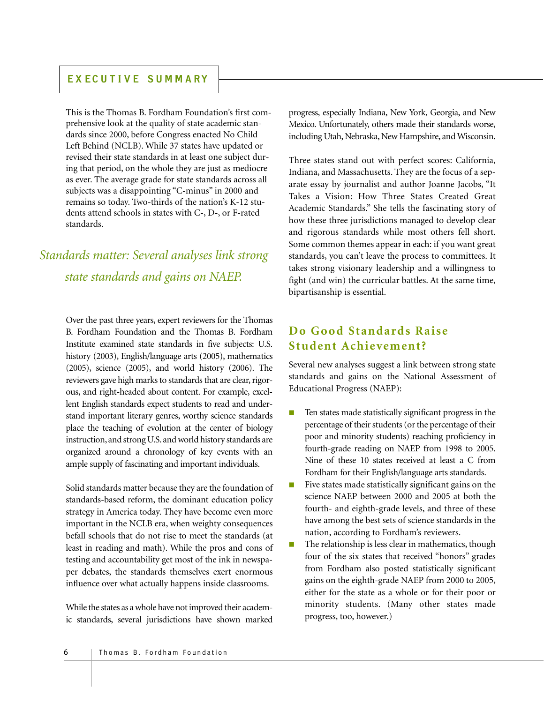#### **EX ECUTIVE SUMMARY**

This is the Thomas B. Fordham Foundation's first comprehensive look at the quality of state academic standards since 2000, before Congress enacted No Child Left Behind (NCLB). While 37 states have updated or revised their state standards in at least one subject during that period, on the whole they are just as mediocre as ever. The average grade for state standards across all subjects was a disappointing "C-minus" in 2000 and remains so today. Two-thirds of the nation's K-12 students attend schools in states with C-, D-, or F-rated standards.

## *Standards matter: Several analyses link strong state standards and gains on NAEP.*

Over the past three years, expert reviewers for the Thomas B. Fordham Foundation and the Thomas B. Fordham Institute examined state standards in five subjects: U.S. history (2003), English/language arts (2005), mathematics (2005), science (2005), and world history (2006). The reviewers gave high marks to standards that are clear, rigorous, and right-headed about content. For example, excellent English standards expect students to read and understand important literary genres, worthy science standards place the teaching of evolution at the center of biology instruction, and strong U.S. and world history standards are organized around a chronology of key events with an ample supply of fascinating and important individuals.

Solid standards matter because they are the foundation of standards-based reform, the dominant education policy strategy in America today. They have become even more important in the NCLB era, when weighty consequences befall schools that do not rise to meet the standards (at least in reading and math). While the pros and cons of testing and accountability get most of the ink in newspaper debates, the standards themselves exert enormous influence over what actually happens inside classrooms.

While the states as a whole have not improved their academic standards, several jurisdictions have shown marked progress, especially Indiana, New York, Georgia, and New Mexico. Unfortunately, others made their standards worse, including Utah, Nebraska, New Hampshire, and Wisconsin.

Three states stand out with perfect scores: California, Indiana, and Massachusetts. They are the focus of a separate essay by journalist and author Joanne Jacobs, "It Takes a Vision: How Three States Created Great Academic Standards." She tells the fascinating story of how these three jurisdictions managed to develop clear and rigorous standards while most others fell short. Some common themes appear in each: if you want great standards, you can't leave the process to committees. It takes strong visionary leadership and a willingness to fight (and win) the curricular battles. At the same time, bipartisanship is essential.

#### **Do Good Standards Raise Student Achievement?**

Several new analyses suggest a link between strong state standards and gains on the National Assessment of Educational Progress (NAEP):

- Ten states made statistically significant progress in the percentage of their students (or the percentage of their poor and minority students) reaching proficiency in fourth-grade reading on NAEP from 1998 to 2005. Nine of these 10 states received at least a C from Fordham for their English/language arts standards.
- Five states made statistically significant gains on the science NAEP between 2000 and 2005 at both the fourth- and eighth-grade levels, and three of these have among the best sets of science standards in the nation, according to Fordham's reviewers.
- The relationship is less clear in mathematics, though four of the six states that received "honors" grades from Fordham also posted statistically significant gains on the eighth-grade NAEP from 2000 to 2005, either for the state as a whole or for their poor or minority students. (Many other states made progress, too, however.)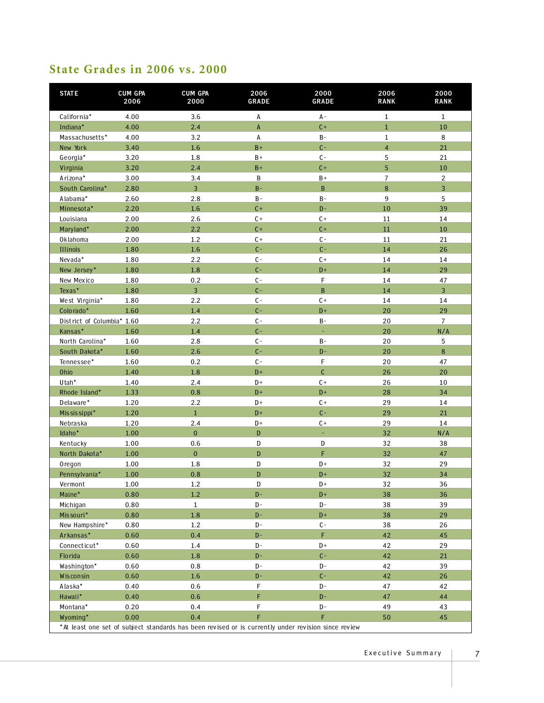#### **State Grades in 2006 vs. 2000**

| <b>STATE</b>               | <b>CUM GPA</b><br>2006 | <b>CUM GPA</b><br>2000                                                                              | 2006<br><b>GRADE</b> | 2000<br>GRADE          | 2006<br><b>RANK</b> | 2000<br><b>RANK</b>     |
|----------------------------|------------------------|-----------------------------------------------------------------------------------------------------|----------------------|------------------------|---------------------|-------------------------|
| California*                | 4.00                   | 3.6                                                                                                 | А                    | $A -$                  | $\mathbf{1}$        | $\mathbf{1}$            |
| Indiana*                   | 4.00                   | 2.4                                                                                                 | A                    | $C +$                  | $\,1\,$             | $10\,$                  |
| Massachusetts*             | 4.00                   | 3.2                                                                                                 | А                    | $B -$                  | $1\,$               | $\,8\,$                 |
| New York                   | 3.40                   | $1.6\phantom{0}$                                                                                    | $B +$                | $C -$                  | $\overline{4}$      | 21                      |
| Georgia*                   | 3.20                   | 1.8                                                                                                 | $B+$                 | $C -$                  | $\overline{5}$      | 21                      |
| Virginia                   | 3.20                   | 2.4                                                                                                 | $B +$                | $C +$                  | 5                   | $10\,$                  |
| Arizona*                   | 3.00                   | 3.4                                                                                                 | B                    | $B+$                   | $\overline{7}$      | $\overline{2}$          |
| South Carolina*            | 2.80                   | 3                                                                                                   | $B -$                | $\, {\bf B}$           | $\bf 8$             | $\overline{\mathbf{3}}$ |
| Alabama*                   | 2.60                   | 2.8                                                                                                 | $B -$                | $\mathsf B$ –          | 9                   | 5                       |
| Minnesota*                 | 2.20                   | 1.6                                                                                                 | $C +$                | $D -$                  | 10                  | 39                      |
| Louisiana                  | 2.00                   | 2.6                                                                                                 | $C +$                | $C +$                  | 11                  | 14                      |
| Maryland*                  | 2.00                   | 2.2                                                                                                 | $C +$                | $C +$                  | $11\,$              | 10                      |
| Oklahoma                   | 2.00                   | 1.2                                                                                                 | $C +$                | $C -$                  | 11                  | 21                      |
| Illinois                   | 1.80                   | $1.6\,$                                                                                             | $C -$                | $C -$                  | 14                  | 26                      |
| Nevada*                    | 1.80                   | 2.2                                                                                                 | $C -$                | $C +$                  | 14                  | 14                      |
| New Jersey*                | 1.80                   | $1.8\,$                                                                                             | $C -$                | $\mathsf{D}^{\,+}$     | 14                  | 29                      |
| New Mexico                 | 1.80                   | 0.2                                                                                                 | $C -$                | F                      | 14                  | 47                      |
| Texas*                     | 1.80                   | 3                                                                                                   | $C -$                | $\, {\bf B}$           | 14                  | $\overline{3}$          |
| West Virginia*             | 1.80                   | 2.2                                                                                                 | $C -$                | $C +$                  | 14                  | 14                      |
| Colorado*                  | 1.60                   | $1.4\,$                                                                                             | $C -$                | $D +$                  | 20                  | 29                      |
| District of Columbia* 1.60 |                        | 2.2                                                                                                 | $C -$                | $B -$                  | 20                  | $\overline{7}$          |
| Kansas*                    | 1.60                   | 1.4                                                                                                 | $C -$                | ÷                      | 20                  | N/A                     |
| North Carolina*            | 1.60                   | 2.8                                                                                                 | $C -$                | $B -$                  | 20                  | 5                       |
| South Dakota*              | 1.60                   | 2.6                                                                                                 | $C -$                | $D -$                  | 20                  | $\,8\,$                 |
| Tennessee*                 | 1.60                   | 0.2                                                                                                 | $C -$                | $\mathsf F$            | 20                  | 47                      |
| Ohio                       | 1.40                   | $1.8\,$                                                                                             | $D+$                 | $\mathsf{C}$           | 26                  | 20                      |
| Utah*                      | 1.40                   | 2.4                                                                                                 | $D+$                 | $C +$                  | 26                  | 10                      |
| Rhode Island*              | 1.33                   | 0.8                                                                                                 | $D+$                 | $D+$                   | 28                  | 34                      |
| Delaware*                  | 1.20                   | 2.2                                                                                                 | $D+$                 | $C +$                  | 29                  | 14                      |
| Mississippi*               | 1.20                   | $\mathbf{1}$                                                                                        | $D+$                 | $C -$                  | 29                  | 21                      |
| Nebraska                   | 1.20                   | 2.4                                                                                                 | $D+$                 | $C +$                  | 29                  | 14                      |
| Idaho*                     | 1.00                   | $\pmb{0}$                                                                                           | D                    | ÷                      | 32                  | N/A                     |
| Kentucky                   | 1.00                   | 0.6                                                                                                 | D                    | ${\tt D}$              | 32                  | 38                      |
| North Dakota*              | 1.00                   | $\bf{0}$                                                                                            | D                    | F                      | 32                  | 47                      |
| Oregon                     | 1.00                   | $1.8\,$                                                                                             | D                    | $\mathsf{D}+$          | 32                  | 29                      |
| Pennsylvania*              | 1.00                   | $0.8\,$                                                                                             | D                    | $D+$                   | 32                  | 34                      |
| Vermont<br>Maine*          | 1.00<br>0.80           | 1.2<br>1.2                                                                                          | ${\bf D}$<br>$D -$   | $\mathsf{D}+$<br>$D+$  | 32<br>38            | 36<br>36                |
|                            | 0.80                   | $\mathbf{1}$                                                                                        | $D -$                | D-                     | 38                  | 39                      |
| Michigan<br>Missouri*      | 0.80                   | $1.8\,$                                                                                             | $D -$                | $D+$                   | 38                  | 29                      |
| New Hampshire*             | 0.80                   | 1.2                                                                                                 | D-                   | $C -$                  | 38                  | 26                      |
| Arkansas*                  | 0.60                   | 0.4                                                                                                 | $D -$                | F.                     | 42                  | 45                      |
| Connecticut*               | 0.60                   | $1.4\,$                                                                                             | $\mathbf{D}$ –       | $D+$                   | 42                  | 29                      |
| Florida                    | 0.60                   | $1.8\,$                                                                                             | $D-$                 | $C -$                  | 42                  | 21                      |
| Washington*                | 0.60                   | 0.8                                                                                                 | $\mathsf{D}\text{-}$ | D-                     | 42                  | 39                      |
| Wisconsin                  | 0.60                   | $1.6\,$                                                                                             | $D -$                | $C -$                  | 42                  | 26                      |
| Alaska*                    | 0.40                   | 0.6                                                                                                 | F                    | D-                     | 47                  | 42                      |
| Hawaii*                    | 0.40                   | 0.6                                                                                                 | F.                   | $D -$                  | 47                  | 44                      |
| Montana*                   | 0.20                   | 0.4                                                                                                 | F                    | $\mathsf{D}\,\text{-}$ | 49                  | 43                      |
| Wyoming*                   | 0.00                   | 0.4                                                                                                 | F                    | $\mathsf F$            | 50                  | 45                      |
|                            |                        | *At least one set of subject standards has been revised or is currently under revision since review |                      |                        |                     |                         |

Executive Summary | 7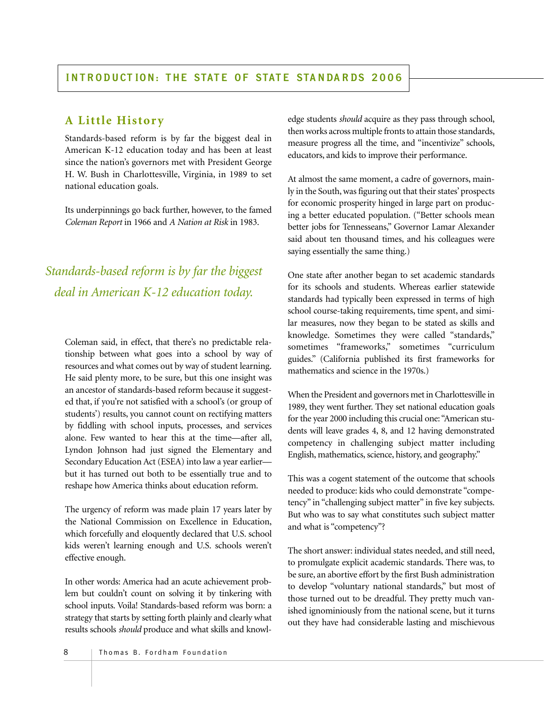#### **A Little History**

Standards-based reform is by far the biggest deal in American K-12 education today and has been at least since the nation's governors met with President George H. W. Bush in Charlottesville, Virginia, in 1989 to set national education goals.

Its underpinnings go back further, however, to the famed *Coleman Report* in 1966 and *A Nation at Risk* in 1983.

*Standards-based reform is by far the biggest deal in American K-12 education today.*

Coleman said, in effect, that there's no predictable relationship between what goes into a school by way of resources and what comes out by way of student learning. He said plenty more, to be sure, but this one insight was an ancestor of standards-based reform because it suggested that, if you're not satisfied with a school's (or group of students') results, you cannot count on rectifying matters by fiddling with school inputs, processes, and services alone. Few wanted to hear this at the time—after all, Lyndon Johnson had just signed the Elementary and Secondary Education Act (ESEA) into law a year earlier but it has turned out both to be essentially true and to reshape how America thinks about education reform.

The urgency of reform was made plain 17 years later by the National Commission on Excellence in Education, which forcefully and eloquently declared that U.S. school kids weren't learning enough and U.S. schools weren't effective enough.

In other words: America had an acute achievement problem but couldn't count on solving it by tinkering with school inputs. Voila! Standards-based reform was born: a strategy that starts by setting forth plainly and clearly what results schools *should* produce and what skills and knowledge students *should* acquire as they pass through school, then works across multiple fronts to attain those standards, measure progress all the time, and "incentivize" schools, educators, and kids to improve their performance.

At almost the same moment, a cadre of governors, mainly in the South, was figuring out that their states' prospects for economic prosperity hinged in large part on producing a better educated population. ("Better schools mean better jobs for Tennesseans," Governor Lamar Alexander said about ten thousand times, and his colleagues were saying essentially the same thing.)

One state after another began to set academic standards for its schools and students. Whereas earlier statewide standards had typically been expressed in terms of high school course-taking requirements, time spent, and similar measures, now they began to be stated as skills and knowledge. Sometimes they were called "standards," sometimes "frameworks," sometimes "curriculum guides." (California published its first frameworks for mathematics and science in the 1970s.)

When the President and governors met in Charlottesville in 1989, they went further. They set national education goals for the year 2000 including this crucial one: "American students will leave grades 4, 8, and 12 having demonstrated competency in challenging subject matter including English, mathematics, science, history, and geography."

This was a cogent statement of the outcome that schools needed to produce: kids who could demonstrate "competency" in "challenging subject matter" in five key subjects. But who was to say what constitutes such subject matter and what is "competency"?

The short answer: individual states needed, and still need, to promulgate explicit academic standards. There was, to be sure, an abortive effort by the first Bush administration to develop "voluntary national standards," but most of those turned out to be dreadful. They pretty much vanished ignominiously from the national scene, but it turns out they have had considerable lasting and mischievous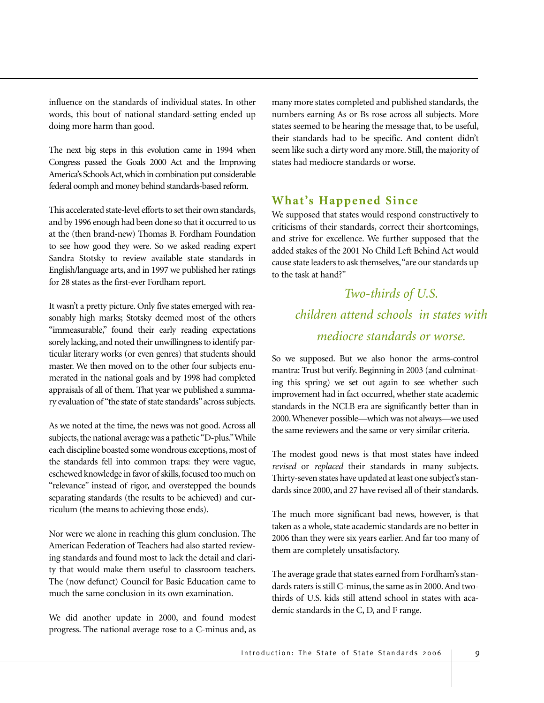influence on the standards of individual states. In other words, this bout of national standard-setting ended up doing more harm than good.

The next big steps in this evolution came in 1994 when Congress passed the Goals 2000 Act and the Improving America's Schools Act,which in combination put considerable federal oomph and money behind standards-based reform.

This accelerated state-level efforts to set their own standards, and by 1996 enough had been done so that it occurred to us at the (then brand-new) Thomas B. Fordham Foundation to see how good they were. So we asked reading expert Sandra Stotsky to review available state standards in English/language arts, and in 1997 we published her ratings for 28 states as the first-ever Fordham report.

It wasn't a pretty picture. Only five states emerged with reasonably high marks; Stotsky deemed most of the others "immeasurable," found their early reading expectations sorely lacking, and noted their unwillingness to identify particular literary works (or even genres) that students should master. We then moved on to the other four subjects enumerated in the national goals and by 1998 had completed appraisals of all of them. That year we published a summary evaluation of "the state of state standards"across subjects.

As we noted at the time, the news was not good. Across all subjects, the national average was a pathetic "D-plus."While each discipline boasted some wondrous exceptions, most of the standards fell into common traps: they were vague, eschewed knowledge in favor of skills, focused too much on "relevance" instead of rigor, and overstepped the bounds separating standards (the results to be achieved) and curriculum (the means to achieving those ends).

Nor were we alone in reaching this glum conclusion. The American Federation of Teachers had also started reviewing standards and found most to lack the detail and clarity that would make them useful to classroom teachers. The (now defunct) Council for Basic Education came to much the same conclusion in its own examination.

We did another update in 2000, and found modest progress. The national average rose to a C-minus and, as

many more states completed and published standards, the numbers earning As or Bs rose across all subjects. More states seemed to be hearing the message that, to be useful, their standards had to be specific. And content didn't seem like such a dirty word any more. Still, the majority of states had mediocre standards or worse.

#### **What's Happened Since**

We supposed that states would respond constructively to criticisms of their standards, correct their shortcomings, and strive for excellence. We further supposed that the added stakes of the 2001 No Child Left Behind Act would cause state leaders to ask themselves,"are our standards up to the task at hand?"

# *Two-thirds of U.S. children attend schools in states with mediocre standards or worse.*

So we supposed. But we also honor the arms-control mantra: Trust but verify. Beginning in 2003 (and culminating this spring) we set out again to see whether such improvement had in fact occurred, whether state academic standards in the NCLB era are significantly better than in 2000.Whenever possible—which was not always—we used the same reviewers and the same or very similar criteria.

The modest good news is that most states have indeed *revised* or *replaced* their standards in many subjects. Thirty-seven states have updated at least one subject's standards since 2000, and 27 have revised all of their standards.

The much more significant bad news, however, is that taken as a whole, state academic standards are no better in 2006 than they were six years earlier. And far too many of them are completely unsatisfactory.

The average grade that states earned from Fordham's standards raters is still C-minus, the same as in 2000. And twothirds of U.S. kids still attend school in states with academic standards in the C, D, and F range.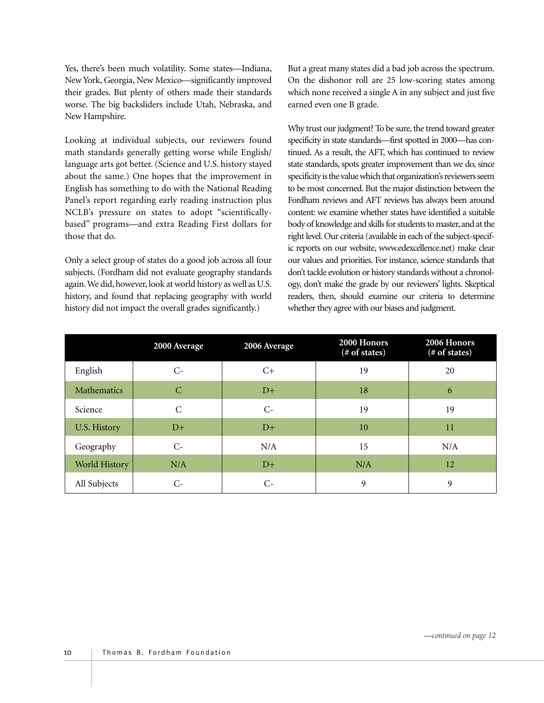Yes, there's been much volatility. Some states—Indiana, New York, Georgia, New Mexico—significantly improved their grades. But plenty of others made their standards worse. The big backsliders include Utah, Nebraska, and New Hampshire.

Looking at individual subjects, our reviewers found math standards generally getting worse while English/ language arts got better. (Science and U.S. history stayed about the same.) One hopes that the improvement in English has something to do with the National Reading Panel's report regarding early reading instruction plus NCLB's pressure on states to adopt "scientificallybased" programs—and extra Reading First dollars for those that do.

Only a select group of states do a good job across all four subjects. (Fordham did not evaluate geography standards again.We did, however, look at world history as well as U.S. history, and found that replacing geography with world history did not impact the overall grades significantly.)

But a great many states did a bad job across the spectrum. On the dishonor roll are 25 low-scoring states among which none received a single A in any subject and just five earned even one B grade.

Why trust our judgment? To be sure, the trend toward greater specificity in state standards—first spotted in 2000—has continued. As a result, the AFT, which has continued to review state standards, spots greater improvement than we do, since specificity is the value which that organization's reviewers seem to be most concerned. But the major distinction between the Fordham reviews and AFT reviews has always been around content: we examine whether states have identified a suitable body of knowledge and skills for students to master, and at the right level. Our criteria (available in each of the subject-specific reports on our website, www.edexcellence.net) make clear our values and priorities. For instance, science standards that don't tackle evolution or history standards without a chronology, don't make the grade by our reviewers' lights. Skeptical readers, then, should examine our criteria to determine whether they agree with our biases and judgment.

|               | 2000 Average | 2006 Average | 2000 Honors<br>(# of states) | 2006 Honors<br>(# of states) |
|---------------|--------------|--------------|------------------------------|------------------------------|
| English       | $C-$         | C+           | 19                           | 20                           |
| Mathematics   | C            | $D+$         | 18                           | 6                            |
| Science       | C            | $C$ -        | 19                           | 19                           |
| U.S. History  | $D+$         | $D+$         | 10                           | 11                           |
| Geography     | $C$ -        | N/A          | 15                           | N/A                          |
| World History | N/A          | $D+$         | N/A                          | 12                           |
| All Subjects  | C-           | $C-$         | 9                            | 9                            |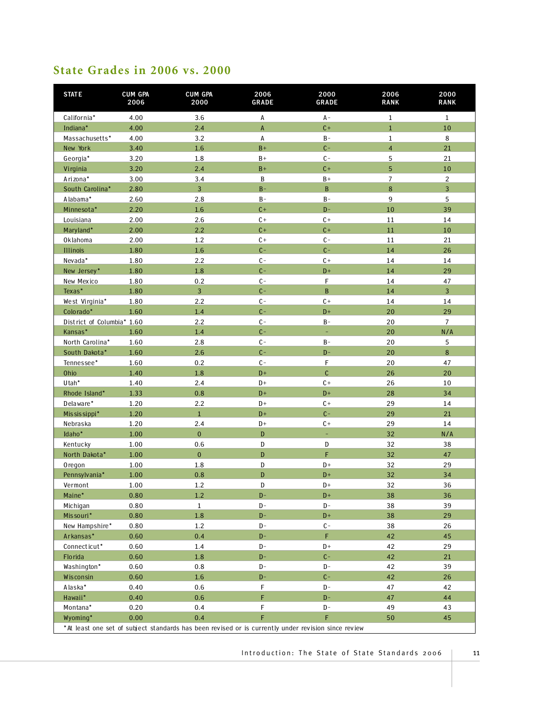#### **State Grades in 2006 vs. 2000**

| <b>STATE</b>               | <b>CUM GPA</b><br>2006 | <b>CUM GPA</b><br>2000 | 2006<br>GRADE  | 2000<br><b>GRADE</b>                                                                                | 2006<br><b>RANK</b> | 2000<br><b>RANK</b> |
|----------------------------|------------------------|------------------------|----------------|-----------------------------------------------------------------------------------------------------|---------------------|---------------------|
| California*                | 4.00                   | 3.6                    | Α              | $A -$                                                                                               | 1                   | $\mathbf{1}$        |
| Indiana*                   | 4.00                   | 2.4                    | A              | $C +$                                                                                               | $\mathbf{1}$        | 10                  |
| Massachusetts*             | 4.00                   | 3.2                    | А              | $\mathsf B$ –                                                                                       | $1\,$               | $\,8\,$             |
| New York                   | 3.40                   | 1.6                    | $B +$          | $C -$                                                                                               | $\overline{4}$      | 21                  |
| Georgia*                   | 3.20                   | 1.8                    | $B+$           | $C -$                                                                                               | 5                   | 21                  |
| Virginia                   | 3.20                   | 2.4                    | $B +$          | $C +$                                                                                               | 5                   | $10\,$              |
| Arizona*                   | 3.00                   | 3.4                    | $\, {\bf B}$   | $B+$                                                                                                | $\overline{7}$      | $\overline{2}$      |
| South Carolina*            | 2.80                   | $\overline{3}$         | $B -$          | $\, {\bf B}$                                                                                        | 8                   | $\overline{3}$      |
| Alabama*                   | 2.60                   | 2.8                    | $B -$          | $B -$                                                                                               | 9                   | 5                   |
| Minnesota*                 | 2.20                   | 1.6                    | $C +$          | $D -$                                                                                               | 10                  | 39                  |
| Louisiana                  | 2.00                   | 2.6                    | $C +$          | $C +$                                                                                               | 11                  | 14                  |
| Maryland*                  | 2.00                   | 2.2                    | $C +$          | $C +$                                                                                               | $11\,$              | $10\,$              |
| Oklahoma                   | 2.00                   | 1.2                    | $C +$          | $\mathbb{C}^-$                                                                                      | $11\,$              | 21                  |
| Illinois                   | 1.80                   | 1.6                    | $C -$          | $C -$                                                                                               | 14                  | 26                  |
| Nevada*                    | 1.80                   | 2.2                    | $C -$          | $C +$                                                                                               | 14                  | $14$                |
| New Jersey*                | 1.80                   | 1.8                    | $C -$          | $D+$                                                                                                | 14                  | 29                  |
| New Mexico                 | 1.80                   | 0.2                    | $C -$          | F                                                                                                   | 14                  | 47                  |
| Texas*                     | 1.80                   | 3                      | $C -$          | $\, {\bf B}$                                                                                        | 14                  | $\overline{3}$      |
| West Virginia*             | 1.80                   | 2.2                    | $\mathbb{C}$ – | $C +$                                                                                               | 14                  | 14                  |
| Colorado*                  | 1.60                   | $1.4\,$                | $C -$          | $\mathbf{D}+$                                                                                       | 20                  | 29                  |
| District of Columbia* 1.60 |                        | 2.2                    | $C -$          | $B -$                                                                                               | 20                  | $\overline{7}$      |
| Kansas*                    | 1.60                   | 1.4                    | $C -$          | ÷                                                                                                   | 20                  | N/A                 |
| North Carolina*            | 1.60                   | 2.8                    | $C -$          | $B -$                                                                                               | 20                  | 5                   |
| South Dakota*              | 1.60                   | 2.6                    | $C -$          | $D -$                                                                                               | 20                  | $\bf{8}$            |
| Tennessee*                 | 1.60                   | 0.2                    | $C -$          | F                                                                                                   | 20                  | 47                  |
| Ohio                       | 1.40                   | 1.8                    | $D+$           | $\mathsf{C}$                                                                                        | 26                  | 20                  |
| Utah*                      | 1.40                   | 2.4                    | D+             | $\mathsf{C}\,+\,$                                                                                   | 26                  | 10                  |
| Rhode Island*              | 1.33                   | 0.8                    | $D+$           | $D+$                                                                                                | 28                  | 34                  |
| Delaware*                  | 1.20                   | 2.2                    | D+             | $C +$                                                                                               | 29                  | 14                  |
| Mississippi*               | 1.20                   | $\mathbf{1}$           | $D+$           | $C -$                                                                                               | 29                  | 21                  |
| Nebraska                   | 1.20                   | 2.4                    | $D+$           | $C +$                                                                                               | 29                  | 14                  |
| Idaho*                     | 1.00                   | $\pmb{0}$              | D              | ÷                                                                                                   | 32                  | N/A                 |
| Kentucky                   | 1.00                   | 0.6                    | D              | ${\tt D}$                                                                                           | 32                  | 38                  |
| North Dakota*              | 1.00                   | $\overline{0}$         | D              | F                                                                                                   | 32                  | 47                  |
| <b>Oregon</b>              | 1.00                   | 1.8                    | D              | $D+$                                                                                                | 32                  | 29                  |
| Pennsylvania*              | 1.00                   | 0.8                    | $\mathbf D$    | $D+$                                                                                                | 32                  | 34                  |
| Vermont                    | 1.00                   | 1.2                    | ${\tt D}$      | $\mathsf{D}^{\,+}$                                                                                  | 32                  | 36                  |
| Maine*                     | 0.80                   | 1.2                    | $D -$          | $D+$                                                                                                | 38                  | 36                  |
| Michigan                   | 0.80                   | $\mathbf{1}$           | $\mathbf{D}$ – | $D -$                                                                                               | 38                  | 39                  |
| Missouri*                  | 0.80                   | $1.8\,$                | $D -$          | $D+$                                                                                                | 38                  | 29                  |
| New Hampshire*             | 0.80                   | 1.2                    | D-             | $\mathbb{C}$ –                                                                                      | 38                  | 26                  |
| Arkansas*                  | 0.60                   | 0.4                    | $D -$          | F.                                                                                                  | 42                  | 45                  |
| Connecticut*               | 0.60                   | $1.4\,$                | $D -$          | $D+$                                                                                                | 42                  | 29                  |
| Florida                    | 0.60                   | $1.8\,$                | $D-$           | $C -$                                                                                               | 42                  | 21                  |
| Washington*                | 0.60                   | 0.8                    | $D -$          | $\mathbf{D}$ –                                                                                      | 42                  | 39                  |
| Wisconsin                  | 0.60                   | 1.6                    | $D -$          | $C -$                                                                                               | 42                  | 26                  |
| Alaska*                    | 0.40                   | 0.6                    | F              | D-                                                                                                  | 47                  | 42                  |
| Hawaii*                    | 0.40                   | 0.6                    | F              | $D -$                                                                                               | 47                  | 44                  |
| Montana*                   | 0.20                   | 0.4                    | F              | $\mathbb{D}-$                                                                                       | 49                  | 43                  |
| Wyoming*                   | 0.00                   | 0.4                    | F              | F.                                                                                                  | 50                  | 45                  |
|                            |                        |                        |                | *At least one set of subject standards has been revised or is currently under revision since review |                     |                     |

Introduction: The State of State Standards 2006 | 11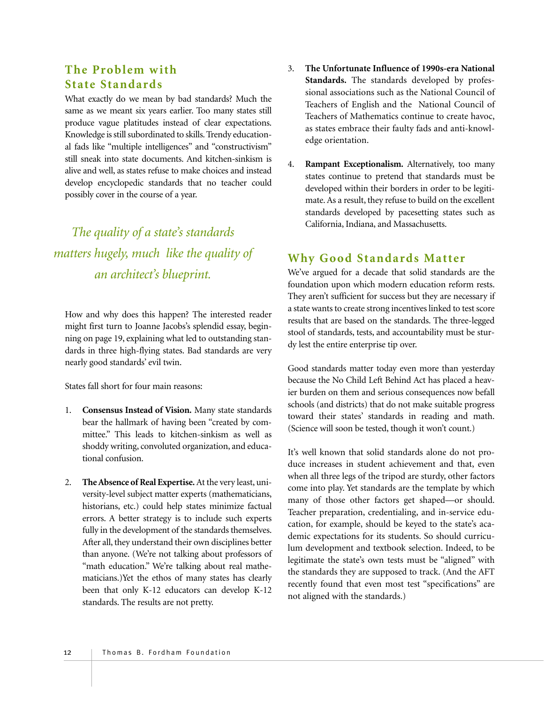#### **The Problem with State Standards**

What exactly do we mean by bad standards? Much the same as we meant six years earlier. Too many states still produce vague platitudes instead of clear expectations. Knowledge is still subordinated to skills. Trendy educational fads like "multiple intelligences" and "constructivism" still sneak into state documents. And kitchen-sinkism is alive and well, as states refuse to make choices and instead develop encyclopedic standards that no teacher could possibly cover in the course of a year.

*The quality of a state's standards matters hugely, much like the quality of an architect's blueprint.*

How and why does this happen? The interested reader might first turn to Joanne Jacobs's splendid essay, beginning on page 19, explaining what led to outstanding standards in three high-flying states. Bad standards are very nearly good standards' evil twin.

States fall short for four main reasons:

- 1. **Consensus Instead of Vision.** Many state standards bear the hallmark of having been "created by committee." This leads to kitchen-sinkism as well as shoddy writing, convoluted organization, and educational confusion.
- 2. **The Absence of Real Expertise.**At the very least, university-level subject matter experts (mathematicians, historians, etc.) could help states minimize factual errors. A better strategy is to include such experts fully in the development of the standards themselves. After all, they understand their own disciplines better than anyone. (We're not talking about professors of "math education." We're talking about real mathematicians.)Yet the ethos of many states has clearly been that only K-12 educators can develop K-12 standards. The results are not pretty.
- 3. **The Unfortunate Influence of 1990s-era National Standards.** The standards developed by professional associations such as the National Council of Teachers of English and the National Council of Teachers of Mathematics continue to create havoc, as states embrace their faulty fads and anti-knowledge orientation.
- 4. **Rampant Exceptionalism.** Alternatively, too many states continue to pretend that standards must be developed within their borders in order to be legitimate. As a result, they refuse to build on the excellent standards developed by pacesetting states such as California, Indiana, and Massachusetts.

#### **Why Good Standards Matter**

We've argued for a decade that solid standards are the foundation upon which modern education reform rests. They aren't sufficient for success but they are necessary if a state wants to create strong incentives linked to test score results that are based on the standards. The three-legged stool of standards, tests, and accountability must be sturdy lest the entire enterprise tip over.

Good standards matter today even more than yesterday because the No Child Left Behind Act has placed a heavier burden on them and serious consequences now befall schools (and districts) that do not make suitable progress toward their states' standards in reading and math. (Science will soon be tested, though it won't count.)

It's well known that solid standards alone do not produce increases in student achievement and that, even when all three legs of the tripod are sturdy, other factors come into play. Yet standards are the template by which many of those other factors get shaped—or should. Teacher preparation, credentialing, and in-service education, for example, should be keyed to the state's academic expectations for its students. So should curriculum development and textbook selection. Indeed, to be legitimate the state's own tests must be "aligned" with the standards they are supposed to track. (And the AFT recently found that even most test "specifications" are not aligned with the standards.)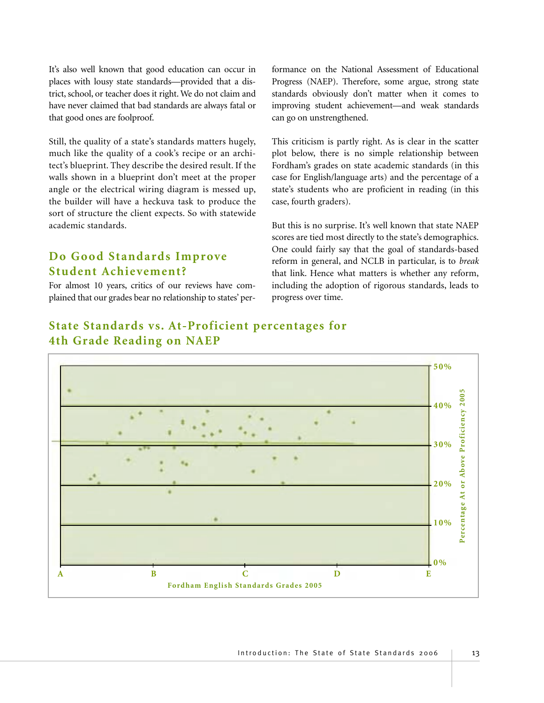It's also well known that good education can occur in places with lousy state standards—provided that a district, school, or teacher does it right. We do not claim and have never claimed that bad standards are always fatal or that good ones are foolproof.

Still, the quality of a state's standards matters hugely, much like the quality of a cook's recipe or an architect's blueprint. They describe the desired result. If the walls shown in a blueprint don't meet at the proper angle or the electrical wiring diagram is messed up, the builder will have a heckuva task to produce the sort of structure the client expects. So with statewide academic standards.

#### **Do Good Standards Improve Student Achievement?**

For almost 10 years, critics of our reviews have complained that our grades bear no relationship to states' performance on the National Assessment of Educational Progress (NAEP). Therefore, some argue, strong state standards obviously don't matter when it comes to improving student achievement—and weak standards can go on unstrengthened.

This criticism is partly right. As is clear in the scatter plot below, there is no simple relationship between Fordham's grades on state academic standards (in this case for English/language arts) and the percentage of a state's students who are proficient in reading (in this case, fourth graders).

But this is no surprise. It's well known that state NAEP scores are tied most directly to the state's demographics. One could fairly say that the goal of standards-based reform in general, and NCLB in particular, is to *break* that link. Hence what matters is whether any reform, including the adoption of rigorous standards, leads to progress over time.



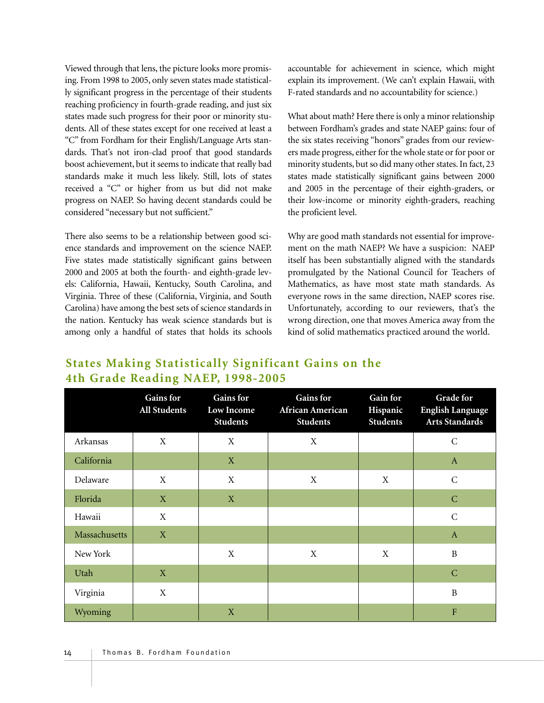Viewed through that lens, the picture looks more promising. From 1998 to 2005, only seven states made statistically significant progress in the percentage of their students reaching proficiency in fourth-grade reading, and just six states made such progress for their poor or minority students. All of these states except for one received at least a "C" from Fordham for their English/Language Arts standards. That's not iron-clad proof that good standards boost achievement, but it seems to indicate that really bad standards make it much less likely. Still, lots of states received a "C" or higher from us but did not make progress on NAEP. So having decent standards could be considered "necessary but not sufficient."

There also seems to be a relationship between good science standards and improvement on the science NAEP. Five states made statistically significant gains between 2000 and 2005 at both the fourth- and eighth-grade levels: California, Hawaii, Kentucky, South Carolina, and Virginia. Three of these (California, Virginia, and South Carolina) have among the best sets of science standards in the nation. Kentucky has weak science standards but is among only a handful of states that holds its schools accountable for achievement in science, which might explain its improvement. (We can't explain Hawaii, with F-rated standards and no accountability for science.)

What about math? Here there is only a minor relationship between Fordham's grades and state NAEP gains: four of the six states receiving "honors" grades from our reviewers made progress, either for the whole state or for poor or minority students, but so did many other states. In fact, 23 states made statistically significant gains between 2000 and 2005 in the percentage of their eighth-graders, or their low-income or minority eighth-graders, reaching the proficient level.

Why are good math standards not essential for improvement on the math NAEP? We have a suspicion: NAEP itself has been substantially aligned with the standards promulgated by the National Council for Teachers of Mathematics, as have most state math standards. As everyone rows in the same direction, NAEP scores rise. Unfortunately, according to our reviewers, that's the wrong direction, one that moves America away from the kind of solid mathematics practiced around the world.

#### **States Making Statistically Significant Gains on the 4th Grade Reading NAEP, 1998-2005**

|               | <b>Gains</b> for<br><b>All Students</b> | <b>Gains</b> for<br>Low Income<br><b>Students</b> | <b>Gains</b> for<br>African American<br><b>Students</b> | <b>Gain for</b><br>Hispanic<br><b>Students</b> | <b>Grade for</b><br><b>English Language</b><br><b>Arts Standards</b> |
|---------------|-----------------------------------------|---------------------------------------------------|---------------------------------------------------------|------------------------------------------------|----------------------------------------------------------------------|
| Arkansas      | X                                       | $\mathbf X$                                       | $\mathbf X$                                             |                                                | $\mathsf C$                                                          |
| California    |                                         | $\mathbf X$                                       |                                                         |                                                | $\mathbf{A}$                                                         |
| Delaware      | X                                       | $\mathbf X$                                       | $\mathbf X$                                             | $\mathbf X$                                    | $\mathsf C$                                                          |
| Florida       | X                                       | X                                                 |                                                         |                                                | ${\bf C}$                                                            |
| Hawaii        | X                                       |                                                   |                                                         |                                                | $\mathsf{C}$                                                         |
| Massachusetts | X                                       |                                                   |                                                         |                                                | $\mathbf{A}$                                                         |
| New York      |                                         | $\mathbf X$                                       | $\mathbf X$                                             | $\mathbf X$                                    | $\, {\bf B}$                                                         |
| Utah          | X                                       |                                                   |                                                         |                                                | ${\bf C}$                                                            |
| Virginia      | X                                       |                                                   |                                                         |                                                | $\, {\bf B}$                                                         |
| Wyoming       |                                         | X                                                 |                                                         |                                                | ${\bf F}$                                                            |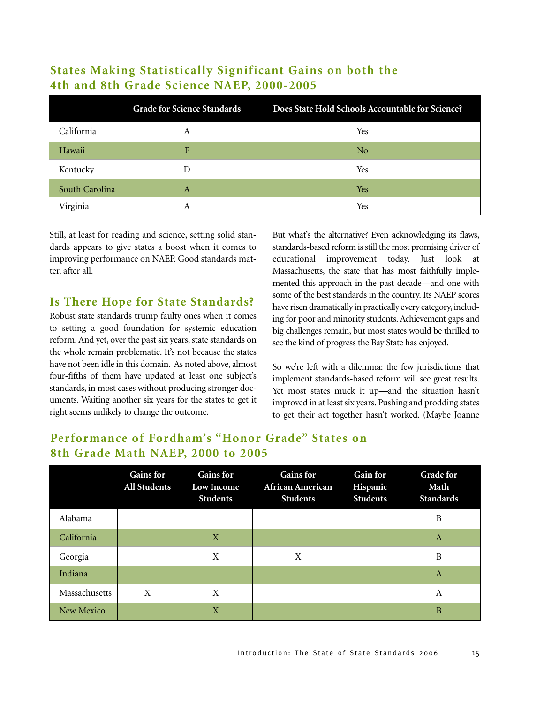|                | <b>Grade for Science Standards</b> | Does State Hold Schools Accountable for Science? |
|----------------|------------------------------------|--------------------------------------------------|
| California     | Α                                  | Yes                                              |
| Hawaii         | F                                  | N <sub>0</sub>                                   |
| Kentucky       | I)                                 | Yes                                              |
| South Carolina | A                                  | Yes                                              |
| Virginia       | А                                  | Yes                                              |

#### **States Making Statistically Significant Gains on both the 4th and 8th Grade Science NAEP, 2000-2005**

Still, at least for reading and science, setting solid standards appears to give states a boost when it comes to improving performance on NAEP. Good standards matter, after all.

#### **Is There Hope for State Standards?**

Robust state standards trump faulty ones when it comes to setting a good foundation for systemic education reform. And yet, over the past six years, state standards on the whole remain problematic. It's not because the states have not been idle in this domain. As noted above, almost four-fifths of them have updated at least one subject's standards, in most cases without producing stronger documents. Waiting another six years for the states to get it right seems unlikely to change the outcome.

But what's the alternative? Even acknowledging its flaws, standards-based reform is still the most promising driver of educational improvement today. Just look at Massachusetts, the state that has most faithfully implemented this approach in the past decade—and one with some of the best standards in the country. Its NAEP scores have risen dramatically in practically every category, including for poor and minority students. Achievement gaps and big challenges remain, but most states would be thrilled to see the kind of progress the Bay State has enjoyed.

So we're left with a dilemma: the few jurisdictions that implement standards-based reform will see great results. Yet most states muck it up—and the situation hasn't improved in at least six years. Pushing and prodding states to get their act together hasn't worked. (Maybe Joanne

#### **Performance of Fordham's "Honor Grade" States on 8th Grade Math NAEP, 2000 to 2005**

|               | <b>Gains for</b><br><b>All Students</b> | <b>Gains for</b><br>Low Income<br><b>Students</b> | <b>Gains for</b><br>African American<br><b>Students</b> | <b>Gain for</b><br>Hispanic<br><b>Students</b> | <b>Grade for</b><br>Math<br><b>Standards</b> |
|---------------|-----------------------------------------|---------------------------------------------------|---------------------------------------------------------|------------------------------------------------|----------------------------------------------|
| Alabama       |                                         |                                                   |                                                         |                                                | B                                            |
| California    |                                         | X                                                 |                                                         |                                                | $\mathbf{A}$                                 |
| Georgia       |                                         | X                                                 | X                                                       |                                                | B                                            |
| Indiana       |                                         |                                                   |                                                         |                                                | $\mathbf{A}$                                 |
| Massachusetts | X                                       | X                                                 |                                                         |                                                | A                                            |
| New Mexico    |                                         | X                                                 |                                                         |                                                | B                                            |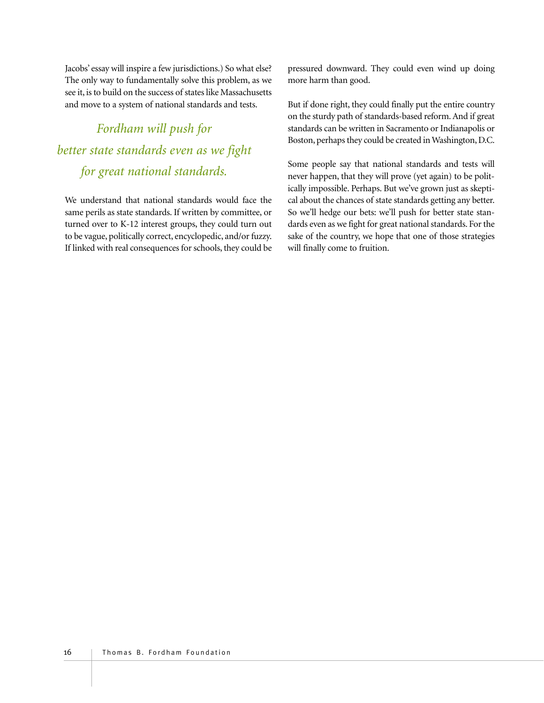Jacobs' essay will inspire a few jurisdictions.) So what else? The only way to fundamentally solve this problem, as we see it, is to build on the success of states like Massachusetts and move to a system of national standards and tests.

# *Fordham will push for better state standards even as we fight for great national standards.*

We understand that national standards would face the same perils as state standards. If written by committee, or turned over to K-12 interest groups, they could turn out to be vague, politically correct, encyclopedic, and/or fuzzy. If linked with real consequences for schools, they could be pressured downward. They could even wind up doing more harm than good.

But if done right, they could finally put the entire country on the sturdy path of standards-based reform. And if great standards can be written in Sacramento or Indianapolis or Boston, perhaps they could be created in Washington, D.C.

Some people say that national standards and tests will never happen, that they will prove (yet again) to be politically impossible. Perhaps. But we've grown just as skeptical about the chances of state standards getting any better. So we'll hedge our bets: we'll push for better state standards even as we fight for great national standards. For the sake of the country, we hope that one of those strategies will finally come to fruition.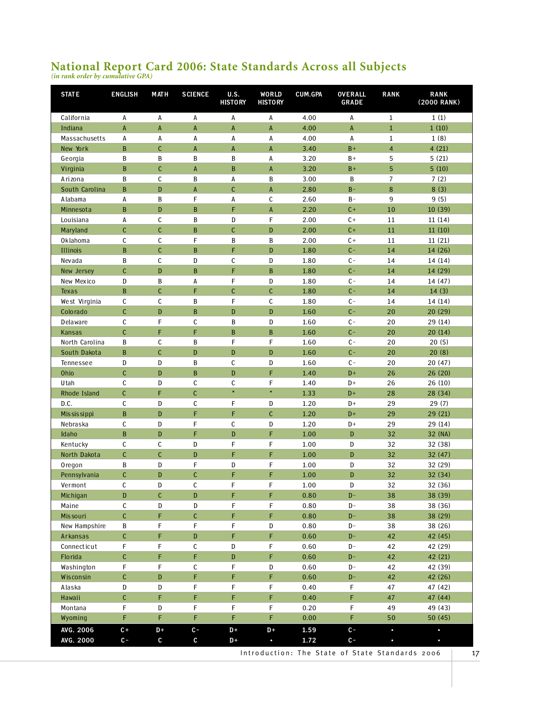# **National Report Card 2006: State Standards Across all Subjects** *(in rank order by cumulative GPA)*

| <b>STATE</b>    | <b>ENGLISH</b> | <b>MATH</b>    | <b>SCIENCE</b> | <b>U.S.</b><br><b>HISTORY</b> | WORLD<br><b>HISTORY</b> | CUM.GPA  | <b>OVERALL</b><br><b>GRADE</b> | <b>RANK</b>             | <b>RANK</b><br>(2000 RANK) |
|-----------------|----------------|----------------|----------------|-------------------------------|-------------------------|----------|--------------------------------|-------------------------|----------------------------|
| California      | А              | A              | Α              | А                             | А                       | 4.00     | А                              | $\mathbf{1}$            | 1(1)                       |
| Indiana         | A              | A              | A              | A                             | $\mathsf A$             | 4.00     | $\mathsf A$                    | $\mathbf{1}$            | 1(10)                      |
| Massachusetts   | A              | A              | А              | А                             | A                       | 4.00     | A                              | $\mathbf 1$             | 1(8)                       |
| New York        | B              | $\mathsf{C}$   | $\sf A$        | $\mathsf A$                   | $\mathsf A$             | 3.40     | $B +$                          | $\overline{\mathbf{4}}$ | 4(21)                      |
| Georgia         | B              | B              | B              | B                             | A                       | 3.20     | $B +$                          | 5                       | 5(21)                      |
| Virginia        | B              | $\mathsf{C}$   | $\mathsf A$    | $\mathbf B$                   | $\mathsf A$             | 3.20     | $B +$                          | 5                       | 5(10)                      |
| Arizona         | B              | C              | B              | A                             | B                       | 3.00     | B                              | 7                       | 7(2)                       |
| South Carolina  | B              | D              | A              | $\mathsf{C}$                  | A                       | 2.80     | $B -$                          | 8                       | 8(3)                       |
| Alabama         | А              | B              | F              | A                             | $\mathsf{C}$            | 2.60     | $B -$                          | 9                       | 9(5)                       |
| Minnesota       | B              | D              | B              | F                             | $\mathsf{A}$            | 2.20     | $C +$                          | 10                      | 10 (39)                    |
| Louisiana       | А              | C              | $\, {\bf B}$   | D                             | F                       | 2.00     | $C +$                          | $11\,$                  | 11(14)                     |
| Maryland        | $\mathsf{C}$   | $\mathsf{C}$   | B              | $\mathfrak{c}$                | D                       | 2.00     | $C +$                          | 11                      | 11(10)                     |
| Oklahoma        | С              | C              | F              | $\, {\bf B}$                  | B                       | 2.00     | $C +$                          | 11                      | 11 (21)                    |
| <b>Illinois</b> | B              | $\mathsf{C}$   | $\, {\bf B}$   | F                             | D                       | 1.80     | $C -$                          | 14                      | 14 (26)                    |
| Nevada          | B              | $\mathsf C$    | ${\tt D}$      | $\mathsf c$                   | D                       | 1.80     | $C -$                          | 14                      | 14(14)                     |
| New Jersey      | $\mathsf{C}$   | D              | $\, {\bf B}$   | F                             | $\, {\bf B}$            | 1.80     | $C -$                          | 14                      | 14 (29)                    |
| New Mexico      | D              | B              | А              | F                             | D                       | 1.80     | $C -$                          | 14                      | 14 (47)                    |
| <b>Texas</b>    | $\mathbf{B}$   | $\mathsf{C}$   | F              | $\mathsf{C}$                  | $\mathsf{C}$            | 1.80     | $C -$                          | 14                      | 14(3)                      |
| West Virginia   | С              | C              | B              | F                             | C                       | 1.80     | $C -$                          | 14                      | 14 (14)                    |
| Colorado        | C              | D              | B              | $\mathbf D$                   | D                       | 1.60     | $C -$                          | 20                      | 20 (29)                    |
| Delaware        | C              | F              | C              | B                             | D                       | 1.60     | $C -$                          | 20                      | 29 (14)                    |
| Kansas          | $\mathsf{C}$   | F              | F              | $\, {\bf B}$                  | $\, {\bf B}$            | 1.60     | $C -$                          | 20                      | 20(14)                     |
| North Carolina  | B              | C              | $\, {\bf B}$   | F                             | F                       | 1.60     | $C -$                          | 20                      | 20(5)                      |
| South Dakota    | B              | $\mathsf{C}$   | D              | $\mathbf D$                   | D                       | 1.60     | $C -$                          | 20                      | 20(8)                      |
| Tennessee       | D              | D              | B              | $\mathsf c$                   | D                       | 1.60     | $C -$                          | 20                      | 20(47)                     |
| Ohio            | $\mathsf{C}$   | D              | $\, {\bf B}$   | ${\bf D}$                     | F                       | 1.40     | $D+$                           | 26                      | 26 (20)                    |
| Utah            | C              | D              | $\mathsf c$    | $\mathsf{C}$                  | F                       | 1.40     | D+                             | 26                      | 26(10)                     |
| Rhode Island    | $\mathsf{C}$   | F              | $\mathsf{C}$   | $\color{blue}\ast$            | $\ast$                  | 1.33     | $D+$                           | 28                      | 28 (34)                    |
| D.C.            | $\mathsf{C}$   | D              | C              | F                             | D                       | 1.20     | $D+$                           | 29                      | 29(7)                      |
| Mis sis sippi   | B              | D              | F              | F                             | $\mathsf{C}$            | 1.20     | $D+$                           | 29                      | 29(21)                     |
| Nebraska        | C              | D              | F              | C                             | D                       | 1.20     | D+                             | 29                      | 29 (14)                    |
| Idaho           | B              | D              | F              | $\mathbf D$                   | F                       | 1.00     | D                              | 32                      | 32 (NA)                    |
| Kentucky        | С              | C              | D              | F                             | F                       | 1.00     | D                              | 32                      | 32 (38)                    |
| North Dakota    | $\mathsf{C}$   | $\mathsf{C}$   | D              | F                             | F                       | 1.00     | D                              | 32                      | 32 (47)                    |
| Oregon          | B              | D              | F              | D                             | F                       | 1.00     | D                              | 32                      | 32 (29)                    |
| Pennsylvania    | C              | D              | $\mathsf C$    | F                             | F                       | $1.00\,$ | ${\mathsf D}$                  | 32                      | 32 (34)                    |
| Vermont         | С              | ${\mathsf D}$  | $\mathsf C$    | F                             | F                       | $1.00\,$ | ${\tt D}$                      | 32                      | 32 (36)                    |
| Michigan        | D              | $\mathfrak{c}$ | D              | F                             | F                       | 0.80     | $D -$                          | 38                      | 38 (39)                    |
| Maine           | С              | ${\tt D}$      | ${\tt D}$      | F                             | F                       | 0.80     | $D -$                          | 38                      | 38 (36)                    |
| <b>Missouri</b> | $\mathsf C$    | F              | $\mathsf C$    | F                             | F                       | 0.80     | $\mathbf{D}^-$                 | 38                      | 38 (29)                    |
| New Hampshire   | B              | F              | F              | F                             | D                       | 0.80     | D-                             | 38                      | 38 (26)                    |
| Arkansas        | $\mathsf{C}$   | F              | ${\mathsf D}$  | F                             | F.                      | 0.60     | $D -$                          | 42                      | 42 (45)                    |
| Connecticut     | F              | F              | $\mathsf C$    | D                             | F                       | 0.60     | D-                             | 42                      | 42 (29)                    |
| Florida         | C              | F              | F              | ${\bf D}$                     | F                       | 0.60     | $D -$                          | 42                      | 42 (21)                    |
| Washington      | F              | F              | С              | F                             | D                       | 0.60     | $\mathbf{D}$ –                 | 42                      | 42 (39)                    |
| Wisconsin       | $\mathsf{C}$   | ${\bf D}$      | F              | F                             | F                       | 0.60     | $\mathbf{D}$ –                 | 42                      | 42 (26)                    |
| Alaska          | D              | D              | F              | F                             | F                       | 0.40     | F                              | 47                      | 47 (42)                    |
| Hawaii          | $\mathfrak{c}$ | F              | F              | F                             | F                       | 0.40     | F                              | 47                      | 47 (44)                    |
| Montana         | F              | D              | F              | F                             | F                       | 0.20     | F                              | 49                      | 49 (43)                    |
| Wyoming         | F              | F              | F              | F                             | F                       | 0.00     | F                              | 50                      | 50(45)                     |
| AVG. 2006       | $c +$          | $D+$           | $c-$           | $D+$                          | $D+$                    | 1.59     | $c -$                          | $\bullet$               | $\bullet$                  |
| AVG. 2000       | $c-$           | C              | $\mathbf c$    | $D+$                          | $\bullet$               | 1.72     | $c -$                          |                         | $\bullet$                  |

Introduction: The State of State Standards 2006 | 17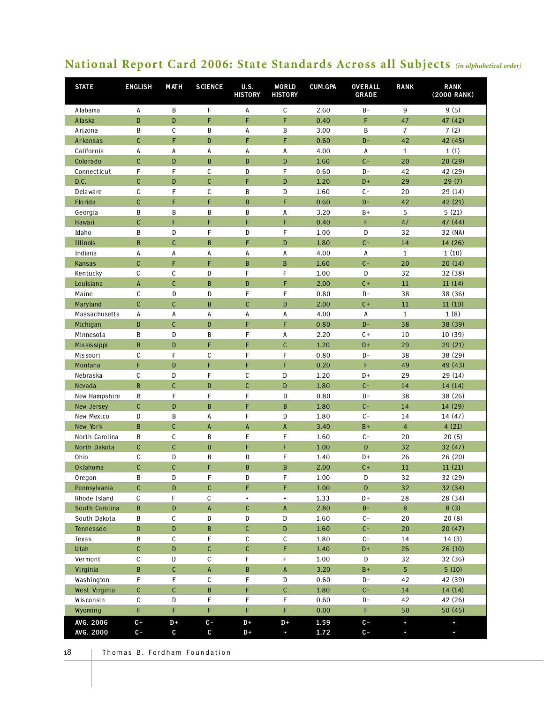# **National Report Card 2006: State Standards Across all Subjects** *(in alphabetical order)*

| <b>STATE</b>   | <b>ENGLISH</b> | M AT H       | <b>SCIENCE</b> | U.S.<br><b>HISTORY</b> | WORLD<br><b>HISTORY</b> | CUM.GPA  | <b>OVERALL</b><br><b>GRADE</b> | <b>RANK</b>    | <b>RANK</b><br>(2000 RANK) |
|----------------|----------------|--------------|----------------|------------------------|-------------------------|----------|--------------------------------|----------------|----------------------------|
| Alabama        | А              | B            | F              | А                      | $\mathsf C$             | 2.60     | $B -$                          | 9              | 9(5)                       |
| Alaska         | ${\bf D}$      | D            | F              | F                      | F                       | 0.40     | F                              | 47             | 47 (42)                    |
| Arizona        | B              | C            | B              | А                      | B                       | 3.00     | B                              | $\overline{7}$ | 7(2)                       |
| Arkansas       | $\mathsf{C}$   | F            | D              | F                      | F                       | 0.60     | $D -$                          | 42             | 42 (45)                    |
| California     | A              | А            | A              | А                      | А                       | 4.00     | Α                              | $\mathbf{1}$   | 1(1)                       |
| Colorado       | $\mathsf{C}$   | D            | $\, {\bf B}$   | D                      | D                       | 1.60     | $C -$                          | 20             | 20 (29)                    |
| Connecticut    | F              | F            | C              | D                      | F                       | 0.60     | $D -$                          | 42             | 42 (29)                    |
| D.C.           | C              | D            | $\mathsf{C}$   | F                      | D                       | 1.20     | $D+$                           | 29             | 29(7)                      |
| Delaware       | С              | F            | C              | B                      | D                       | 1.60     | $C -$                          | 20             | 29 (14)                    |
| Florida        | $\mathsf{C}$   | F            | F              | D                      | F                       | 0.60     | $D -$                          | 42             | 42 (21)                    |
| Georgia        | B              | B            | B              | B                      | А                       | 3.20     | $B+$                           | 5              | 5(21)                      |
| Hawaii         | $\mathsf{C}$   | F            | F              | F                      | F                       | 0.40     | F                              | 47             | 47 (44)                    |
| Idaho          | B              | D            | F              | D                      | F                       | 1.00     | D                              | 32             | 32 (NA)                    |
| Illinois       | B              | $\mathsf{C}$ | B              | F                      | D                       | 1.80     | $C -$                          | 14             | 14 (26)                    |
| Indiana        | A              | А            | А              | А                      | А                       | 4.00     | А                              | $\mathbf{1}$   | 1(10)                      |
| Kansas         | $\mathsf{C}$   | F            | F              | B                      | $\, {\bf B}$            | 1.60     | $C -$                          | 20             | 20(14)                     |
| Kentucky       | $\mathsf c$    | C            | D              | F                      | F                       | 1.00     | ${\bf D}$                      | 32             | 32 (38)                    |
| Louisiana      | A              | $\mathsf{C}$ | $\, {\bf B}$   | D                      | F                       | 2.00     | $C +$                          | 11             | 11(14)                     |
| Maine          | C              | D            | D              | F                      | F                       | 0.80     | $D -$                          | 38             | 38 (36)                    |
| Maryland       | $\mathsf{C}$   | $\mathsf{C}$ | B              | $\mathsf{C}$           | D                       | 2.00     | $C +$                          | $11\,$         | 11(10)                     |
| Massachusetts  | А              | Α            | А              | А                      | А                       | 4.00     | А                              | $\mathbf{1}$   | 1(8)                       |
| Michigan       | D              | $\mathsf{C}$ | D              | F                      | F                       | 0.80     | $D -$                          | 38             | 38 (39)                    |
| Minnesota      | B              | D            | B              | F                      | А                       | 2.20     | $C +$                          | 10             | 10 (39)                    |
| Mis sis sippi  | $\, {\bf B}$   | D            | F              | F                      | $\mathsf{C}$            | 1.20     | $D+$                           | 29             | 29 (21)                    |
| Mis souri      | С              | F            | $\mathsf c$    | F                      | F                       | 0.80     | $D -$                          | 38             | 38 (29)                    |
| Montana        | F              | D            | F              | F                      | F                       | 0.20     | F                              | 49             | 49 (43)                    |
| Nebraska       | $\mathsf c$    | D            | F              | C                      | D                       | 1.20     | $D+$                           | 29             | 29 (14)                    |
| Nevada         | B              | $\mathsf{C}$ | D              | $\mathsf{C}$           | ${\bf D}$               | 1.80     | $C -$                          | 14             | 14(14)                     |
| New Hampshire  | B              | F            | F              | F                      | D                       | 0.80     | $D -$                          | 38             | 38 (26)                    |
| New Jersey     | $\mathsf{C}$   | D            | B              | F                      | $\, {\bf B}$            | 1.80     | $C -$                          | 14             | 14 (29)                    |
| New Mexico     | D              | B            | А              | F                      | D                       | 1.80     | $C -$                          | 14             | 14 (47)                    |
| New York       | B              | $\mathsf{C}$ | $\mathsf A$    | A                      | A                       | 3.40     | $B+$                           | $\overline{4}$ | 4(21)                      |
| North Carolina | B              | C            | B              | F                      | F                       | 1.60     | $C -$                          | 20             | 20(5)                      |
| North Dakota   | $\mathsf{C}$   | $\mathsf{C}$ | D              | F                      | F                       | 1.00     | D                              | 32             | 32 (47)                    |
| Ohio           | С              | D            | B              | D                      | F                       | 1.40     | $D+$                           | 26             | 26 (20)                    |
| Oklahoma       | $\mathsf{C}$   | C            | F              | $\, {\bf B}$           | $\, {\bf B}$            | 2.00     | $C +$                          | $11\,$         | 11(21)                     |
| Oregon         | B              | D            | F              | D                      | F                       | 1.00     | D                              | 32             | 32 (29)                    |
| Pennsylvania   | $\mathsf{C}$   | D            | $\mathfrak{c}$ | F                      | F                       | $1.00\,$ | D                              | 32             | 32 (34)                    |
| Rhode Island   | С              | F            | С              | $\bullet$              | $\bullet$               | 1.33     | $D+$                           | 28             | 28 (34)                    |
| South Carolina | $\, {\bf B}$   | D            | $\mathsf A$    | C                      | $\sf A$                 | 2.80     | $B -$                          | 8              | 8(3)                       |
| South Dakota   | B              | С            | ${\tt D}$      | D                      | D                       | 1.60     | $C -$                          | 20             | 20(8)                      |
| Tennessee      | ${\mathsf D}$  | D            | $\, {\bf B}$   | $\mathsf C$            | ${\mathsf D}$           | 1.60     | $C -$                          | 20             | 20(47)                     |
| Texas          | B              | C            | F              | С                      | С                       | 1.80     | $C -$                          | 14             | 14(3)                      |
| Utah           | C              | D            | $\mathsf C$    | $\mathsf C$            | F                       | 1.40     | $D+$                           | 26             | 26(10)                     |
| Vermont        | С              | D            | $\mathsf C$    | F                      | F                       | 1.00     | D                              | 32             | 32 (36)                    |
| Virginia       | $\, {\bf B}$   | C            | $\mathsf A$    | B                      | $\mathsf A$             | 3.20     | $B+$                           | 5 <sup>5</sup> | 5(10)                      |
| Washington     | F              | F            | С              | F                      | D                       | 0.60     | $D -$                          | 42             | 42 (39)                    |
| West Virginia  | $\mathsf{C}$   | C            | $\, {\bf B}$   | F                      | $\mathbb C$             | 1.80     | $C -$                          | 14             | 14 (14)                    |
| Wisconsin      | С              | D            | F              | F                      | F                       | 0.60     | $D -$                          | 42             | 42 (26)                    |
| Wyoming        | F              | F            | F              | F                      | F                       | 0.00     | F.                             | 50             | 50(45)                     |
| AVG. 2006      | $C +$          | $D +$        | $c-$           | $D+$                   | D+                      | 1.59     | $c-$                           | $\bullet$      | $\bullet$                  |
| AVG. 2000      | $c -$          | $\mathsf c$  | $\mathbf{c}$   | $D+$                   | $\bullet$               | 1.72     | $c-$                           |                |                            |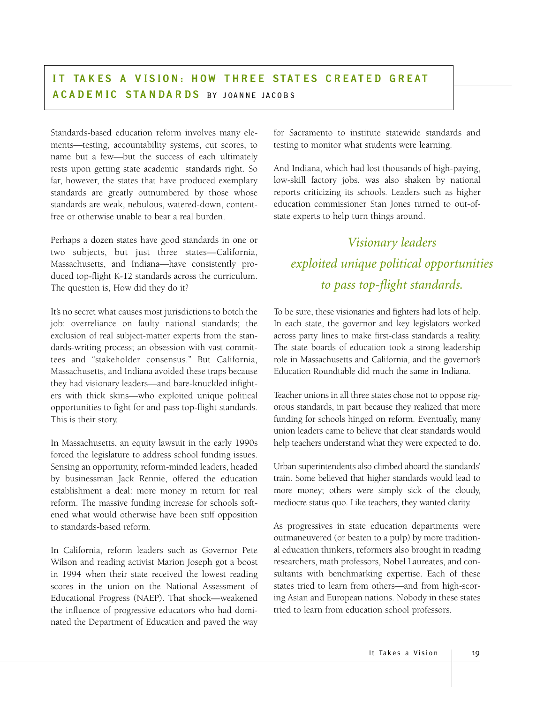Standards-based education reform involves many elements—testing, accountability systems, cut scores, to name but a few—but the success of each ultimately rests upon getting state academic standards right. So far, however, the states that have produced exemplary standards are greatly outnumbered by those whose standards are weak, nebulous, watered-down, contentfree or otherwise unable to bear a real burden.

Perhaps a dozen states have good standards in one or two subjects, but just three states—California, Massachusetts, and Indiana—have consistently produced top-flight K-12 standards across the curriculum. The question is, How did they do it?

It's no secret what causes most jurisdictions to botch the job: overreliance on faulty national standards; the exclusion of real subject-matter experts from the standards-writing process; an obsession with vast committees and "stakeholder consensus." But California, Massachusetts, and Indiana avoided these traps because they had visionary leaders—and bare-knuckled infighters with thick skins—who exploited unique political opportunities to fight for and pass top-flight standards. This is their story.

In Massachusetts, an equity lawsuit in the early 1990s forced the legislature to address school funding issues. Sensing an opportunity, reform-minded leaders, headed by businessman Jack Rennie, offered the education establishment a deal: more money in return for real reform. The massive funding increase for schools softened what would otherwise have been stiff opposition to standards-based reform.

In California, reform leaders such as Governor Pete Wilson and reading activist Marion Joseph got a boost in 1994 when their state received the lowest reading scores in the union on the National Assessment of Educational Progress (NAEP). That shock—weakened the influence of progressive educators who had dominated the Department of Education and paved the way for Sacramento to institute statewide standards and testing to monitor what students were learning.

And Indiana, which had lost thousands of high-paying, low-skill factory jobs, was also shaken by national reports criticizing its schools. Leaders such as higher education commissioner Stan Jones turned to out-ofstate experts to help turn things around.

# *Visionary leaders exploited unique political opportunities to pass top-flight standards.*

To be sure, these visionaries and fighters had lots of help. In each state, the governor and key legislators worked across party lines to make first-class standards a reality. The state boards of education took a strong leadership role in Massachusetts and California, and the governor's Education Roundtable did much the same in Indiana.

Teacher unions in all three states chose not to oppose rigorous standards, in part because they realized that more funding for schools hinged on reform. Eventually, many union leaders came to believe that clear standards would help teachers understand what they were expected to do.

Urban superintendents also climbed aboard the standards' train. Some believed that higher standards would lead to more money; others were simply sick of the cloudy, mediocre status quo. Like teachers, they wanted clarity.

As progressives in state education departments were outmaneuvered (or beaten to a pulp) by more traditional education thinkers, reformers also brought in reading researchers, math professors, Nobel Laureates, and consultants with benchmarking expertise. Each of these states tried to learn from others—and from high-scoring Asian and European nations. Nobody in these states tried to learn from education school professors.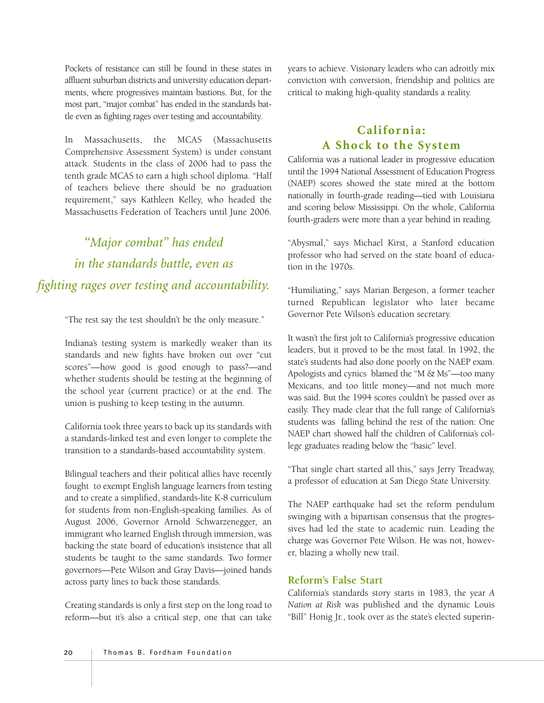Pockets of resistance can still be found in these states in affluent suburban districts and university education departments, where progressives maintain bastions. But, for the most part, "major combat" has ended in the standards battle even as fighting rages over testing and accountability.

In Massachusetts, the MCAS (Massachusetts Comprehensive Assessment System) is under constant attack. Students in the class of 2006 had to pass the tenth grade MCAS to earn a high school diploma. "Half of teachers believe there should be no graduation requirement," says Kathleen Kelley, who headed the Massachusetts Federation of Teachers until June 2006.

*"Major combat" has ended in the standards battle, even as fighting rages over testing and accountability.*

"The rest say the test shouldn't be the only measure."

Indiana's testing system is markedly weaker than its standards and new fights have broken out over "cut scores"—how good is good enough to pass?—and whether students should be testing at the beginning of the school year (current practice) or at the end. The union is pushing to keep testing in the autumn.

California took three years to back up its standards with a standards-linked test and even longer to complete the transition to a standards-based accountability system.

Bilingual teachers and their political allies have recently fought to exempt English language learners from testing and to create a simplified, standards-lite K-8 curriculum for students from non-English-speaking families. As of August 2006, Governor Arnold Schwarzenegger, an immigrant who learned English through immersion, was backing the state board of education's insistence that all students be taught to the same standards. Two former governors—Pete Wilson and Gray Davis—joined hands across party lines to back those standards.

Creating standards is only a first step on the long road to reform—but it's also a critical step, one that can take years to achieve. Visionary leaders who can adroitly mix conviction with conversion, friendship and politics are critical to making high-quality standards a reality.

#### **California: A Shock to the System**

California was a national leader in progressive education until the 1994 National Assessment of Education Progress (NAEP) scores showed the state mired at the bottom nationally in fourth-grade reading—tied with Louisiana and scoring below Mississippi. On the whole, California fourth-graders were more than a year behind in reading.

"Abysmal," says Michael Kirst, a Stanford education professor who had served on the state board of education in the 1970s.

"Humiliating," says Marian Bergeson, a former teacher turned Republican legislator who later became Governor Pete Wilson's education secretary.

It wasn't the first jolt to California's progressive education leaders, but it proved to be the most fatal. In 1992, the state's students had also done poorly on the NAEP exam. Apologists and cynics blamed the "M & Ms"—too many Mexicans, and too little money—and not much more was said. But the 1994 scores couldn't be passed over as easily. They made clear that the full range of California's students was falling behind the rest of the nation: One NAEP chart showed half the children of California's college graduates reading below the "basic" level.

"That single chart started all this," says Jerry Treadway, a professor of education at San Diego State University.

The NAEP earthquake had set the reform pendulum swinging with a bipartisan consensus that the progressives had led the state to academic ruin. Leading the charge was Governor Pete Wilson. He was not, however, blazing a wholly new trail.

#### **Reform's False Start**

California's standards story starts in 1983, the year *A Nation at Risk* was published and the dynamic Louis "Bill" Honig Jr., took over as the state's elected superin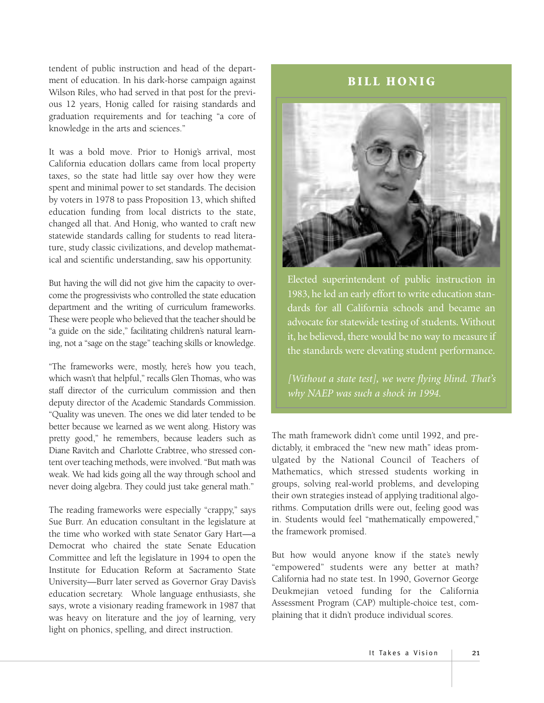tendent of public instruction and head of the department of education. In his dark-horse campaign against Wilson Riles, who had served in that post for the previous 12 years, Honig called for raising standards and graduation requirements and for teaching "a core of knowledge in the arts and sciences."

It was a bold move. Prior to Honig's arrival, most California education dollars came from local property taxes, so the state had little say over how they were spent and minimal power to set standards. The decision by voters in 1978 to pass Proposition 13, which shifted education funding from local districts to the state, changed all that. And Honig, who wanted to craft new statewide standards calling for students to read literature, study classic civilizations, and develop mathematical and scientific understanding, saw his opportunity.

But having the will did not give him the capacity to overcome the progressivists who controlled the state education department and the writing of curriculum frameworks. These were people who believed that the teacher should be "a guide on the side," facilitating children's natural learning, not a "sage on the stage" teaching skills or knowledge.

"The frameworks were, mostly, here's how you teach, which wasn't that helpful," recalls Glen Thomas, who was staff director of the curriculum commission and then deputy director of the Academic Standards Commission. "Quality was uneven. The ones we did later tended to be better because we learned as we went along. History was pretty good," he remembers, because leaders such as Diane Ravitch and Charlotte Crabtree, who stressed content over teaching methods, were involved. "But math was weak. We had kids going all the way through school and never doing algebra. They could just take general math."

The reading frameworks were especially "crappy," says Sue Burr. An education consultant in the legislature at the time who worked with state Senator Gary Hart—a Democrat who chaired the state Senate Education Committee and left the legislature in 1994 to open the Institute for Education Reform at Sacramento State University—Burr later served as Governor Gray Davis's education secretary. Whole language enthusiasts, she says, wrote a visionary reading framework in 1987 that was heavy on literature and the joy of learning, very light on phonics, spelling, and direct instruction.

#### **BILL HONIG**



Elected superintendent of public instruction in 1983, he led an early effort to write education standards for all California schools and became an advocate for statewide testing of students. Without it, he believed, there would be no way to measure if the standards were elevating student performance.

*[Without a state test], we were flying blind. That's why NAEP was such a shock in 1994.*

The math framework didn't come until 1992, and predictably, it embraced the "new new math" ideas promulgated by the National Council of Teachers of Mathematics, which stressed students working in groups, solving real-world problems, and developing their own strategies instead of applying traditional algorithms. Computation drills were out, feeling good was in. Students would feel "mathematically empowered," the framework promised.

But how would anyone know if the state's newly "empowered" students were any better at math? California had no state test. In 1990, Governor George Deukmejian vetoed funding for the California Assessment Program (CAP) multiple-choice test, complaining that it didn't produce individual scores.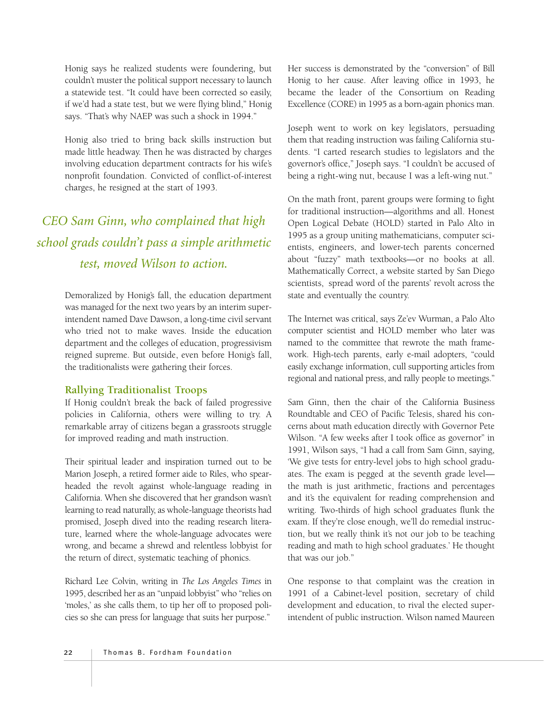Honig says he realized students were foundering, but couldn't muster the political support necessary to launch a statewide test. "It could have been corrected so easily, if we'd had a state test, but we were flying blind," Honig says. "That's why NAEP was such a shock in 1994."

Honig also tried to bring back skills instruction but made little headway. Then he was distracted by charges involving education department contracts for his wife's nonprofit foundation. Convicted of conflict-of-interest charges, he resigned at the start of 1993.

# *CEO Sam Ginn, who complained that high school grads couldn't pass a simple arithmetic test, moved Wilson to action.*

Demoralized by Honig's fall, the education department was managed for the next two years by an interim superintendent named Dave Dawson, a long-time civil servant who tried not to make waves. Inside the education department and the colleges of education, progressivism reigned supreme. But outside, even before Honig's fall, the traditionalists were gathering their forces.

#### **Rallying Traditionalist Troops**

If Honig couldn't break the back of failed progressive policies in California, others were willing to try. A remarkable array of citizens began a grassroots struggle for improved reading and math instruction.

Their spiritual leader and inspiration turned out to be Marion Joseph, a retired former aide to Riles, who spearheaded the revolt against whole-language reading in California. When she discovered that her grandson wasn't learning to read naturally, as whole-language theorists had promised, Joseph dived into the reading research literature, learned where the whole-language advocates were wrong, and became a shrewd and relentless lobbyist for the return of direct, systematic teaching of phonics.

Richard Lee Colvin, writing in *The Los Angeles Times* in 1995, described her as an "unpaid lobbyist" who "relies on 'moles,' as she calls them, to tip her off to proposed policies so she can press for language that suits her purpose."

Her success is demonstrated by the "conversion" of Bill Honig to her cause. After leaving office in 1993, he became the leader of the Consortium on Reading Excellence (CORE) in 1995 as a born-again phonics man.

Joseph went to work on key legislators, persuading them that reading instruction was failing California students. "I carted research studies to legislators and the governor's office," Joseph says. "I couldn't be accused of being a right-wing nut, because I was a left-wing nut."

On the math front, parent groups were forming to fight for traditional instruction—algorithms and all. Honest Open Logical Debate (HOLD) started in Palo Alto in 1995 as a group uniting mathematicians, computer scientists, engineers, and lower-tech parents concerned about "fuzzy" math textbooks—or no books at all. Mathematically Correct, a website started by San Diego scientists, spread word of the parents' revolt across the state and eventually the country.

The Internet was critical, says Ze'ev Wurman, a Palo Alto computer scientist and HOLD member who later was named to the committee that rewrote the math framework. High-tech parents, early e-mail adopters, "could easily exchange information, cull supporting articles from regional and national press, and rally people to meetings."

Sam Ginn, then the chair of the California Business Roundtable and CEO of Pacific Telesis, shared his concerns about math education directly with Governor Pete Wilson. "A few weeks after I took office as governor" in 1991, Wilson says, "I had a call from Sam Ginn, saying, 'We give tests for entry-level jobs to high school graduates. The exam is pegged at the seventh grade level the math is just arithmetic, fractions and percentages and it's the equivalent for reading comprehension and writing. Two-thirds of high school graduates flunk the exam. If they're close enough, we'll do remedial instruction, but we really think it's not our job to be teaching reading and math to high school graduates.' He thought that was our job."

One response to that complaint was the creation in 1991 of a Cabinet-level position, secretary of child development and education, to rival the elected superintendent of public instruction. Wilson named Maureen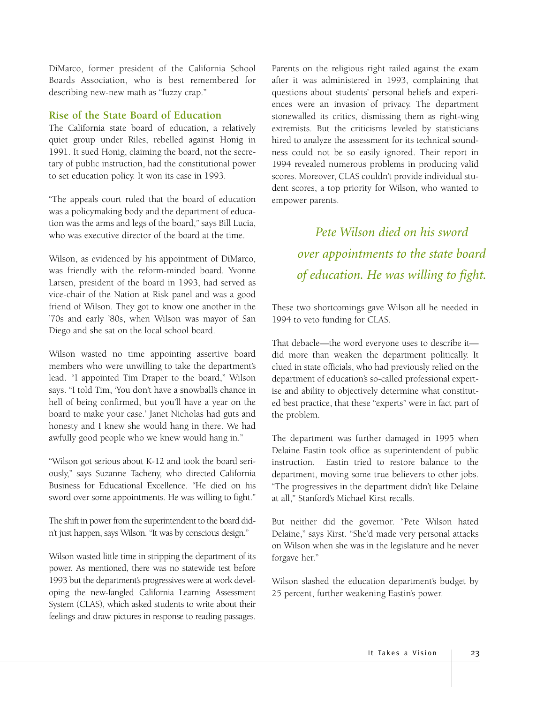DiMarco, former president of the California School Boards Association, who is best remembered for describing new-new math as "fuzzy crap."

#### **Rise of the State Board of Education**

The California state board of education, a relatively quiet group under Riles, rebelled against Honig in 1991. It sued Honig, claiming the board, not the secretary of public instruction, had the constitutional power to set education policy. It won its case in 1993.

"The appeals court ruled that the board of education was a policymaking body and the department of education was the arms and legs of the board," says Bill Lucia, who was executive director of the board at the time.

Wilson, as evidenced by his appointment of DiMarco, was friendly with the reform-minded board. Yvonne Larsen, president of the board in 1993, had served as vice-chair of the Nation at Risk panel and was a good friend of Wilson. They got to know one another in the '70s and early '80s, when Wilson was mayor of San Diego and she sat on the local school board.

Wilson wasted no time appointing assertive board members who were unwilling to take the department's lead. "I appointed Tim Draper to the board," Wilson says. "I told Tim, 'You don't have a snowball's chance in hell of being confirmed, but you'll have a year on the board to make your case.' Janet Nicholas had guts and honesty and I knew she would hang in there. We had awfully good people who we knew would hang in."

"Wilson got serious about K-12 and took the board seriously," says Suzanne Tacheny, who directed California Business for Educational Excellence. "He died on his sword over some appointments. He was willing to fight."

The shift in power from the superintendent to the board didn't just happen, says Wilson. "It was by conscious design."

Wilson wasted little time in stripping the department of its power. As mentioned, there was no statewide test before 1993 but the department's progressives were at work developing the new-fangled California Learning Assessment System (CLAS), which asked students to write about their feelings and draw pictures in response to reading passages.

Parents on the religious right railed against the exam after it was administered in 1993, complaining that questions about students' personal beliefs and experiences were an invasion of privacy. The department stonewalled its critics, dismissing them as right-wing extremists. But the criticisms leveled by statisticians hired to analyze the assessment for its technical soundness could not be so easily ignored. Their report in 1994 revealed numerous problems in producing valid scores. Moreover, CLAS couldn't provide individual student scores, a top priority for Wilson, who wanted to empower parents.

> *Pete Wilson died on his sword over appointments to the state board of education. He was willing to fight.*

These two shortcomings gave Wilson all he needed in 1994 to veto funding for CLAS.

That debacle—the word everyone uses to describe it did more than weaken the department politically. It clued in state officials, who had previously relied on the department of education's so-called professional expertise and ability to objectively determine what constituted best practice, that these "experts" were in fact part of the problem.

The department was further damaged in 1995 when Delaine Eastin took office as superintendent of public instruction. Eastin tried to restore balance to the department, moving some true believers to other jobs. "The progressives in the department didn't like Delaine at all," Stanford's Michael Kirst recalls.

But neither did the governor. "Pete Wilson hated Delaine," says Kirst. "She'd made very personal attacks on Wilson when she was in the legislature and he never forgave her."

Wilson slashed the education department's budget by 25 percent, further weakening Eastin's power.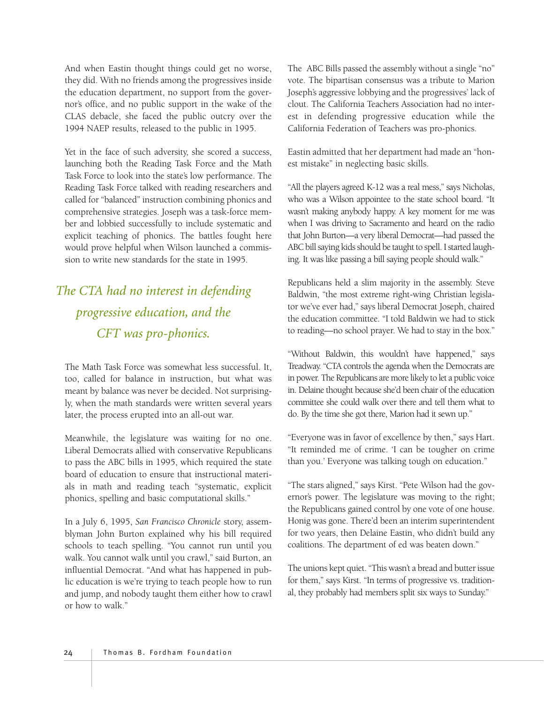And when Eastin thought things could get no worse, they did. With no friends among the progressives inside the education department, no support from the governor's office, and no public support in the wake of the CLAS debacle, she faced the public outcry over the 1994 NAEP results, released to the public in 1995.

Yet in the face of such adversity, she scored a success, launching both the Reading Task Force and the Math Task Force to look into the state's low performance. The Reading Task Force talked with reading researchers and called for "balanced" instruction combining phonics and comprehensive strategies. Joseph was a task-force member and lobbied successfully to include systematic and explicit teaching of phonics. The battles fought here would prove helpful when Wilson launched a commission to write new standards for the state in 1995.

# *The CTA had no interest in defending progressive education, and the CFT was pro-phonics.*

The Math Task Force was somewhat less successful. It, too, called for balance in instruction, but what was meant by balance was never be decided. Not surprisingly, when the math standards were written several years later, the process erupted into an all-out war.

Meanwhile, the legislature was waiting for no one. Liberal Democrats allied with conservative Republicans to pass the ABC bills in 1995, which required the state board of education to ensure that instructional materials in math and reading teach "systematic, explicit phonics, spelling and basic computational skills."

In a July 6, 1995, *San Francisco Chronicle* story, assemblyman John Burton explained why his bill required schools to teach spelling. "You cannot run until you walk. You cannot walk until you crawl," said Burton, an influential Democrat. "And what has happened in public education is we're trying to teach people how to run and jump, and nobody taught them either how to crawl or how to walk."

The ABC Bills passed the assembly without a single "no" vote. The bipartisan consensus was a tribute to Marion Joseph's aggressive lobbying and the progressives' lack of clout. The California Teachers Association had no interest in defending progressive education while the California Federation of Teachers was pro-phonics.

Eastin admitted that her department had made an "honest mistake" in neglecting basic skills.

"All the players agreed K-12 was a real mess," says Nicholas, who was a Wilson appointee to the state school board. "It wasn't making anybody happy. A key moment for me was when I was driving to Sacramento and heard on the radio that John Burton—a very liberal Democrat—had passed the ABC bill saying kids should be taught to spell. I started laughing. It was like passing a bill saying people should walk."

Republicans held a slim majority in the assembly. Steve Baldwin, "the most extreme right-wing Christian legislator we've ever had," says liberal Democrat Joseph, chaired the education committee. "I told Baldwin we had to stick to reading—no school prayer. We had to stay in the box."

"Without Baldwin, this wouldn't have happened," says Treadway. "CTA controls the agenda when the Democrats are in power. The Republicans are more likely to let a public voice in. Delaine thought because she'd been chair of the education committee she could walk over there and tell them what to do. By the time she got there, Marion had it sewn up."

"Everyone was in favor of excellence by then," says Hart. "It reminded me of crime. 'I can be tougher on crime than you.' Everyone was talking tough on education."

"The stars aligned," says Kirst. "Pete Wilson had the governor's power. The legislature was moving to the right; the Republicans gained control by one vote of one house. Honig was gone. There'd been an interim superintendent for two years, then Delaine Eastin, who didn't build any coalitions. The department of ed was beaten down."

The unions kept quiet. "This wasn't a bread and butter issue for them," says Kirst. "In terms of progressive vs. traditional, they probably had members split six ways to Sunday."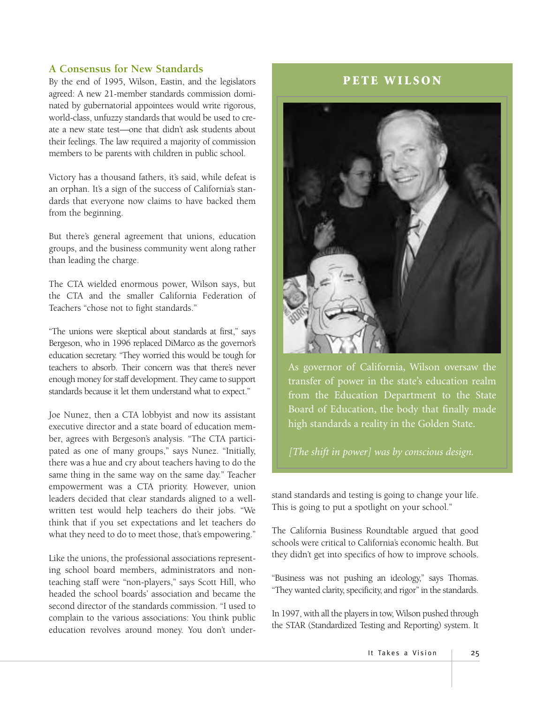#### **A Consensus for New Standards**

By the end of 1995, Wilson, Eastin, and the legislators agreed: A new 21-member standards commission dominated by gubernatorial appointees would write rigorous, world-class, unfuzzy standards that would be used to create a new state test—one that didn't ask students about their feelings. The law required a majority of commission members to be parents with children in public school.

Victory has a thousand fathers, it's said, while defeat is an orphan. It's a sign of the success of California's standards that everyone now claims to have backed them from the beginning.

But there's general agreement that unions, education groups, and the business community went along rather than leading the charge.

The CTA wielded enormous power, Wilson says, but the CTA and the smaller California Federation of Teachers "chose not to fight standards."

"The unions were skeptical about standards at first," says Bergeson, who in 1996 replaced DiMarco as the governor's education secretary. "They worried this would be tough for teachers to absorb. Their concern was that there's never enough money for staff development. They came to support standards because it let them understand what to expect."

Joe Nunez, then a CTA lobbyist and now its assistant executive director and a state board of education member, agrees with Bergeson's analysis. "The CTA participated as one of many groups," says Nunez. "Initially, there was a hue and cry about teachers having to do the same thing in the same way on the same day." Teacher empowerment was a CTA priority. However, union leaders decided that clear standards aligned to a wellwritten test would help teachers do their jobs. "We think that if you set expectations and let teachers do what they need to do to meet those, that's empowering."

Like the unions, the professional associations representing school board members, administrators and nonteaching staff were "non-players," says Scott Hill, who headed the school boards' association and became the second director of the standards commission. "I used to complain to the various associations: You think public education revolves around money. You don't under-

#### **PETE WILSON**



As governor of California, Wilson oversaw the transfer of power in the state's education realm from the Education Department to the State Board of Education, the body that finally made high standards a reality in the Golden State.

*[The shift in power] was by conscious design.*

stand standards and testing is going to change your life. This is going to put a spotlight on your school."

The California Business Roundtable argued that good schools were critical to California's economic health. But they didn't get into specifics of how to improve schools.

"Business was not pushing an ideology," says Thomas. "They wanted clarity, specificity, and rigor" in the standards.

In 1997, with all the players in tow, Wilson pushed through the STAR (Standardized Testing and Reporting) system. It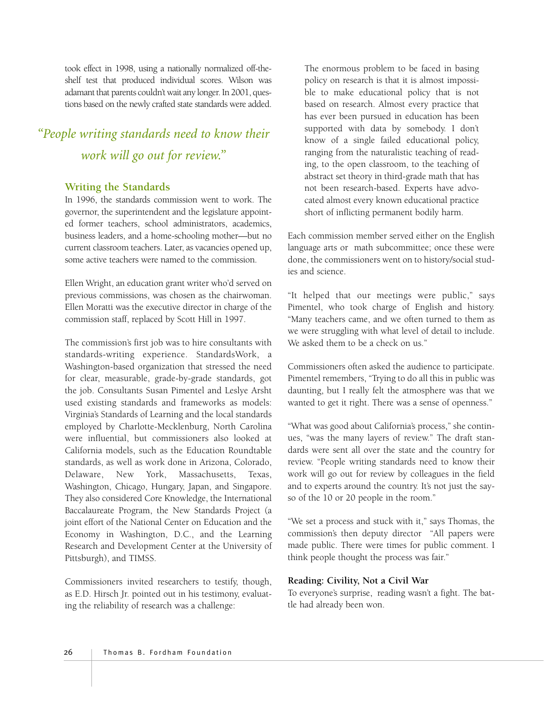took effect in 1998, using a nationally normalized off-theshelf test that produced individual scores. Wilson was adamant that parents couldn't wait any longer. In 2001, questions based on the newly crafted state standards were added.

# *"People writing standards need to know their work will go out for review."*

#### **Writing the Standards**

In 1996, the standards commission went to work. The governor, the superintendent and the legislature appointed former teachers, school administrators, academics, business leaders, and a home-schooling mother—but no current classroom teachers. Later, as vacancies opened up, some active teachers were named to the commission.

Ellen Wright, an education grant writer who'd served on previous commissions, was chosen as the chairwoman. Ellen Moratti was the executive director in charge of the commission staff, replaced by Scott Hill in 1997.

The commission's first job was to hire consultants with standards-writing experience. StandardsWork, a Washington-based organization that stressed the need for clear, measurable, grade-by-grade standards, got the job. Consultants Susan Pimentel and Leslye Arsht used existing standards and frameworks as models: Virginia's Standards of Learning and the local standards employed by Charlotte-Mecklenburg, North Carolina were influential, but commissioners also looked at California models, such as the Education Roundtable standards, as well as work done in Arizona, Colorado, Delaware, New York, Massachusetts, Texas, Washington, Chicago, Hungary, Japan, and Singapore. They also considered Core Knowledge, the International Baccalaureate Program, the New Standards Project (a joint effort of the National Center on Education and the Economy in Washington, D.C., and the Learning Research and Development Center at the University of Pittsburgh), and TIMSS.

Commissioners invited researchers to testify, though, as E.D. Hirsch Jr. pointed out in his testimony, evaluating the reliability of research was a challenge:

The enormous problem to be faced in basing policy on research is that it is almost impossible to make educational policy that is not based on research. Almost every practice that has ever been pursued in education has been supported with data by somebody. I don't know of a single failed educational policy, ranging from the naturalistic teaching of reading, to the open classroom, to the teaching of abstract set theory in third-grade math that has not been research-based. Experts have advocated almost every known educational practice short of inflicting permanent bodily harm.

Each commission member served either on the English language arts or math subcommittee; once these were done, the commissioners went on to history/social studies and science.

"It helped that our meetings were public," says Pimentel, who took charge of English and history. "Many teachers came, and we often turned to them as we were struggling with what level of detail to include. We asked them to be a check on us."

Commissioners often asked the audience to participate. Pimentel remembers, "Trying to do all this in public was daunting, but I really felt the atmosphere was that we wanted to get it right. There was a sense of openness."

"What was good about California's process," she continues, "was the many layers of review." The draft standards were sent all over the state and the country for review. "People writing standards need to know their work will go out for review by colleagues in the field and to experts around the country. It's not just the sayso of the 10 or 20 people in the room."

"We set a process and stuck with it," says Thomas, the commission's then deputy director "All papers were made public. There were times for public comment. I think people thought the process was fair."

#### **Reading: Civility, Not a Civil War**

To everyone's surprise, reading wasn't a fight. The battle had already been won.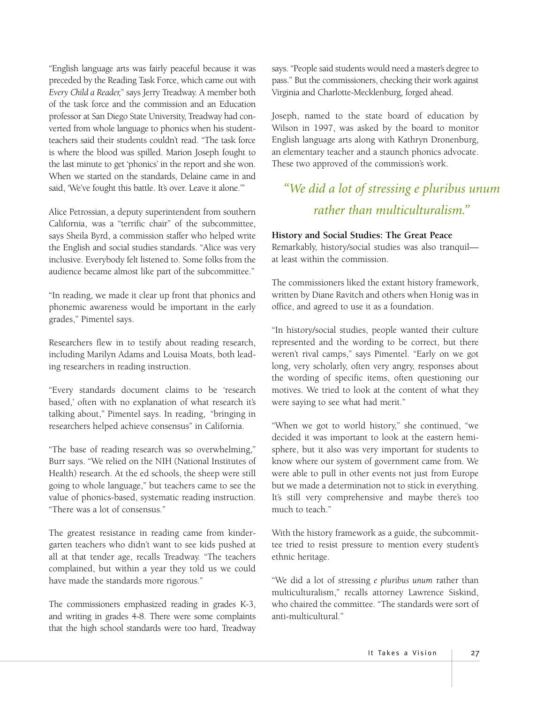"English language arts was fairly peaceful because it was preceded by the Reading Task Force, which came out with *Every Child a Reader,*" says Jerry Treadway. A member both of the task force and the commission and an Education professor at San Diego State University, Treadway had converted from whole language to phonics when his studentteachers said their students couldn't read. "The task force is where the blood was spilled. Marion Joseph fought to the last minute to get 'phonics' in the report and she won. When we started on the standards, Delaine came in and said, 'We've fought this battle. It's over. Leave it alone.""

Alice Petrossian, a deputy superintendent from southern California, was a "terrific chair" of the subcommittee, says Sheila Byrd, a commission staffer who helped write the English and social studies standards. "Alice was very inclusive. Everybody felt listened to. Some folks from the audience became almost like part of the subcommittee."

"In reading, we made it clear up front that phonics and phonemic awareness would be important in the early grades," Pimentel says.

Researchers flew in to testify about reading research, including Marilyn Adams and Louisa Moats, both leading researchers in reading instruction.

"Every standards document claims to be 'research based,' often with no explanation of what research it's talking about," Pimentel says. In reading, "bringing in researchers helped achieve consensus" in California.

"The base of reading research was so overwhelming," Burr says. "We relied on the NIH (National Institutes of Health) research. At the ed schools, the sheep were still going to whole language," but teachers came to see the value of phonics-based, systematic reading instruction. "There was a lot of consensus."

The greatest resistance in reading came from kindergarten teachers who didn't want to see kids pushed at all at that tender age, recalls Treadway. "The teachers complained, but within a year they told us we could have made the standards more rigorous."

The commissioners emphasized reading in grades K-3, and writing in grades 4-8. There were some complaints that the high school standards were too hard, Treadway

says. "People said students would need a master's degree to pass." But the commissioners, checking their work against Virginia and Charlotte-Mecklenburg, forged ahead.

Joseph, named to the state board of education by Wilson in 1997, was asked by the board to monitor English language arts along with Kathryn Dronenburg, an elementary teacher and a staunch phonics advocate. These two approved of the commission's work.

## *"We did a lot of stressing e pluribus unum rather than multiculturalism."*

#### **History and Social Studies: The Great Peace**

Remarkably, history/social studies was also tranquil at least within the commission.

The commissioners liked the extant history framework, written by Diane Ravitch and others when Honig was in office, and agreed to use it as a foundation.

"In history/social studies, people wanted their culture represented and the wording to be correct, but there weren't rival camps," says Pimentel. "Early on we got long, very scholarly, often very angry, responses about the wording of specific items, often questioning our motives. We tried to look at the content of what they were saying to see what had merit."

"When we got to world history," she continued, "we decided it was important to look at the eastern hemisphere, but it also was very important for students to know where our system of government came from. We were able to pull in other events not just from Europe but we made a determination not to stick in everything. It's still very comprehensive and maybe there's too much to teach."

With the history framework as a guide, the subcommittee tried to resist pressure to mention every student's ethnic heritage.

"We did a lot of stressing *e pluribus unum* rather than multiculturalism," recalls attorney Lawrence Siskind, who chaired the committee. "The standards were sort of anti-multicultural."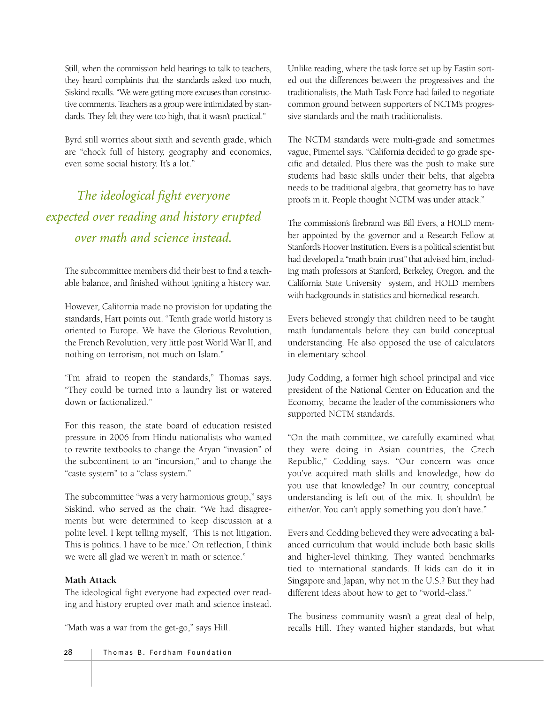Still, when the commission held hearings to talk to teachers, they heard complaints that the standards asked too much, Siskind recalls. "We were getting more excuses than constructive comments. Teachers as a group were intimidated by standards. They felt they were too high, that it wasn't practical."

Byrd still worries about sixth and seventh grade, which are "chock full of history, geography and economics, even some social history. It's a lot."

# *The ideological fight everyone expected over reading and history erupted over math and science instead.*

The subcommittee members did their best to find a teachable balance, and finished without igniting a history war.

However, California made no provision for updating the standards, Hart points out. "Tenth grade world history is oriented to Europe. We have the Glorious Revolution, the French Revolution, very little post World War II, and nothing on terrorism, not much on Islam."

"I'm afraid to reopen the standards," Thomas says. "They could be turned into a laundry list or watered down or factionalized."

For this reason, the state board of education resisted pressure in 2006 from Hindu nationalists who wanted to rewrite textbooks to change the Aryan "invasion" of the subcontinent to an "incursion," and to change the "caste system" to a "class system."

The subcommittee "was a very harmonious group," says Siskind, who served as the chair. "We had disagreements but were determined to keep discussion at a polite level. I kept telling myself, 'This is not litigation. This is politics. I have to be nice.' On reflection, I think we were all glad we weren't in math or science."

#### **Math Attack**

The ideological fight everyone had expected over reading and history erupted over math and science instead.

"Math was a war from the get-go," says Hill.

Unlike reading, where the task force set up by Eastin sorted out the differences between the progressives and the traditionalists, the Math Task Force had failed to negotiate common ground between supporters of NCTM's progressive standards and the math traditionalists.

The NCTM standards were multi-grade and sometimes vague, Pimentel says. "California decided to go grade specific and detailed. Plus there was the push to make sure students had basic skills under their belts, that algebra needs to be traditional algebra, that geometry has to have proofs in it. People thought NCTM was under attack."

The commission's firebrand was Bill Evers, a HOLD member appointed by the governor and a Research Fellow at Stanford's Hoover Institution. Evers is a political scientist but had developed a "math brain trust" that advised him, including math professors at Stanford, Berkeley, Oregon, and the California State University system, and HOLD members with backgrounds in statistics and biomedical research.

Evers believed strongly that children need to be taught math fundamentals before they can build conceptual understanding. He also opposed the use of calculators in elementary school.

Judy Codding, a former high school principal and vice president of the National Center on Education and the Economy, became the leader of the commissioners who supported NCTM standards.

"On the math committee, we carefully examined what they were doing in Asian countries, the Czech Republic," Codding says. "Our concern was once you've acquired math skills and knowledge, how do you use that knowledge? In our country, conceptual understanding is left out of the mix. It shouldn't be either/or. You can't apply something you don't have."

Evers and Codding believed they were advocating a balanced curriculum that would include both basic skills and higher-level thinking. They wanted benchmarks tied to international standards. If kids can do it in Singapore and Japan, why not in the U.S.? But they had different ideas about how to get to "world-class."

The business community wasn't a great deal of help, recalls Hill. They wanted higher standards, but what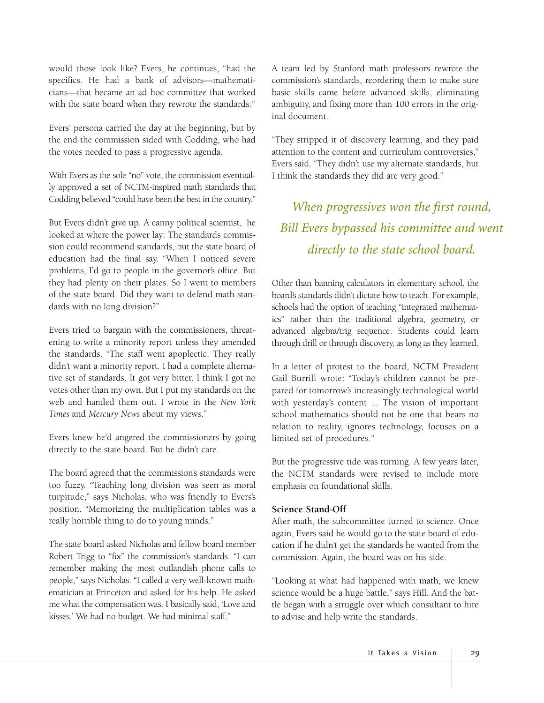would those look like? Evers, he continues, "had the specifics. He had a bank of advisors—mathematicians—that became an ad hoc committee that worked with the state board when they rewrote the standards."

Evers' persona carried the day at the beginning, but by the end the commission sided with Codding, who had the votes needed to pass a progressive agenda.

With Evers as the sole "no" vote, the commission eventually approved a set of NCTM-inspired math standards that Codding believed "could have been the best in the country."

But Evers didn't give up. A canny political scientist, he looked at where the power lay: The standards commission could recommend standards, but the state board of education had the final say. "When I noticed severe problems, I'd go to people in the governor's office. But they had plenty on their plates. So I went to members of the state board. Did they want to defend math standards with no long division?"

Evers tried to bargain with the commissioners, threatening to write a minority report unless they amended the standards. "The staff went apoplectic. They really didn't want a minority report. I had a complete alternative set of standards. It got very bitter. I think I got no votes other than my own. But I put my standards on the web and handed them out. I wrote in the *New York Times* and *Mercury News* about my views."

Evers knew he'd angered the commissioners by going directly to the state board. But he didn't care.

The board agreed that the commission's standards were too fuzzy. "Teaching long division was seen as moral turpitude," says Nicholas, who was friendly to Evers's position. "Memorizing the multiplication tables was a really horrible thing to do to young minds."

The state board asked Nicholas and fellow board member Robert Trigg to "fix" the commission's standards. "I can remember making the most outlandish phone calls to people," says Nicholas. "I called a very well-known mathematician at Princeton and asked for his help. He asked me what the compensation was. I basically said, 'Love and kisses.' We had no budget. We had minimal staff."

A team led by Stanford math professors rewrote the commission's standards, reordering them to make sure basic skills came before advanced skills, eliminating ambiguity, and fixing more than 100 errors in the original document.

"They stripped it of discovery learning, and they paid attention to the content and curriculum controversies," Evers said. "They didn't use my alternate standards, but I think the standards they did are very good."

*When progressives won the first round, Bill Evers bypassed his committee and went directly to the state school board.*

Other than banning calculators in elementary school, the board's standards didn't dictate how to teach. For example, schools had the option of teaching "integrated mathematics" rather than the traditional algebra, geometry, or advanced algebra/trig sequence. Students could learn through drill or through discovery, as long as they learned.

In a letter of protest to the board, NCTM President Gail Burrill wrote: "Today's children cannot be prepared for tomorrow's increasingly technological world with yesterday's content ... The vision of important school mathematics should not be one that bears no relation to reality, ignores technology, focuses on a limited set of procedures.''

But the progressive tide was turning. A few years later, the NCTM standards were revised to include more emphasis on foundational skills.

#### **Science Stand-Off**

After math, the subcommittee turned to science. Once again, Evers said he would go to the state board of education if he didn't get the standards he wanted from the commission. Again, the board was on his side.

"Looking at what had happened with math, we knew science would be a huge battle," says Hill. And the battle began with a struggle over which consultant to hire to advise and help write the standards.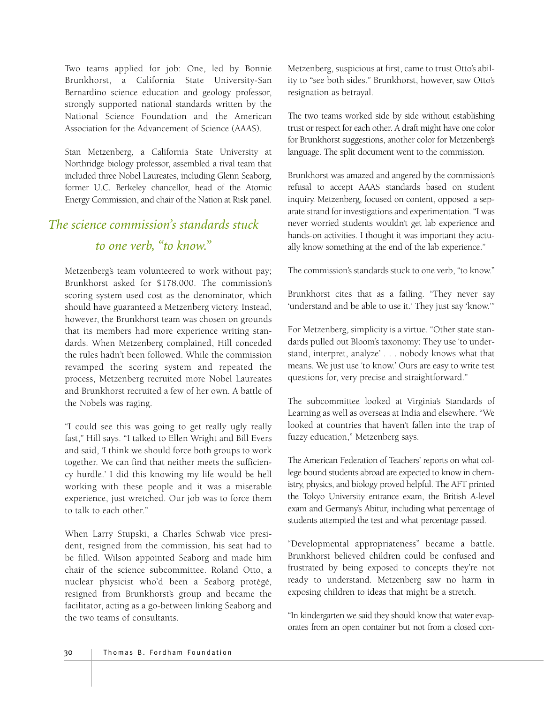Two teams applied for job: One, led by Bonnie Brunkhorst, a California State University-San Bernardino science education and geology professor, strongly supported national standards written by the National Science Foundation and the American Association for the Advancement of Science (AAAS).

Stan Metzenberg, a California State University at Northridge biology professor, assembled a rival team that included three Nobel Laureates, including Glenn Seaborg, former U.C. Berkeley chancellor, head of the Atomic Energy Commission, and chair of the Nation at Risk panel.

# *The science commission's standards stuck to one verb, "to know."*

Metzenberg's team volunteered to work without pay; Brunkhorst asked for \$178,000. The commission's scoring system used cost as the denominator, which should have guaranteed a Metzenberg victory. Instead, however, the Brunkhorst team was chosen on grounds that its members had more experience writing standards. When Metzenberg complained, Hill conceded the rules hadn't been followed. While the commission revamped the scoring system and repeated the process, Metzenberg recruited more Nobel Laureates and Brunkhorst recruited a few of her own. A battle of the Nobels was raging.

"I could see this was going to get really ugly really fast," Hill says. "I talked to Ellen Wright and Bill Evers and said, 'I think we should force both groups to work together. We can find that neither meets the sufficiency hurdle.' I did this knowing my life would be hell working with these people and it was a miserable experience, just wretched. Our job was to force them to talk to each other."

When Larry Stupski, a Charles Schwab vice president, resigned from the commission, his seat had to be filled. Wilson appointed Seaborg and made him chair of the science subcommittee. Roland Otto, a nuclear physicist who'd been a Seaborg protégé, resigned from Brunkhorst's group and became the facilitator, acting as a go-between linking Seaborg and the two teams of consultants.

Metzenberg, suspicious at first, came to trust Otto's ability to "see both sides." Brunkhorst, however, saw Otto's resignation as betrayal.

The two teams worked side by side without establishing trust or respect for each other. A draft might have one color for Brunkhorst suggestions, another color for Metzenberg's language. The split document went to the commission.

Brunkhorst was amazed and angered by the commission's refusal to accept AAAS standards based on student inquiry. Metzenberg, focused on content, opposed a separate strand for investigations and experimentation. "I was never worried students wouldn't get lab experience and hands-on activities. I thought it was important they actually know something at the end of the lab experience."

The commission's standards stuck to one verb, "to know."

Brunkhorst cites that as a failing. "They never say 'understand and be able to use it.' They just say 'know.'"

For Metzenberg, simplicity is a virtue. "Other state standards pulled out Bloom's taxonomy: They use 'to understand, interpret, analyze' . . . nobody knows what that means. We just use 'to know.' Ours are easy to write test questions for, very precise and straightforward."

The subcommittee looked at Virginia's Standards of Learning as well as overseas at India and elsewhere. "We looked at countries that haven't fallen into the trap of fuzzy education," Metzenberg says.

The American Federation of Teachers' reports on what college bound students abroad are expected to know in chemistry, physics, and biology proved helpful. The AFT printed the Tokyo University entrance exam, the British A-level exam and Germany's Abitur, including what percentage of students attempted the test and what percentage passed.

"Developmental appropriateness" became a battle. Brunkhorst believed children could be confused and frustrated by being exposed to concepts they're not ready to understand. Metzenberg saw no harm in exposing children to ideas that might be a stretch.

"In kindergarten we said they should know that water evaporates from an open container but not from a closed con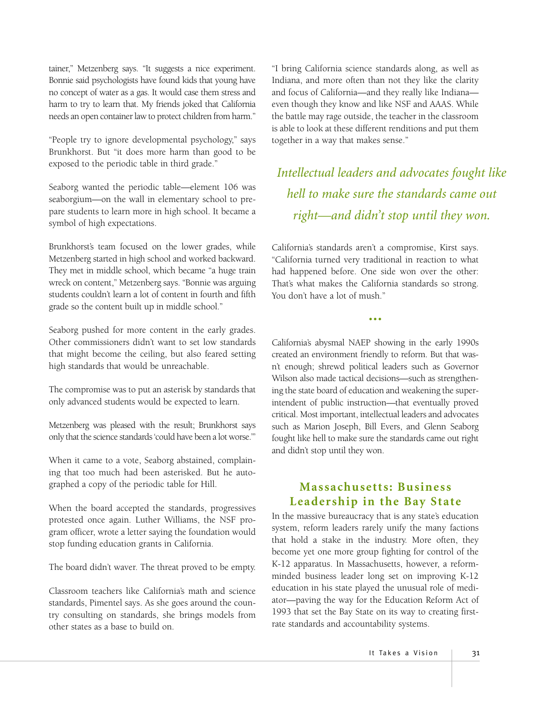tainer," Metzenberg says. "It suggests a nice experiment. Bonnie said psychologists have found kids that young have no concept of water as a gas. It would case them stress and harm to try to learn that. My friends joked that California needs an open container law to protect children from harm."

"People try to ignore developmental psychology," says Brunkhorst. But "it does more harm than good to be exposed to the periodic table in third grade."

Seaborg wanted the periodic table—element 106 was seaborgium—on the wall in elementary school to prepare students to learn more in high school. It became a symbol of high expectations.

Brunkhorst's team focused on the lower grades, while Metzenberg started in high school and worked backward. They met in middle school, which became "a huge train wreck on content," Metzenberg says. "Bonnie was arguing students couldn't learn a lot of content in fourth and fifth grade so the content built up in middle school."

Seaborg pushed for more content in the early grades. Other commissioners didn't want to set low standards that might become the ceiling, but also feared setting high standards that would be unreachable.

The compromise was to put an asterisk by standards that only advanced students would be expected to learn.

Metzenberg was pleased with the result; Brunkhorst says only that the science standards 'could have been a lot worse.'"

When it came to a vote, Seaborg abstained, complaining that too much had been asterisked. But he autographed a copy of the periodic table for Hill.

When the board accepted the standards, progressives protested once again. Luther Williams, the NSF program officer, wrote a letter saying the foundation would stop funding education grants in California.

The board didn't waver. The threat proved to be empty.

Classroom teachers like California's math and science standards, Pimentel says. As she goes around the country consulting on standards, she brings models from other states as a base to build on.

"I bring California science standards along, as well as Indiana, and more often than not they like the clarity and focus of California—and they really like Indiana even though they know and like NSF and AAAS. While the battle may rage outside, the teacher in the classroom is able to look at these different renditions and put them together in a way that makes sense."

*Intellectual leaders and advocates fought like hell to make sure the standards came out right—and didn't stop until they won.*

California's standards aren't a compromise, Kirst says. "California turned very traditional in reaction to what had happened before. One side won over the other: That's what makes the California standards so strong. You don't have a lot of mush."

•••

California's abysmal NAEP showing in the early 1990s created an environment friendly to reform. But that wasn't enough; shrewd political leaders such as Governor Wilson also made tactical decisions—such as strengthening the state board of education and weakening the superintendent of public instruction—that eventually proved critical. Most important, intellectual leaders and advocates such as Marion Joseph, Bill Evers, and Glenn Seaborg fought like hell to make sure the standards came out right and didn't stop until they won.

#### **Massachusetts: Business Leadership in the Bay State**

In the massive bureaucracy that is any state's education system, reform leaders rarely unify the many factions that hold a stake in the industry. More often, they become yet one more group fighting for control of the K-12 apparatus. In Massachusetts, however, a reformminded business leader long set on improving K-12 education in his state played the unusual role of mediator—paving the way for the Education Reform Act of 1993 that set the Bay State on its way to creating firstrate standards and accountability systems.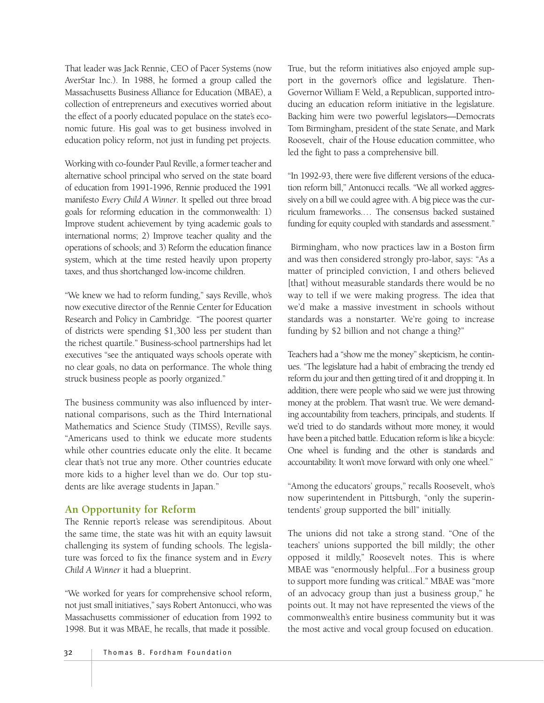That leader was Jack Rennie, CEO of Pacer Systems (now AverStar Inc.). In 1988, he formed a group called the Massachusetts Business Alliance for Education (MBAE), a collection of entrepreneurs and executives worried about the effect of a poorly educated populace on the state's economic future. His goal was to get business involved in education policy reform, not just in funding pet projects.

Working with co-founder Paul Reville, a former teacher and alternative school principal who served on the state board of education from 1991-1996, Rennie produced the 1991 manifesto *Every Child A Winner*. It spelled out three broad goals for reforming education in the commonwealth: 1) Improve student achievement by tying academic goals to international norms; 2) Improve teacher quality and the operations of schools; and 3) Reform the education finance system, which at the time rested heavily upon property taxes, and thus shortchanged low-income children.

"We knew we had to reform funding," says Reville, who's now executive director of the Rennie Center for Education Research and Policy in Cambridge. "The poorest quarter of districts were spending \$1,300 less per student than the richest quartile." Business-school partnerships had let executives "see the antiquated ways schools operate with no clear goals, no data on performance. The whole thing struck business people as poorly organized."

The business community was also influenced by international comparisons, such as the Third International Mathematics and Science Study (TIMSS), Reville says. "Americans used to think we educate more students while other countries educate only the elite. It became clear that's not true any more. Other countries educate more kids to a higher level than we do. Our top students are like average students in Japan."

#### **An Opportunity for Reform**

The Rennie report's release was serendipitous. About the same time, the state was hit with an equity lawsuit challenging its system of funding schools. The legislature was forced to fix the finance system and in *Every Child A Winner* it had a blueprint.

"We worked for years for comprehensive school reform, not just small initiatives," says Robert Antonucci, who was Massachusetts commissioner of education from 1992 to 1998. But it was MBAE, he recalls, that made it possible.

True, but the reform initiatives also enjoyed ample support in the governor's office and legislature. Then-Governor William F. Weld, a Republican, supported introducing an education reform initiative in the legislature. Backing him were two powerful legislators—Democrats Tom Birmingham, president of the state Senate, and Mark Roosevelt, chair of the House education committee, who led the fight to pass a comprehensive bill.

"In 1992-93, there were five different versions of the education reform bill," Antonucci recalls. "We all worked aggressively on a bill we could agree with. A big piece was the curriculum frameworks.… The consensus backed sustained funding for equity coupled with standards and assessment."

Birmingham, who now practices law in a Boston firm and was then considered strongly pro-labor, says: "As a matter of principled conviction, I and others believed [that] without measurable standards there would be no way to tell if we were making progress. The idea that we'd make a massive investment in schools without standards was a nonstarter. We're going to increase funding by \$2 billion and not change a thing?"

Teachers had a "show me the money" skepticism, he continues. "The legislature had a habit of embracing the trendy ed reform du jour and then getting tired of it and dropping it. In addition, there were people who said we were just throwing money at the problem. That wasn't true. We were demanding accountability from teachers, principals, and students. If we'd tried to do standards without more money, it would have been a pitched battle. Education reform is like a bicycle: One wheel is funding and the other is standards and accountability. It won't move forward with only one wheel."

"Among the educators' groups," recalls Roosevelt, who's now superintendent in Pittsburgh, "only the superintendents' group supported the bill" initially.

The unions did not take a strong stand. "One of the teachers' unions supported the bill mildly; the other opposed it mildly," Roosevelt notes. This is where MBAE was "enormously helpful...For a business group to support more funding was critical." MBAE was "more of an advocacy group than just a business group," he points out. It may not have represented the views of the commonwealth's entire business community but it was the most active and vocal group focused on education.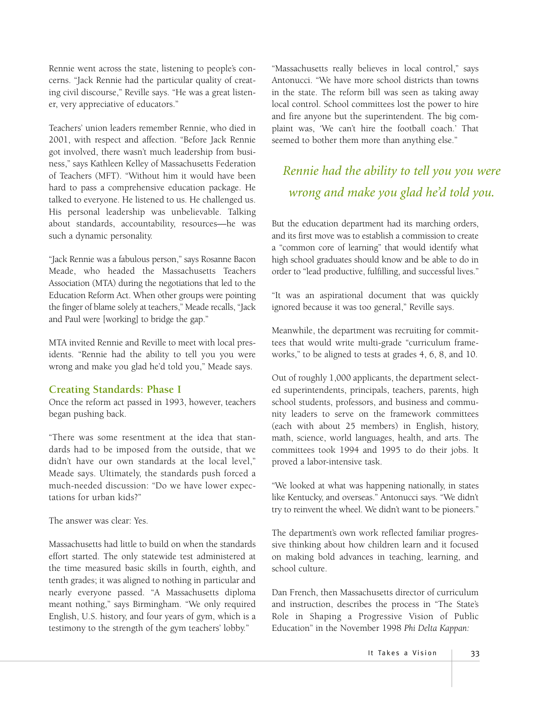Rennie went across the state, listening to people's concerns. "Jack Rennie had the particular quality of creating civil discourse," Reville says. "He was a great listener, very appreciative of educators."

Teachers' union leaders remember Rennie, who died in 2001, with respect and affection. "Before Jack Rennie got involved, there wasn't much leadership from business," says Kathleen Kelley of Massachusetts Federation of Teachers (MFT). "Without him it would have been hard to pass a comprehensive education package. He talked to everyone. He listened to us. He challenged us. His personal leadership was unbelievable. Talking about standards, accountability, resources—he was such a dynamic personality.

"Jack Rennie was a fabulous person," says Rosanne Bacon Meade, who headed the Massachusetts Teachers Association (MTA) during the negotiations that led to the Education Reform Act. When other groups were pointing the finger of blame solely at teachers," Meade recalls, "Jack and Paul were [working] to bridge the gap."

MTA invited Rennie and Reville to meet with local presidents. "Rennie had the ability to tell you you were wrong and make you glad he'd told you," Meade says.

#### **Creating Standards: Phase I**

Once the reform act passed in 1993, however, teachers began pushing back.

"There was some resentment at the idea that standards had to be imposed from the outside, that we didn't have our own standards at the local level," Meade says. Ultimately, the standards push forced a much-needed discussion: "Do we have lower expectations for urban kids?"

The answer was clear: Yes.

Massachusetts had little to build on when the standards effort started. The only statewide test administered at the time measured basic skills in fourth, eighth, and tenth grades; it was aligned to nothing in particular and nearly everyone passed. "A Massachusetts diploma meant nothing," says Birmingham. "We only required English, U.S. history, and four years of gym, which is a testimony to the strength of the gym teachers' lobby."

"Massachusetts really believes in local control," says Antonucci. "We have more school districts than towns in the state. The reform bill was seen as taking away local control. School committees lost the power to hire and fire anyone but the superintendent. The big complaint was, 'We can't hire the football coach.' That seemed to bother them more than anything else."

# *Rennie had the ability to tell you you were wrong and make you glad he'd told you.*

But the education department had its marching orders, and its first move was to establish a commission to create a "common core of learning" that would identify what high school graduates should know and be able to do in order to "lead productive, fulfilling, and successful lives."

"It was an aspirational document that was quickly ignored because it was too general," Reville says.

Meanwhile, the department was recruiting for committees that would write multi-grade "curriculum frameworks," to be aligned to tests at grades 4, 6, 8, and 10.

Out of roughly 1,000 applicants, the department selected superintendents, principals, teachers, parents, high school students, professors, and business and community leaders to serve on the framework committees (each with about 25 members) in English, history, math, science, world languages, health, and arts. The committees took 1994 and 1995 to do their jobs. It proved a labor-intensive task.

"We looked at what was happening nationally, in states like Kentucky, and overseas." Antonucci says. "We didn't try to reinvent the wheel. We didn't want to be pioneers."

The department's own work reflected familiar progressive thinking about how children learn and it focused on making bold advances in teaching, learning, and school culture.

Dan French, then Massachusetts director of curriculum and instruction, describes the process in "The State's Role in Shaping a Progressive Vision of Public Education" in the November 1998 *Phi Delta Kappan:*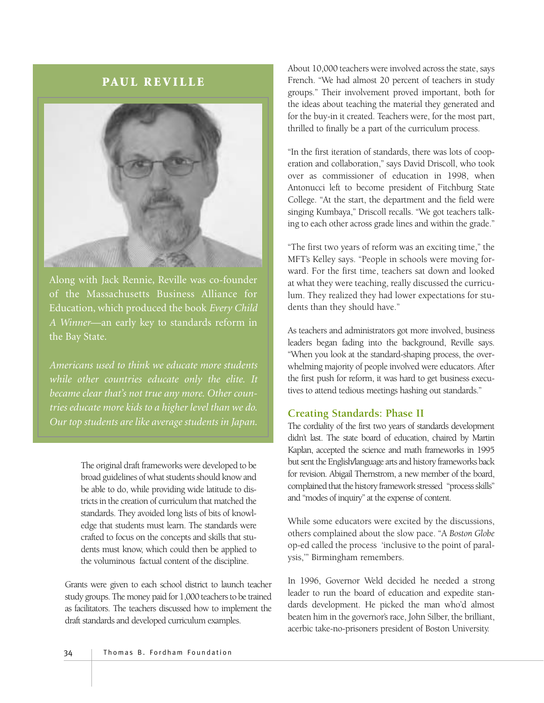#### **PAUL REVILLE**



Along with Jack Rennie, Reville was co-founder of the Massachusetts Business Alliance for Education, which produced the book *Every Child A Winner*—an early key to standards reform in the Bay State.

*Americans used to think we educate more students while other countries educate only the elite. It became clear that's not true any more. Other countries educate more kids to a higher level than we do. Our top students are like average students in Japan.*

> The original draft frameworks were developed to be broad guidelines of what students should know and be able to do, while providing wide latitude to districts in the creation of curriculum that matched the standards. They avoided long lists of bits of knowledge that students must learn. The standards were crafted to focus on the concepts and skills that students must know, which could then be applied to the voluminous factual content of the discipline.

Grants were given to each school district to launch teacher study groups. The money paid for 1,000 teachers to be trained as facilitators. The teachers discussed how to implement the draft standards and developed curriculum examples.

About 10,000 teachers were involved across the state, says French. "We had almost 20 percent of teachers in study groups." Their involvement proved important, both for the ideas about teaching the material they generated and for the buy-in it created. Teachers were, for the most part, thrilled to finally be a part of the curriculum process.

"In the first iteration of standards, there was lots of cooperation and collaboration," says David Driscoll, who took over as commissioner of education in 1998, when Antonucci left to become president of Fitchburg State College. "At the start, the department and the field were singing Kumbaya," Driscoll recalls. "We got teachers talking to each other across grade lines and within the grade."

"The first two years of reform was an exciting time," the MFT's Kelley says. "People in schools were moving forward. For the first time, teachers sat down and looked at what they were teaching, really discussed the curriculum. They realized they had lower expectations for students than they should have."

As teachers and administrators got more involved, business leaders began fading into the background, Reville says. "When you look at the standard-shaping process, the overwhelming majority of people involved were educators. After the first push for reform, it was hard to get business executives to attend tedious meetings hashing out standards."

#### **Creating Standards: Phase II**

The cordiality of the first two years of standards development didn't last. The state board of education, chaired by Martin Kaplan, accepted the science and math frameworks in 1995 but sent the English/language arts and history frameworks back for revision. Abigail Thernstrom, a new member of the board, complained that the history framework stressed "process skills" and "modes of inquiry" at the expense of content.

While some educators were excited by the discussions, others complained about the slow pace. "A *Boston Globe* op-ed called the process 'inclusive to the point of paralysis,'" Birmingham remembers.

In 1996, Governor Weld decided he needed a strong leader to run the board of education and expedite standards development. He picked the man who'd almost beaten him in the governor's race, John Silber, the brilliant, acerbic take-no-prisoners president of Boston University.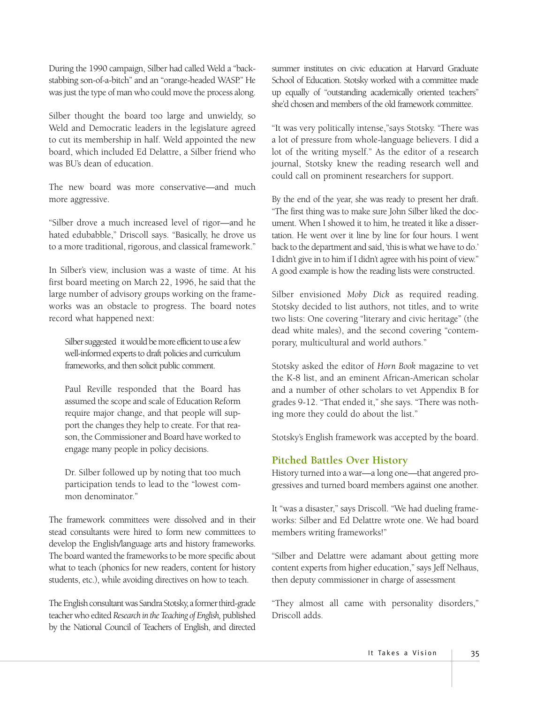During the 1990 campaign, Silber had called Weld a "backstabbing son-of-a-bitch" and an "orange-headed WASP." He was just the type of man who could move the process along.

Silber thought the board too large and unwieldy, so Weld and Democratic leaders in the legislature agreed to cut its membership in half. Weld appointed the new board, which included Ed Delattre, a Silber friend who was BU's dean of education.

The new board was more conservative—and much more aggressive.

"Silber drove a much increased level of rigor—and he hated edubabble," Driscoll says. "Basically, he drove us to a more traditional, rigorous, and classical framework."

In Silber's view, inclusion was a waste of time. At his first board meeting on March 22, 1996, he said that the large number of advisory groups working on the frameworks was an obstacle to progress. The board notes record what happened next:

Silber suggested it would be more efficient to use a few well-informed experts to draft policies and curriculum frameworks, and then solicit public comment.

Paul Reville responded that the Board has assumed the scope and scale of Education Reform require major change, and that people will support the changes they help to create. For that reason, the Commissioner and Board have worked to engage many people in policy decisions.

Dr. Silber followed up by noting that too much participation tends to lead to the "lowest common denominator."

The framework committees were dissolved and in their stead consultants were hired to form new committees to develop the English/language arts and history frameworks. The board wanted the frameworks to be more specific about what to teach (phonics for new readers, content for history students, etc.), while avoiding directives on how to teach.

The English consultant was Sandra Stotsky, a former third-grade teacher who edited *Research in the Teaching of English,* published by the National Council of Teachers of English, and directed

summer institutes on civic education at Harvard Graduate School of Education. Stotsky worked with a committee made up equally of "outstanding academically oriented teachers" she'd chosen and members of the old framework committee.

"It was very politically intense,"says Stotsky. "There was a lot of pressure from whole-language believers. I did a lot of the writing myself." As the editor of a research journal, Stotsky knew the reading research well and could call on prominent researchers for support.

By the end of the year, she was ready to present her draft. "The first thing was to make sure John Silber liked the document. When I showed it to him, he treated it like a dissertation. He went over it line by line for four hours. I went back to the department and said, 'this is what we have to do.' I didn't give in to him if I didn't agree with his point of view." A good example is how the reading lists were constructed.

Silber envisioned *Moby Dick* as required reading. Stotsky decided to list authors, not titles, and to write two lists: One covering "literary and civic heritage" (the dead white males), and the second covering "contemporary, multicultural and world authors."

Stotsky asked the editor of *Horn Book* magazine to vet the K-8 list, and an eminent African-American scholar and a number of other scholars to vet Appendix B for grades 9-12. "That ended it," she says. "There was nothing more they could do about the list."

Stotsky's English framework was accepted by the board.

#### **Pitched Battles Over History**

History turned into a war—a long one—that angered progressives and turned board members against one another.

It "was a disaster," says Driscoll. "We had dueling frameworks: Silber and Ed Delattre wrote one. We had board members writing frameworks!"

"Silber and Delattre were adamant about getting more content experts from higher education," says Jeff Nelhaus, then deputy commissioner in charge of assessment

"They almost all came with personality disorders," Driscoll adds.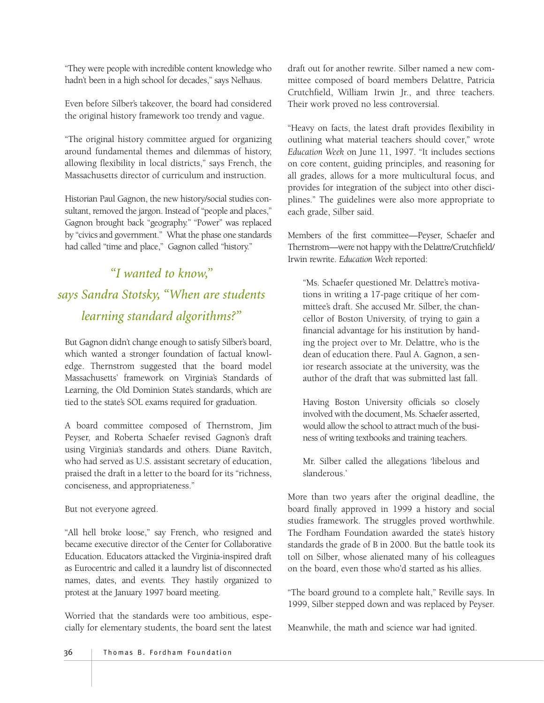"They were people with incredible content knowledge who hadn't been in a high school for decades," says Nelhaus.

Even before Silber's takeover, the board had considered the original history framework too trendy and vague.

"The original history committee argued for organizing around fundamental themes and dilemmas of history, allowing flexibility in local districts," says French, the Massachusetts director of curriculum and instruction.

Historian Paul Gagnon, the new history/social studies consultant, removed the jargon. Instead of "people and places," Gagnon brought back "geography." "Power" was replaced by "civics and government." What the phase one standards had called "time and place," Gagnon called "history."

# *"I wanted to know," says Sandra Stotsky, "When are students learning standard algorithms?"*

But Gagnon didn't change enough to satisfy Silber's board, which wanted a stronger foundation of factual knowledge. Thernstrom suggested that the board model Massachusetts' framework on Virginia's Standards of Learning, the Old Dominion State's standards, which are tied to the state's SOL exams required for graduation.

A board committee composed of Thernstrom, Jim Peyser, and Roberta Schaefer revised Gagnon's draft using Virginia's standards and others. Diane Ravitch, who had served as U.S. assistant secretary of education, praised the draft in a letter to the board for its "richness, conciseness, and appropriateness."

But not everyone agreed.

"All hell broke loose," say French, who resigned and became executive director of the Center for Collaborative Education. Educators attacked the Virginia-inspired draft as Eurocentric and called it a laundry list of disconnected names, dates, and events. They hastily organized to protest at the January 1997 board meeting.

Worried that the standards were too ambitious, especially for elementary students, the board sent the latest draft out for another rewrite. Silber named a new committee composed of board members Delattre, Patricia Crutchfield, William Irwin Jr., and three teachers. Their work proved no less controversial.

"Heavy on facts, the latest draft provides flexibility in outlining what material teachers should cover," wrote *Education Week* on June 11, 1997. "It includes sections on core content, guiding principles, and reasoning for all grades, allows for a more multicultural focus, and provides for integration of the subject into other disciplines." The guidelines were also more appropriate to each grade, Silber said.

Members of the first committee—Peyser, Schaefer and Thernstrom—were not happy with the Delattre/Crutchfield/ Irwin rewrite. *Education Week* reported:

"Ms. Schaefer questioned Mr. Delattre's motivations in writing a 17-page critique of her committee's draft. She accused Mr. Silber, the chancellor of Boston University, of trying to gain a financial advantage for his institution by handing the project over to Mr. Delattre, who is the dean of education there. Paul A. Gagnon, a senior research associate at the university, was the author of the draft that was submitted last fall.

Having Boston University officials so closely involved with the document, Ms. Schaefer asserted, would allow the school to attract much of the business of writing textbooks and training teachers.

Mr. Silber called the allegations 'libelous and slanderous.'

More than two years after the original deadline, the board finally approved in 1999 a history and social studies framework. The struggles proved worthwhile. The Fordham Foundation awarded the state's history standards the grade of B in 2000. But the battle took its toll on Silber, whose alienated many of his colleagues on the board, even those who'd started as his allies.

"The board ground to a complete halt," Reville says. In 1999, Silber stepped down and was replaced by Peyser.

Meanwhile, the math and science war had ignited.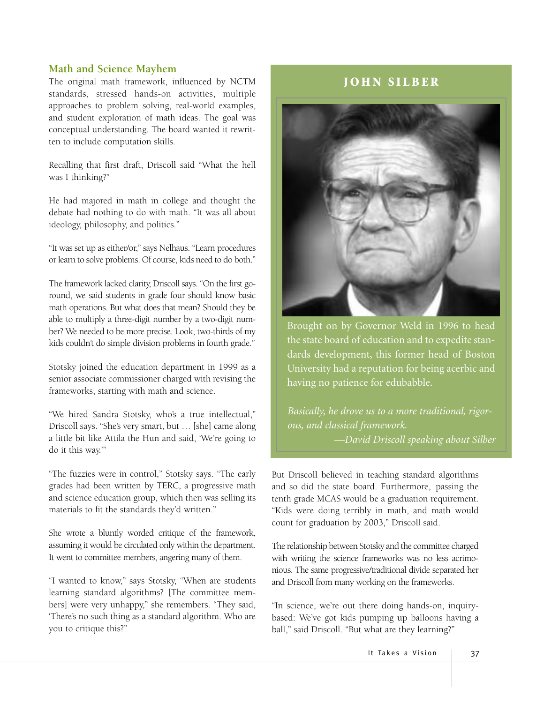#### **Math and Science Mayhem**

The original math framework, influenced by NCTM standards, stressed hands-on activities, multiple approaches to problem solving, real-world examples, and student exploration of math ideas. The goal was conceptual understanding. The board wanted it rewritten to include computation skills.

Recalling that first draft, Driscoll said "What the hell was I thinking?"

He had majored in math in college and thought the debate had nothing to do with math. "It was all about ideology, philosophy, and politics."

"It was set up as either/or," says Nelhaus. "Learn procedures or learn to solve problems. Of course, kids need to do both."

The framework lacked clarity, Driscoll says. "On the first goround, we said students in grade four should know basic math operations. But what does that mean? Should they be able to multiply a three-digit number by a two-digit number? We needed to be more precise. Look, two-thirds of my kids couldn't do simple division problems in fourth grade."

Stotsky joined the education department in 1999 as a senior associate commissioner charged with revising the frameworks, starting with math and science.

"We hired Sandra Stotsky, who's a true intellectual," Driscoll says. "She's very smart, but … [she] came along a little bit like Attila the Hun and said, 'We're going to do it this way.'"

"The fuzzies were in control," Stotsky says. "The early grades had been written by TERC, a progressive math and science education group, which then was selling its materials to fit the standards they'd written."

She wrote a bluntly worded critique of the framework, assuming it would be circulated only within the department. It went to committee members, angering many of them.

"I wanted to know," says Stotsky, "When are students learning standard algorithms? [The committee members] were very unhappy," she remembers. "They said, 'There's no such thing as a standard algorithm. Who are you to critique this?"

#### **JOHN SILBER**



Brought on by Governor Weld in 1996 to head the state board of education and to expedite standards development, this former head of Boston University had a reputation for being acerbic and having no patience for edubabble.

*Basically, he drove us to a more traditional, rigorous, and classical framework. —David Driscoll speaking about Silber*

But Driscoll believed in teaching standard algorithms and so did the state board. Furthermore, passing the tenth grade MCAS would be a graduation requirement. "Kids were doing terribly in math, and math would count for graduation by 2003," Driscoll said.

The relationship between Stotsky and the committee charged with writing the science frameworks was no less acrimonious. The same progressive/traditional divide separated her and Driscoll from many working on the frameworks.

"In science, we're out there doing hands-on, inquirybased: We've got kids pumping up balloons having a ball," said Driscoll. "But what are they learning?"

It Takes a Vision | 37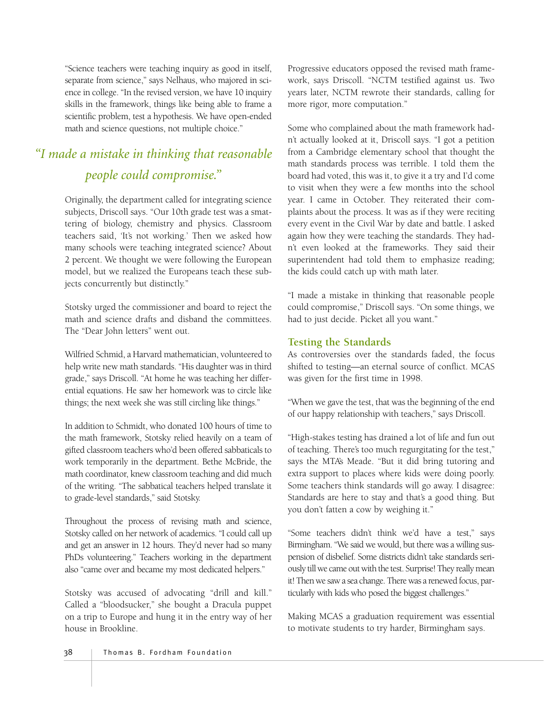"Science teachers were teaching inquiry as good in itself, separate from science," says Nelhaus, who majored in science in college. "In the revised version, we have 10 inquiry skills in the framework, things like being able to frame a scientific problem, test a hypothesis. We have open-ended math and science questions, not multiple choice."

# *"I made a mistake in thinking that reasonable people could compromise."*

Originally, the department called for integrating science subjects, Driscoll says. "Our 10th grade test was a smattering of biology, chemistry and physics. Classroom teachers said, 'It's not working.' Then we asked how many schools were teaching integrated science? About 2 percent. We thought we were following the European model, but we realized the Europeans teach these subjects concurrently but distinctly."

Stotsky urged the commissioner and board to reject the math and science drafts and disband the committees. The "Dear John letters" went out.

Wilfried Schmid, a Harvard mathematician, volunteered to help write new math standards. "His daughter was in third grade," says Driscoll. "At home he was teaching her differential equations. He saw her homework was to circle like things; the next week she was still circling like things."

In addition to Schmidt, who donated 100 hours of time to the math framework, Stotsky relied heavily on a team of gifted classroom teachers who'd been offered sabbaticals to work temporarily in the department. Bethe McBride, the math coordinator, knew classroom teaching and did much of the writing. "The sabbatical teachers helped translate it to grade-level standards," said Stotsky.

Throughout the process of revising math and science, Stotsky called on her network of academics. "I could call up and get an answer in 12 hours. They'd never had so many PhDs volunteering." Teachers working in the department also "came over and became my most dedicated helpers."

Stotsky was accused of advocating "drill and kill." Called a "bloodsucker," she bought a Dracula puppet on a trip to Europe and hung it in the entry way of her house in Brookline.

Progressive educators opposed the revised math framework, says Driscoll. "NCTM testified against us. Two years later, NCTM rewrote their standards, calling for more rigor, more computation."

Some who complained about the math framework hadn't actually looked at it, Driscoll says. "I got a petition from a Cambridge elementary school that thought the math standards process was terrible. I told them the board had voted, this was it, to give it a try and I'd come to visit when they were a few months into the school year. I came in October. They reiterated their complaints about the process. It was as if they were reciting every event in the Civil War by date and battle. I asked again how they were teaching the standards. They hadn't even looked at the frameworks. They said their superintendent had told them to emphasize reading; the kids could catch up with math later.

"I made a mistake in thinking that reasonable people could compromise," Driscoll says. "On some things, we had to just decide. Picket all you want."

## **Testing the Standards**

As controversies over the standards faded, the focus shifted to testing—an eternal source of conflict. MCAS was given for the first time in 1998.

"When we gave the test, that was the beginning of the end of our happy relationship with teachers," says Driscoll.

"High-stakes testing has drained a lot of life and fun out of teaching. There's too much regurgitating for the test," says the MTA's Meade. "But it did bring tutoring and extra support to places where kids were doing poorly. Some teachers think standards will go away. I disagree: Standards are here to stay and that's a good thing. But you don't fatten a cow by weighing it."

"Some teachers didn't think we'd have a test," says Birmingham. "We said we would, but there was a willing suspension of disbelief. Some districts didn't take standards seriously till we came out with the test. Surprise! They really mean it! Then we saw a sea change. There was a renewed focus, particularly with kids who posed the biggest challenges."

Making MCAS a graduation requirement was essential to motivate students to try harder, Birmingham says.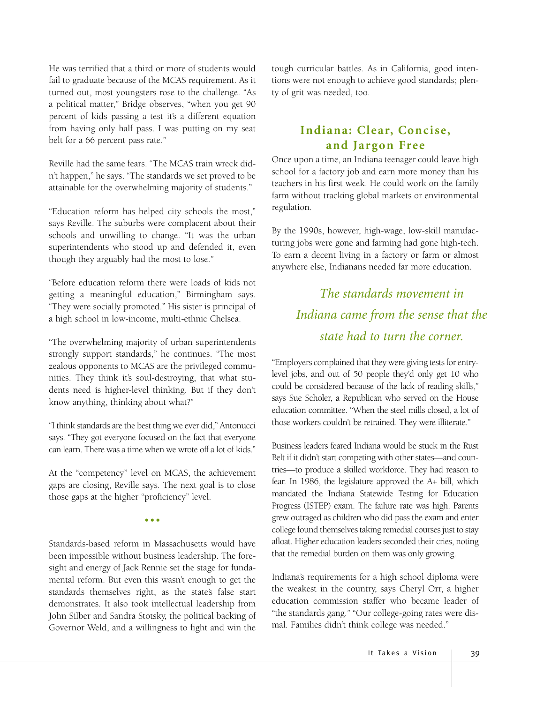He was terrified that a third or more of students would fail to graduate because of the MCAS requirement. As it turned out, most youngsters rose to the challenge. "As a political matter," Bridge observes, "when you get 90 percent of kids passing a test it's a different equation from having only half pass. I was putting on my seat belt for a 66 percent pass rate."

Reville had the same fears. "The MCAS train wreck didn't happen," he says. "The standards we set proved to be attainable for the overwhelming majority of students."

"Education reform has helped city schools the most," says Reville. The suburbs were complacent about their schools and unwilling to change. "It was the urban superintendents who stood up and defended it, even though they arguably had the most to lose."

"Before education reform there were loads of kids not getting a meaningful education," Birmingham says. "They were socially promoted." His sister is principal of a high school in low-income, multi-ethnic Chelsea.

"The overwhelming majority of urban superintendents strongly support standards," he continues. "The most zealous opponents to MCAS are the privileged communities. They think it's soul-destroying, that what students need is higher-level thinking. But if they don't know anything, thinking about what?"

"I think standards are the best thing we ever did," Antonucci says. "They got everyone focused on the fact that everyone can learn. There was a time when we wrote off a lot of kids."

At the "competency" level on MCAS, the achievement gaps are closing, Reville says. The next goal is to close those gaps at the higher "proficiency" level.

**•••**

Standards-based reform in Massachusetts would have been impossible without business leadership. The foresight and energy of Jack Rennie set the stage for fundamental reform. But even this wasn't enough to get the standards themselves right, as the state's false start demonstrates. It also took intellectual leadership from John Silber and Sandra Stotsky, the political backing of Governor Weld, and a willingness to fight and win the

tough curricular battles. As in California, good intentions were not enough to achieve good standards; plenty of grit was needed, too.

# **Indiana: Clear, Concise, and Jargon Free**

Once upon a time, an Indiana teenager could leave high school for a factory job and earn more money than his teachers in his first week. He could work on the family farm without tracking global markets or environmental regulation.

By the 1990s, however, high-wage, low-skill manufacturing jobs were gone and farming had gone high-tech. To earn a decent living in a factory or farm or almost anywhere else, Indianans needed far more education.

# *The standards movement in Indiana came from the sense that the state had to turn the corner.*

"Employers complained that they were giving tests for entrylevel jobs, and out of 50 people they'd only get 10 who could be considered because of the lack of reading skills," says Sue Scholer, a Republican who served on the House education committee. "When the steel mills closed, a lot of those workers couldn't be retrained. They were illiterate."

Business leaders feared Indiana would be stuck in the Rust Belt if it didn't start competing with other states—and countries—to produce a skilled workforce. They had reason to fear. In 1986, the legislature approved the A+ bill, which mandated the Indiana Statewide Testing for Education Progress (ISTEP) exam. The failure rate was high. Parents grew outraged as children who did pass the exam and enter college found themselves taking remedial courses just to stay afloat. Higher education leaders seconded their cries, noting that the remedial burden on them was only growing.

Indiana's requirements for a high school diploma were the weakest in the country, says Cheryl Orr, a higher education commission staffer who became leader of "the standards gang." "Our college-going rates were dismal. Families didn't think college was needed."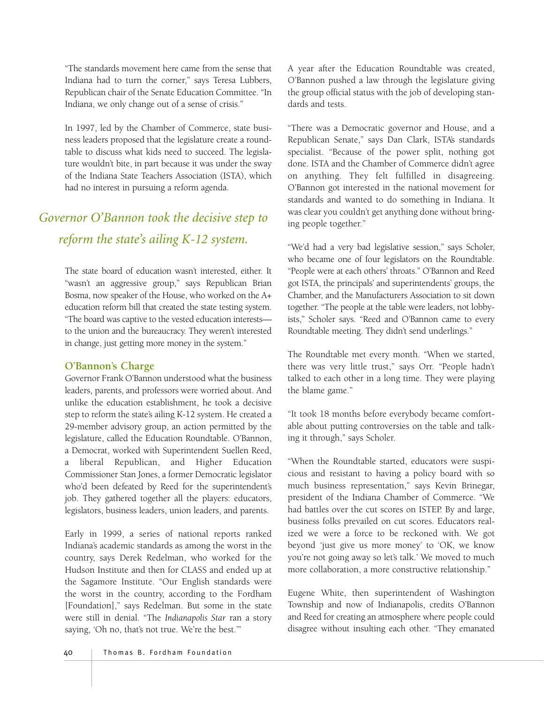"The standards movement here came from the sense that Indiana had to turn the corner," says Teresa Lubbers, Republican chair of the Senate Education Committee. "In Indiana, we only change out of a sense of crisis."

In 1997, led by the Chamber of Commerce, state business leaders proposed that the legislature create a roundtable to discuss what kids need to succeed. The legislature wouldn't bite, in part because it was under the sway of the Indiana State Teachers Association (ISTA), which had no interest in pursuing a reform agenda.

# *Governor O'Bannon took the decisive step to reform the state's ailing K-12 system.*

The state board of education wasn't interested, either. It "wasn't an aggressive group," says Republican Brian Bosma, now speaker of the House, who worked on the A+ education reform bill that created the state testing system. "The board was captive to the vested education interests to the union and the bureaucracy. They weren't interested in change, just getting more money in the system."

#### **O'Bannon's Charge**

Governor Frank O'Bannon understood what the business leaders, parents, and professors were worried about. And unlike the education establishment, he took a decisive step to reform the state's ailing K-12 system. He created a 29-member advisory group, an action permitted by the legislature, called the Education Roundtable. O'Bannon, a Democrat, worked with Superintendent Suellen Reed, a liberal Republican, and Higher Education Commissioner Stan Jones, a former Democratic legislator who'd been defeated by Reed for the superintendent's job. They gathered together all the players: educators, legislators, business leaders, union leaders, and parents.

Early in 1999, a series of national reports ranked Indiana's academic standards as among the worst in the country, says Derek Redelman, who worked for the Hudson Institute and then for CLASS and ended up at the Sagamore Institute. "Our English standards were the worst in the country, according to the Fordham [Foundation]," says Redelman. But some in the state were still in denial. "The *Indianapolis Star* ran a story saying, 'Oh no, that's not true. We're the best.""

A year after the Education Roundtable was created, O'Bannon pushed a law through the legislature giving the group official status with the job of developing standards and tests.

"There was a Democratic governor and House, and a Republican Senate," says Dan Clark, ISTA's standards specialist. "Because of the power split, nothing got done. ISTA and the Chamber of Commerce didn't agree on anything. They felt fulfilled in disagreeing. O'Bannon got interested in the national movement for standards and wanted to do something in Indiana. It was clear you couldn't get anything done without bringing people together."

"We'd had a very bad legislative session," says Scholer, who became one of four legislators on the Roundtable. "People were at each others' throats." O'Bannon and Reed got ISTA, the principals' and superintendents' groups, the Chamber, and the Manufacturers Association to sit down together. "The people at the table were leaders, not lobbyists," Scholer says. "Reed and O'Bannon came to every Roundtable meeting. They didn't send underlings."

The Roundtable met every month. "When we started, there was very little trust," says Orr. "People hadn't talked to each other in a long time. They were playing the blame game."

"It took 18 months before everybody became comfortable about putting controversies on the table and talking it through," says Scholer.

"When the Roundtable started, educators were suspicious and resistant to having a policy board with so much business representation," says Kevin Brinegar, president of the Indiana Chamber of Commerce. "We had battles over the cut scores on ISTEP. By and large, business folks prevailed on cut scores. Educators realized we were a force to be reckoned with. We got beyond 'just give us more money' to 'OK, we know you're not going away so let's talk.' We moved to much more collaboration, a more constructive relationship."

Eugene White, then superintendent of Washington Township and now of Indianapolis, credits O'Bannon and Reed for creating an atmosphere where people could disagree without insulting each other. "They emanated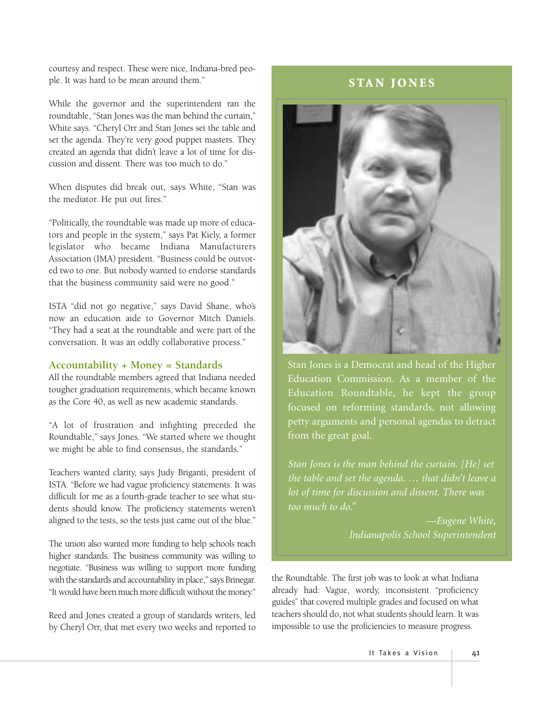courtesy and respect. These were nice, Indiana-bred people. It was hard to be mean around them."

While the governor and the superintendent ran the roundtable, "Stan Jones was the man behind the curtain," White says. "Cheryl Orr and Stan Jones set the table and set the agenda. They're very good puppet masters. They created an agenda that didn't leave a lot of time for discussion and dissent. There was too much to do."

When disputes did break out, says White, "Stan was the mediator. He put out fires."

"Politically, the roundtable was made up more of educators and people in the system," says Pat Kiely, a former legislator who became Indiana Manufacturers Association (IMA) president. "Business could be outvoted two to one. But nobody wanted to endorse standards that the business community said were no good."

ISTA "did not go negative," says David Shane, who's now an education aide to Governor Mitch Daniels. "They had a seat at the roundtable and were part of the conversation. It was an oddly collaborative process."

#### **Accountability + Money = Standards**

All the roundtable members agreed that Indiana needed tougher graduation requirements, which became known as the Core 40, as well as new academic standards.

"A lot of frustration and infighting preceded the Roundtable," says Jones. "We started where we thought we might be able to find consensus, the standards."

Teachers wanted clarity, says Judy Briganti, president of ISTA. "Before we had vague proficiency statements. It was difficult for me as a fourth-grade teacher to see what students should know. The proficiency statements weren't aligned to the tests, so the tests just came out of the blue."

The union also wanted more funding to help schools reach higher standards. The business community was willing to negotiate. "Business was willing to support more funding with the standards and accountability in place," says Brinegar. "It would have been much more difficult without the money."

Reed and Jones created a group of standards writers, led by Cheryl Orr, that met every two weeks and reported to

# **STAN JONES**



Stan Jones is a Democrat and head of the Higher Education Commission. As a member of the Education Roundtable, he kept the group focused on reforming standards, not allowing petty arguments and personal agendas to detract from the great goal.

*Stan Jones is the man behind the curtain. [He] set the table and set the agenda. … that didn't leave a lot of time for discussion and dissent. There was too much to do."*

> *—Eugene White, Indianapolis School Superintendent*

the Roundtable. The first job was to look at what Indiana already had: Vague, wordy, inconsistent "proficiency guides" that covered multiple grades and focused on what teachers should do, not what students should learn. It was impossible to use the proficiencies to measure progress.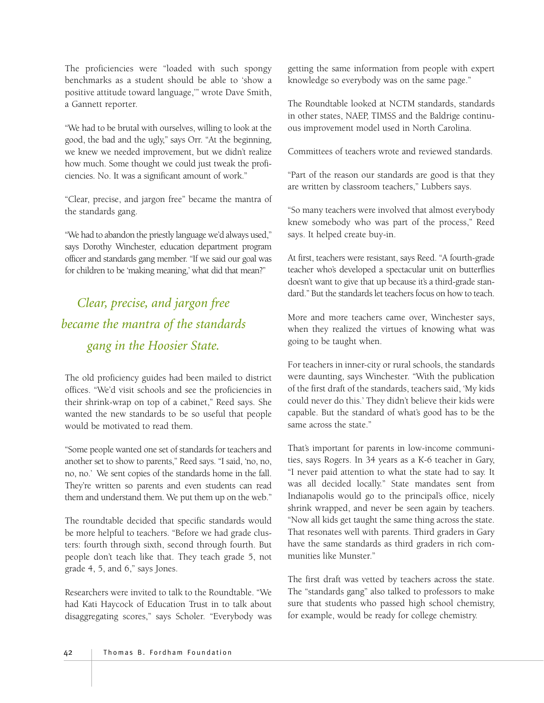The proficiencies were "loaded with such spongy benchmarks as a student should be able to 'show a positive attitude toward language,'" wrote Dave Smith, a Gannett reporter.

"We had to be brutal with ourselves, willing to look at the good, the bad and the ugly," says Orr. "At the beginning, we knew we needed improvement, but we didn't realize how much. Some thought we could just tweak the proficiencies. No. It was a significant amount of work."

"Clear, precise, and jargon free" became the mantra of the standards gang.

"We had to abandon the priestly language we'd always used," says Dorothy Winchester, education department program officer and standards gang member. "If we said our goal was for children to be 'making meaning,' what did that mean?"

*Clear, precise, and jargon free became the mantra of the standards gang in the Hoosier State.*

The old proficiency guides had been mailed to district offices. "We'd visit schools and see the proficiencies in their shrink-wrap on top of a cabinet," Reed says. She wanted the new standards to be so useful that people would be motivated to read them.

"Some people wanted one set of standards for teachers and another set to show to parents," Reed says. "I said, 'no, no, no, no.' We sent copies of the standards home in the fall. They're written so parents and even students can read them and understand them. We put them up on the web."

The roundtable decided that specific standards would be more helpful to teachers. "Before we had grade clusters: fourth through sixth, second through fourth. But people don't teach like that. They teach grade 5, not grade 4, 5, and 6," says Jones.

Researchers were invited to talk to the Roundtable. "We had Kati Haycock of Education Trust in to talk about disaggregating scores," says Scholer. "Everybody was getting the same information from people with expert knowledge so everybody was on the same page."

The Roundtable looked at NCTM standards, standards in other states, NAEP, TIMSS and the Baldrige continuous improvement model used in North Carolina.

Committees of teachers wrote and reviewed standards.

"Part of the reason our standards are good is that they are written by classroom teachers," Lubbers says.

"So many teachers were involved that almost everybody knew somebody who was part of the process," Reed says. It helped create buy-in.

At first, teachers were resistant, says Reed. "A fourth-grade teacher who's developed a spectacular unit on butterflies doesn't want to give that up because it's a third-grade standard." But the standards let teachers focus on how to teach.

More and more teachers came over, Winchester says, when they realized the virtues of knowing what was going to be taught when.

For teachers in inner-city or rural schools, the standards were daunting, says Winchester. "With the publication of the first draft of the standards, teachers said, 'My kids could never do this.' They didn't believe their kids were capable. But the standard of what's good has to be the same across the state."

That's important for parents in low-income communities, says Rogers. In 34 years as a K-6 teacher in Gary, "I never paid attention to what the state had to say. It was all decided locally." State mandates sent from Indianapolis would go to the principal's office, nicely shrink wrapped, and never be seen again by teachers. "Now all kids get taught the same thing across the state. That resonates well with parents. Third graders in Gary have the same standards as third graders in rich communities like Munster."

The first draft was vetted by teachers across the state. The "standards gang" also talked to professors to make sure that students who passed high school chemistry, for example, would be ready for college chemistry.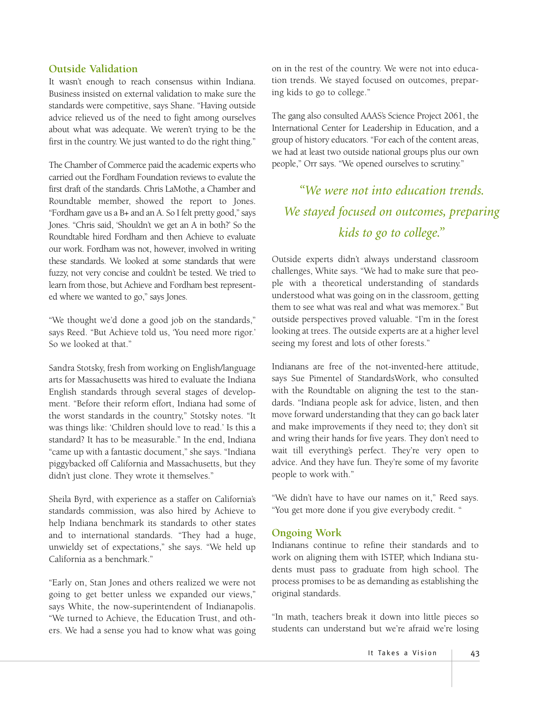#### **Outside Validation**

It wasn't enough to reach consensus within Indiana. Business insisted on external validation to make sure the standards were competitive, says Shane. "Having outside advice relieved us of the need to fight among ourselves about what was adequate. We weren't trying to be the first in the country. We just wanted to do the right thing."

The Chamber of Commerce paid the academic experts who carried out the Fordham Foundation reviews to evalute the first draft of the standards. Chris LaMothe, a Chamber and Roundtable member, showed the report to Jones. "Fordham gave us a B+ and an A. So I felt pretty good," says Jones. "Chris said, 'Shouldn't we get an A in both?' So the Roundtable hired Fordham and then Achieve to evaluate our work. Fordham was not, however, involved in writing these standards. We looked at some standards that were fuzzy, not very concise and couldn't be tested. We tried to learn from those, but Achieve and Fordham best represented where we wanted to go," says Jones.

"We thought we'd done a good job on the standards," says Reed. "But Achieve told us, 'You need more rigor.' So we looked at that."

Sandra Stotsky, fresh from working on English/language arts for Massachusetts was hired to evaluate the Indiana English standards through several stages of development. "Before their reform effort, Indiana had some of the worst standards in the country," Stotsky notes. "It was things like: 'Children should love to read.' Is this a standard? It has to be measurable." In the end, Indiana "came up with a fantastic document," she says. "Indiana piggybacked off California and Massachusetts, but they didn't just clone. They wrote it themselves."

Sheila Byrd, with experience as a staffer on California's standards commission, was also hired by Achieve to help Indiana benchmark its standards to other states and to international standards. "They had a huge, unwieldy set of expectations," she says. "We held up California as a benchmark."

"Early on, Stan Jones and others realized we were not going to get better unless we expanded our views," says White, the now-superintendent of Indianapolis. "We turned to Achieve, the Education Trust, and others. We had a sense you had to know what was going

on in the rest of the country. We were not into education trends. We stayed focused on outcomes, preparing kids to go to college."

The gang also consulted AAAS's Science Project 2061, the International Center for Leadership in Education, and a group of history educators. "For each of the content areas, we had at least two outside national groups plus our own people," Orr says. "We opened ourselves to scrutiny."

*"We were not into education trends. We stayed focused on outcomes, preparing kids to go to college."*

Outside experts didn't always understand classroom challenges, White says. "We had to make sure that people with a theoretical understanding of standards understood what was going on in the classroom, getting them to see what was real and what was memorex." But outside perspectives proved valuable. "I'm in the forest looking at trees. The outside experts are at a higher level seeing my forest and lots of other forests."

Indianans are free of the not-invented-here attitude, says Sue Pimentel of StandardsWork, who consulted with the Roundtable on aligning the test to the standards. "Indiana people ask for advice, listen, and then move forward understanding that they can go back later and make improvements if they need to; they don't sit and wring their hands for five years. They don't need to wait till everything's perfect. They're very open to advice. And they have fun. They're some of my favorite people to work with."

"We didn't have to have our names on it," Reed says. "You get more done if you give everybody credit. "

#### **Ongoing Work**

Indianans continue to refine their standards and to work on aligning them with ISTEP, which Indiana students must pass to graduate from high school. The process promises to be as demanding as establishing the original standards.

"In math, teachers break it down into little pieces so students can understand but we're afraid we're losing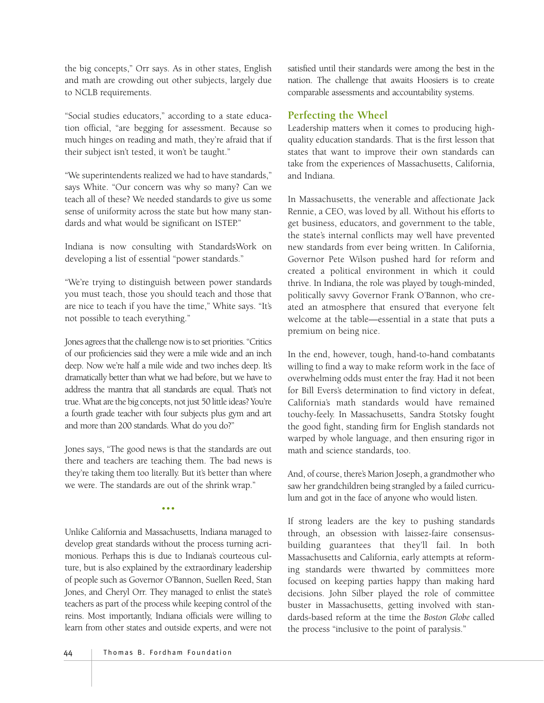the big concepts," Orr says. As in other states, English and math are crowding out other subjects, largely due to NCLB requirements.

"Social studies educators," according to a state education official, "are begging for assessment. Because so much hinges on reading and math, they're afraid that if their subject isn't tested, it won't be taught."

"We superintendents realized we had to have standards," says White. "Our concern was why so many? Can we teach all of these? We needed standards to give us some sense of uniformity across the state but how many standards and what would be significant on ISTEP."

Indiana is now consulting with StandardsWork on developing a list of essential "power standards."

"We're trying to distinguish between power standards you must teach, those you should teach and those that are nice to teach if you have the time," White says. "It's not possible to teach everything."

Jones agrees that the challenge now is to set priorities. "Critics of our proficiencies said they were a mile wide and an inch deep. Now we're half a mile wide and two inches deep. It's dramatically better than what we had before, but we have to address the mantra that all standards are equal. That's not true. What are the big concepts, not just 50 little ideas? You're a fourth grade teacher with four subjects plus gym and art and more than 200 standards. What do you do?"

Jones says, "The good news is that the standards are out there and teachers are teaching them. The bad news is they're taking them too literally. But it's better than where we were. The standards are out of the shrink wrap."

•••

Unlike California and Massachusetts, Indiana managed to develop great standards without the process turning acrimonious. Perhaps this is due to Indiana's courteous culture, but is also explained by the extraordinary leadership of people such as Governor O'Bannon, Suellen Reed, Stan Jones, and Cheryl Orr. They managed to enlist the state's teachers as part of the process while keeping control of the reins. Most importantly, Indiana officials were willing to learn from other states and outside experts, and were not

satisfied until their standards were among the best in the nation. The challenge that awaits Hoosiers is to create comparable assessments and accountability systems.

### **Perfecting the Wheel**

Leadership matters when it comes to producing highquality education standards. That is the first lesson that states that want to improve their own standards can take from the experiences of Massachusetts, California, and Indiana.

In Massachusetts, the venerable and affectionate Jack Rennie, a CEO, was loved by all. Without his efforts to get business, educators, and government to the table, the state's internal conflicts may well have prevented new standards from ever being written. In California, Governor Pete Wilson pushed hard for reform and created a political environment in which it could thrive. In Indiana, the role was played by tough-minded, politically savvy Governor Frank O'Bannon, who created an atmosphere that ensured that everyone felt welcome at the table—essential in a state that puts a premium on being nice.

In the end, however, tough, hand-to-hand combatants willing to find a way to make reform work in the face of overwhelming odds must enter the fray. Had it not been for Bill Evers's determination to find victory in defeat, California's math standards would have remained touchy-feely. In Massachusetts, Sandra Stotsky fought the good fight, standing firm for English standards not warped by whole language, and then ensuring rigor in math and science standards, too.

And, of course, there's Marion Joseph, a grandmother who saw her grandchildren being strangled by a failed curriculum and got in the face of anyone who would listen.

If strong leaders are the key to pushing standards through, an obsession with laissez-faire consensusbuilding guarantees that they'll fail. In both Massachusetts and California, early attempts at reforming standards were thwarted by committees more focused on keeping parties happy than making hard decisions. John Silber played the role of committee buster in Massachusetts, getting involved with standards-based reform at the time the *Boston Globe* called the process "inclusive to the point of paralysis."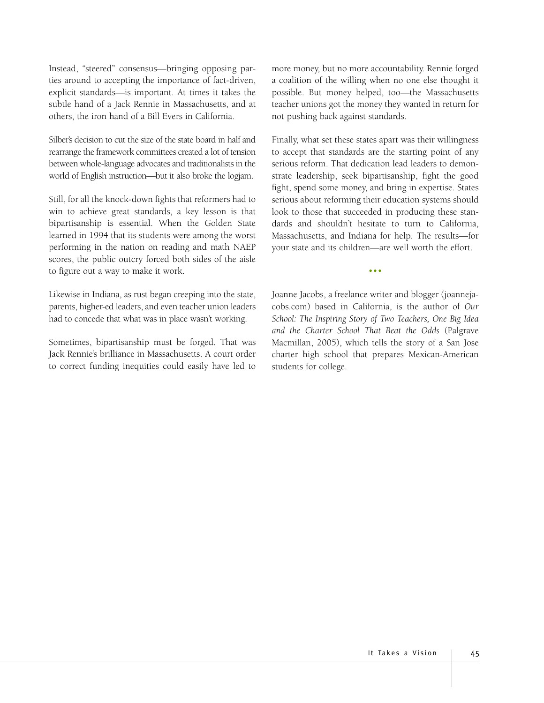Instead, "steered" consensus—bringing opposing parties around to accepting the importance of fact-driven, explicit standards—is important. At times it takes the subtle hand of a Jack Rennie in Massachusetts, and at others, the iron hand of a Bill Evers in California.

Silber's decision to cut the size of the state board in half and rearrange the framework committees created a lot of tension between whole-language advocates and traditionalists in the world of English instruction—but it also broke the logjam.

Still, for all the knock-down fights that reformers had to win to achieve great standards, a key lesson is that bipartisanship is essential. When the Golden State learned in 1994 that its students were among the worst performing in the nation on reading and math NAEP scores, the public outcry forced both sides of the aisle to figure out a way to make it work.

Likewise in Indiana, as rust began creeping into the state, parents, higher-ed leaders, and even teacher union leaders had to concede that what was in place wasn't working.

Sometimes, bipartisanship must be forged. That was Jack Rennie's brilliance in Massachusetts. A court order to correct funding inequities could easily have led to

more money, but no more accountability. Rennie forged a coalition of the willing when no one else thought it possible. But money helped, too—the Massachusetts teacher unions got the money they wanted in return for not pushing back against standards.

Finally, what set these states apart was their willingness to accept that standards are the starting point of any serious reform. That dedication lead leaders to demonstrate leadership, seek bipartisanship, fight the good fight, spend some money, and bring in expertise. States serious about reforming their education systems should look to those that succeeded in producing these standards and shouldn't hesitate to turn to California, Massachusetts, and Indiana for help. The results—for your state and its children—are well worth the effort.

Joanne Jacobs, a freelance writer and blogger (joannejacobs.com) based in California, is the author of *Our School: The Inspiring Story of Two Teachers, One Big Idea and the Charter School That Beat the Odds* (Palgrave Macmillan, 2005), which tells the story of a San Jose charter high school that prepares Mexican-American students for college.

•••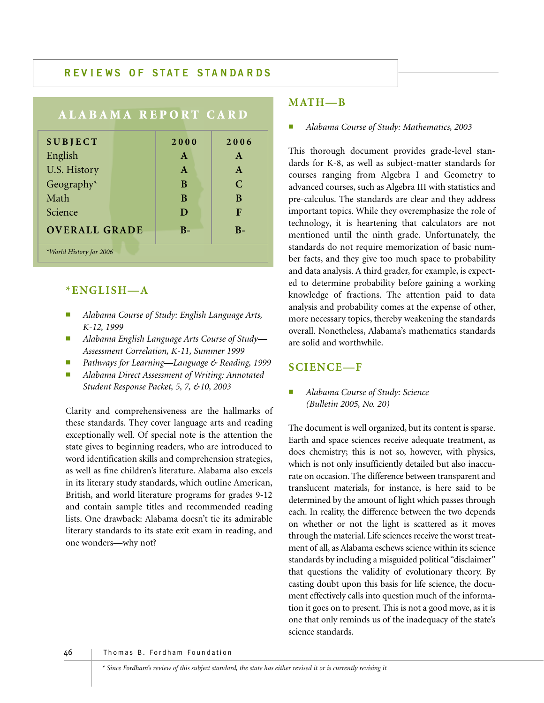## **R EV I E W S OF STAT E STA N DA R DS**

| <b>ALABAMA REPORT CARD</b>                    |  |              |               |
|-----------------------------------------------|--|--------------|---------------|
| <b>SUBJECT</b>                                |  | 2000         | 2006          |
| English                                       |  | $\mathbf{A}$ | A             |
| U.S. History                                  |  | $\mathbf{A}$ | $\mathbf{A}$  |
| Geography $*$                                 |  | B            | $\mathcal{C}$ |
| Math                                          |  | B            | B             |
| Science                                       |  | D            | F             |
| <b>OVERALL GRADE</b><br>$\mathbf{B}$<br>$B -$ |  |              |               |
| *World History for 2006                       |  |              |               |

### **\*ENGLISH—A**

- *Alabama Course of Study: English Language Arts, K-12, 1999*
- *Alabama English Language Arts Course of Study— Assessment Correlation, K-11, Summer 1999*
- *Pathways for Learning—Language & Reading, 1999*
- *Alabama Direct Assessment of Writing: Annotated Student Response Packet, 5, 7, &10, 2003*

Clarity and comprehensiveness are the hallmarks of these standards. They cover language arts and reading exceptionally well. Of special note is the attention the state gives to beginning readers, who are introduced to word identification skills and comprehension strategies, as well as fine children's literature. Alabama also excels in its literary study standards, which outline American, British, and world literature programs for grades 9-12 and contain sample titles and recommended reading lists. One drawback: Alabama doesn't tie its admirable literary standards to its state exit exam in reading, and one wonders—why not?

### **MATH—B**

#### ■ *Alabama Course of Study: Mathematics, 2003*

This thorough document provides grade-level standards for K-8, as well as subject-matter standards for courses ranging from Algebra I and Geometry to advanced courses, such as Algebra III with statistics and pre-calculus. The standards are clear and they address important topics. While they overemphasize the role of technology, it is heartening that calculators are not mentioned until the ninth grade. Unfortunately, the standards do not require memorization of basic number facts, and they give too much space to probability and data analysis. A third grader, for example, is expected to determine probability before gaining a working knowledge of fractions. The attention paid to data analysis and probability comes at the expense of other, more necessary topics, thereby weakening the standards overall. Nonetheless, Alabama's mathematics standards are solid and worthwhile.

#### **SCIENCE—F**

#### ■ *Alabama Course of Study: Science (Bulletin 2005, No. 20)*

The document is well organized, but its content is sparse. Earth and space sciences receive adequate treatment, as does chemistry; this is not so, however, with physics, which is not only insufficiently detailed but also inaccurate on occasion. The difference between transparent and translucent materials, for instance, is here said to be determined by the amount of light which passes through each. In reality, the difference between the two depends on whether or not the light is scattered as it moves through the material. Life sciences receive the worst treatment of all, as Alabama eschews science within its science standards by including a misguided political "disclaimer" that questions the validity of evolutionary theory. By casting doubt upon this basis for life science, the document effectively calls into question much of the information it goes on to present. This is not a good move, as it is one that only reminds us of the inadequacy of the state's science standards.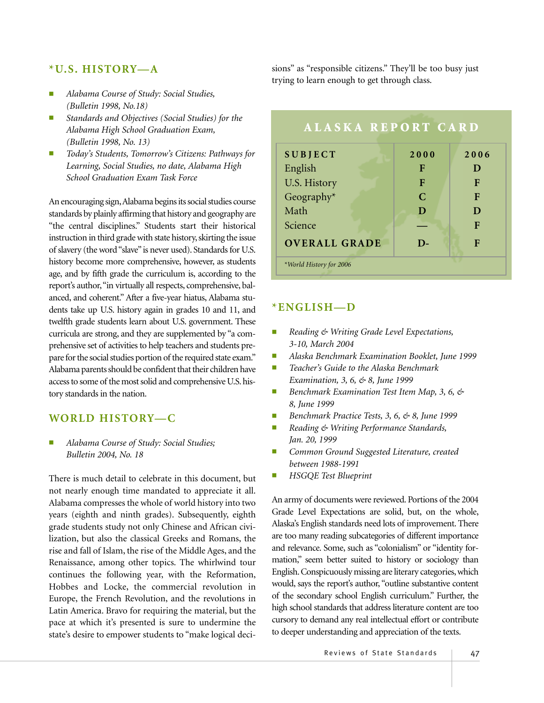### **\*U.S. HISTORY—A**

- *Alabama Course of Study: Social Studies, (Bulletin 1998, No.18)*
- Standards and Objectives (Social Studies) for the *Alabama High School Graduation Exam, (Bulletin 1998, No. 13)*
- *Today's Students, Tomorrow's Citizens: Pathways for Learning, Social Studies, no date, Alabama High School Graduation Exam Task Force*

An encouraging sign,Alabama begins its social studies course standards by plainly affirming that history and geography are "the central disciplines." Students start their historical instruction in third grade with state history, skirting the issue of slavery (the word "slave"is never used). Standards for U.S. history become more comprehensive, however, as students age, and by fifth grade the curriculum is, according to the report's author,"in virtually all respects, comprehensive, balanced, and coherent." After a five-year hiatus, Alabama students take up U.S. history again in grades 10 and 11, and twelfth grade students learn about U.S. government. These curricula are strong, and they are supplemented by "a comprehensive set of activities to help teachers and students prepare for the social studies portion of the required state exam." Alabama parents should be confident that their children have access to some of the most solid and comprehensive U.S. history standards in the nation.

#### **WORLD HISTORY—C**

■ *Alabama Course of Study: Social Studies; Bulletin 2004, No. 18*

There is much detail to celebrate in this document, but not nearly enough time mandated to appreciate it all. Alabama compresses the whole of world history into two years (eighth and ninth grades). Subsequently, eighth grade students study not only Chinese and African civilization, but also the classical Greeks and Romans, the rise and fall of Islam, the rise of the Middle Ages, and the Renaissance, among other topics. The whirlwind tour continues the following year, with the Reformation, Hobbes and Locke, the commercial revolution in Europe, the French Revolution, and the revolutions in Latin America. Bravo for requiring the material, but the pace at which it's presented is sure to undermine the state's desire to empower students to "make logical decisions" as "responsible citizens." They'll be too busy just trying to learn enough to get through class.



## **\*ENGLISH—D**

- *Reading & Writing Grade Level Expectations, 3-10, March 2004*
- *Alaska Benchmark Examination Booklet, June 1999*
- *Teacher's Guide to the Alaska Benchmark Examination, 3, 6, & 8, June 1999*
- *Benchmark Examination Test Item Map, 3, 6, & 8, June 1999*
- *Benchmark Practice Tests, 3, 6, & 8, June 1999*
- *Reading & Writing Performance Standards, Jan. 20, 1999*
- *Common Ground Suggested Literature, created between 1988-1991*
- *HSGQE Test Blueprint*

An army of documents were reviewed. Portions of the 2004 Grade Level Expectations are solid, but, on the whole, Alaska's English standards need lots of improvement. There are too many reading subcategories of different importance and relevance. Some, such as "colonialism" or "identity formation," seem better suited to history or sociology than English. Conspicuously missing are literary categories, which would, says the report's author, "outline substantive content of the secondary school English curriculum." Further, the high school standards that address literature content are too cursory to demand any real intellectual effort or contribute to deeper understanding and appreciation of the texts.

Reviews of State Standards | 47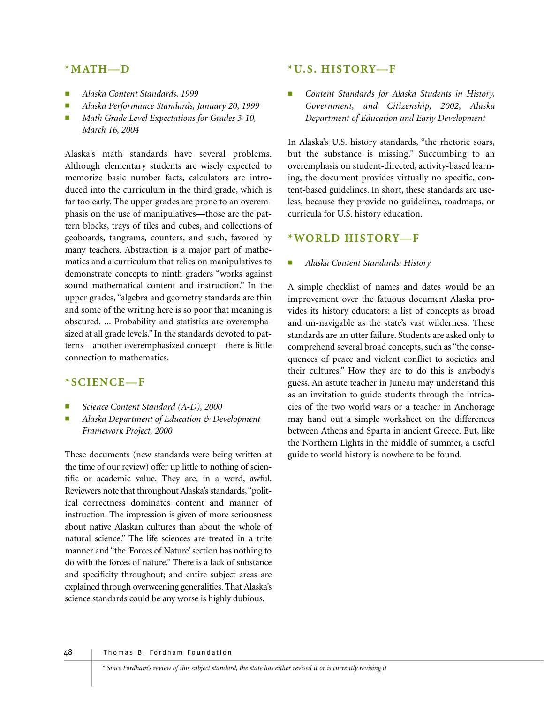#### **\*MATH—D**

- *Alaska Content Standards, 1999*
- *Alaska Performance Standards, January 20, 1999*
- *Math Grade Level Expectations for Grades 3-10, March 16, 2004*

Alaska's math standards have several problems. Although elementary students are wisely expected to memorize basic number facts, calculators are introduced into the curriculum in the third grade, which is far too early. The upper grades are prone to an overemphasis on the use of manipulatives—those are the pattern blocks, trays of tiles and cubes, and collections of geoboards, tangrams, counters, and such, favored by many teachers. Abstraction is a major part of mathematics and a curriculum that relies on manipulatives to demonstrate concepts to ninth graders "works against sound mathematical content and instruction." In the upper grades, "algebra and geometry standards are thin and some of the writing here is so poor that meaning is obscured. ... Probability and statistics are overemphasized at all grade levels." In the standards devoted to patterns—another overemphasized concept—there is little connection to mathematics.

#### **\*SCIENCE—F**

- Science Content Standard (A-D), 2000
- *Alaska Department of Education & Development Framework Project, 2000*

These documents (new standards were being written at the time of our review) offer up little to nothing of scientific or academic value. They are, in a word, awful. Reviewers note that throughout Alaska's standards,"political correctness dominates content and manner of instruction. The impression is given of more seriousness about native Alaskan cultures than about the whole of natural science." The life sciences are treated in a trite manner and "the 'Forces of Nature' section has nothing to do with the forces of nature." There is a lack of substance and specificity throughout; and entire subject areas are explained through overweening generalities. That Alaska's science standards could be any worse is highly dubious.

#### **\*U.S. HISTORY—F**

Content Standards for Alaska Students in History, *Government, and Citizenship, 2002, Alaska Department of Education and Early Development*

In Alaska's U.S. history standards, "the rhetoric soars, but the substance is missing." Succumbing to an overemphasis on student-directed, activity-based learning, the document provides virtually no specific, content-based guidelines. In short, these standards are useless, because they provide no guidelines, roadmaps, or curricula for U.S. history education.

#### **\*WORLD HISTORY—F**

#### ■ *Alaska Content Standards: History*

A simple checklist of names and dates would be an improvement over the fatuous document Alaska provides its history educators: a list of concepts as broad and un-navigable as the state's vast wilderness. These standards are an utter failure. Students are asked only to comprehend several broad concepts, such as "the consequences of peace and violent conflict to societies and their cultures." How they are to do this is anybody's guess. An astute teacher in Juneau may understand this as an invitation to guide students through the intricacies of the two world wars or a teacher in Anchorage may hand out a simple worksheet on the differences between Athens and Sparta in ancient Greece. But, like the Northern Lights in the middle of summer, a useful guide to world history is nowhere to be found.

48 Thomas B. Fordham Foundation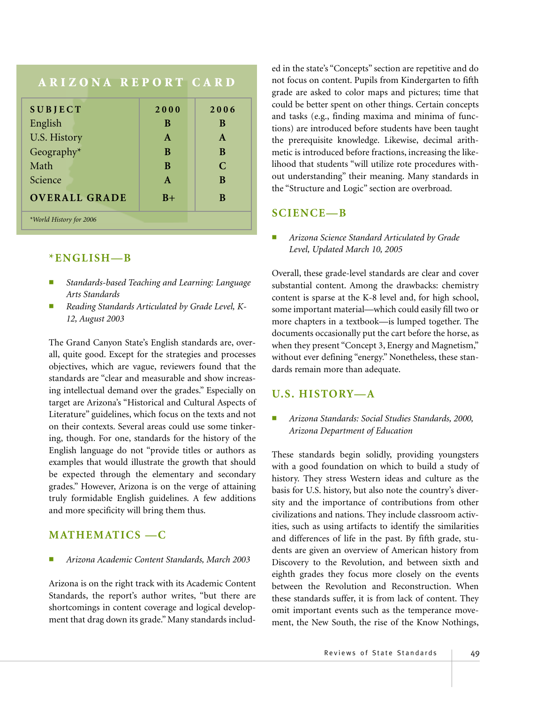| <b>ARIZONA REPORT CARD</b>        |              |               |  |
|-----------------------------------|--------------|---------------|--|
| <b>SUBJECT</b>                    | 2000         | 2006          |  |
| English                           | B            | B             |  |
| U.S. History                      | $\mathbf{A}$ | $\mathbf{A}$  |  |
| Geography*                        | <sub>B</sub> | B             |  |
| Math                              | B            | $\mathcal{C}$ |  |
| Science                           | $\mathbf{A}$ | B             |  |
| <b>OVERALL GRADE</b><br>$B+$<br>B |              |               |  |
| *World History for 2006           |              |               |  |

## **\*ENGLISH—B**

- *Standards-based Teaching and Learning: Language Arts Standards*
- Reading Standards Articulated by Grade Level, K-*12, August 2003*

The Grand Canyon State's English standards are, overall, quite good. Except for the strategies and processes objectives, which are vague, reviewers found that the standards are "clear and measurable and show increasing intellectual demand over the grades." Especially on target are Arizona's "Historical and Cultural Aspects of Literature" guidelines, which focus on the texts and not on their contexts. Several areas could use some tinkering, though. For one, standards for the history of the English language do not "provide titles or authors as examples that would illustrate the growth that should be expected through the elementary and secondary grades." However, Arizona is on the verge of attaining truly formidable English guidelines. A few additions and more specificity will bring them thus.

## **MATHEMATICS —C**

■ *Arizona Academic Content Standards, March 2003*

Arizona is on the right track with its Academic Content Standards, the report's author writes, "but there are shortcomings in content coverage and logical development that drag down its grade." Many standards includ-

ed in the state's "Concepts" section are repetitive and do not focus on content. Pupils from Kindergarten to fifth grade are asked to color maps and pictures; time that could be better spent on other things. Certain concepts and tasks (e.g., finding maxima and minima of functions) are introduced before students have been taught the prerequisite knowledge. Likewise, decimal arithmetic is introduced before fractions, increasing the likelihood that students "will utilize rote procedures without understanding" their meaning. Many standards in the "Structure and Logic" section are overbroad.

## **SCIENCE—B**

■ *Arizona Science Standard Articulated by Grade Level, Updated March 10, 2005*

Overall, these grade-level standards are clear and cover substantial content. Among the drawbacks: chemistry content is sparse at the K-8 level and, for high school, some important material—which could easily fill two or more chapters in a textbook—is lumped together. The documents occasionally put the cart before the horse, as when they present "Concept 3, Energy and Magnetism," without ever defining "energy." Nonetheless, these standards remain more than adequate.

## **U.S. HISTORY—A**

#### ■ *Arizona Standards: Social Studies Standards, 2000, Arizona Department of Education*

These standards begin solidly, providing youngsters with a good foundation on which to build a study of history. They stress Western ideas and culture as the basis for U.S. history, but also note the country's diversity and the importance of contributions from other civilizations and nations. They include classroom activities, such as using artifacts to identify the similarities and differences of life in the past. By fifth grade, students are given an overview of American history from Discovery to the Revolution, and between sixth and eighth grades they focus more closely on the events between the Revolution and Reconstruction. When these standards suffer, it is from lack of content. They omit important events such as the temperance movement, the New South, the rise of the Know Nothings,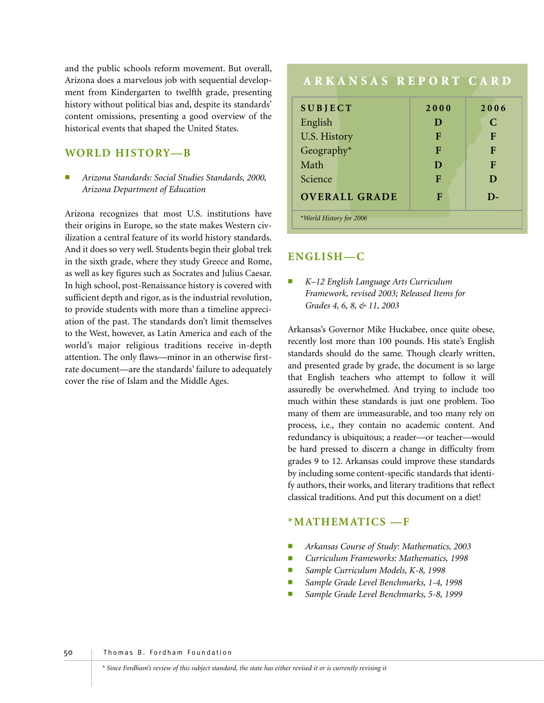and the public schools reform movement. But overall, Arizona does a marvelous job with sequential development from Kindergarten to twelfth grade, presenting history without political bias and, despite its standards' content omissions, presenting a good overview of the historical events that shaped the United States.

## **WORLD HISTORY—B**

■ *Arizona Standards: Social Studies Standards, 2000, Arizona Department of Education*

Arizona recognizes that most U.S. institutions have their origins in Europe, so the state makes Western civilization a central feature of its world history standards. And it does so very well. Students begin their global trek in the sixth grade, where they study Greece and Rome, as well as key figures such as Socrates and Julius Caesar. In high school, post-Renaissance history is covered with sufficient depth and rigor, as is the industrial revolution, to provide students with more than a timeline appreciation of the past. The standards don't limit themselves to the West, however, as Latin America and each of the world's major religious traditions receive in-depth attention. The only flaws—minor in an otherwise firstrate document—are the standards' failure to adequately cover the rise of Islam and the Middle Ages.

| ARKANSAS REPORT CARD    |      |      |
|-------------------------|------|------|
| <b>SUBJECT</b>          | 2000 | 2006 |
| English                 | D    | C    |
| U.S. History            | F    | F    |
| Geography*              | F    | F    |
| Math                    | D    | F    |
| Science                 | F    | D    |
| <b>OVERALL GRADE</b>    | F    | D-   |
| *World History for 2006 |      |      |

## **ENGLISH—C**

■ *K–12 English Language Arts Curriculum Framework, revised 2003; Released Items for Grades 4, 6, 8, & 11, 2003*

Arkansas's Governor Mike Huckabee, once quite obese, recently lost more than 100 pounds. His state's English standards should do the same. Though clearly written, and presented grade by grade, the document is so large that English teachers who attempt to follow it will assuredly be overwhelmed. And trying to include too much within these standards is just one problem. Too many of them are immeasurable, and too many rely on process, i.e., they contain no academic content. And redundancy is ubiquitous; a reader—or teacher—would be hard pressed to discern a change in difficulty from grades 9 to 12. Arkansas could improve these standards by including some content-specific standards that identify authors, their works, and literary traditions that reflect classical traditions. And put this document on a diet!

## **\*MATHEMATICS —F**

- *Arkansas Course of Study: Mathematics, 2003*
- *Curriculum Frameworks: Mathematics, 1998*
- Sample Curriculum Models, K-8, 1998
- Sample Grade Level Benchmarks, 1-4, 1998
- Sample Grade Level Benchmarks, 5-8, 1999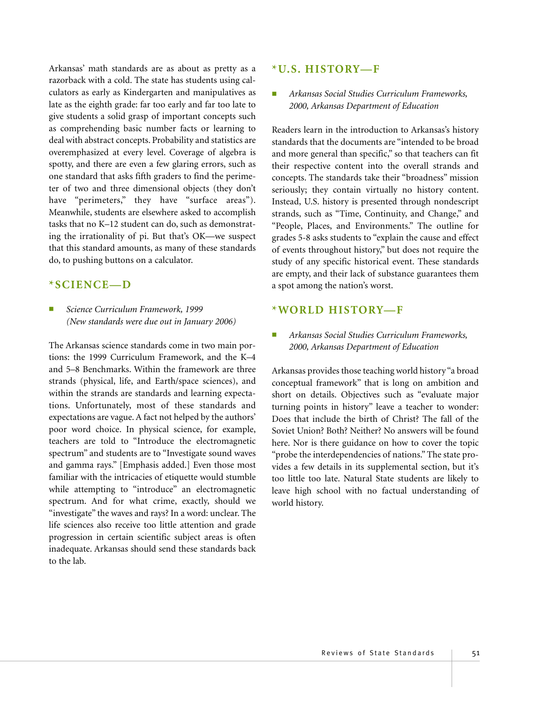Arkansas' math standards are as about as pretty as a razorback with a cold. The state has students using calculators as early as Kindergarten and manipulatives as late as the eighth grade: far too early and far too late to give students a solid grasp of important concepts such as comprehending basic number facts or learning to deal with abstract concepts. Probability and statistics are overemphasized at every level. Coverage of algebra is spotty, and there are even a few glaring errors, such as one standard that asks fifth graders to find the perimeter of two and three dimensional objects (they don't have "perimeters," they have "surface areas"). Meanwhile, students are elsewhere asked to accomplish tasks that no K–12 student can do, such as demonstrating the irrationality of pi. But that's OK—we suspect that this standard amounts, as many of these standards do, to pushing buttons on a calculator.

#### **\*SCIENCE—D**

■ *Science Curriculum Framework, 1999 (New standards were due out in January 2006)*

The Arkansas science standards come in two main portions: the 1999 Curriculum Framework, and the K–4 and 5–8 Benchmarks. Within the framework are three strands (physical, life, and Earth/space sciences), and within the strands are standards and learning expectations. Unfortunately, most of these standards and expectations are vague. A fact not helped by the authors' poor word choice. In physical science, for example, teachers are told to "Introduce the electromagnetic spectrum" and students are to "Investigate sound waves and gamma rays." [Emphasis added.] Even those most familiar with the intricacies of etiquette would stumble while attempting to "introduce" an electromagnetic spectrum. And for what crime, exactly, should we "investigate" the waves and rays? In a word: unclear. The life sciences also receive too little attention and grade progression in certain scientific subject areas is often inadequate. Arkansas should send these standards back to the lab.

#### **\*U.S. HISTORY—F**

■ *Arkansas Social Studies Curriculum Frameworks, 2000, Arkansas Department of Education*

Readers learn in the introduction to Arkansas's history standards that the documents are "intended to be broad and more general than specific," so that teachers can fit their respective content into the overall strands and concepts. The standards take their "broadness" mission seriously; they contain virtually no history content. Instead, U.S. history is presented through nondescript strands, such as "Time, Continuity, and Change," and "People, Places, and Environments." The outline for grades 5-8 asks students to "explain the cause and effect of events throughout history," but does not require the study of any specific historical event. These standards are empty, and their lack of substance guarantees them a spot among the nation's worst.

#### **\*WORLD HISTORY—F**

■ *Arkansas Social Studies Curriculum Frameworks, 2000, Arkansas Department of Education*

Arkansas provides those teaching world history "a broad conceptual framework" that is long on ambition and short on details. Objectives such as "evaluate major turning points in history" leave a teacher to wonder: Does that include the birth of Christ? The fall of the Soviet Union? Both? Neither? No answers will be found here. Nor is there guidance on how to cover the topic "probe the interdependencies of nations." The state provides a few details in its supplemental section, but it's too little too late. Natural State students are likely to leave high school with no factual understanding of world history.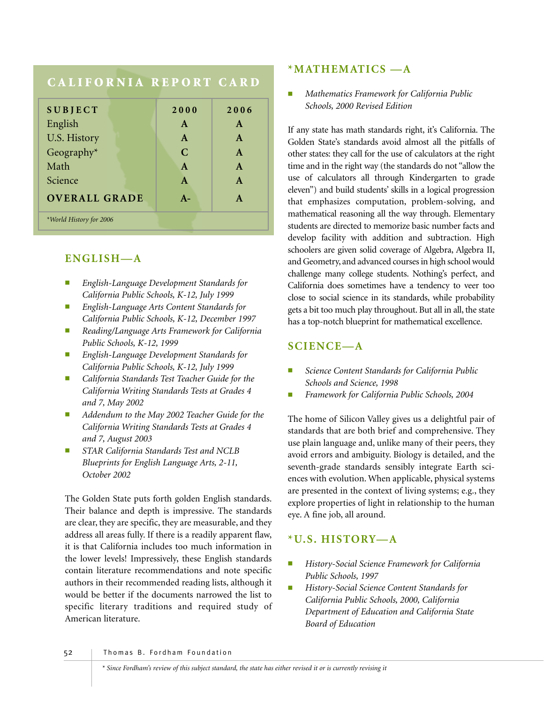# **CALIFORNIA REPORT CARD**

| <b>SUBJECT</b>          | 2000         | 2006         |
|-------------------------|--------------|--------------|
| English                 | $\mathbf{A}$ | $\mathbf{A}$ |
| U.S. History            | $\mathbf{A}$ | $\mathbf{A}$ |
| Geography*              | C            | $\mathbf{A}$ |
| Math                    | $\mathbf{A}$ | $\mathbf{A}$ |
| Science                 | A            | $\mathbf{A}$ |
| <b>OVERALL GRADE</b>    | $A -$        | $\mathbf{A}$ |
| *World History for 2006 |              |              |

## **ENGLISH—A**

- *English-Language Development Standards for California Public Schools, K-12, July 1999*
- *English-Language Arts Content Standards for California Public Schools, K-12, December 1997*
- *Reading/Language Arts Framework for California Public Schools, K-12, 1999*
- *English-Language Development Standards for California Public Schools, K-12, July 1999*
- *California Standards Test Teacher Guide for the California Writing Standards Tests at Grades 4 and 7, May 2002*
- Addendum to the May 2002 Teacher Guide for the *California Writing Standards Tests at Grades 4 and 7, August 2003*
- **STAR California Standards Test and NCLB** *Blueprints for English Language Arts, 2-11, October 2002*

The Golden State puts forth golden English standards. Their balance and depth is impressive. The standards are clear, they are specific, they are measurable, and they address all areas fully. If there is a readily apparent flaw, it is that California includes too much information in the lower levels! Impressively, these English standards contain literature recommendations and note specific authors in their recommended reading lists, although it would be better if the documents narrowed the list to specific literary traditions and required study of American literature.

### **\*MATHEMATICS —A**

■ *Mathematics Framework for California Public Schools, 2000 Revised Edition*

If any state has math standards right, it's California. The Golden State's standards avoid almost all the pitfalls of other states: they call for the use of calculators at the right time and in the right way (the standards do not "allow the use of calculators all through Kindergarten to grade eleven") and build students' skills in a logical progression that emphasizes computation, problem-solving, and mathematical reasoning all the way through. Elementary students are directed to memorize basic number facts and develop facility with addition and subtraction. High schoolers are given solid coverage of Algebra, Algebra II, and Geometry, and advanced courses in high school would challenge many college students. Nothing's perfect, and California does sometimes have a tendency to veer too close to social science in its standards, while probability gets a bit too much play throughout. But all in all, the state has a top-notch blueprint for mathematical excellence.

## **SCIENCE—A**

- *Science Content Standards for California Public Schools and Science, 1998*
- *Framework for California Public Schools, 2004*

The home of Silicon Valley gives us a delightful pair of standards that are both brief and comprehensive. They use plain language and, unlike many of their peers, they avoid errors and ambiguity. Biology is detailed, and the seventh-grade standards sensibly integrate Earth sciences with evolution. When applicable, physical systems are presented in the context of living systems; e.g., they explore properties of light in relationship to the human eye. A fine job, all around.

## **\*U.S. HISTORY—A**

- *History-Social Science Framework for California Public Schools, 1997*
- **History-Social Science Content Standards for** *California Public Schools, 2000, California Department of Education and California State Board of Education*

52 Thomas B. Fordham Foundation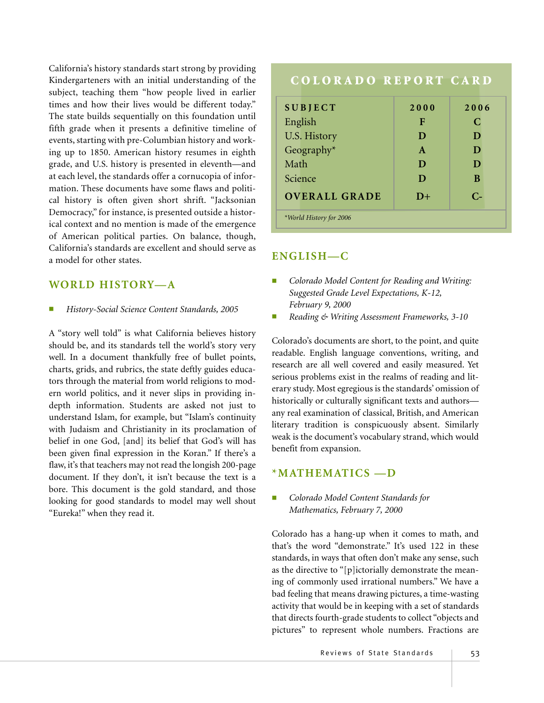California's history standards start strong by providing Kindergarteners with an initial understanding of the subject, teaching them "how people lived in earlier times and how their lives would be different today." The state builds sequentially on this foundation until fifth grade when it presents a definitive timeline of events, starting with pre-Columbian history and working up to 1850. American history resumes in eighth grade, and U.S. history is presented in eleventh—and at each level, the standards offer a cornucopia of information. These documents have some flaws and political history is often given short shrift. "Jacksonian Democracy," for instance, is presented outside a historical context and no mention is made of the emergence of American political parties. On balance, though, California's standards are excellent and should serve as a model for other states.

## **WORLD HISTORY—A**

■ *History-Social Science Content Standards, 2005*

A "story well told" is what California believes history should be, and its standards tell the world's story very well. In a document thankfully free of bullet points, charts, grids, and rubrics, the state deftly guides educators through the material from world religions to modern world politics, and it never slips in providing indepth information. Students are asked not just to understand Islam, for example, but "Islam's continuity with Judaism and Christianity in its proclamation of belief in one God, [and] its belief that God's will has been given final expression in the Koran." If there's a flaw, it's that teachers may not read the longish 200-page document. If they don't, it isn't because the text is a bore. This document is the gold standard, and those looking for good standards to model may well shout "Eureka!" when they read it.

# **COLORADO REPORT CARD SUBJECT 2000 2006** English **F** C U.S. History **D** D D Geography\* **A D** Math **D D** Science **D B OVERALL GRADE D+ C-** *\*World History for 2006*

# **ENGLISH—C**

- *Colorado Model Content for Reading and Writing: Suggested Grade Level Expectations, K-12, February 9, 2000*
- *Reading & Writing Assessment Frameworks, 3-10*

Colorado's documents are short, to the point, and quite readable. English language conventions, writing, and research are all well covered and easily measured. Yet serious problems exist in the realms of reading and literary study. Most egregious is the standards' omission of historically or culturally significant texts and authors any real examination of classical, British, and American literary tradition is conspicuously absent. Similarly weak is the document's vocabulary strand, which would benefit from expansion.

## **\*MATHEMATICS —D**

■ *Colorado Model Content Standards for Mathematics, February 7, 2000*

Colorado has a hang-up when it comes to math, and that's the word "demonstrate." It's used 122 in these standards, in ways that often don't make any sense, such as the directive to "[p]ictorially demonstrate the meaning of commonly used irrational numbers." We have a bad feeling that means drawing pictures, a time-wasting activity that would be in keeping with a set of standards that directs fourth-grade students to collect "objects and pictures" to represent whole numbers. Fractions are

Reviews of State Standards | 53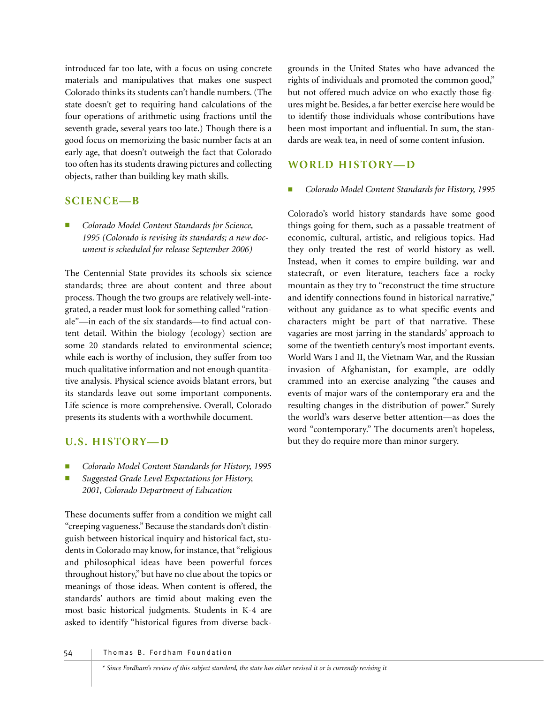introduced far too late, with a focus on using concrete materials and manipulatives that makes one suspect Colorado thinks its students can't handle numbers. (The state doesn't get to requiring hand calculations of the four operations of arithmetic using fractions until the seventh grade, several years too late.) Though there is a good focus on memorizing the basic number facts at an early age, that doesn't outweigh the fact that Colorado too often has its students drawing pictures and collecting objects, rather than building key math skills.

## **SCIENCE—B**

■ *Colorado Model Content Standards for Science, 1995 (Colorado is revising its standards; a new document is scheduled for release September 2006)* 

The Centennial State provides its schools six science standards; three are about content and three about process. Though the two groups are relatively well-integrated, a reader must look for something called "rationale"—in each of the six standards—to find actual content detail. Within the biology (ecology) section are some 20 standards related to environmental science; while each is worthy of inclusion, they suffer from too much qualitative information and not enough quantitative analysis. Physical science avoids blatant errors, but its standards leave out some important components. Life science is more comprehensive. Overall, Colorado presents its students with a worthwhile document.

# **U.S. HISTORY—D**

- Colorado Model Content Standards for History, 1995
- *Suggested Grade Level Expectations for History, 2001, Colorado Department of Education*

These documents suffer from a condition we might call "creeping vagueness." Because the standards don't distinguish between historical inquiry and historical fact, students in Colorado may know, for instance, that "religious and philosophical ideas have been powerful forces throughout history," but have no clue about the topics or meanings of those ideas. When content is offered, the standards' authors are timid about making even the most basic historical judgments. Students in K-4 are asked to identify "historical figures from diverse back-

grounds in the United States who have advanced the rights of individuals and promoted the common good," but not offered much advice on who exactly those figures might be. Besides, a far better exercise here would be to identify those individuals whose contributions have been most important and influential. In sum, the standards are weak tea, in need of some content infusion.

# **WORLD HISTORY—D**

#### Colorado Model Content Standards for History, 1995

Colorado's world history standards have some good things going for them, such as a passable treatment of economic, cultural, artistic, and religious topics. Had they only treated the rest of world history as well. Instead, when it comes to empire building, war and statecraft, or even literature, teachers face a rocky mountain as they try to "reconstruct the time structure and identify connections found in historical narrative," without any guidance as to what specific events and characters might be part of that narrative. These vagaries are most jarring in the standards' approach to some of the twentieth century's most important events. World Wars I and II, the Vietnam War, and the Russian invasion of Afghanistan, for example, are oddly crammed into an exercise analyzing "the causes and events of major wars of the contemporary era and the resulting changes in the distribution of power." Surely the world's wars deserve better attention—as does the word "contemporary." The documents aren't hopeless, but they do require more than minor surgery.

54 Thomas B. Fordham Foundation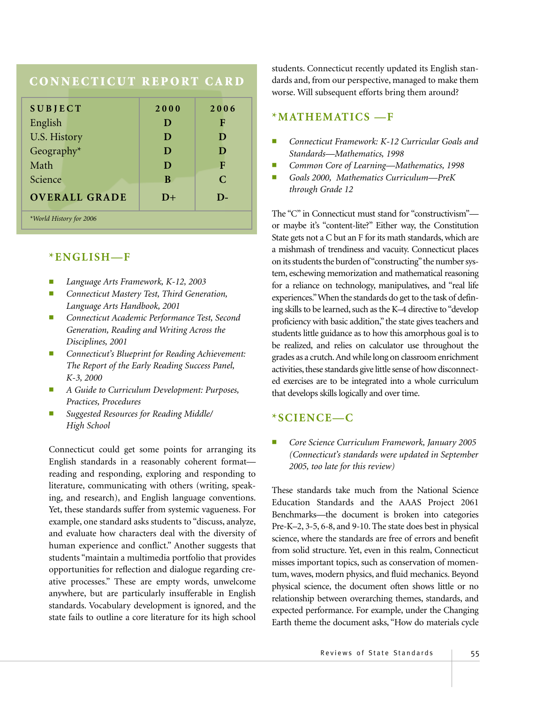## **CONNECTICUT REPORT CARD**

| <b>SUBJECT</b>          | 2000 | 2006          |  |
|-------------------------|------|---------------|--|
| English                 | D    | F             |  |
| <b>U.S. History</b>     | D    | D             |  |
| Geography*              | D    | D             |  |
| Math                    | D    | F             |  |
| Science                 | B    | $\mathcal{C}$ |  |
| <b>OVERALL GRADE</b>    | $D+$ | $\mathbf{D}$  |  |
| *World History for 2006 |      |               |  |

#### **\*ENGLISH—F**

- *Language Arts Framework, K-12, 2003*
- *Connecticut Mastery Test, Third Generation, Language Arts Handbook, 2001*
- *Connecticut Academic Performance Test, Second Generation, Reading and Writing Across the Disciplines, 2001*
- Connecticut's Blueprint for Reading Achievement: *The Report of the Early Reading Success Panel, K-3, 2000*
- *A Guide to Curriculum Development: Purposes, Practices, Procedures*
- *Suggested Resources for Reading Middle/ High School*

Connecticut could get some points for arranging its English standards in a reasonably coherent format reading and responding, exploring and responding to literature, communicating with others (writing, speaking, and research), and English language conventions. Yet, these standards suffer from systemic vagueness. For example, one standard asks students to "discuss, analyze, and evaluate how characters deal with the diversity of human experience and conflict." Another suggests that students "maintain a multimedia portfolio that provides opportunities for reflection and dialogue regarding creative processes." These are empty words, unwelcome anywhere, but are particularly insufferable in English standards. Vocabulary development is ignored, and the state fails to outline a core literature for its high school students. Connecticut recently updated its English standards and, from our perspective, managed to make them worse. Will subsequent efforts bring them around?

## **\*MATHEMATICS —F**

- *Connecticut Framework: K-12 Curricular Goals and Standards—Mathematics, 1998*
- *Common Core of Learning—Mathematics, 1998*
- *Goals 2000, Mathematics Curriculum—PreK through Grade 12*

The "C" in Connecticut must stand for "constructivism" or maybe it's "content-lite?" Either way, the Constitution State gets not a C but an F for its math standards, which are a mishmash of trendiness and vacuity. Connecticut places on its students the burden of "constructing" the number system, eschewing memorization and mathematical reasoning for a reliance on technology, manipulatives, and "real life experiences."When the standards do get to the task of defining skills to be learned, such as the K–4 directive to "develop proficiency with basic addition," the state gives teachers and students little guidance as to how this amorphous goal is to be realized, and relies on calculator use throughout the grades as a crutch.And while long on classroom enrichment activities, these standards give little sense of how disconnected exercises are to be integrated into a whole curriculum that develops skills logically and over time.

## **\*SCIENCE—C**

■ *Core Science Curriculum Framework, January 2005 (Connecticut's standards were updated in September 2005, too late for this review)*

These standards take much from the National Science Education Standards and the AAAS Project 2061 Benchmarks—the document is broken into categories Pre-K–2, 3-5, 6-8, and 9-10. The state does best in physical science, where the standards are free of errors and benefit from solid structure. Yet, even in this realm, Connecticut misses important topics, such as conservation of momentum, waves, modern physics, and fluid mechanics. Beyond physical science, the document often shows little or no relationship between overarching themes, standards, and expected performance. For example, under the Changing Earth theme the document asks, "How do materials cycle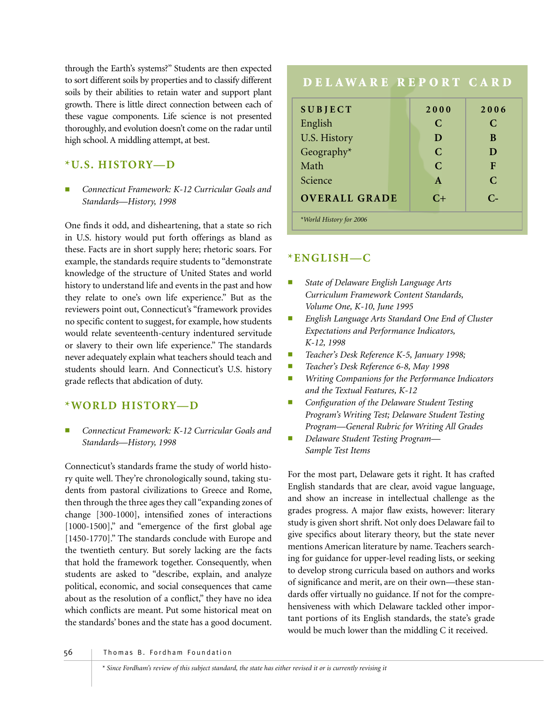through the Earth's systems?" Students are then expected to sort different soils by properties and to classify different soils by their abilities to retain water and support plant growth. There is little direct connection between each of these vague components. Life science is not presented thoroughly, and evolution doesn't come on the radar until high school. A middling attempt, at best.

# **\*U.S. HISTORY—D**

■ *Connecticut Framework: K-12 Curricular Goals and Standards—History, 1998* 

One finds it odd, and disheartening, that a state so rich in U.S. history would put forth offerings as bland as these. Facts are in short supply here; rhetoric soars. For example, the standards require students to "demonstrate knowledge of the structure of United States and world history to understand life and events in the past and how they relate to one's own life experience." But as the reviewers point out, Connecticut's "framework provides no specific content to suggest, for example, how students would relate seventeenth-century indentured servitude or slavery to their own life experience." The standards never adequately explain what teachers should teach and students should learn. And Connecticut's U.S. history grade reflects that abdication of duty.

## **\*WORLD HISTORY—D**

■ *Connecticut Framework: K-12 Curricular Goals and Standards—History, 1998*

Connecticut's standards frame the study of world history quite well. They're chronologically sound, taking students from pastoral civilizations to Greece and Rome, then through the three ages they call "expanding zones of change [300-1000], intensified zones of interactions [1000-1500]," and "emergence of the first global age [1450-1770]." The standards conclude with Europe and the twentieth century. But sorely lacking are the facts that hold the framework together. Consequently, when students are asked to "describe, explain, and analyze political, economic, and social consequences that came about as the resolution of a conflict," they have no idea which conflicts are meant. Put some historical meat on the standards' bones and the state has a good document.

| DELAWARE REPORT CARD    |               |              |
|-------------------------|---------------|--------------|
| <b>SUBJECT</b>          | 2000          | 2006         |
| English                 | C             | C            |
| <b>U.S. History</b>     | D             | B            |
| Geography*              | $\mathcal{C}$ | D            |
| Math                    | $\mathcal{C}$ | F            |
| Science                 | $\mathbf{A}$  | $\mathsf{C}$ |
| <b>OVERALL GRADE</b>    | $C+$          | $C_{\tau}$   |
| *World History for 2006 |               |              |

## **\*ENGLISH—C**

- *State of Delaware English Language Arts Curriculum Framework Content Standards, Volume One, K-10, June 1995*
- *English Language Arts Standard One End of Cluster Expectations and Performance Indicators, K-12, 1998*
- *Teacher's Desk Reference K-5, January 1998;*
- *Teacher's Desk Reference 6-8, May 1998*
- *Writing Companions for the Performance Indicators and the Textual Features, K-12*
- *Configuration of the Delaware Student Testing Program's Writing Test; Delaware Student Testing Program—General Rubric for Writing All Grades*
- *Delaware Student Testing Program— Sample Test Items*

For the most part, Delaware gets it right. It has crafted English standards that are clear, avoid vague language, and show an increase in intellectual challenge as the grades progress. A major flaw exists, however: literary study is given short shrift. Not only does Delaware fail to give specifics about literary theory, but the state never mentions American literature by name. Teachers searching for guidance for upper-level reading lists, or seeking to develop strong curricula based on authors and works of significance and merit, are on their own—these standards offer virtually no guidance. If not for the comprehensiveness with which Delaware tackled other important portions of its English standards, the state's grade would be much lower than the middling C it received.

#### 56 Thomas B. Fordham Foundation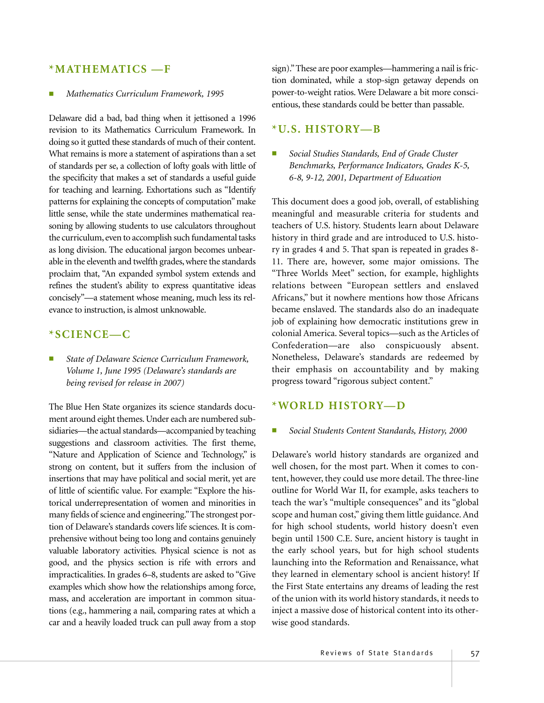#### **\*MATHEMATICS —F**

#### ■ *Mathematics Curriculum Framework, 1995*

Delaware did a bad, bad thing when it jettisoned a 1996 revision to its Mathematics Curriculum Framework. In doing so it gutted these standards of much of their content. What remains is more a statement of aspirations than a set of standards per se, a collection of lofty goals with little of the specificity that makes a set of standards a useful guide for teaching and learning. Exhortations such as "Identify patterns for explaining the concepts of computation" make little sense, while the state undermines mathematical reasoning by allowing students to use calculators throughout the curriculum, even to accomplish such fundamental tasks as long division. The educational jargon becomes unbearable in the eleventh and twelfth grades, where the standards proclaim that, "An expanded symbol system extends and refines the student's ability to express quantitative ideas concisely"—a statement whose meaning, much less its relevance to instruction, is almost unknowable.

### **\*SCIENCE—C**

State of Delaware Science Curriculum Framework, *Volume 1, June 1995 (Delaware's standards are being revised for release in 2007)*

The Blue Hen State organizes its science standards document around eight themes. Under each are numbered subsidiaries—the actual standards—accompanied by teaching suggestions and classroom activities. The first theme, "Nature and Application of Science and Technology," is strong on content, but it suffers from the inclusion of insertions that may have political and social merit, yet are of little of scientific value. For example: "Explore the historical underrepresentation of women and minorities in many fields of science and engineering."The strongest portion of Delaware's standards covers life sciences. It is comprehensive without being too long and contains genuinely valuable laboratory activities. Physical science is not as good, and the physics section is rife with errors and impracticalities. In grades 6–8, students are asked to "Give examples which show how the relationships among force, mass, and acceleration are important in common situations (e.g., hammering a nail, comparing rates at which a car and a heavily loaded truck can pull away from a stop

sign)."These are poor examples—hammering a nail is friction dominated, while a stop-sign getaway depends on power-to-weight ratios. Were Delaware a bit more conscientious, these standards could be better than passable.

#### **\*U.S. HISTORY—B**

■ *Social Studies Standards, End of Grade Cluster Benchmarks, Performance Indicators, Grades K-5, 6-8, 9-12, 2001, Department of Education*

This document does a good job, overall, of establishing meaningful and measurable criteria for students and teachers of U.S. history. Students learn about Delaware history in third grade and are introduced to U.S. history in grades 4 and 5. That span is repeated in grades 8- 11. There are, however, some major omissions. The "Three Worlds Meet" section, for example, highlights relations between "European settlers and enslaved Africans," but it nowhere mentions how those Africans became enslaved. The standards also do an inadequate job of explaining how democratic institutions grew in colonial America. Several topics—such as the Articles of Confederation—are also conspicuously absent. Nonetheless, Delaware's standards are redeemed by their emphasis on accountability and by making progress toward "rigorous subject content."

#### **\*WORLD HISTORY—D**

#### ■ *Social Students Content Standards, History, 2000*

Delaware's world history standards are organized and well chosen, for the most part. When it comes to content, however, they could use more detail. The three-line outline for World War II, for example, asks teachers to teach the war's "multiple consequences" and its "global scope and human cost," giving them little guidance. And for high school students, world history doesn't even begin until 1500 C.E. Sure, ancient history is taught in the early school years, but for high school students launching into the Reformation and Renaissance, what they learned in elementary school is ancient history! If the First State entertains any dreams of leading the rest of the union with its world history standards, it needs to inject a massive dose of historical content into its otherwise good standards.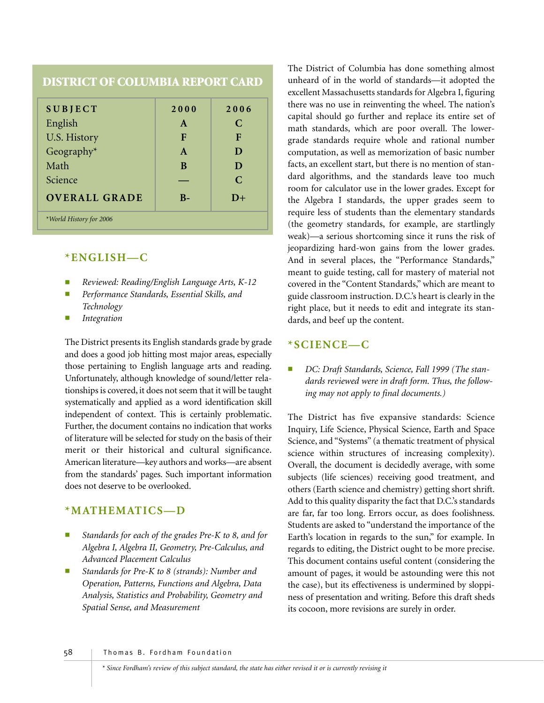## **DISTRICT OF COLUMBIA REPORT CARD**

| <b>SUBJECT</b>          | 2000         | 2006          |
|-------------------------|--------------|---------------|
| English                 | A            | C             |
| U.S. History            | F            | F             |
| Geography $*$           | $\mathbf{A}$ | D             |
| Math                    | B            | D             |
| Science                 |              | $\mathcal{C}$ |
| <b>OVERALL GRADE</b>    | $\mathbf{B}$ | $D+$          |
| *World History for 2006 |              |               |

#### **\*ENGLISH—C**

- *Reviewed: Reading/English Language Arts, K-12*
- *Performance Standards, Essential Skills, and Technology*
- *Integration*

The District presents its English standards grade by grade and does a good job hitting most major areas, especially those pertaining to English language arts and reading. Unfortunately, although knowledge of sound/letter relationships is covered, it does not seem that it will be taught systematically and applied as a word identification skill independent of context. This is certainly problematic. Further, the document contains no indication that works of literature will be selected for study on the basis of their merit or their historical and cultural significance. American literature—key authors and works—are absent from the standards' pages. Such important information does not deserve to be overlooked.

#### **\*MATHEMATICS—D**

- Standards for each of the grades Pre-K to 8, and for *Algebra I, Algebra II, Geometry, Pre-Calculus, and Advanced Placement Calculus*
- Standards for Pre-K to 8 (strands): Number and *Operation, Patterns, Functions and Algebra, Data Analysis, Statistics and Probability, Geometry and Spatial Sense, and Measurement*

The District of Columbia has done something almost unheard of in the world of standards—it adopted the excellent Massachusetts standards for Algebra I, figuring there was no use in reinventing the wheel. The nation's capital should go further and replace its entire set of math standards, which are poor overall. The lowergrade standards require whole and rational number computation, as well as memorization of basic number facts, an excellent start, but there is no mention of standard algorithms, and the standards leave too much room for calculator use in the lower grades. Except for the Algebra I standards, the upper grades seem to require less of students than the elementary standards (the geometry standards, for example, are startlingly weak)—a serious shortcoming since it runs the risk of jeopardizing hard-won gains from the lower grades. And in several places, the "Performance Standards," meant to guide testing, call for mastery of material not covered in the "Content Standards," which are meant to guide classroom instruction. D.C.'s heart is clearly in the right place, but it needs to edit and integrate its standards, and beef up the content.

#### **\*SCIENCE—C**

DC: Draft Standards, Science, Fall 1999 (The stan*dards reviewed were in draft form. Thus, the following may not apply to final documents.)* 

The District has five expansive standards: Science Inquiry, Life Science, Physical Science, Earth and Space Science, and "Systems" (a thematic treatment of physical science within structures of increasing complexity). Overall, the document is decidedly average, with some subjects (life sciences) receiving good treatment, and others (Earth science and chemistry) getting short shrift. Add to this quality disparity the fact that D.C.'s standards are far, far too long. Errors occur, as does foolishness. Students are asked to "understand the importance of the Earth's location in regards to the sun," for example. In regards to editing, the District ought to be more precise. This document contains useful content (considering the amount of pages, it would be astounding were this not the case), but its effectiveness is undermined by sloppiness of presentation and writing. Before this draft sheds its cocoon, more revisions are surely in order.

58 Thomas B. Fordham Foundation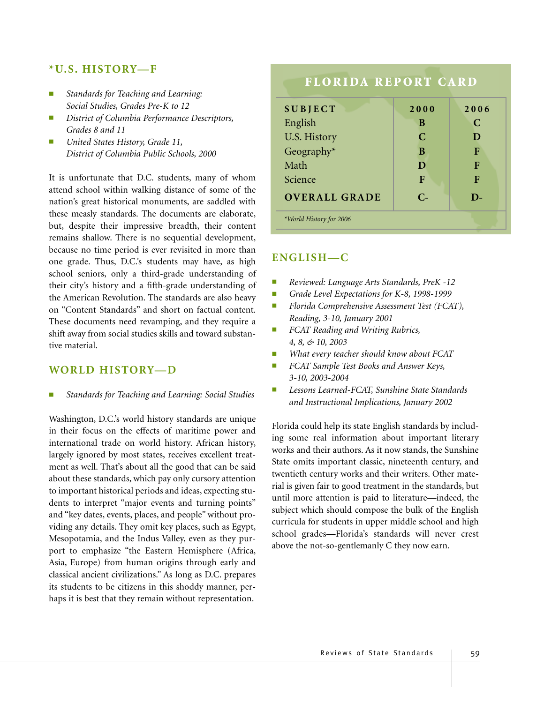#### **\*U.S. HISTORY—F**

- *Standards for Teaching and Learning: Social Studies, Grades Pre-K to 12*
- $D$ *istrict of Columbia Performance Descriptors, Grades 8 and 11*
- *United States History, Grade 11, District of Columbia Public Schools, 2000*

It is unfortunate that D.C. students, many of whom attend school within walking distance of some of the nation's great historical monuments, are saddled with these measly standards. The documents are elaborate, but, despite their impressive breadth, their content remains shallow. There is no sequential development, because no time period is ever revisited in more than one grade. Thus, D.C.'s students may have, as high school seniors, only a third-grade understanding of their city's history and a fifth-grade understanding of the American Revolution. The standards are also heavy on "Content Standards" and short on factual content. These documents need revamping, and they require a shift away from social studies skills and toward substantive material.

#### **WORLD HISTORY—D**

■ *Standards for Teaching and Learning: Social Studies*

Washington, D.C.'s world history standards are unique in their focus on the effects of maritime power and international trade on world history. African history, largely ignored by most states, receives excellent treatment as well. That's about all the good that can be said about these standards, which pay only cursory attention to important historical periods and ideas, expecting students to interpret "major events and turning points" and "key dates, events, places, and people" without providing any details. They omit key places, such as Egypt, Mesopotamia, and the Indus Valley, even as they purport to emphasize "the Eastern Hemisphere (Africa, Asia, Europe) from human origins through early and classical ancient civilizations." As long as D.C. prepares its students to be citizens in this shoddy manner, perhaps it is best that they remain without representation.

# **FLORIDA REPORT CARD**

| <b>SUBJECT</b>          | 2000      | 2006 |
|-------------------------|-----------|------|
| English                 | B         | C    |
| U.S. History            | C         | D    |
| Geography*              | B         | F    |
| Math                    | D         | F    |
| Science                 | F         | F    |
| <b>OVERALL GRADE</b>    | $C_{\pm}$ | D-   |
| *World History for 2006 |           |      |

### **ENGLISH—C**

- *Reviewed: Language Arts Standards, PreK -12*
- *Grade Level Expectations for K-8, 1998-1999*
- *Florida Comprehensive Assessment Test (FCAT), Reading, 3-10, January 2001*
- *FCAT Reading and Writing Rubrics, 4, 8, & 10, 2003*
- *What every teacher should know about FCAT*
- *FCAT Sample Test Books and Answer Keys, 3-10, 2003-2004*
- *Lessons Learned-FCAT, Sunshine State Standards and Instructional Implications, January 2002*

Florida could help its state English standards by including some real information about important literary works and their authors. As it now stands, the Sunshine State omits important classic, nineteenth century, and twentieth century works and their writers. Other material is given fair to good treatment in the standards, but until more attention is paid to literature—indeed, the subject which should compose the bulk of the English curricula for students in upper middle school and high school grades—Florida's standards will never crest above the not-so-gentlemanly C they now earn.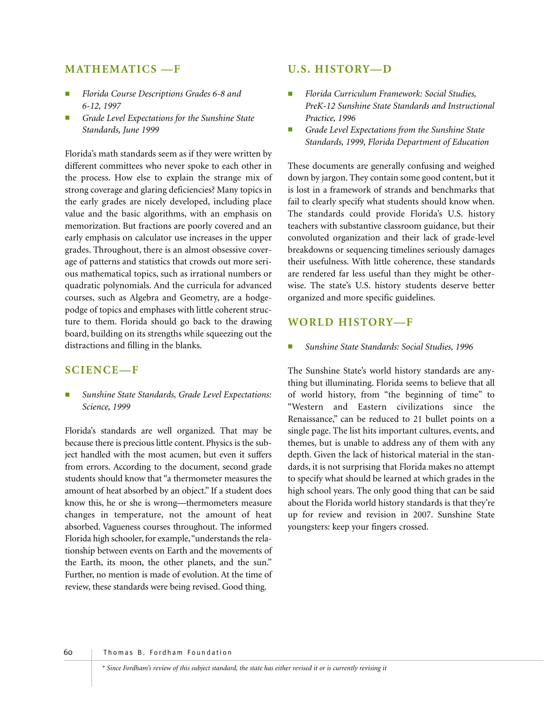#### **MATHEMATICS —F**

- *Florida Course Descriptions Grades 6-8 and 6-12, 1997*
- Grade Level Expectations for the Sunshine State *Standards, June 1999*

Florida's math standards seem as if they were written by different committees who never spoke to each other in the process. How else to explain the strange mix of strong coverage and glaring deficiencies? Many topics in the early grades are nicely developed, including place value and the basic algorithms, with an emphasis on memorization. But fractions are poorly covered and an early emphasis on calculator use increases in the upper grades. Throughout, there is an almost obsessive coverage of patterns and statistics that crowds out more serious mathematical topics, such as irrational numbers or quadratic polynomials. And the curricula for advanced courses, such as Algebra and Geometry, are a hodgepodge of topics and emphases with little coherent structure to them. Florida should go back to the drawing board, building on its strengths while squeezing out the distractions and filling in the blanks.

#### **SCIENCE—F**

Sunshine State Standards, Grade Level Expectations: *Science, 1999*

Florida's standards are well organized. That may be because there is precious little content. Physics is the subject handled with the most acumen, but even it suffers from errors. According to the document, second grade students should know that "a thermometer measures the amount of heat absorbed by an object." If a student does know this, he or she is wrong—thermometers measure changes in temperature, not the amount of heat absorbed. Vagueness courses throughout. The informed Florida high schooler, for example, "understands the relationship between events on Earth and the movements of the Earth, its moon, the other planets, and the sun." Further, no mention is made of evolution. At the time of review, these standards were being revised. Good thing.

#### **U.S. HISTORY—D**

- *Florida Curriculum Framework: Social Studies, PreK-12 Sunshine State Standards and Instructional Practice, 1996*
- Grade Level Expectations from the Sunshine State *Standards, 1999, Florida Department of Education*

These documents are generally confusing and weighed down by jargon. They contain some good content, but it is lost in a framework of strands and benchmarks that fail to clearly specify what students should know when. The standards could provide Florida's U.S. history teachers with substantive classroom guidance, but their convoluted organization and their lack of grade-level breakdowns or sequencing timelines seriously damages their usefulness. With little coherence, these standards are rendered far less useful than they might be otherwise. The state's U.S. history students deserve better organized and more specific guidelines.

#### **WORLD HISTORY—F**

■ *Sunshine State Standards: Social Studies, 1996*

The Sunshine State's world history standards are anything but illuminating. Florida seems to believe that all of world history, from "the beginning of time" to "Western and Eastern civilizations since the Renaissance," can be reduced to 21 bullet points on a single page. The list hits important cultures, events, and themes, but is unable to address any of them with any depth. Given the lack of historical material in the standards, it is not surprising that Florida makes no attempt to specify what should be learned at which grades in the high school years. The only good thing that can be said about the Florida world history standards is that they're up for review and revision in 2007. Sunshine State youngsters: keep your fingers crossed.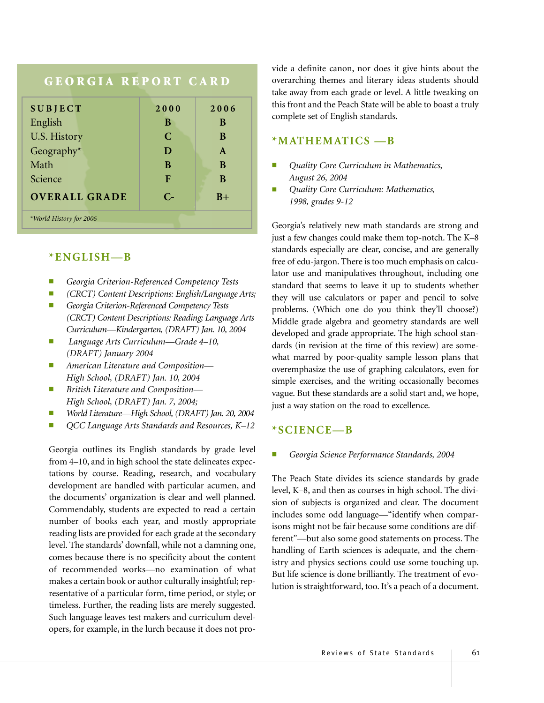# **GEORGIA REPORT CARD**

| <b>SUBJECT</b>          | 2000      | 2006         |  |
|-------------------------|-----------|--------------|--|
| English                 | B         | B            |  |
| <b>U.S. History</b>     | C         | B            |  |
| Geography*              | D         | $\mathbf{A}$ |  |
| Math                    | B         | B            |  |
| Science                 | F         | B            |  |
| <b>OVERALL GRADE</b>    | $C_{\pm}$ | $B+$         |  |
| *World History for 2006 |           |              |  |

### **\*ENGLISH—B**

- *Georgia Criterion-Referenced Competency Tests*
- *(CRCT) Content Descriptions: English/Language Arts;*
- Georgia Criterion-Referenced Competency Tests *(CRCT) Content Descriptions: Reading; Language Arts Curriculum—Kindergarten, (DRAFT) Jan. 10, 2004*
- *Language Arts Curriculum—Grade 4–10, (DRAFT) January 2004*
- *American Literature and Composition— High School, (DRAFT) Jan. 10, 2004*
- *British Literature and Composition— High School, (DRAFT) Jan. 7, 2004;*
- *World Literature—High School, (DRAFT) Jan. 20, 2004*
- *QCC Language Arts Standards and Resources, K–12*

Georgia outlines its English standards by grade level from 4–10, and in high school the state delineates expectations by course. Reading, research, and vocabulary development are handled with particular acumen, and the documents' organization is clear and well planned. Commendably, students are expected to read a certain number of books each year, and mostly appropriate reading lists are provided for each grade at the secondary level. The standards' downfall, while not a damning one, comes because there is no specificity about the content of recommended works—no examination of what makes a certain book or author culturally insightful; representative of a particular form, time period, or style; or timeless. Further, the reading lists are merely suggested. Such language leaves test makers and curriculum developers, for example, in the lurch because it does not provide a definite canon, nor does it give hints about the overarching themes and literary ideas students should take away from each grade or level. A little tweaking on this front and the Peach State will be able to boast a truly complete set of English standards.

#### **\*MATHEMATICS —B**

- *Quality Core Curriculum in Mathematics, August 26, 2004*
- *Quality Core Curriculum: Mathematics, 1998, grades 9-12*

Georgia's relatively new math standards are strong and just a few changes could make them top-notch. The K–8 standards especially are clear, concise, and are generally free of edu-jargon. There is too much emphasis on calculator use and manipulatives throughout, including one standard that seems to leave it up to students whether they will use calculators or paper and pencil to solve problems. (Which one do you think they'll choose?) Middle grade algebra and geometry standards are well developed and grade appropriate. The high school standards (in revision at the time of this review) are somewhat marred by poor-quality sample lesson plans that overemphasize the use of graphing calculators, even for simple exercises, and the writing occasionally becomes vague. But these standards are a solid start and, we hope, just a way station on the road to excellence.

#### **\*SCIENCE—B**

#### ■ *Georgia Science Performance Standards, 2004*

The Peach State divides its science standards by grade level, K–8, and then as courses in high school. The division of subjects is organized and clear. The document includes some odd language—"identify when comparisons might not be fair because some conditions are different"—but also some good statements on process. The handling of Earth sciences is adequate, and the chemistry and physics sections could use some touching up. But life science is done brilliantly. The treatment of evolution is straightforward, too. It's a peach of a document.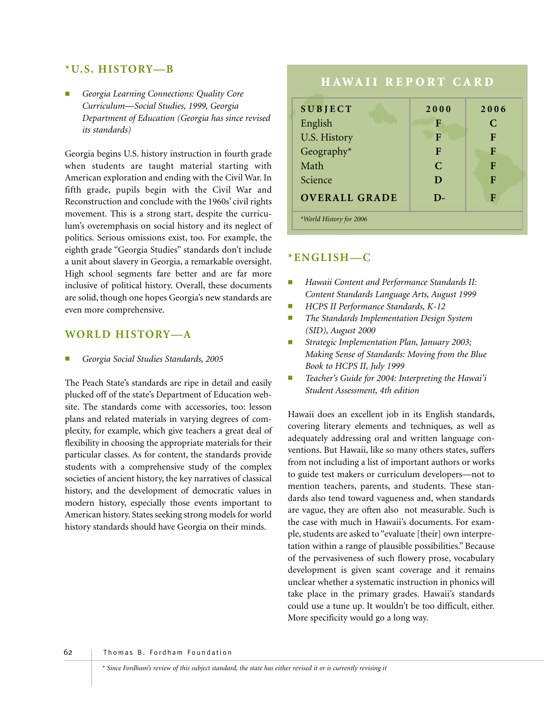#### **\*U.S. HISTORY—B**

■ *Georgia Learning Connections: Quality Core Curriculum—Social Studies, 1999, Georgia Department of Education (Georgia has since revised its standards)*

Georgia begins U.S. history instruction in fourth grade when students are taught material starting with American exploration and ending with the Civil War. In fifth grade, pupils begin with the Civil War and Reconstruction and conclude with the 1960s' civil rights movement. This is a strong start, despite the curriculum's overemphasis on social history and its neglect of politics. Serious omissions exist, too. For example, the eighth grade "Georgia Studies" standards don't include a unit about slavery in Georgia, a remarkable oversight. High school segments fare better and are far more inclusive of political history. Overall, these documents are solid, though one hopes Georgia's new standards are even more comprehensive.

#### **WORLD HISTORY—A**

■ *Georgia Social Studies Standards, 2005*

The Peach State's standards are ripe in detail and easily plucked off of the state's Department of Education website. The standards come with accessories, too: lesson plans and related materials in varying degrees of complexity, for example, which give teachers a great deal of flexibility in choosing the appropriate materials for their particular classes. As for content, the standards provide students with a comprehensive study of the complex societies of ancient history, the key narratives of classical history, and the development of democratic values in modern history, especially those events important to American history. States seeking strong models for world history standards should have Georgia on their minds.

# **HAWAII REPORT CARD**

| <b>SUBJECT</b>          | 2000          | 2006 |
|-------------------------|---------------|------|
| English                 | F             | C    |
| U.S. History            | F             | F    |
| Geography*              | F             | F    |
| Math                    | $\mathcal{C}$ | F    |
| Science                 | D             | F    |
| <b>OVERALL GRADE</b>    | D-            | F    |
| *World History for 2006 |               |      |

#### **\*ENGLISH—C**

- **Hawaii Content and Performance Standards II:** *Content Standards Language Arts, August 1999*
- *HCPS II Performance Standards, K-12*
- *The Standards Implementation Design System (SID), August 2000*
- *Strategic Implementation Plan, January 2003; Making Sense of Standards: Moving from the Blue Book to HCPS II, July 1999*
- Teacher's Guide for 2004: Interpreting the Hawai'i *Student Assessment, 4th edition*

Hawaii does an excellent job in its English standards, covering literary elements and techniques, as well as adequately addressing oral and written language conventions. But Hawaii, like so many others states, suffers from not including a list of important authors or works to guide test makers or curriculum developers—not to mention teachers, parents, and students. These standards also tend toward vagueness and, when standards are vague, they are often also not measurable. Such is the case with much in Hawaii's documents. For example, students are asked to "evaluate [their] own interpretation within a range of plausible possibilities." Because of the pervasiveness of such flowery prose, vocabulary development is given scant coverage and it remains unclear whether a systematic instruction in phonics will take place in the primary grades. Hawaii's standards could use a tune up. It wouldn't be too difficult, either. More specificity would go a long way.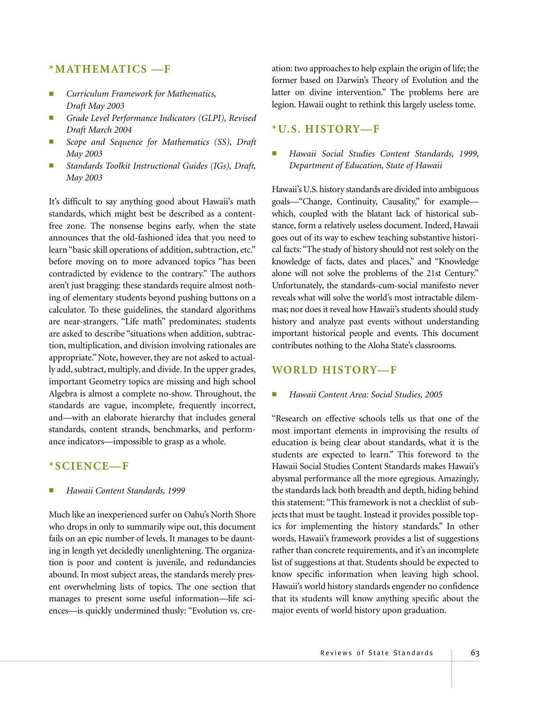#### **\*MATHEMATICS —F**

- *Curriculum Framework for Mathematics, Draft May 2003*
- Grade Level Performance Indicators (GLPI), Revised *Draft March 2004*
- Scope and Sequence for Mathematics (SS), Draft *May 2003*
- *Standards Toolkit Instructional Guides (IGs), Draft, May 2003*

It's difficult to say anything good about Hawaii's math standards, which might best be described as a contentfree zone. The nonsense begins early, when the state announces that the old-fashioned idea that you need to learn "basic skill operations of addition, subtraction, etc." before moving on to more advanced topics "has been contradicted by evidence to the contrary." The authors aren't just bragging: these standards require almost nothing of elementary students beyond pushing buttons on a calculator. To these guidelines, the standard algorithms are near-strangers. "Life math" predominates; students are asked to describe "situations when addition, subtraction, multiplication, and division involving rationales are appropriate." Note, however, they are not asked to actually add, subtract, multiply, and divide. In the upper grades, important Geometry topics are missing and high school Algebra is almost a complete no-show. Throughout, the standards are vague, incomplete, frequently incorrect, and—with an elaborate hierarchy that includes general standards, content strands, benchmarks, and performance indicators—impossible to grasp as a whole.

#### **\*SCIENCE—F**

#### ■ *Hawaii Content Standards, 1999*

Much like an inexperienced surfer on Oahu's North Shore who drops in only to summarily wipe out, this document fails on an epic number of levels. It manages to be daunting in length yet decidedly unenlightening. The organization is poor and content is juvenile, and redundancies abound. In most subject areas, the standards merely present overwhelming lists of topics. The one section that manages to present some useful information—life sciences—is quickly undermined thusly: "Evolution vs. cre-

ation: two approaches to help explain the origin of life; the former based on Darwin's Theory of Evolution and the latter on divine intervention." The problems here are legion. Hawaii ought to rethink this largely useless tome.

#### **\*U.S. HISTORY—F**

#### ■ *Hawaii Social Studies Content Standards, 1999, Department of Education, State of Hawaii*

Hawaii's U.S. history standards are divided into ambiguous goals—"Change, Continuity, Causality," for example which, coupled with the blatant lack of historical substance, form a relatively useless document. Indeed, Hawaii goes out of its way to eschew teaching substantive historical facts:"The study of history should not rest solely on the knowledge of facts, dates and places," and "Knowledge alone will not solve the problems of the 21st Century." Unfortunately, the standards-cum-social manifesto never reveals what will solve the world's most intractable dilemmas; nor does it reveal how Hawaii's students should study history and analyze past events without understanding important historical people and events. This document contributes nothing to the Aloha State's classrooms.

#### **WORLD HISTORY—F**

#### ■ *Hawaii Content Area: Social Studies, 2005*

"Research on effective schools tells us that one of the most important elements in improvising the results of education is being clear about standards, what it is the students are expected to learn." This foreword to the Hawaii Social Studies Content Standards makes Hawaii's abysmal performance all the more egregious. Amazingly, the standards lack both breadth and depth, hiding behind this statement: "This framework is not a checklist of subjects that must be taught. Instead it provides possible topics for implementing the history standards." In other words, Hawaii's framework provides a list of suggestions rather than concrete requirements, and it's an incomplete list of suggestions at that. Students should be expected to know specific information when leaving high school. Hawaii's world history standards engender no confidence that its students will know anything specific about the major events of world history upon graduation.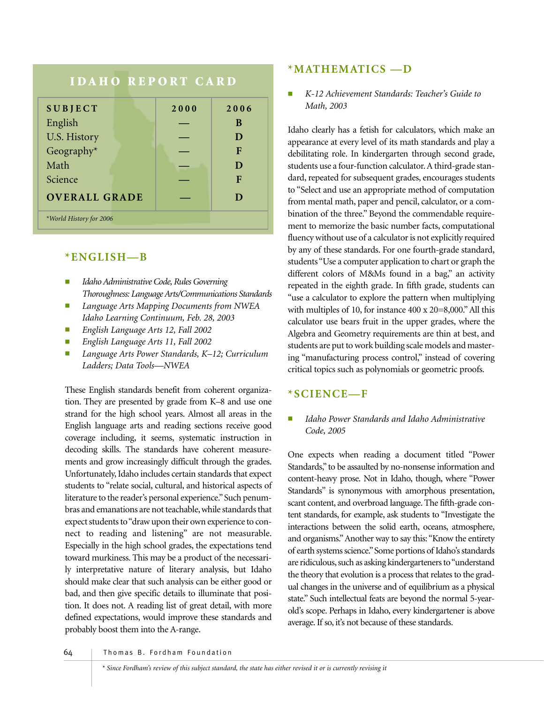# **IDAHO REPORT CARD**

| <b>SUBJECT</b>          | 2000 | 2006 |
|-------------------------|------|------|
| English                 |      | B    |
| U.S. History            |      | D    |
| Geography*              |      | F    |
| Math                    |      | D    |
| Science                 |      | F    |
| <b>OVERALL GRADE</b>    |      | D    |
| *World History for 2006 |      |      |

#### **\*ENGLISH—B**

- *Idaho Administrative Code, Rules Governing Thoroughness: Language Arts/Communications Standards*
- *Language Arts Mapping Documents from NWEA Idaho Learning Continuum, Feb. 28, 2003*
- *English Language Arts 12, Fall 2002*
- *English Language Arts 11, Fall 2002*
- *Language Arts Power Standards, K–12; Curriculum Ladders; Data Tools—NWEA*

These English standards benefit from coherent organization. They are presented by grade from K–8 and use one strand for the high school years. Almost all areas in the English language arts and reading sections receive good coverage including, it seems, systematic instruction in decoding skills. The standards have coherent measurements and grow increasingly difficult through the grades. Unfortunately, Idaho includes certain standards that expect students to "relate social, cultural, and historical aspects of literature to the reader's personal experience."Such penumbras and emanations are not teachable, while standards that expect students to "draw upon their own experience to connect to reading and listening" are not measurable. Especially in the high school grades, the expectations tend toward murkiness. This may be a product of the necessarily interpretative nature of literary analysis, but Idaho should make clear that such analysis can be either good or bad, and then give specific details to illuminate that position. It does not. A reading list of great detail, with more defined expectations, would improve these standards and probably boost them into the A-range.

#### **\*MATHEMATICS —D**

■ *K-12 Achievement Standards: Teacher's Guide to Math, 2003*

Idaho clearly has a fetish for calculators, which make an appearance at every level of its math standards and play a debilitating role. In kindergarten through second grade, students use a four-function calculator. A third-grade standard, repeated for subsequent grades, encourages students to "Select and use an appropriate method of computation from mental math, paper and pencil, calculator, or a combination of the three." Beyond the commendable requirement to memorize the basic number facts, computational fluency without use of a calculator is not explicitly required by any of these standards. For one fourth-grade standard, students "Use a computer application to chart or graph the different colors of M&Ms found in a bag," an activity repeated in the eighth grade. In fifth grade, students can "use a calculator to explore the pattern when multiplying with multiples of 10, for instance 400 x 20=8,000." All this calculator use bears fruit in the upper grades, where the Algebra and Geometry requirements are thin at best, and students are put to work building scale models and mastering "manufacturing process control," instead of covering critical topics such as polynomials or geometric proofs.

#### **\*SCIENCE—F**

#### ■ *Idaho Power Standards and Idaho Administrative Code, 2005*

One expects when reading a document titled "Power Standards," to be assaulted by no-nonsense information and content-heavy prose. Not in Idaho, though, where "Power Standards" is synonymous with amorphous presentation, scant content, and overbroad language. The fifth-grade content standards, for example, ask students to "Investigate the interactions between the solid earth, oceans, atmosphere, and organisms."Another way to say this: "Know the entirety of earth systems science."Some portions of Idaho's standards are ridiculous, such as asking kindergarteners to "understand the theory that evolution is a process that relates to the gradual changes in the universe and of equilibrium as a physical state." Such intellectual feats are beyond the normal 5-yearold's scope. Perhaps in Idaho, every kindergartener is above average. If so, it's not because of these standards.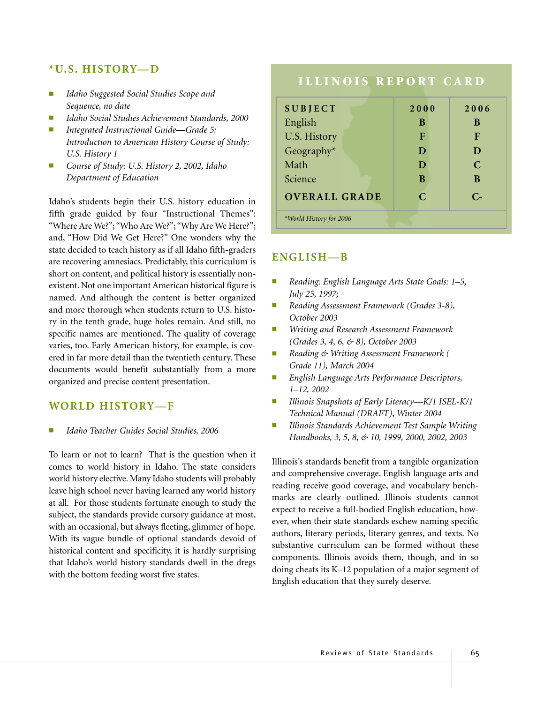#### **\*U.S. HISTORY—D**

- *Idaho Suggested Social Studies Scope and Sequence, no date*
- *Idaho Social Studies Achievement Standards, 2000*
- *Integrated Instructional Guide—Grade 5: Introduction to American History Course of Study: U.S. History 1*
- *Course of Study: U.S. History 2, 2002, Idaho Department of Education*

Idaho's students begin their U.S. history education in fifth grade guided by four "Instructional Themes": "Where Are We?"; "Who Are We?"; "Why Are We Here?"; and, "How Did We Get Here?" One wonders why the state decided to teach history as if all Idaho fifth-graders are recovering amnesiacs. Predictably, this curriculum is short on content, and political history is essentially nonexistent. Not one important American historical figure is named. And although the content is better organized and more thorough when students return to U.S. history in the tenth grade, huge holes remain. And still, no specific names are mentioned. The quality of coverage varies, too. Early American history, for example, is covered in far more detail than the twentieth century. These documents would benefit substantially from a more organized and precise content presentation.

#### **WORLD HISTORY—F**

■ *Idaho Teacher Guides Social Studies, 2006*

To learn or not to learn? That is the question when it comes to world history in Idaho. The state considers world history elective. Many Idaho students will probably leave high school never having learned any world history at all. For those students fortunate enough to study the subject, the standards provide cursory guidance at most, with an occasional, but always fleeting, glimmer of hope. With its vague bundle of optional standards devoid of historical content and specificity, it is hardly surprising that Idaho's world history standards dwell in the dregs with the bottom feeding worst five states.

# **ILLINOIS REPORT CARD**

| <b>SUBJECT</b>          | 2000                        | 2006          |
|-------------------------|-----------------------------|---------------|
| English                 | B                           | B             |
| U.S. History            | F                           | F             |
| Geography*              | D                           | D             |
| Math                    | D                           | $\mathcal{C}$ |
| Science                 | B                           | B             |
| <b>OVERALL GRADE</b>    | $\mathcal{C}_{\mathcal{C}}$ | $C-$          |
| *World History for 2006 |                             |               |

### **ENGLISH—B**

- *Reading: English Language Arts State Goals: 1–5, July 25, 1997;*
- *Reading Assessment Framework (Grades 3-8), October 2003*
- *Writing and Research Assessment Framework (Grades 3, 4, 6, & 8), October 2003*
- *Reading & Writing Assessment Framework ( Grade 11), March 2004*
- *English Language Arts Performance Descriptors, 1–12, 2002*
- *Illinois Snapshots of Early Literacy—K/1 ISEL-K/1 Technical Manual (DRAFT), Winter 2004*
- *Illinois Standards Achievement Test Sample Writing Handbooks, 3, 5, 8, & 10, 1999, 2000, 2002, 2003*

Illinois's standards benefit from a tangible organization and comprehensive coverage. English language arts and reading receive good coverage, and vocabulary benchmarks are clearly outlined. Illinois students cannot expect to receive a full-bodied English education, however, when their state standards eschew naming specific authors, literary periods, literary genres, and texts. No substantive curriculum can be formed without these components. Illinois avoids them, though, and in so doing cheats its K–12 population of a major segment of English education that they surely deserve.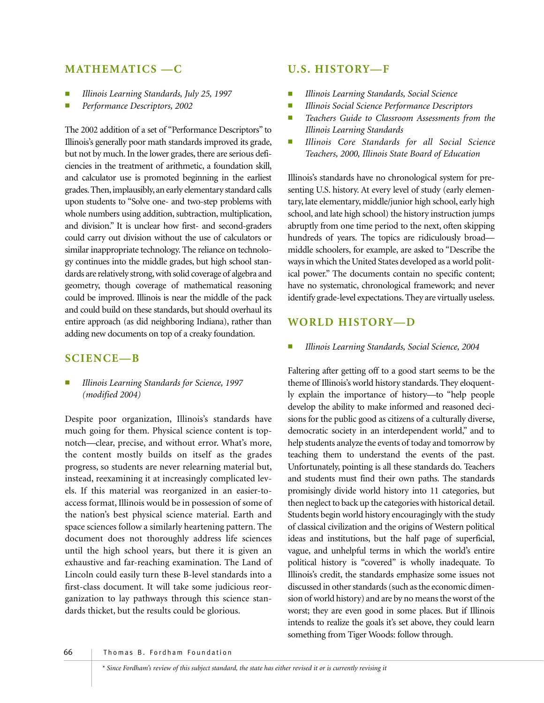## **MATHEMATICS —C**

- *Illinois Learning Standards, July 25, 1997*
- Performance Descriptors, 2002

The 2002 addition of a set of "Performance Descriptors" to Illinois's generally poor math standards improved its grade, but not by much. In the lower grades, there are serious deficiencies in the treatment of arithmetic, a foundation skill, and calculator use is promoted beginning in the earliest grades.Then,implausibly,an early elementary standard calls upon students to "Solve one- and two-step problems with whole numbers using addition, subtraction, multiplication, and division." It is unclear how first- and second-graders could carry out division without the use of calculators or similar inappropriate technology. The reliance on technology continues into the middle grades, but high school standards are relatively strong, with solid coverage of algebra and geometry, though coverage of mathematical reasoning could be improved. Illinois is near the middle of the pack and could build on these standards, but should overhaul its entire approach (as did neighboring Indiana), rather than adding new documents on top of a creaky foundation.

## **SCIENCE—B**

■ *Illinois Learning Standards for Science, 1997 (modified 2004)*

Despite poor organization, Illinois's standards have much going for them. Physical science content is topnotch—clear, precise, and without error. What's more, the content mostly builds on itself as the grades progress, so students are never relearning material but, instead, reexamining it at increasingly complicated levels. If this material was reorganized in an easier-toaccess format, Illinois would be in possession of some of the nation's best physical science material. Earth and space sciences follow a similarly heartening pattern. The document does not thoroughly address life sciences until the high school years, but there it is given an exhaustive and far-reaching examination. The Land of Lincoln could easily turn these B-level standards into a first-class document. It will take some judicious reorganization to lay pathways through this science standards thicket, but the results could be glorious.

#### **U.S. HISTORY—F**

- *Illinois Learning Standards, Social Science*
- *Illinois Social Science Performance Descriptors*
- Teachers Guide to Classroom Assessments from the *Illinois Learning Standards*
- *Illinois Core Standards for all Social Science Teachers, 2000, Illinois State Board of Education*

Illinois's standards have no chronological system for presenting U.S. history. At every level of study (early elementary, late elementary, middle/junior high school, early high school, and late high school) the history instruction jumps abruptly from one time period to the next, often skipping hundreds of years. The topics are ridiculously broad middle schoolers, for example, are asked to "Describe the ways in which the United States developed as a world political power." The documents contain no specific content; have no systematic, chronological framework; and never identify grade-level expectations. They are virtually useless.

### **WORLD HISTORY—D**

■ *Illinois Learning Standards, Social Science, 2004*

Faltering after getting off to a good start seems to be the theme of Illinois's world history standards. They eloquently explain the importance of history—to "help people develop the ability to make informed and reasoned decisions for the public good as citizens of a culturally diverse, democratic society in an interdependent world," and to help students analyze the events of today and tomorrow by teaching them to understand the events of the past. Unfortunately, pointing is all these standards do. Teachers and students must find their own paths. The standards promisingly divide world history into 11 categories, but then neglect to back up the categories with historical detail. Students begin world history encouragingly with the study of classical civilization and the origins of Western political ideas and institutions, but the half page of superficial, vague, and unhelpful terms in which the world's entire political history is "covered" is wholly inadequate. To Illinois's credit, the standards emphasize some issues not discussed in other standards (such as the economic dimension of world history) and are by no means the worst of the worst; they are even good in some places. But if Illinois intends to realize the goals it's set above, they could learn something from Tiger Woods: follow through.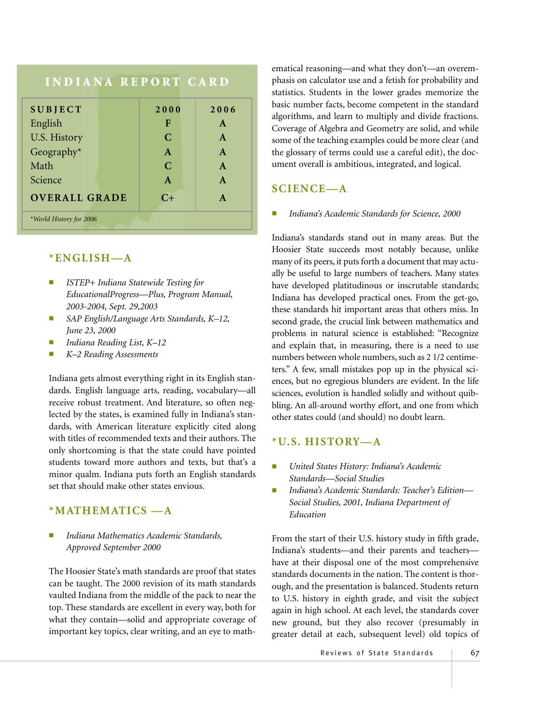| <b>INDIANA REPORT CARD</b> |              |              |
|----------------------------|--------------|--------------|
| <b>SUBJECT</b>             | 2000         | 2006         |
| English                    | F            | $\mathbf{A}$ |
| U.S. History               | $\mathbf C$  | $\mathbf{A}$ |
| Geography*                 | $\mathbf{A}$ | $\mathbf{A}$ |
| Math                       | C            | $\mathbf{A}$ |
| Science                    | $\mathbf{A}$ | $\mathbf{A}$ |
| <b>OVERALL GRADE</b>       | $C+$         | $\mathbf{A}$ |
| *World History for 2006    |              |              |

## **\*ENGLISH—A**

- *ISTEP+ Indiana Statewide Testing for EducationalProgress—Plus, Program Manual, 2003-2004, Sept. 29,2003*
- *SAP English/Language Arts Standards, K–12, June 23, 2000*
- *Indiana Reading List, K–12*
- *K–2 Reading Assessments*

Indiana gets almost everything right in its English standards. English language arts, reading, vocabulary—all receive robust treatment. And literature, so often neglected by the states, is examined fully in Indiana's standards, with American literature explicitly cited along with titles of recommended texts and their authors. The only shortcoming is that the state could have pointed students toward more authors and texts, but that's a minor qualm. Indiana puts forth an English standards set that should make other states envious.

# **\*MATHEMATICS —A**

■ *Indiana Mathematics Academic Standards, Approved September 2000*

The Hoosier State's math standards are proof that states can be taught. The 2000 revision of its math standards vaulted Indiana from the middle of the pack to near the top. These standards are excellent in every way, both for what they contain—solid and appropriate coverage of important key topics, clear writing, and an eye to math-

ematical reasoning—and what they don't—an overemphasis on calculator use and a fetish for probability and statistics. Students in the lower grades memorize the basic number facts, become competent in the standard algorithms, and learn to multiply and divide fractions. Coverage of Algebra and Geometry are solid, and while some of the teaching examples could be more clear (and the glossary of terms could use a careful edit), the document overall is ambitious, integrated, and logical.

# **SCIENCE—A**

Indiana's Academic Standards for Science, 2000

Indiana's standards stand out in many areas. But the Hoosier State succeeds most notably because, unlike many of its peers, it puts forth a document that may actually be useful to large numbers of teachers. Many states have developed platitudinous or inscrutable standards; Indiana has developed practical ones. From the get-go, these standards hit important areas that others miss. In second grade, the crucial link between mathematics and problems in natural science is established: "Recognize and explain that, in measuring, there is a need to use numbers between whole numbers, such as 2 1/2 centimeters." A few, small mistakes pop up in the physical sciences, but no egregious blunders are evident. In the life sciences, evolution is handled solidly and without quibbling. An all-around worthy effort, and one from which other states could (and should) no doubt learn.

# **\*U.S. HISTORY—A**

- *United States History: Indiana's Academic Standards—Social Studies*
- *Indiana's Academic Standards: Teacher's Edition— Social Studies, 2001, Indiana Department of Education*

From the start of their U.S. history study in fifth grade, Indiana's students—and their parents and teachers have at their disposal one of the most comprehensive standards documents in the nation. The content is thorough, and the presentation is balanced. Students return to U.S. history in eighth grade, and visit the subject again in high school. At each level, the standards cover new ground, but they also recover (presumably in greater detail at each, subsequent level) old topics of

Reviews of State Standards | 67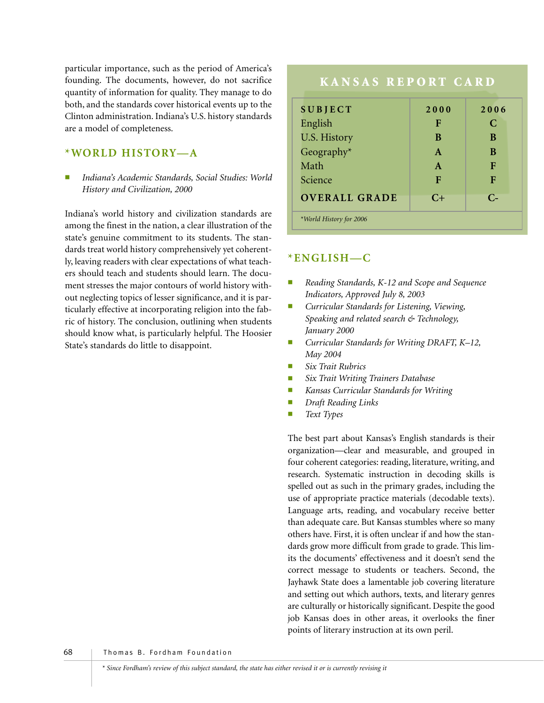particular importance, such as the period of America's founding. The documents, however, do not sacrifice quantity of information for quality. They manage to do both, and the standards cover historical events up to the Clinton administration. Indiana's U.S. history standards are a model of completeness.

## **\*WORLD HISTORY—A**

■ *Indiana's Academic Standards, Social Studies: World History and Civilization, 2000*

Indiana's world history and civilization standards are among the finest in the nation, a clear illustration of the state's genuine commitment to its students. The standards treat world history comprehensively yet coherently, leaving readers with clear expectations of what teachers should teach and students should learn. The document stresses the major contours of world history without neglecting topics of lesser significance, and it is particularly effective at incorporating religion into the fabric of history. The conclusion, outlining when students should know what, is particularly helpful. The Hoosier State's standards do little to disappoint.

# **KANSAS REPORT CARD SUBJECT 2000 2006** English **F C** U.S. History **B** B B Geography\* **A B** Math **A F** Science **F F F OVERALL GRADE C+ C-** *\*World History for 2006*

# **\*ENGLISH—C**

- Reading Standards, K-12 and Scope and Sequence *Indicators, Approved July 8, 2003*
- *Curricular Standards for Listening, Viewing, Speaking and related search & Technology, January 2000*
- *Curricular Standards for Writing DRAFT, K–12, May 2004*
- *Six Trait Rubrics*
- $Six$  *Trait Writing Trainers Database*
- *Kansas Curricular Standards for Writing*
- *Draft Reading Links*
- *Text Types*

The best part about Kansas's English standards is their organization—clear and measurable, and grouped in four coherent categories: reading, literature, writing, and research. Systematic instruction in decoding skills is spelled out as such in the primary grades, including the use of appropriate practice materials (decodable texts). Language arts, reading, and vocabulary receive better than adequate care. But Kansas stumbles where so many others have. First, it is often unclear if and how the standards grow more difficult from grade to grade. This limits the documents' effectiveness and it doesn't send the correct message to students or teachers. Second, the Jayhawk State does a lamentable job covering literature and setting out which authors, texts, and literary genres are culturally or historically significant. Despite the good job Kansas does in other areas, it overlooks the finer points of literary instruction at its own peril.

68 Thomas B. Fordham Foundation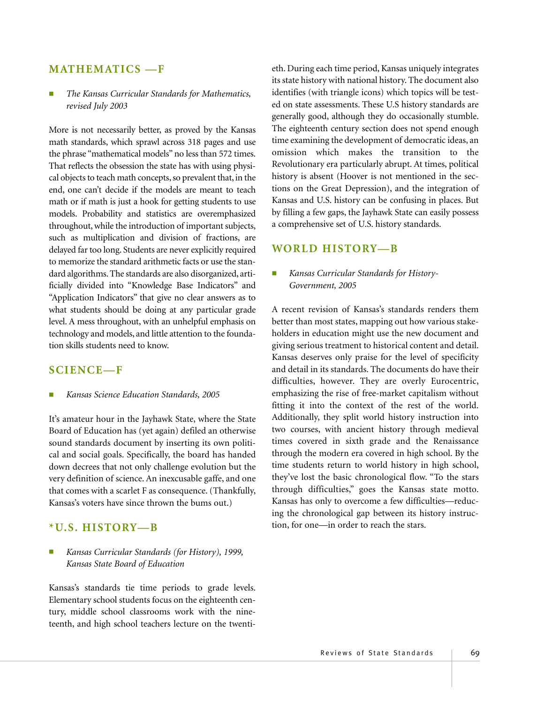#### **MATHEMATICS —F**

#### ■ *The Kansas Curricular Standards for Mathematics, revised July 2003*

More is not necessarily better, as proved by the Kansas math standards, which sprawl across 318 pages and use the phrase "mathematical models" no less than 572 times. That reflects the obsession the state has with using physical objects to teach math concepts, so prevalent that, in the end, one can't decide if the models are meant to teach math or if math is just a hook for getting students to use models. Probability and statistics are overemphasized throughout, while the introduction of important subjects, such as multiplication and division of fractions, are delayed far too long. Students are never explicitly required to memorize the standard arithmetic facts or use the standard algorithms. The standards are also disorganized, artificially divided into "Knowledge Base Indicators" and "Application Indicators" that give no clear answers as to what students should be doing at any particular grade level. A mess throughout, with an unhelpful emphasis on technology and models, and little attention to the foundation skills students need to know.

### **SCIENCE—F**

■ *Kansas Science Education Standards, 2005*

It's amateur hour in the Jayhawk State, where the State Board of Education has (yet again) defiled an otherwise sound standards document by inserting its own political and social goals. Specifically, the board has handed down decrees that not only challenge evolution but the very definition of science. An inexcusable gaffe, and one that comes with a scarlet F as consequence. (Thankfully, Kansas's voters have since thrown the bums out.)

#### **\*U.S. HISTORY—B**

#### ■ *Kansas Curricular Standards (for History), 1999, Kansas State Board of Education*

Kansas's standards tie time periods to grade levels. Elementary school students focus on the eighteenth century, middle school classrooms work with the nineteenth, and high school teachers lecture on the twentieth. During each time period, Kansas uniquely integrates its state history with national history. The document also identifies (with triangle icons) which topics will be tested on state assessments. These U.S history standards are generally good, although they do occasionally stumble. The eighteenth century section does not spend enough time examining the development of democratic ideas, an omission which makes the transition to the Revolutionary era particularly abrupt. At times, political history is absent (Hoover is not mentioned in the sections on the Great Depression), and the integration of Kansas and U.S. history can be confusing in places. But by filling a few gaps, the Jayhawk State can easily possess a comprehensive set of U.S. history standards.

#### **WORLD HISTORY—B**

#### ■ *Kansas Curricular Standards for History-Government, 2005*

A recent revision of Kansas's standards renders them better than most states, mapping out how various stakeholders in education might use the new document and giving serious treatment to historical content and detail. Kansas deserves only praise for the level of specificity and detail in its standards. The documents do have their difficulties, however. They are overly Eurocentric, emphasizing the rise of free-market capitalism without fitting it into the context of the rest of the world. Additionally, they split world history instruction into two courses, with ancient history through medieval times covered in sixth grade and the Renaissance through the modern era covered in high school. By the time students return to world history in high school, they've lost the basic chronological flow. "To the stars through difficulties," goes the Kansas state motto. Kansas has only to overcome a few difficulties—reducing the chronological gap between its history instruction, for one—in order to reach the stars.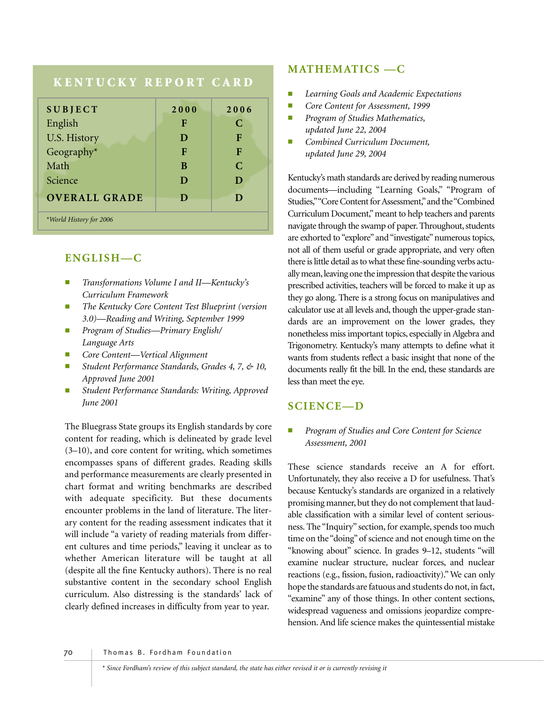# **KENTUCKY REPORT CARD**

| <b>SUBJECT</b>          | 2000 | 2006 |
|-------------------------|------|------|
| English                 | F    | C    |
| U.S. History            | D    | F    |
| Geography*              | F    | F    |
| Math                    | B    | C    |
| Science                 | D    | D    |
| <b>OVERALL GRADE</b>    | D    | D    |
| *World History for 2006 |      |      |

## **ENGLISH—C**

- *Transformations Volume I and II—Kentucky's Curriculum Framework*
- *The Kentucky Core Content Test Blueprint (version 3.0)—Reading and Writing, September 1999*
- *Program of Studies—Primary English/ Language Arts*
- *Core Content—Vertical Alignment*
- *Student Performance Standards, Grades 4, 7, & 10, Approved June 2001*
- Student Performance Standards: Writing, Approved *June 2001*

The Bluegrass State groups its English standards by core content for reading, which is delineated by grade level (3–10), and core content for writing, which sometimes encompasses spans of different grades. Reading skills and performance measurements are clearly presented in chart format and writing benchmarks are described with adequate specificity. But these documents encounter problems in the land of literature. The literary content for the reading assessment indicates that it will include "a variety of reading materials from different cultures and time periods," leaving it unclear as to whether American literature will be taught at all (despite all the fine Kentucky authors). There is no real substantive content in the secondary school English curriculum. Also distressing is the standards' lack of clearly defined increases in difficulty from year to year.

# **MATHEMATICS —C**

- *Learning Goals and Academic Expectations*
- *Core Content for Assessment, 1999*
- *Program of Studies Mathematics, updated June 22, 2004*
- *Combined Curriculum Document, updated June 29, 2004*

Kentucky's math standards are derived by reading numerous documents—including "Learning Goals," "Program of Studies,""Core Content for Assessment,"and the "Combined Curriculum Document," meant to help teachers and parents navigate through the swamp of paper. Throughout, students are exhorted to "explore" and "investigate" numerous topics, not all of them useful or grade appropriate, and very often there is little detail as to what these fine-sounding verbs actually mean, leaving one the impression that despite the various prescribed activities, teachers will be forced to make it up as they go along. There is a strong focus on manipulatives and calculator use at all levels and, though the upper-grade standards are an improvement on the lower grades, they nonetheless miss important topics, especially in Algebra and Trigonometry. Kentucky's many attempts to define what it wants from students reflect a basic insight that none of the documents really fit the bill. In the end, these standards are less than meet the eye.

## **SCIENCE—D**

**Program of Studies and Core Content for Science** *Assessment, 2001*

These science standards receive an A for effort. Unfortunately, they also receive a D for usefulness. That's because Kentucky's standards are organized in a relatively promising manner, but they do not complement that laudable classification with a similar level of content seriousness. The "Inquiry" section, for example, spends too much time on the "doing" of science and not enough time on the "knowing about" science. In grades 9–12, students "will examine nuclear structure, nuclear forces, and nuclear reactions (e.g., fission, fusion, radioactivity)." We can only hope the standards are fatuous and students do not, in fact, "examine" any of those things. In other content sections, widespread vagueness and omissions jeopardize comprehension. And life science makes the quintessential mistake

70 Thomas B. Fordham Foundation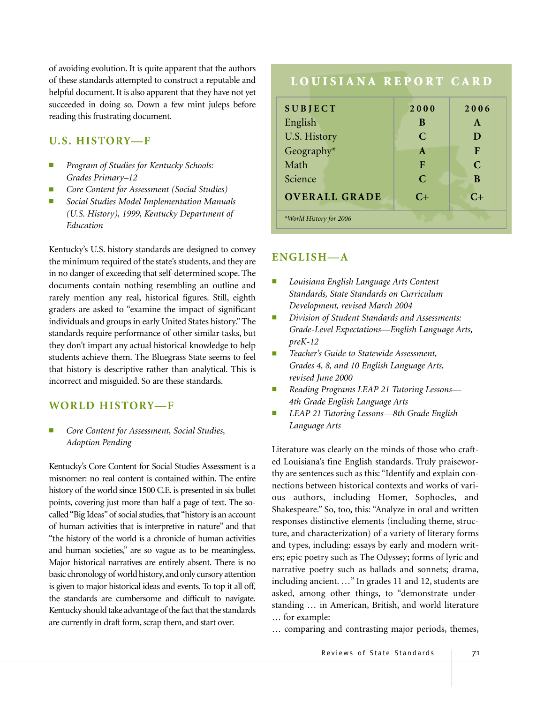of avoiding evolution. It is quite apparent that the authors of these standards attempted to construct a reputable and helpful document. It is also apparent that they have not yet succeeded in doing so. Down a few mint juleps before reading this frustrating document.

#### **U.S. HISTORY—F**

- *Program of Studies for Kentucky Schools: Grades Primary–12*
- *Core Content for Assessment (Social Studies)*
- *Social Studies Model Implementation Manuals (U.S. History), 1999, Kentucky Department of Education*

Kentucky's U.S. history standards are designed to convey the minimum required of the state's students, and they are in no danger of exceeding that self-determined scope. The documents contain nothing resembling an outline and rarely mention any real, historical figures. Still, eighth graders are asked to "examine the impact of significant individuals and groups in early United States history." The standards require performance of other similar tasks, but they don't impart any actual historical knowledge to help students achieve them. The Bluegrass State seems to feel that history is descriptive rather than analytical. This is incorrect and misguided. So are these standards.

### **WORLD HISTORY—F**

■ *Core Content for Assessment, Social Studies, Adoption Pending*

Kentucky's Core Content for Social Studies Assessment is a misnomer: no real content is contained within. The entire history of the world since 1500 C.E. is presented in six bullet points, covering just more than half a page of text. The socalled "Big Ideas"of social studies, that "history is an account of human activities that is interpretive in nature" and that "the history of the world is a chronicle of human activities and human societies," are so vague as to be meaningless. Major historical narratives are entirely absent. There is no basic chronology of world history, and only cursory attention is given to major historical ideas and events. To top it all off, the standards are cumbersome and difficult to navigate. Kentucky should take advantage of the fact that the standards are currently in draft form, scrap them, and start over.

# **LOUISIANA REPORT CARD**

| <b>SUBJECT</b>          | 2000          | 2006         |
|-------------------------|---------------|--------------|
| English                 | B             | $\mathbf{A}$ |
| U.S. History            | $\mathcal{C}$ | D            |
| Geography*              | $\mathbf{A}$  | F            |
| Math                    | F             | $\mathsf{C}$ |
| Science                 | $\mathcal{C}$ | B            |
| <b>OVERALL GRADE</b>    | $C+$          | $C_{\pm}$    |
| *World History for 2006 |               |              |

### **ENGLISH—A**

- *Louisiana English Language Arts Content Standards, State Standards on Curriculum Development, revised March 2004*
- *Division of Student Standards and Assessments: Grade-Level Expectations—English Language Arts, preK-12*
- *Teacher's Guide to Statewide Assessment, Grades 4, 8, and 10 English Language Arts, revised June 2000*
- *Reading Programs LEAP 21 Tutoring Lessons— 4th Grade English Language Arts*
- *LEAP 21 Tutoring Lessons—8th Grade English Language Arts*

Literature was clearly on the minds of those who crafted Louisiana's fine English standards. Truly praiseworthy are sentences such as this: "Identify and explain connections between historical contexts and works of various authors, including Homer, Sophocles, and Shakespeare." So, too, this: "Analyze in oral and written responses distinctive elements (including theme, structure, and characterization) of a variety of literary forms and types, including: essays by early and modern writers; epic poetry such as The Odyssey; forms of lyric and narrative poetry such as ballads and sonnets; drama, including ancient. …" In grades 11 and 12, students are asked, among other things, to "demonstrate understanding … in American, British, and world literature … for example:

… comparing and contrasting major periods, themes,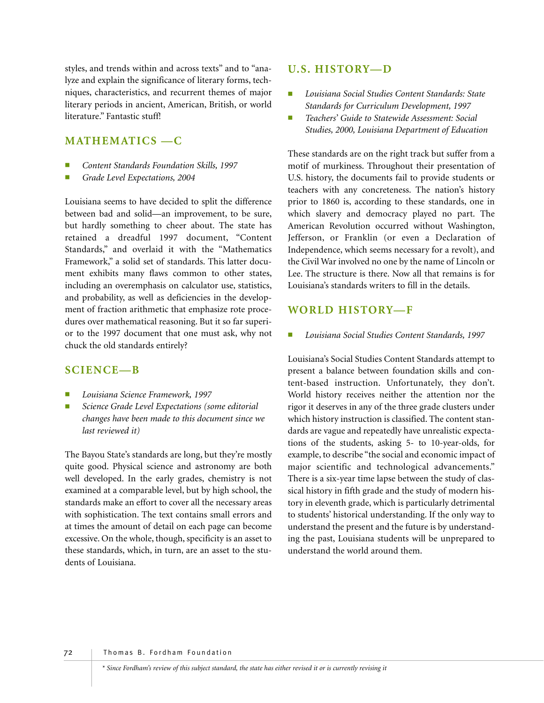styles, and trends within and across texts" and to "analyze and explain the significance of literary forms, techniques, characteristics, and recurrent themes of major literary periods in ancient, American, British, or world literature." Fantastic stuff!

# **MATHEMATICS —C**

- *Content Standards Foundation Skills, 1997*
- *Grade Level Expectations, 2004*

Louisiana seems to have decided to split the difference between bad and solid—an improvement, to be sure, but hardly something to cheer about. The state has retained a dreadful 1997 document, "Content Standards," and overlaid it with the "Mathematics Framework," a solid set of standards. This latter document exhibits many flaws common to other states, including an overemphasis on calculator use, statistics, and probability, as well as deficiencies in the development of fraction arithmetic that emphasize rote procedures over mathematical reasoning. But it so far superior to the 1997 document that one must ask, why not chuck the old standards entirely?

## **SCIENCE—B**

- *Louisiana Science Framework, 1997*
- $Science$  *Grade Level Expectations (some editorial changes have been made to this document since we last reviewed it)*

The Bayou State's standards are long, but they're mostly quite good. Physical science and astronomy are both well developed. In the early grades, chemistry is not examined at a comparable level, but by high school, the standards make an effort to cover all the necessary areas with sophistication. The text contains small errors and at times the amount of detail on each page can become excessive. On the whole, though, specificity is an asset to these standards, which, in turn, are an asset to the students of Louisiana.

#### **U.S. HISTORY—D**

- *Louisiana Social Studies Content Standards: State Standards for Curriculum Development, 1997*
- *Teachers' Guide to Statewide Assessment: Social Studies, 2000, Louisiana Department of Education*

These standards are on the right track but suffer from a motif of murkiness. Throughout their presentation of U.S. history, the documents fail to provide students or teachers with any concreteness. The nation's history prior to 1860 is, according to these standards, one in which slavery and democracy played no part. The American Revolution occurred without Washington, Jefferson, or Franklin (or even a Declaration of Independence, which seems necessary for a revolt), and the Civil War involved no one by the name of Lincoln or Lee. The structure is there. Now all that remains is for Louisiana's standards writers to fill in the details.

## **WORLD HISTORY—F**

■ *Louisiana Social Studies Content Standards, 1997*

Louisiana's Social Studies Content Standards attempt to present a balance between foundation skills and content-based instruction. Unfortunately, they don't. World history receives neither the attention nor the rigor it deserves in any of the three grade clusters under which history instruction is classified. The content standards are vague and repeatedly have unrealistic expectations of the students, asking 5- to 10-year-olds, for example, to describe "the social and economic impact of major scientific and technological advancements." There is a six-year time lapse between the study of classical history in fifth grade and the study of modern history in eleventh grade, which is particularly detrimental to students' historical understanding. If the only way to understand the present and the future is by understanding the past, Louisiana students will be unprepared to understand the world around them.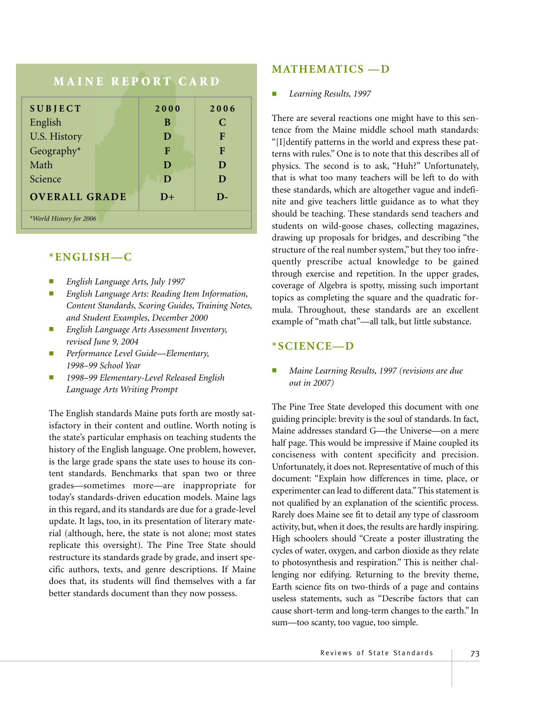## **MAINE REPORT CARD**

| <b>SUBJECT</b>          | 2000 | 2006 |
|-------------------------|------|------|
| English                 | B    | C    |
| U.S. History            | D    | F    |
| Geography*              | F    | F    |
| Math                    | D    | D    |
| Science                 | D    | D    |
| <b>OVERALL GRADE</b>    | $D+$ | $D-$ |
| *World History for 2006 |      |      |

**\*ENGLISH—C** 

- *English Language Arts, July 1997*
- *English Language Arts: Reading Item Information, Content Standards, Scoring Guides, Training Notes, and Student Examples, December 2000*
- *English Language Arts Assessment Inventory, revised June 9, 2004*
- *Performance Level Guide—Elementary, 1998–99 School Year*
- *1998–99 Elementary-Level Released English Language Arts Writing Prompt*

The English standards Maine puts forth are mostly satisfactory in their content and outline. Worth noting is the state's particular emphasis on teaching students the history of the English language. One problem, however, is the large grade spans the state uses to house its content standards. Benchmarks that span two or three grades—sometimes more—are inappropriate for today's standards-driven education models. Maine lags in this regard, and its standards are due for a grade-level update. It lags, too, in its presentation of literary material (although, here, the state is not alone; most states replicate this oversight). The Pine Tree State should restructure its standards grade by grade, and insert specific authors, texts, and genre descriptions. If Maine does that, its students will find themselves with a far better standards document than they now possess.

#### **MATHEMATICS —D**

#### ■ *Learning Results, 1997*

There are several reactions one might have to this sentence from the Maine middle school math standards: "[I]dentify patterns in the world and express these patterns with rules." One is to note that this describes all of physics. The second is to ask, "Huh?" Unfortunately, that is what too many teachers will be left to do with these standards, which are altogether vague and indefinite and give teachers little guidance as to what they should be teaching. These standards send teachers and students on wild-goose chases, collecting magazines, drawing up proposals for bridges, and describing "the structure of the real number system," but they too infrequently prescribe actual knowledge to be gained through exercise and repetition. In the upper grades, coverage of Algebra is spotty, missing such important topics as completing the square and the quadratic formula. Throughout, these standards are an excellent example of "math chat"—all talk, but little substance.

### **\*SCIENCE—D**

#### ■ *Maine Learning Results, 1997 (revisions are due out in 2007)*

The Pine Tree State developed this document with one guiding principle: brevity is the soul of standards. In fact, Maine addresses standard G—the Universe—on a mere half page. This would be impressive if Maine coupled its conciseness with content specificity and precision. Unfortunately, it does not. Representative of much of this document: "Explain how differences in time, place, or experimenter can lead to different data." This statement is not qualified by an explanation of the scientific process. Rarely does Maine see fit to detail any type of classroom activity, but, when it does, the results are hardly inspiring. High schoolers should "Create a poster illustrating the cycles of water, oxygen, and carbon dioxide as they relate to photosynthesis and respiration." This is neither challenging nor edifying. Returning to the brevity theme, Earth science fits on two-thirds of a page and contains useless statements, such as "Describe factors that can cause short-term and long-term changes to the earth." In sum—too scanty, too vague, too simple.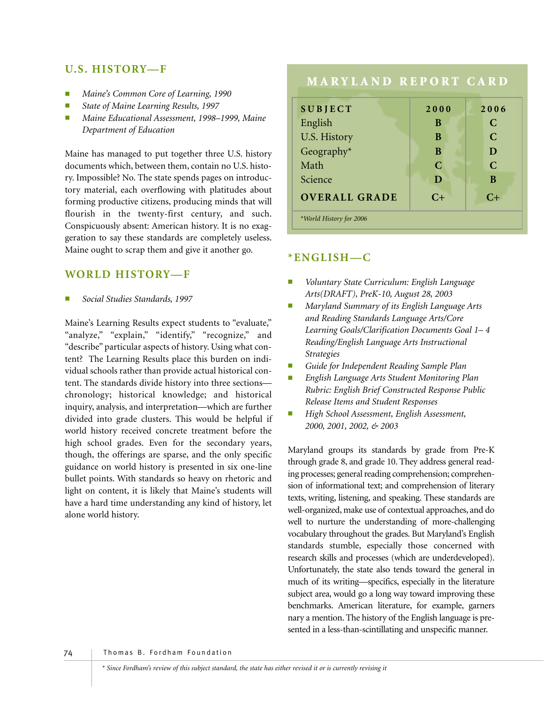## **U.S. HISTORY—F**

- *Maine's Common Core of Learning, 1990*
- *State of Maine Learning Results, 1997*
- *Maine Educational Assessment, 1998–1999, Maine Department of Education*

Maine has managed to put together three U.S. history documents which, between them, contain no U.S. history. Impossible? No. The state spends pages on introductory material, each overflowing with platitudes about forming productive citizens, producing minds that will flourish in the twenty-first century, and such. Conspicuously absent: American history. It is no exaggeration to say these standards are completely useless. Maine ought to scrap them and give it another go.

## **WORLD HISTORY—F**

■ *Social Studies Standards, 1997*

Maine's Learning Results expect students to "evaluate," "analyze," "explain," "identify," "recognize," and "describe" particular aspects of history. Using what content? The Learning Results place this burden on individual schools rather than provide actual historical content. The standards divide history into three sections chronology; historical knowledge; and historical inquiry, analysis, and interpretation—which are further divided into grade clusters. This would be helpful if world history received concrete treatment before the high school grades. Even for the secondary years, though, the offerings are sparse, and the only specific guidance on world history is presented in six one-line bullet points. With standards so heavy on rhetoric and light on content, it is likely that Maine's students will have a hard time understanding any kind of history, let alone world history.

# **MARYLAND REPORT CARD**

| 2000          | 2006        |
|---------------|-------------|
| B             | C           |
| B             | $\mathbf C$ |
| B             | D           |
| $\mathcal{C}$ | $\mathbf C$ |
| D             | B           |
| $C+$          | $C+$        |
|               |             |
|               |             |

#### **\*ENGLISH—C**

- *Voluntary State Curriculum: English Language Arts(DRAFT), PreK-10, August 28, 2003*
- *Maryland Summary of its English Language Arts and Reading Standards Language Arts/Core Learning Goals/Clarification Documents Goal 1– 4 Reading/English Language Arts Instructional Strategies*
- *Guide for Independent Reading Sample Plan*
- *English Language Arts Student Monitoring Plan Rubric: English Brief Constructed Response Public Release Items and Student Responses*
- *High School Assessment, English Assessment, 2000, 2001, 2002, & 2003*

Maryland groups its standards by grade from Pre-K through grade 8, and grade 10. They address general reading processes; general reading comprehension; comprehension of informational text; and comprehension of literary texts, writing, listening, and speaking. These standards are well-organized, make use of contextual approaches, and do well to nurture the understanding of more-challenging vocabulary throughout the grades. But Maryland's English standards stumble, especially those concerned with research skills and processes (which are underdeveloped). Unfortunately, the state also tends toward the general in much of its writing—specifics, especially in the literature subject area, would go a long way toward improving these benchmarks. American literature, for example, garners nary a mention. The history of the English language is presented in a less-than-scintillating and unspecific manner.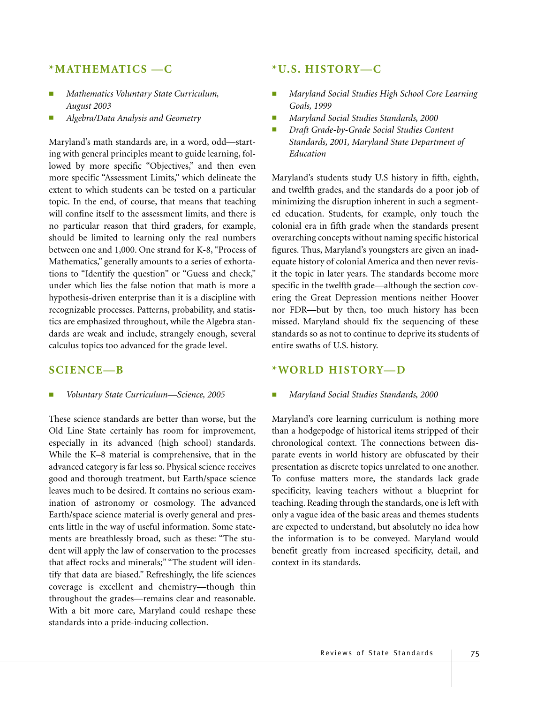## **\*MATHEMATICS —C**

- *Mathematics Voluntary State Curriculum, August 2003*
- *Algebra/Data Analysis and Geometry*

Maryland's math standards are, in a word, odd—starting with general principles meant to guide learning, followed by more specific "Objectives," and then even more specific "Assessment Limits," which delineate the extent to which students can be tested on a particular topic. In the end, of course, that means that teaching will confine itself to the assessment limits, and there is no particular reason that third graders, for example, should be limited to learning only the real numbers between one and 1,000. One strand for K-8, "Process of Mathematics," generally amounts to a series of exhortations to "Identify the question" or "Guess and check," under which lies the false notion that math is more a hypothesis-driven enterprise than it is a discipline with recognizable processes. Patterns, probability, and statistics are emphasized throughout, while the Algebra standards are weak and include, strangely enough, several calculus topics too advanced for the grade level.

#### **SCIENCE—B**

■ *Voluntary State Curriculum—Science, 2005*

These science standards are better than worse, but the Old Line State certainly has room for improvement, especially in its advanced (high school) standards. While the K–8 material is comprehensive, that in the advanced category is far less so. Physical science receives good and thorough treatment, but Earth/space science leaves much to be desired. It contains no serious examination of astronomy or cosmology. The advanced Earth/space science material is overly general and presents little in the way of useful information. Some statements are breathlessly broad, such as these: "The student will apply the law of conservation to the processes that affect rocks and minerals;" "The student will identify that data are biased." Refreshingly, the life sciences coverage is excellent and chemistry—though thin throughout the grades—remains clear and reasonable. With a bit more care, Maryland could reshape these standards into a pride-inducing collection.

#### **\*U.S. HISTORY—C**

- *Maryland Social Studies High School Core Learning Goals, 1999*
- *Maryland Social Studies Standards, 2000*
- *Draft Grade-by-Grade Social Studies Content Standards, 2001, Maryland State Department of Education*

Maryland's students study U.S history in fifth, eighth, and twelfth grades, and the standards do a poor job of minimizing the disruption inherent in such a segmented education. Students, for example, only touch the colonial era in fifth grade when the standards present overarching concepts without naming specific historical figures. Thus, Maryland's youngsters are given an inadequate history of colonial America and then never revisit the topic in later years. The standards become more specific in the twelfth grade—although the section covering the Great Depression mentions neither Hoover nor FDR—but by then, too much history has been missed. Maryland should fix the sequencing of these standards so as not to continue to deprive its students of entire swaths of U.S. history.

## **\*WORLD HISTORY—D**

#### ■ *Maryland Social Studies Standards, 2000*

Maryland's core learning curriculum is nothing more than a hodgepodge of historical items stripped of their chronological context. The connections between disparate events in world history are obfuscated by their presentation as discrete topics unrelated to one another. To confuse matters more, the standards lack grade specificity, leaving teachers without a blueprint for teaching. Reading through the standards, one is left with only a vague idea of the basic areas and themes students are expected to understand, but absolutely no idea how the information is to be conveyed. Maryland would benefit greatly from increased specificity, detail, and context in its standards.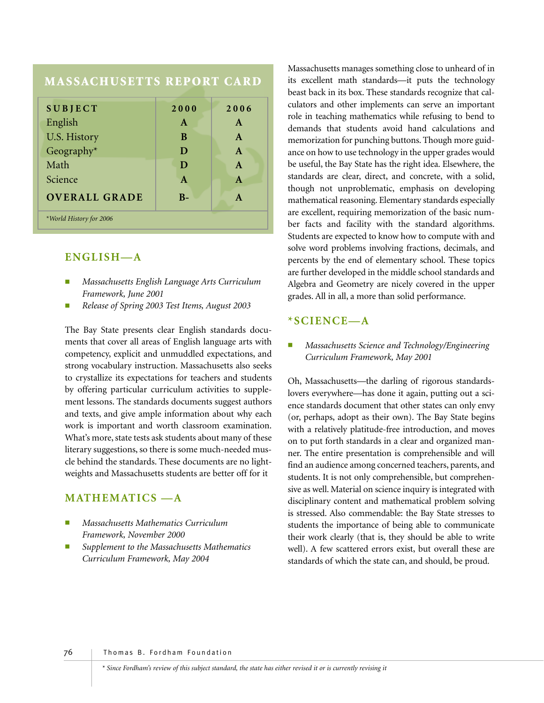## **MASSACHUSETTS REPORT CARD**

| <b>SUBJECT</b>          | 2000         | 2006         |
|-------------------------|--------------|--------------|
| English                 | $\mathbf{A}$ | $\mathbf{A}$ |
| U.S. History            | B            | A            |
| Geography*              | D            | $\mathbf{A}$ |
| Math                    | D            | $\mathbf{A}$ |
| Science                 | $\mathbf{A}$ | $\mathbf{A}$ |
| <b>OVERALL GRADE</b>    | $B -$        | A            |
| *World History for 2006 |              |              |

#### **ENGLISH—A**

- *Massachusetts English Language Arts Curriculum Framework, June 2001*
- *Release of Spring 2003 Test Items, August 2003*

The Bay State presents clear English standards documents that cover all areas of English language arts with competency, explicit and unmuddled expectations, and strong vocabulary instruction. Massachusetts also seeks to crystallize its expectations for teachers and students by offering particular curriculum activities to supplement lessons. The standards documents suggest authors and texts, and give ample information about why each work is important and worth classroom examination. What's more, state tests ask students about many of these literary suggestions, so there is some much-needed muscle behind the standards. These documents are no lightweights and Massachusetts students are better off for it

## **MATHEMATICS —A**

- *Massachusetts Mathematics Curriculum Framework, November 2000*
- Supplement to the Massachusetts Mathematics *Curriculum Framework, May 2004*

Massachusetts manages something close to unheard of in its excellent math standards—it puts the technology beast back in its box. These standards recognize that calculators and other implements can serve an important role in teaching mathematics while refusing to bend to demands that students avoid hand calculations and memorization for punching buttons. Though more guidance on how to use technology in the upper grades would be useful, the Bay State has the right idea. Elsewhere, the standards are clear, direct, and concrete, with a solid, though not unproblematic, emphasis on developing mathematical reasoning. Elementary standards especially are excellent, requiring memorization of the basic number facts and facility with the standard algorithms. Students are expected to know how to compute with and solve word problems involving fractions, decimals, and percents by the end of elementary school. These topics are further developed in the middle school standards and Algebra and Geometry are nicely covered in the upper grades. All in all, a more than solid performance.

#### **\*SCIENCE—A**

■ *Massachusetts Science and Technology/Engineering Curriculum Framework, May 2001*

Oh, Massachusetts—the darling of rigorous standardslovers everywhere—has done it again, putting out a science standards document that other states can only envy (or, perhaps, adopt as their own). The Bay State begins with a relatively platitude-free introduction, and moves on to put forth standards in a clear and organized manner. The entire presentation is comprehensible and will find an audience among concerned teachers, parents, and students. It is not only comprehensible, but comprehensive as well. Material on science inquiry is integrated with disciplinary content and mathematical problem solving is stressed. Also commendable: the Bay State stresses to students the importance of being able to communicate their work clearly (that is, they should be able to write well). A few scattered errors exist, but overall these are standards of which the state can, and should, be proud.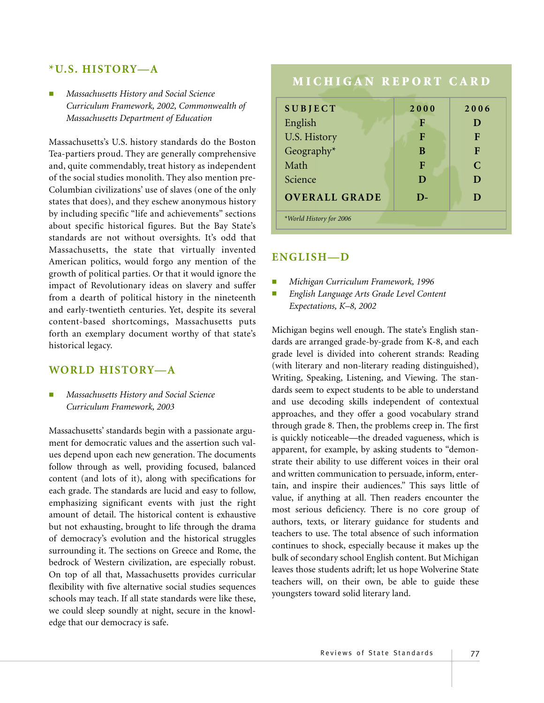## **\*U.S. HISTORY—A**

■ *Massachusetts History and Social Science Curriculum Framework, 2002, Commonwealth of Massachusetts Department of Education*

Massachusetts's U.S. history standards do the Boston Tea-partiers proud. They are generally comprehensive and, quite commendably, treat history as independent of the social studies monolith. They also mention pre-Columbian civilizations' use of slaves (one of the only states that does), and they eschew anonymous history by including specific "life and achievements" sections about specific historical figures. But the Bay State's standards are not without oversights. It's odd that Massachusetts, the state that virtually invented American politics, would forgo any mention of the growth of political parties. Or that it would ignore the impact of Revolutionary ideas on slavery and suffer from a dearth of political history in the nineteenth and early-twentieth centuries. Yet, despite its several content-based shortcomings, Massachusetts puts forth an exemplary document worthy of that state's historical legacy.

#### **WORLD HISTORY—A**

■ *Massachusetts History and Social Science Curriculum Framework, 2003*

Massachusetts' standards begin with a passionate argument for democratic values and the assertion such values depend upon each new generation. The documents follow through as well, providing focused, balanced content (and lots of it), along with specifications for each grade. The standards are lucid and easy to follow, emphasizing significant events with just the right amount of detail. The historical content is exhaustive but not exhausting, brought to life through the drama of democracy's evolution and the historical struggles surrounding it. The sections on Greece and Rome, the bedrock of Western civilization, are especially robust. On top of all that, Massachusetts provides curricular flexibility with five alternative social studies sequences schools may teach. If all state standards were like these, we could sleep soundly at night, secure in the knowledge that our democracy is safe.

# **MICHIGAN REPORT CARD**

| <b>SUBJECT</b>          | 2000 | 2006        |
|-------------------------|------|-------------|
| English                 | F    | D           |
| U.S. History            | F    | F           |
| Geography*              | B    | F           |
| Math                    | F    | $\mathbf C$ |
| Science                 | D    | D           |
| <b>OVERALL GRADE</b>    | D-   | D           |
| *World History for 2006 |      |             |
|                         |      |             |

#### **ENGLISH—D**

- *Michigan Curriculum Framework, 1996*
- *English Language Arts Grade Level Content Expectations, K–8, 2002*

Michigan begins well enough. The state's English standards are arranged grade-by-grade from K-8, and each grade level is divided into coherent strands: Reading (with literary and non-literary reading distinguished), Writing, Speaking, Listening, and Viewing. The standards seem to expect students to be able to understand and use decoding skills independent of contextual approaches, and they offer a good vocabulary strand through grade 8. Then, the problems creep in. The first is quickly noticeable—the dreaded vagueness, which is apparent, for example, by asking students to "demonstrate their ability to use different voices in their oral and written communication to persuade, inform, entertain, and inspire their audiences." This says little of value, if anything at all. Then readers encounter the most serious deficiency. There is no core group of authors, texts, or literary guidance for students and teachers to use. The total absence of such information continues to shock, especially because it makes up the bulk of secondary school English content. But Michigan leaves those students adrift; let us hope Wolverine State teachers will, on their own, be able to guide these youngsters toward solid literary land.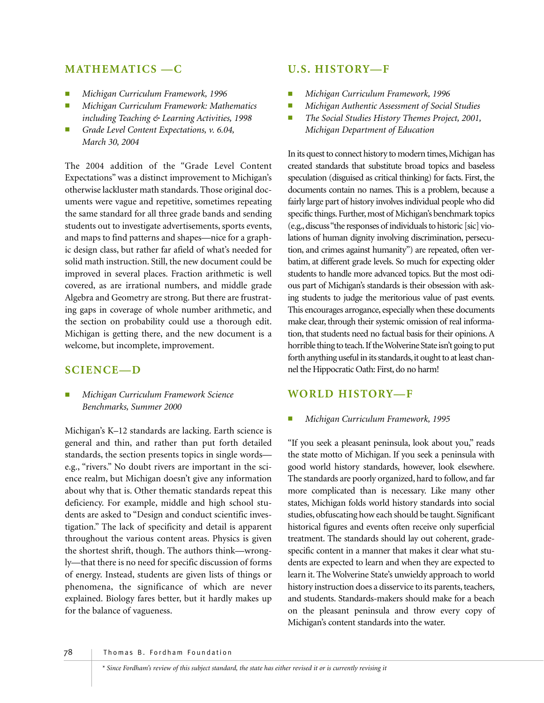## **MATHEMATICS —C**

- *Michigan Curriculum Framework, 1996*
- *Michigan Curriculum Framework: Mathematics including Teaching & Learning Activities, 1998*
- Grade Level Content Expectations, v. 6.04, *March 30, 2004*

The 2004 addition of the "Grade Level Content Expectations" was a distinct improvement to Michigan's otherwise lackluster math standards. Those original documents were vague and repetitive, sometimes repeating the same standard for all three grade bands and sending students out to investigate advertisements, sports events, and maps to find patterns and shapes—nice for a graphic design class, but rather far afield of what's needed for solid math instruction. Still, the new document could be improved in several places. Fraction arithmetic is well covered, as are irrational numbers, and middle grade Algebra and Geometry are strong. But there are frustrating gaps in coverage of whole number arithmetic, and the section on probability could use a thorough edit. Michigan is getting there, and the new document is a welcome, but incomplete, improvement.

## **SCIENCE—D**

■ *Michigan Curriculum Framework Science Benchmarks, Summer 2000*

Michigan's K–12 standards are lacking. Earth science is general and thin, and rather than put forth detailed standards, the section presents topics in single words e.g., "rivers." No doubt rivers are important in the science realm, but Michigan doesn't give any information about why that is. Other thematic standards repeat this deficiency. For example, middle and high school students are asked to "Design and conduct scientific investigation." The lack of specificity and detail is apparent throughout the various content areas. Physics is given the shortest shrift, though. The authors think—wrongly—that there is no need for specific discussion of forms of energy. Instead, students are given lists of things or phenomena, the significance of which are never explained. Biology fares better, but it hardly makes up for the balance of vagueness.

#### **U.S. HISTORY—F**

- *Michigan Curriculum Framework, 1996*
- *Michigan Authentic Assessment of Social Studies*
- *The Social Studies History Themes Project, 2001, Michigan Department of Education*

In its quest to connect history to modern times, Michigan has created standards that substitute broad topics and baseless speculation (disguised as critical thinking) for facts. First, the documents contain no names. This is a problem, because a fairly large part of history involves individual people who did specific things. Further, most of Michigan's benchmark topics (e.g.,discuss "the responses of individuals to historic [sic] violations of human dignity involving discrimination, persecution, and crimes against humanity") are repeated, often verbatim, at different grade levels. So much for expecting older students to handle more advanced topics. But the most odious part of Michigan's standards is their obsession with asking students to judge the meritorious value of past events. This encourages arrogance, especially when these documents make clear, through their systemic omission of real information, that students need no factual basis for their opinions. A horrible thing to teach.If the Wolverine State isn't going to put forth anything useful in its standards, it ought to at least channel the Hippocratic Oath: First, do no harm!

### **WORLD HISTORY—F**

#### ■ *Michigan Curriculum Framework, 1995*

"If you seek a pleasant peninsula, look about you," reads the state motto of Michigan. If you seek a peninsula with good world history standards, however, look elsewhere. The standards are poorly organized, hard to follow, and far more complicated than is necessary. Like many other states, Michigan folds world history standards into social studies, obfuscating how each should be taught. Significant historical figures and events often receive only superficial treatment. The standards should lay out coherent, gradespecific content in a manner that makes it clear what students are expected to learn and when they are expected to learn it. The Wolverine State's unwieldy approach to world history instruction does a disservice to its parents, teachers, and students. Standards-makers should make for a beach on the pleasant peninsula and throw every copy of Michigan's content standards into the water.

78 Thomas B. Fordham Foundation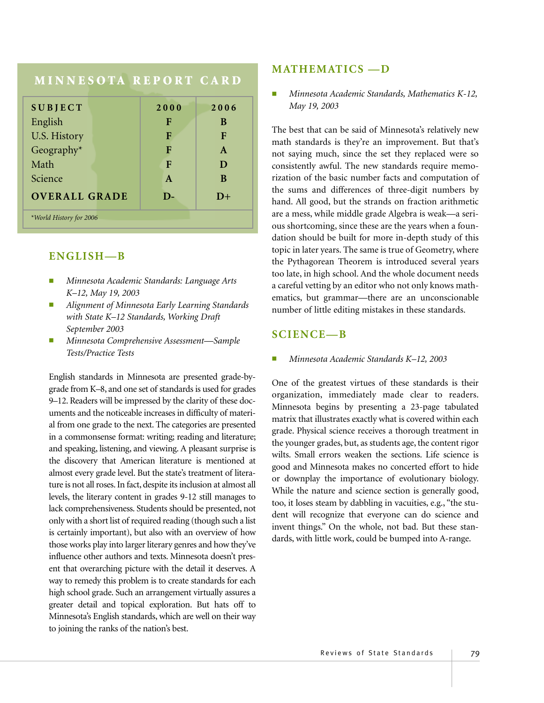# **MINNESOTA REPORT CARD**

| <b>SUBJECT</b>          | 2000         | 2006         |
|-------------------------|--------------|--------------|
| English                 | F            | B            |
|                         |              |              |
| U.S. History            | F            | $\mathbf F$  |
| Geography*              | F            | $\mathbf{A}$ |
| Math                    | F            | D            |
| Science                 | A            | B            |
| <b>OVERALL GRADE</b>    | $\mathbf{D}$ | $D+$         |
| *World History for 2006 |              |              |

#### **ENGLISH—B**

- *Minnesota Academic Standards: Language Arts K–12, May 19, 2003*
- *Alignment of Minnesota Early Learning Standards with State K–12 Standards, Working Draft September 2003*
- *Minnesota Comprehensive Assessment—Sample Tests/Practice Tests*

English standards in Minnesota are presented grade-bygrade from K–8, and one set of standards is used for grades 9–12. Readers will be impressed by the clarity of these documents and the noticeable increases in difficulty of material from one grade to the next. The categories are presented in a commonsense format: writing; reading and literature; and speaking, listening, and viewing. A pleasant surprise is the discovery that American literature is mentioned at almost every grade level. But the state's treatment of literature is not all roses. In fact, despite its inclusion at almost all levels, the literary content in grades 9-12 still manages to lack comprehensiveness. Students should be presented, not only with a short list of required reading (though such a list is certainly important), but also with an overview of how those works play into larger literary genres and how they've influence other authors and texts. Minnesota doesn't present that overarching picture with the detail it deserves. A way to remedy this problem is to create standards for each high school grade. Such an arrangement virtually assures a greater detail and topical exploration. But hats off to Minnesota's English standards, which are well on their way to joining the ranks of the nation's best.

#### **MATHEMATICS —D**

■ *Minnesota Academic Standards, Mathematics K-12, May 19, 2003*

The best that can be said of Minnesota's relatively new math standards is they're an improvement. But that's not saying much, since the set they replaced were so consistently awful. The new standards require memorization of the basic number facts and computation of the sums and differences of three-digit numbers by hand. All good, but the strands on fraction arithmetic are a mess, while middle grade Algebra is weak—a serious shortcoming, since these are the years when a foundation should be built for more in-depth study of this topic in later years. The same is true of Geometry, where the Pythagorean Theorem is introduced several years too late, in high school. And the whole document needs a careful vetting by an editor who not only knows mathematics, but grammar—there are an unconscionable number of little editing mistakes in these standards.

#### **SCIENCE—B**

■ *Minnesota Academic Standards K–12, 2003*

One of the greatest virtues of these standards is their organization, immediately made clear to readers. Minnesota begins by presenting a 23-page tabulated matrix that illustrates exactly what is covered within each grade. Physical science receives a thorough treatment in the younger grades, but, as students age, the content rigor wilts. Small errors weaken the sections. Life science is good and Minnesota makes no concerted effort to hide or downplay the importance of evolutionary biology. While the nature and science section is generally good, too, it loses steam by dabbling in vacuities, e.g., "the student will recognize that everyone can do science and invent things." On the whole, not bad. But these standards, with little work, could be bumped into A-range.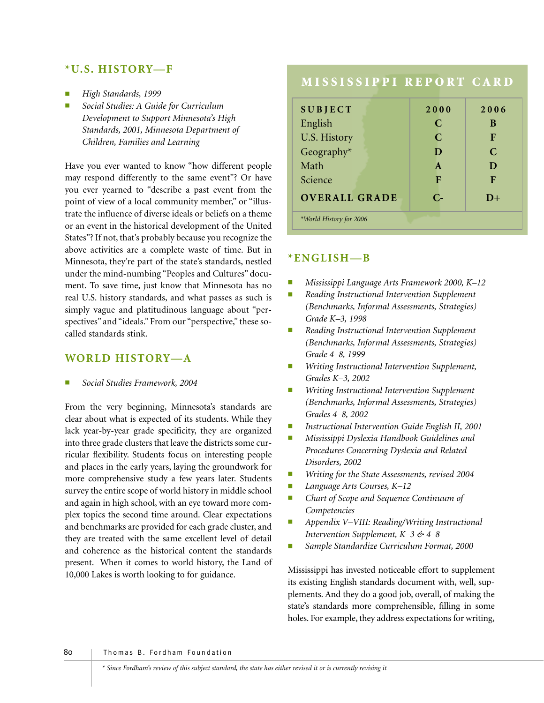#### **\*U.S. HISTORY—F**

- *High Standards, 1999*
- *Social Studies: A Guide for Curriculum Development to Support Minnesota's High Standards, 2001, Minnesota Department of Children, Families and Learning*

Have you ever wanted to know "how different people may respond differently to the same event"? Or have you ever yearned to "describe a past event from the point of view of a local community member," or "illustrate the influence of diverse ideals or beliefs on a theme or an event in the historical development of the United States"? If not, that's probably because you recognize the above activities are a complete waste of time. But in Minnesota, they're part of the state's standards, nestled under the mind-numbing "Peoples and Cultures" document. To save time, just know that Minnesota has no real U.S. history standards, and what passes as such is simply vague and platitudinous language about "perspectives" and "ideals." From our "perspective," these socalled standards stink.

## **WORLD HISTORY—A**

■ *Social Studies Framework, 2004*

From the very beginning, Minnesota's standards are clear about what is expected of its students. While they lack year-by-year grade specificity, they are organized into three grade clusters that leave the districts some curricular flexibility. Students focus on interesting people and places in the early years, laying the groundwork for more comprehensive study a few years later. Students survey the entire scope of world history in middle school and again in high school, with an eye toward more complex topics the second time around. Clear expectations and benchmarks are provided for each grade cluster, and they are treated with the same excellent level of detail and coherence as the historical content the standards present. When it comes to world history, the Land of 10,000 Lakes is worth looking to for guidance.

# **MISSISSIPPI REPORT CARD SUBJECT 2000 2006** English **C** B U.S. History **C F** Geography\* **D C** Math **A** D Science **F F F OVERALL GRADE C- D+** *\*World History for 2006*

# **\*ENGLISH—B**

- *Mississippi Language Arts Framework 2000, K–12*
- **Reading Instructional Intervention Supplement** *(Benchmarks, Informal Assessments, Strategies) Grade K–3, 1998*
- **Reading Instructional Intervention Supplement** *(Benchmarks, Informal Assessments, Strategies) Grade 4–8, 1999*
- **Writing Instructional Intervention Supplement,** *Grades K–3, 2002*
- **Writing Instructional Intervention Supplement** *(Benchmarks, Informal Assessments, Strategies) Grades 4–8, 2002*
- **Instructional Intervention Guide English II, 2001**
- *Mississippi Dyslexia Handbook Guidelines and Procedures Concerning Dyslexia and Related Disorders, 2002*
- Writing for the State Assessments, revised 2004
- *Language Arts Courses, K–12*
- *Chart of Scope and Sequence Continuum of Competencies*
- *Appendix V–VIII: Reading/Writing Instructional Intervention Supplement, K–3 & 4–8*
- Sample Standardize Curriculum Format, 2000

Mississippi has invested noticeable effort to supplement its existing English standards document with, well, supplements. And they do a good job, overall, of making the state's standards more comprehensible, filling in some holes. For example, they address expectations for writing,

80 Thomas B. Fordham Foundation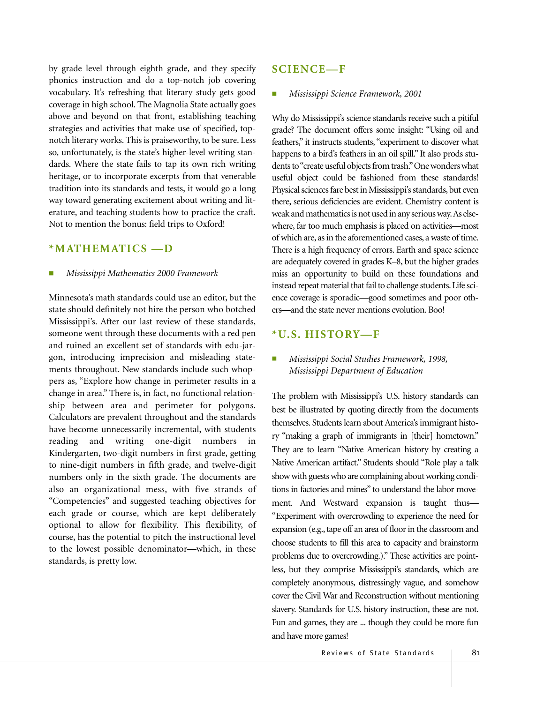by grade level through eighth grade, and they specify phonics instruction and do a top-notch job covering vocabulary. It's refreshing that literary study gets good coverage in high school. The Magnolia State actually goes above and beyond on that front, establishing teaching strategies and activities that make use of specified, topnotch literary works. This is praiseworthy, to be sure. Less so, unfortunately, is the state's higher-level writing standards. Where the state fails to tap its own rich writing heritage, or to incorporate excerpts from that venerable tradition into its standards and tests, it would go a long way toward generating excitement about writing and literature, and teaching students how to practice the craft. Not to mention the bonus: field trips to Oxford!

## **\*MATHEMATICS —D**

#### ■ *Mississippi Mathematics 2000 Framework*

Minnesota's math standards could use an editor, but the state should definitely not hire the person who botched Mississippi's. After our last review of these standards, someone went through these documents with a red pen and ruined an excellent set of standards with edu-jargon, introducing imprecision and misleading statements throughout. New standards include such whoppers as, "Explore how change in perimeter results in a change in area." There is, in fact, no functional relationship between area and perimeter for polygons. Calculators are prevalent throughout and the standards have become unnecessarily incremental, with students reading and writing one-digit numbers Kindergarten, two-digit numbers in first grade, getting to nine-digit numbers in fifth grade, and twelve-digit numbers only in the sixth grade. The documents are also an organizational mess, with five strands of "Competencies" and suggested teaching objectives for each grade or course, which are kept deliberately optional to allow for flexibility. This flexibility, of course, has the potential to pitch the instructional level to the lowest possible denominator—which, in these standards, is pretty low.

#### **SCIENCE—F**

#### ■ *Mississippi Science Framework, 2001*

Why do Mississippi's science standards receive such a pitiful grade? The document offers some insight: "Using oil and feathers," it instructs students, "experiment to discover what happens to a bird's feathers in an oil spill." It also prods students to "create useful objects from trash."One wonders what useful object could be fashioned from these standards! Physical sciences fare best in Mississippi's standards, but even there, serious deficiencies are evident. Chemistry content is weak and mathematics is not used in any serious way.As elsewhere, far too much emphasis is placed on activities—most of which are, as in the aforementioned cases, a waste of time. There is a high frequency of errors. Earth and space science are adequately covered in grades K–8, but the higher grades miss an opportunity to build on these foundations and instead repeat material that fail to challenge students.Life science coverage is sporadic—good sometimes and poor others—and the state never mentions evolution. Boo!

#### **\*U.S. HISTORY—F**

#### ■ *Mississippi Social Studies Framework, 1998, Mississippi Department of Education*

The problem with Mississippi's U.S. history standards can best be illustrated by quoting directly from the documents themselves. Students learn about America's immigrant history "making a graph of immigrants in [their] hometown." They are to learn "Native American history by creating a Native American artifact." Students should "Role play a talk show with guests who are complaining about working conditions in factories and mines" to understand the labor movement. And Westward expansion is taught thus— "Experiment with overcrowding to experience the need for expansion (e.g., tape off an area of floor in the classroom and choose students to fill this area to capacity and brainstorm problems due to overcrowding.)." These activities are pointless, but they comprise Mississippi's standards, which are completely anonymous, distressingly vague, and somehow cover the Civil War and Reconstruction without mentioning slavery. Standards for U.S. history instruction, these are not. Fun and games, they are ... though they could be more fun and have more games!

Reviews of State Standards | 81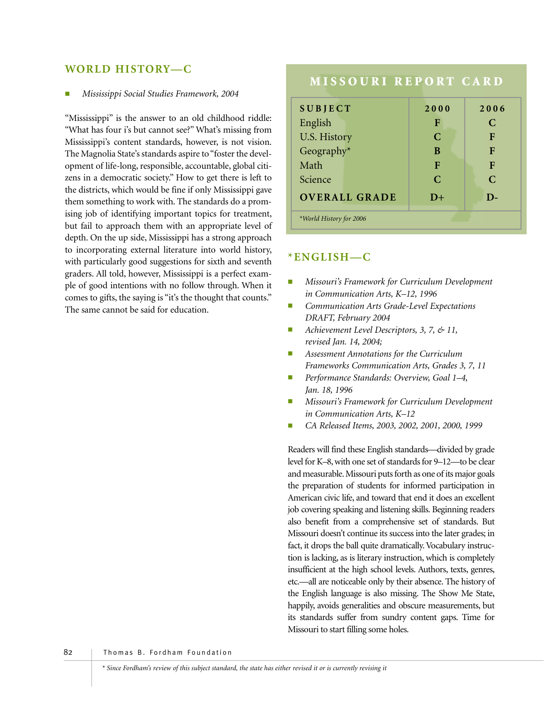### **WORLD HISTORY—C**

#### ■ *Mississippi Social Studies Framework, 2004*

"Mississippi" is the answer to an old childhood riddle: "What has four i's but cannot see?" What's missing from Mississippi's content standards, however, is not vision. The Magnolia State's standards aspire to "foster the development of life-long, responsible, accountable, global citizens in a democratic society." How to get there is left to the districts, which would be fine if only Mississippi gave them something to work with. The standards do a promising job of identifying important topics for treatment, but fail to approach them with an appropriate level of depth. On the up side, Mississippi has a strong approach to incorporating external literature into world history, with particularly good suggestions for sixth and seventh graders. All told, however, Mississippi is a perfect example of good intentions with no follow through. When it comes to gifts, the saying is "it's the thought that counts." The same cannot be said for education.

# **MISSOURI REPORT CARD**

| <b>SUBJECT</b>          | 2000          | 2006          |
|-------------------------|---------------|---------------|
| English                 | F             | $\mathcal{C}$ |
| U.S. History            | C             | F             |
| Geography*              | B             | F             |
| Math                    | F             | F             |
| Science                 | $\mathcal{C}$ | $\mathcal{C}$ |
| <b>OVERALL GRADE</b>    | $D+$          | D-            |
| *World History for 2006 |               |               |

#### **\*ENGLISH—C**

- *Missouri's Framework for Curriculum Development in Communication Arts, K–12, 1996*
- *Communication Arts Grade-Level Expectations DRAFT, February 2004*
- *Achievement Level Descriptors, 3, 7, & 11, revised Jan. 14, 2004;*
- *Assessment Annotations for the Curriculum Frameworks Communication Arts, Grades 3, 7, 11*
- *Performance Standards: Overview, Goal 1–4, Jan. 18, 1996*
- *Missouri's Framework for Curriculum Development in Communication Arts, K–12*
- *CA Released Items, 2003, 2002, 2001, 2000, 1999*

Readers will find these English standards—divided by grade level for K–8, with one set of standards for 9–12—to be clear and measurable. Missouri puts forth as one of its major goals the preparation of students for informed participation in American civic life, and toward that end it does an excellent job covering speaking and listening skills. Beginning readers also benefit from a comprehensive set of standards. But Missouri doesn't continue its success into the later grades; in fact, it drops the ball quite dramatically. Vocabulary instruction is lacking, as is literary instruction, which is completely insufficient at the high school levels. Authors, texts, genres, etc.—all are noticeable only by their absence. The history of the English language is also missing. The Show Me State, happily, avoids generalities and obscure measurements, but its standards suffer from sundry content gaps. Time for Missouri to start filling some holes.

82 | Thomas B. Fordham Foundation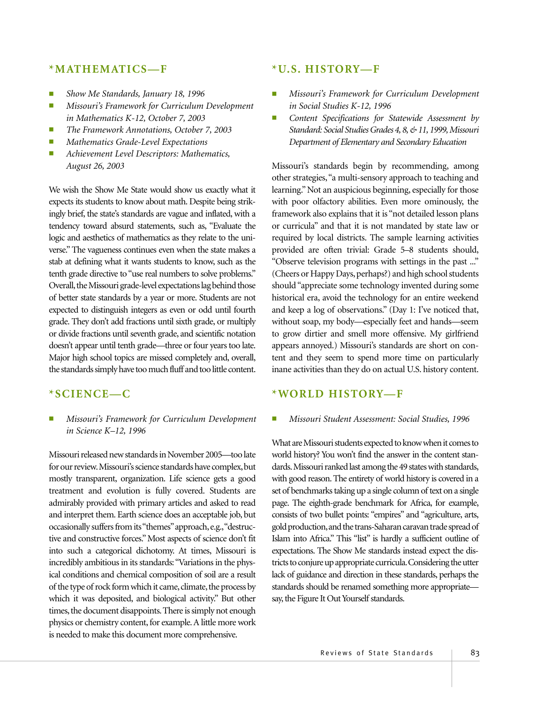#### **\*MATHEMATICS—F**

- *Show Me Standards, January 18, 1996*
- *Missouri's Framework for Curriculum Development in Mathematics K-12, October 7, 2003*
- *The Framework Annotations, October 7, 2003*
- *Mathematics Grade-Level Expectations*
- *Achievement Level Descriptors: Mathematics, August 26, 2003*

We wish the Show Me State would show us exactly what it expects its students to know about math. Despite being strikingly brief, the state's standards are vague and inflated, with a tendency toward absurd statements, such as, "Evaluate the logic and aesthetics of mathematics as they relate to the universe." The vagueness continues even when the state makes a stab at defining what it wants students to know, such as the tenth grade directive to "use real numbers to solve problems." Overall, the Missouri grade-level expectations lag behind those of better state standards by a year or more. Students are not expected to distinguish integers as even or odd until fourth grade. They don't add fractions until sixth grade, or multiply or divide fractions until seventh grade, and scientific notation doesn't appear until tenth grade—three or four years too late. Major high school topics are missed completely and, overall, the standards simply have too much fluff and too little content.

#### **\*SCIENCE—C**

■ *Missouri's Framework for Curriculum Development in Science K–12, 1996*

Missouri released new standards in November 2005—too late for our review. Missouri's science standards have complex, but mostly transparent, organization. Life science gets a good treatment and evolution is fully covered. Students are admirably provided with primary articles and asked to read and interpret them. Earth science does an acceptable job, but occasionally suffers from its "themes"approach,e.g.,"destructive and constructive forces." Most aspects of science don't fit into such a categorical dichotomy. At times, Missouri is incredibly ambitious in its standards:"Variations in the physical conditions and chemical composition of soil are a result of the type of rock form which it came, climate, the process by which it was deposited, and biological activity." But other times, the document disappoints. There is simply not enough physics or chemistry content, for example. A little more work is needed to make this document more comprehensive.

#### **\*U.S. HISTORY—F**

- *Missouri's Framework for Curriculum Development in Social Studies K-12, 1996*
- *Content Specifications for Statewide Assessment by Standard: Social Studies Grades 4, 8, & 11, 1999, Missouri Department of Elementary and Secondary Education*

Missouri's standards begin by recommending, among other strategies,"a multi-sensory approach to teaching and learning." Not an auspicious beginning, especially for those with poor olfactory abilities. Even more ominously, the framework also explains that it is "not detailed lesson plans or curricula" and that it is not mandated by state law or required by local districts. The sample learning activities provided are often trivial: Grade 5–8 students should, "Observe television programs with settings in the past ..." (Cheers or Happy Days, perhaps?) and high school students should "appreciate some technology invented during some historical era, avoid the technology for an entire weekend and keep a log of observations." (Day 1: I've noticed that, without soap, my body—especially feet and hands—seem to grow dirtier and smell more offensive. My girlfriend appears annoyed.) Missouri's standards are short on content and they seem to spend more time on particularly inane activities than they do on actual U.S. history content.

#### **\*WORLD HISTORY—F**

#### ■ *Missouri Student Assessment: Social Studies, 1996*

What are Missouri students expected to know when it comes to world history? You won't find the answer in the content standards. Missouri ranked last among the 49 states with standards, with good reason. The entirety of world history is covered in a set of benchmarks taking up a single column of text on a single page. The eighth-grade benchmark for Africa, for example, consists of two bullet points: "empires" and "agriculture, arts, gold production,and the trans-Saharan caravan trade spread of Islam into Africa." This "list" is hardly a sufficient outline of expectations. The Show Me standards instead expect the districts to conjure up appropriate curricula.Considering the utter lack of guidance and direction in these standards, perhaps the standards should be renamed something more appropriate say, the Figure It Out Yourself standards.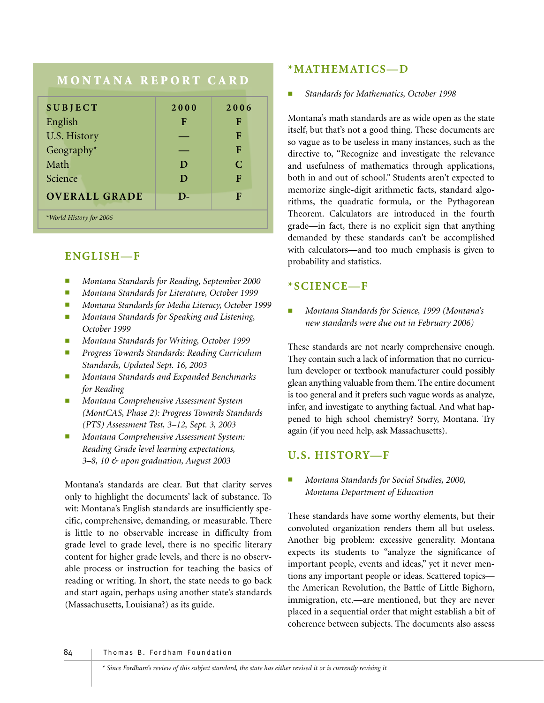# **MONTANA REPORT CARD**

| <b>SUBJECT</b>          | 2000         | 2006 |
|-------------------------|--------------|------|
| English                 | F            | F    |
| U.S. History            |              | F    |
| Geography*              |              | F    |
| Math                    | D            | C    |
| Science                 | D            | F    |
| <b>OVERALL GRADE</b>    | $\mathbf{D}$ | F    |
| *World History for 2006 |              |      |

## **ENGLISH—F**

- *Montana Standards for Reading, September 2000*
- *Montana Standards for Literature, October 1999*
- *Montana Standards for Media Literacy, October 1999*
- *Montana Standards for Speaking and Listening, October 1999*
- *Montana Standards for Writing, October 1999*
- *Progress Towards Standards: Reading Curriculum Standards, Updated Sept. 16, 2003*
- *Montana Standards and Expanded Benchmarks for Reading*
- *Montana Comprehensive Assessment System (MontCAS, Phase 2): Progress Towards Standards (PTS) Assessment Test, 3–12, Sept. 3, 2003*
- *Montana Comprehensive Assessment System: Reading Grade level learning expectations, 3–8, 10 & upon graduation, August 2003*

Montana's standards are clear. But that clarity serves only to highlight the documents' lack of substance. To wit: Montana's English standards are insufficiently specific, comprehensive, demanding, or measurable. There is little to no observable increase in difficulty from grade level to grade level, there is no specific literary content for higher grade levels, and there is no observable process or instruction for teaching the basics of reading or writing. In short, the state needs to go back and start again, perhaps using another state's standards (Massachusetts, Louisiana?) as its guide.

## **\*MATHEMATICS—D**

#### ■ *Standards for Mathematics, October 1998*

Montana's math standards are as wide open as the state itself, but that's not a good thing. These documents are so vague as to be useless in many instances, such as the directive to, "Recognize and investigate the relevance and usefulness of mathematics through applications, both in and out of school." Students aren't expected to memorize single-digit arithmetic facts, standard algorithms, the quadratic formula, or the Pythagorean Theorem. Calculators are introduced in the fourth grade—in fact, there is no explicit sign that anything demanded by these standards can't be accomplished with calculators—and too much emphasis is given to probability and statistics.

## **\*SCIENCE—F**

■ *Montana Standards for Science, 1999 (Montana's new standards were due out in February 2006)*

These standards are not nearly comprehensive enough. They contain such a lack of information that no curriculum developer or textbook manufacturer could possibly glean anything valuable from them. The entire document is too general and it prefers such vague words as analyze, infer, and investigate to anything factual. And what happened to high school chemistry? Sorry, Montana. Try again (if you need help, ask Massachusetts).

## **U.S. HISTORY—F**

■ *Montana Standards for Social Studies, 2000, Montana Department of Education*

These standards have some worthy elements, but their convoluted organization renders them all but useless. Another big problem: excessive generality. Montana expects its students to "analyze the significance of important people, events and ideas," yet it never mentions any important people or ideas. Scattered topics the American Revolution, the Battle of Little Bighorn, immigration, etc.—are mentioned, but they are never placed in a sequential order that might establish a bit of coherence between subjects. The documents also assess

84 | Thomas B. Fordham Foundation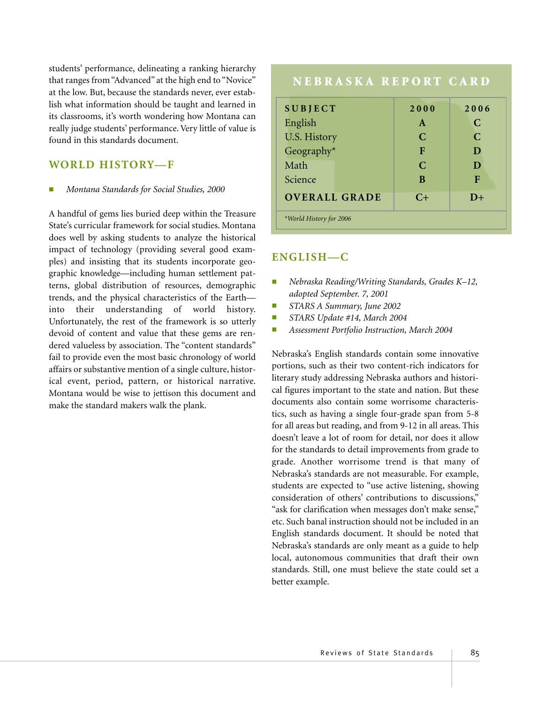students' performance, delineating a ranking hierarchy that ranges from "Advanced" at the high end to "Novice" at the low. But, because the standards never, ever establish what information should be taught and learned in its classrooms, it's worth wondering how Montana can really judge students' performance. Very little of value is found in this standards document.

#### **WORLD HISTORY—F**

#### ■ *Montana Standards for Social Studies, 2000*

A handful of gems lies buried deep within the Treasure State's curricular framework for social studies. Montana does well by asking students to analyze the historical impact of technology (providing several good examples) and insisting that its students incorporate geographic knowledge—including human settlement patterns, global distribution of resources, demographic trends, and the physical characteristics of the Earth into their understanding of world history. Unfortunately, the rest of the framework is so utterly devoid of content and value that these gems are rendered valueless by association. The "content standards" fail to provide even the most basic chronology of world affairs or substantive mention of a single culture, historical event, period, pattern, or historical narrative. Montana would be wise to jettison this document and make the standard makers walk the plank.

# **NEBRASKA REPORT CARD SUBJECT 2000 2006** English **A C** U.S. History **C** C C Geography\* **F D** Math **C D** Science **B F**

**OVERALL GRADE C+ D+**

*\*World History for 2006*

#### **ENGLISH—C**

- *Nebraska Reading/Writing Standards, Grades K–12, adopted September. 7, 2001*
- *STARS A Summary, June 2002*
- *STARS Update #14, March 2004*
- *Assessment Portfolio Instruction, March 2004*

Nebraska's English standards contain some innovative portions, such as their two content-rich indicators for literary study addressing Nebraska authors and historical figures important to the state and nation. But these documents also contain some worrisome characteristics, such as having a single four-grade span from 5-8 for all areas but reading, and from 9-12 in all areas. This doesn't leave a lot of room for detail, nor does it allow for the standards to detail improvements from grade to grade. Another worrisome trend is that many of Nebraska's standards are not measurable. For example, students are expected to "use active listening, showing consideration of others' contributions to discussions," "ask for clarification when messages don't make sense," etc. Such banal instruction should not be included in an English standards document. It should be noted that Nebraska's standards are only meant as a guide to help local, autonomous communities that draft their own standards. Still, one must believe the state could set a better example.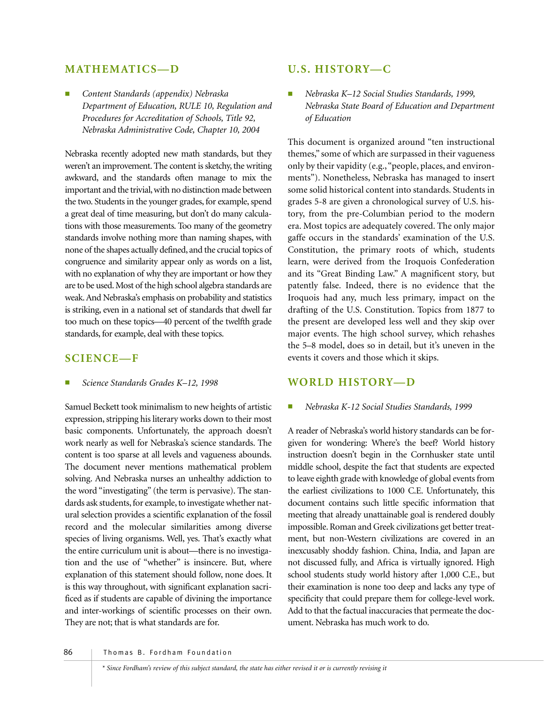### **MATHEMATICS—D**

■ *Content Standards (appendix) Nebraska Department of Education, RULE 10, Regulation and Procedures for Accreditation of Schools, Title 92, Nebraska Administrative Code, Chapter 10, 2004*

Nebraska recently adopted new math standards, but they weren't an improvement. The content is sketchy, the writing awkward, and the standards often manage to mix the important and the trivial, with no distinction made between the two. Students in the younger grades, for example, spend a great deal of time measuring, but don't do many calculations with those measurements. Too many of the geometry standards involve nothing more than naming shapes, with none of the shapes actually defined, and the crucial topics of congruence and similarity appear only as words on a list, with no explanation of why they are important or how they are to be used. Most of the high school algebra standards are weak. And Nebraska's emphasis on probability and statistics is striking, even in a national set of standards that dwell far too much on these topics—40 percent of the twelfth grade standards, for example, deal with these topics.

#### **SCIENCE—F**

■ *Science Standards Grades K–12, 1998* 

Samuel Beckett took minimalism to new heights of artistic expression, stripping his literary works down to their most basic components. Unfortunately, the approach doesn't work nearly as well for Nebraska's science standards. The content is too sparse at all levels and vagueness abounds. The document never mentions mathematical problem solving. And Nebraska nurses an unhealthy addiction to the word "investigating" (the term is pervasive). The standards ask students, for example, to investigate whether natural selection provides a scientific explanation of the fossil record and the molecular similarities among diverse species of living organisms. Well, yes. That's exactly what the entire curriculum unit is about—there is no investigation and the use of "whether" is insincere. But, where explanation of this statement should follow, none does. It is this way throughout, with significant explanation sacrificed as if students are capable of divining the importance and inter-workings of scientific processes on their own. They are not; that is what standards are for.

## **U.S. HISTORY—C**

■ *Nebraska K–12 Social Studies Standards, 1999, Nebraska State Board of Education and Department of Education*

This document is organized around "ten instructional themes," some of which are surpassed in their vagueness only by their vapidity (e.g.,"people, places, and environments"). Nonetheless, Nebraska has managed to insert some solid historical content into standards. Students in grades 5-8 are given a chronological survey of U.S. history, from the pre-Columbian period to the modern era. Most topics are adequately covered. The only major gaffe occurs in the standards' examination of the U.S. Constitution, the primary roots of which, students learn, were derived from the Iroquois Confederation and its "Great Binding Law." A magnificent story, but patently false. Indeed, there is no evidence that the Iroquois had any, much less primary, impact on the drafting of the U.S. Constitution. Topics from 1877 to the present are developed less well and they skip over major events. The high school survey, which rehashes the 5–8 model, does so in detail, but it's uneven in the events it covers and those which it skips.

#### **WORLD HISTORY—D**

#### ■ *Nebraska K-12 Social Studies Standards, 1999*

A reader of Nebraska's world history standards can be forgiven for wondering: Where's the beef? World history instruction doesn't begin in the Cornhusker state until middle school, despite the fact that students are expected to leave eighth grade with knowledge of global events from the earliest civilizations to 1000 C.E. Unfortunately, this document contains such little specific information that meeting that already unattainable goal is rendered doubly impossible. Roman and Greek civilizations get better treatment, but non-Western civilizations are covered in an inexcusably shoddy fashion. China, India, and Japan are not discussed fully, and Africa is virtually ignored. High school students study world history after 1,000 C.E., but their examination is none too deep and lacks any type of specificity that could prepare them for college-level work. Add to that the factual inaccuracies that permeate the document. Nebraska has much work to do.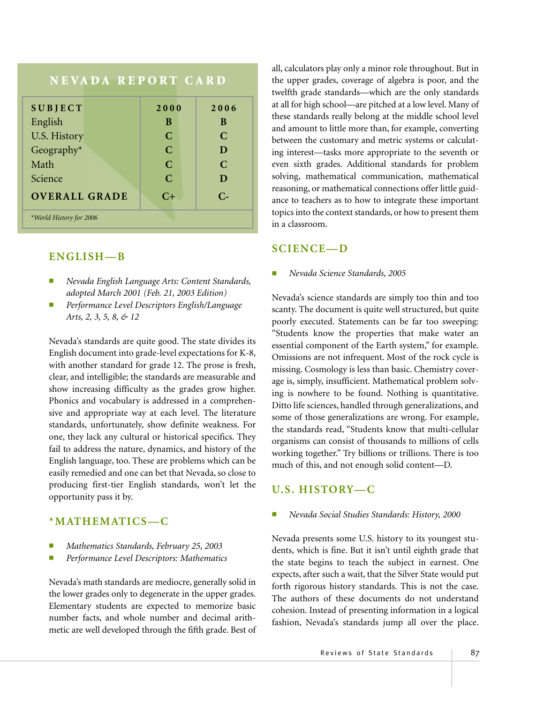| NEVADA REPORT CARD      |               |               |  |
|-------------------------|---------------|---------------|--|
| <b>SUBJECT</b>          | 2000          | 2006          |  |
| English                 | B             | B             |  |
| <b>U.S. History</b>     | $\mathcal{C}$ | $\mathcal{C}$ |  |
| Geography*              | $\mathbf C$   | D             |  |
| Math                    | $\mathbf C$   | $\mathbf C$   |  |
| Science                 | $\mathcal{C}$ | D             |  |
| <b>OVERALL GRADE</b>    | $C+$          | $C_{\pm}$     |  |
| *World History for 2006 |               |               |  |

## **ENGLISH—B**

- *Nevada English Language Arts: Content Standards, adopted March 2001 (Feb. 21, 2003 Edition)*
- *Performance Level Descriptors English/Language Arts, 2, 3, 5, 8, & 12*

Nevada's standards are quite good. The state divides its English document into grade-level expectations for K-8, with another standard for grade 12. The prose is fresh, clear, and intelligible; the standards are measurable and show increasing difficulty as the grades grow higher. Phonics and vocabulary is addressed in a comprehensive and appropriate way at each level. The literature standards, unfortunately, show definite weakness. For one, they lack any cultural or historical specifics. They fail to address the nature, dynamics, and history of the English language, too. These are problems which can be easily remedied and one can bet that Nevada, so close to producing first-tier English standards, won't let the opportunity pass it by.

#### **\*MATHEMATICS—C**

- *Mathematics Standards, February 25, 2003*
- *Performance Level Descriptors: Mathematics*

Nevada's math standards are mediocre, generally solid in the lower grades only to degenerate in the upper grades. Elementary students are expected to memorize basic number facts, and whole number and decimal arithmetic are well developed through the fifth grade. Best of

all, calculators play only a minor role throughout. But in the upper grades, coverage of algebra is poor, and the twelfth grade standards—which are the only standards at all for high school—are pitched at a low level. Many of these standards really belong at the middle school level and amount to little more than, for example, converting between the customary and metric systems or calculating interest—tasks more appropriate to the seventh or even sixth grades. Additional standards for problem solving, mathematical communication, mathematical reasoning, or mathematical connections offer little guidance to teachers as to how to integrate these important topics into the context standards, or how to present them in a classroom.

### **SCIENCE—D**

#### ■ *Nevada Science Standards, 2005*

Nevada's science standards are simply too thin and too scanty. The document is quite well structured, but quite poorly executed. Statements can be far too sweeping: "Students know the properties that make water an essential component of the Earth system," for example. Omissions are not infrequent. Most of the rock cycle is missing. Cosmology is less than basic. Chemistry coverage is, simply, insufficient. Mathematical problem solving is nowhere to be found. Nothing is quantitative. Ditto life sciences, handled through generalizations, and some of those generalizations are wrong. For example, the standards read, "Students know that multi-cellular organisms can consist of thousands to millions of cells working together." Try billions or trillions. There is too much of this, and not enough solid content—D.

## **U.S. HISTORY—C**

■ *Nevada Social Studies Standards: History, 2000*

Nevada presents some U.S. history to its youngest students, which is fine. But it isn't until eighth grade that the state begins to teach the subject in earnest. One expects, after such a wait, that the Silver State would put forth rigorous history standards. This is not the case. The authors of these documents do not understand cohesion. Instead of presenting information in a logical fashion, Nevada's standards jump all over the place.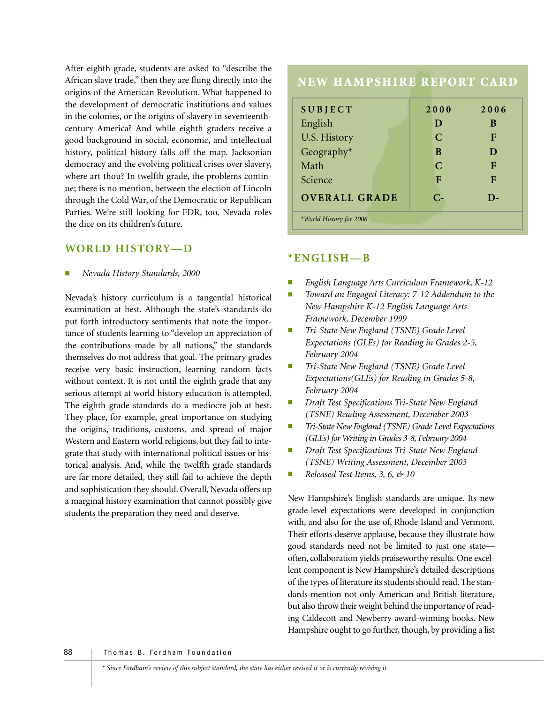After eighth grade, students are asked to "describe the African slave trade," then they are flung directly into the origins of the American Revolution. What happened to the development of democratic institutions and values in the colonies, or the origins of slavery in seventeenthcentury America? And while eighth graders receive a good background in social, economic, and intellectual history, political history falls off the map. Jacksonian democracy and the evolving political crises over slavery, where art thou? In twelfth grade, the problems continue; there is no mention, between the election of Lincoln through the Cold War, of the Democratic or Republican Parties. We're still looking for FDR, too. Nevada roles the dice on its children's future.

#### **WORLD HISTORY—D**

■ *Nevada History Standards, 2000*

Nevada's history curriculum is a tangential historical examination at best. Although the state's standards do put forth introductory sentiments that note the importance of students learning to "develop an appreciation of the contributions made by all nations," the standards themselves do not address that goal. The primary grades receive very basic instruction, learning random facts without context. It is not until the eighth grade that any serious attempt at world history education is attempted. The eighth grade standards do a mediocre job at best. They place, for example, great importance on studying the origins, traditions, customs, and spread of major Western and Eastern world religions, but they fail to integrate that study with international political issues or historical analysis. And, while the twelfth grade standards are far more detailed, they still fail to achieve the depth and sophistication they should. Overall, Nevada offers up a marginal history examination that cannot possibly give students the preparation they need and deserve.

# **NEW HAMPSHIRE REPORT CARD SUBJECT 2000 2006** English **D** B U.S. History **C** F Geography\* **B D**

Math **C F** Science **F F F OVERALL GRADE C- D-**

## **\*ENGLISH—B**

*\*World History for 2006*

- English Language Arts Curriculum Framework, K-12
- Toward an Engaged Literacy: 7-12 Addendum to the *New Hampshire K-12 English Language Arts Framework, December 1999*
- *Tri-State New England (TSNE) Grade Level Expectations (GLEs) for Reading in Grades 2-5, February 2004*
- *Tri-State New England (TSNE) Grade Level Expectations(GLEs) for Reading in Grades 5-8, February 2004*
- *Draft Test Specifications Tri-State New England (TSNE) Reading Assessment, December 2003*
- *Tri-State New England (TSNE) Grade Level Expectations (GLEs) for Writing in Grades 3-8, February 2004*
- *Draft Test Specifications Tri-State New England (TSNE) Writing Assessment, December 2003*
- *Released Test Items, 3, 6, & 10*

New Hampshire's English standards are unique. Its new grade-level expectations were developed in conjunction with, and also for the use of, Rhode Island and Vermont. Their efforts deserve applause, because they illustrate how good standards need not be limited to just one state often, collaboration yields praiseworthy results. One excellent component is New Hampshire's detailed descriptions of the types of literature its students should read. The standards mention not only American and British literature, but also throw their weight behind the importance of reading Caldecott and Newberry award-winning books. New Hampshire ought to go further, though, by providing a list

88 | Thomas B. Fordham Foundation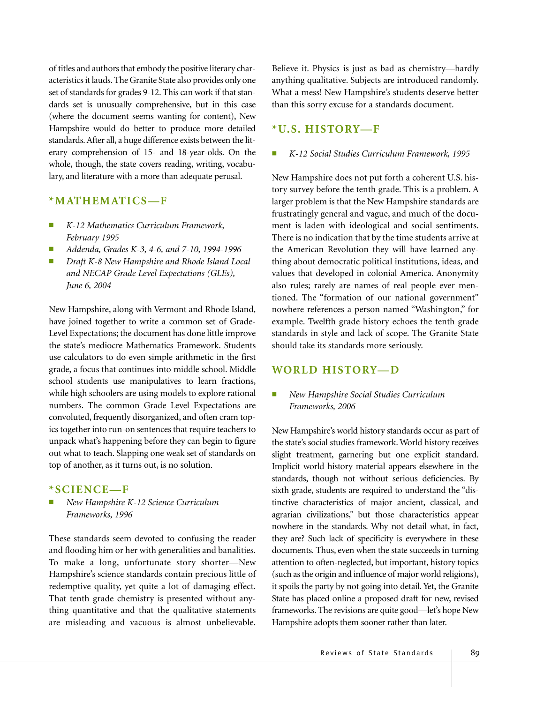of titles and authors that embody the positive literary characteristics it lauds. The Granite State also provides only one set of standards for grades 9-12. This can work if that standards set is unusually comprehensive, but in this case (where the document seems wanting for content), New Hampshire would do better to produce more detailed standards. After all, a huge difference exists between the literary comprehension of 15- and 18-year-olds. On the whole, though, the state covers reading, writing, vocabulary, and literature with a more than adequate perusal.

#### **\*MATHEMATICS—F**

- *K-12 Mathematics Curriculum Framework, February 1995*
- *Addenda, Grades K-3, 4-6, and 7-10, 1994-1996*
- *Draft K-8 New Hampshire and Rhode Island Local and NECAP Grade Level Expectations (GLEs), June 6, 2004*

New Hampshire, along with Vermont and Rhode Island, have joined together to write a common set of Grade-Level Expectations; the document has done little improve the state's mediocre Mathematics Framework. Students use calculators to do even simple arithmetic in the first grade, a focus that continues into middle school. Middle school students use manipulatives to learn fractions, while high schoolers are using models to explore rational numbers. The common Grade Level Expectations are convoluted, frequently disorganized, and often cram topics together into run-on sentences that require teachers to unpack what's happening before they can begin to figure out what to teach. Slapping one weak set of standards on top of another, as it turns out, is no solution.

#### **\*SCIENCE—F**

■ *New Hampshire K-12 Science Curriculum Frameworks, 1996*

These standards seem devoted to confusing the reader and flooding him or her with generalities and banalities. To make a long, unfortunate story shorter—New Hampshire's science standards contain precious little of redemptive quality, yet quite a lot of damaging effect. That tenth grade chemistry is presented without anything quantitative and that the qualitative statements are misleading and vacuous is almost unbelievable.

Believe it. Physics is just as bad as chemistry—hardly anything qualitative. Subjects are introduced randomly. What a mess! New Hampshire's students deserve better than this sorry excuse for a standards document.

#### **\*U.S. HISTORY—F**

#### ■ *K-12 Social Studies Curriculum Framework, 1995*

New Hampshire does not put forth a coherent U.S. history survey before the tenth grade. This is a problem. A larger problem is that the New Hampshire standards are frustratingly general and vague, and much of the document is laden with ideological and social sentiments. There is no indication that by the time students arrive at the American Revolution they will have learned anything about democratic political institutions, ideas, and values that developed in colonial America. Anonymity also rules; rarely are names of real people ever mentioned. The "formation of our national government" nowhere references a person named "Washington," for example. Twelfth grade history echoes the tenth grade standards in style and lack of scope. The Granite State should take its standards more seriously.

#### **WORLD HISTORY—D**

#### ■ *New Hampshire Social Studies Curriculum Frameworks, 2006*

New Hampshire's world history standards occur as part of the state's social studies framework. World history receives slight treatment, garnering but one explicit standard. Implicit world history material appears elsewhere in the standards, though not without serious deficiencies. By sixth grade, students are required to understand the "distinctive characteristics of major ancient, classical, and agrarian civilizations," but those characteristics appear nowhere in the standards. Why not detail what, in fact, they are? Such lack of specificity is everywhere in these documents. Thus, even when the state succeeds in turning attention to often-neglected, but important, history topics (such as the origin and influence of major world religions), it spoils the party by not going into detail. Yet, the Granite State has placed online a proposed draft for new, revised frameworks. The revisions are quite good—let's hope New Hampshire adopts them sooner rather than later.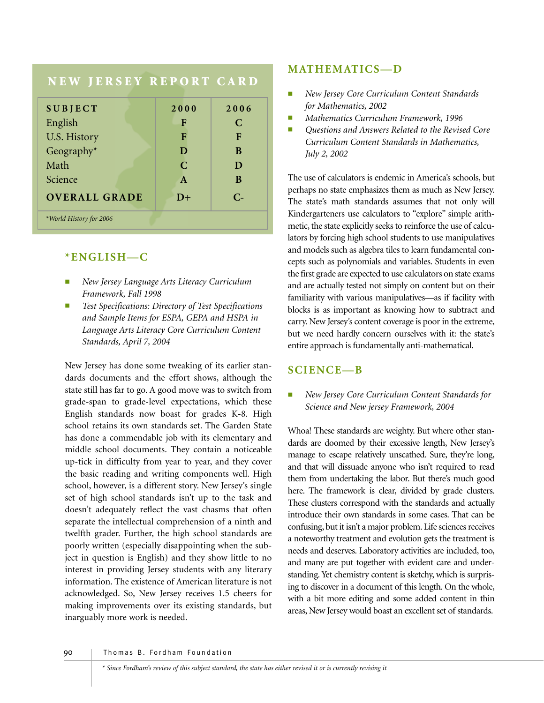# **NEW JERSEY REPORT CARD SUBJECT 2000 2006** English **F C** U.S. History **F F F** Geography<sup>\*</sup> **D B** Math **C D** Science **A** B **OVERALL GRADE D+ C-** *\*World History for 2006*

# **\*ENGLISH—C**

- *New Jersey Language Arts Literacy Curriculum Framework, Fall 1998*
- *Test Specifications: Directory of Test Specifications and Sample Items for ESPA, GEPA and HSPA in Language Arts Literacy Core Curriculum Content Standards, April 7, 2004*

New Jersey has done some tweaking of its earlier standards documents and the effort shows, although the state still has far to go. A good move was to switch from grade-span to grade-level expectations, which these English standards now boast for grades K-8. High school retains its own standards set. The Garden State has done a commendable job with its elementary and middle school documents. They contain a noticeable up-tick in difficulty from year to year, and they cover the basic reading and writing components well. High school, however, is a different story. New Jersey's single set of high school standards isn't up to the task and doesn't adequately reflect the vast chasms that often separate the intellectual comprehension of a ninth and twelfth grader. Further, the high school standards are poorly written (especially disappointing when the subject in question is English) and they show little to no interest in providing Jersey students with any literary information. The existence of American literature is not acknowledged. So, New Jersey receives 1.5 cheers for making improvements over its existing standards, but inarguably more work is needed.

## **MATHEMATICS—D**

- *New Jersey Core Curriculum Content Standards for Mathematics, 2002*
- *Mathematics Curriculum Framework, 1996*
- *Questions and Answers Related to the Revised Core Curriculum Content Standards in Mathematics, July 2, 2002*

The use of calculators is endemic in America's schools, but perhaps no state emphasizes them as much as New Jersey. The state's math standards assumes that not only will Kindergarteners use calculators to "explore" simple arithmetic, the state explicitly seeks to reinforce the use of calculators by forcing high school students to use manipulatives and models such as algebra tiles to learn fundamental concepts such as polynomials and variables. Students in even the first grade are expected to use calculators on state exams and are actually tested not simply on content but on their familiarity with various manipulatives—as if facility with blocks is as important as knowing how to subtract and carry. New Jersey's content coverage is poor in the extreme, but we need hardly concern ourselves with it: the state's entire approach is fundamentally anti-mathematical.

# **SCIENCE—B**

#### *New Jersey Core Curriculum Content Standards for Science and New jersey Framework, 2004*

Whoa! These standards are weighty. But where other standards are doomed by their excessive length, New Jersey's manage to escape relatively unscathed. Sure, they're long, and that will dissuade anyone who isn't required to read them from undertaking the labor. But there's much good here. The framework is clear, divided by grade clusters. These clusters correspond with the standards and actually introduce their own standards in some cases. That can be confusing, but it isn't a major problem. Life sciences receives a noteworthy treatment and evolution gets the treatment is needs and deserves. Laboratory activities are included, too, and many are put together with evident care and understanding. Yet chemistry content is sketchy, which is surprising to discover in a document of this length. On the whole, with a bit more editing and some added content in thin areas, New Jersey would boast an excellent set of standards.

90 Thomas B. Fordham Foundation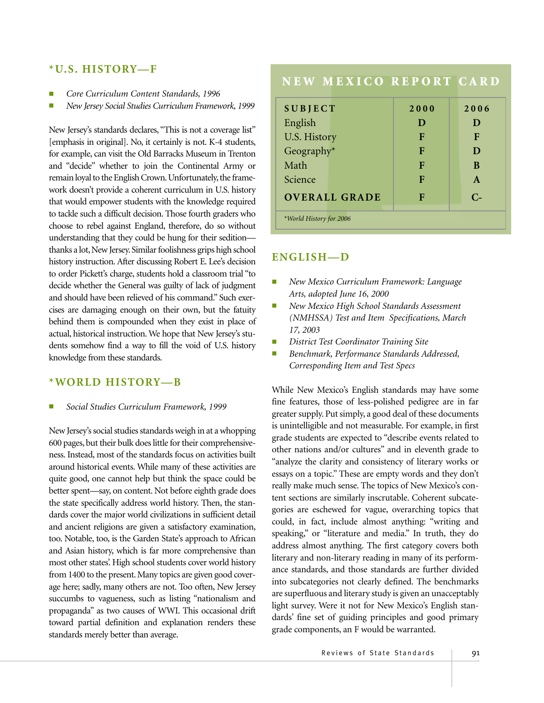### **\*U.S. HISTORY—F**

- *Core Curriculum Content Standards, 1996*
- *New Jersey Social Studies Curriculum Framework, 1999*

New Jersey's standards declares, "This is not a coverage list" [emphasis in original]. No, it certainly is not. K-4 students, for example, can visit the Old Barracks Museum in Trenton and "decide" whether to join the Continental Army or remain loyal to the English Crown. Unfortunately, the framework doesn't provide a coherent curriculum in U.S. history that would empower students with the knowledge required to tackle such a difficult decision. Those fourth graders who choose to rebel against England, therefore, do so without understanding that they could be hung for their sedition thanks a lot, New Jersey. Similar foolishness grips high school history instruction. After discussing Robert E. Lee's decision to order Pickett's charge, students hold a classroom trial "to decide whether the General was guilty of lack of judgment and should have been relieved of his command." Such exercises are damaging enough on their own, but the fatuity behind them is compounded when they exist in place of actual, historical instruction. We hope that New Jersey's students somehow find a way to fill the void of U.S. history knowledge from these standards.

#### **\*WORLD HISTORY—B**

■ *Social Studies Curriculum Framework, 1999*

New Jersey's social studies standards weigh in at a whopping 600 pages, but their bulk does little for their comprehensiveness. Instead, most of the standards focus on activities built around historical events. While many of these activities are quite good, one cannot help but think the space could be better spent—say, on content. Not before eighth grade does the state specifically address world history. Then, the standards cover the major world civilizations in sufficient detail and ancient religions are given a satisfactory examination, too. Notable, too, is the Garden State's approach to African and Asian history, which is far more comprehensive than most other states'. High school students cover world history from 1400 to the present. Many topics are given good coverage here; sadly, many others are not. Too often, New Jersey succumbs to vagueness, such as listing "nationalism and propaganda" as two causes of WWI. This occasional drift toward partial definition and explanation renders these standards merely better than average.

# **NEW MEXICO REPORT CARD**

| <b>SUBJECT</b>          | 2000 | 2006         |
|-------------------------|------|--------------|
| English                 | D    | D            |
| U.S. History            | F    | F            |
| Geography*              | F    | D            |
| Math                    | F    | B            |
| Science                 | F    | $\mathbf{A}$ |
| <b>OVERALL GRADE</b>    | F    | $C_{\pm}$    |
| *World History for 2006 |      |              |

#### **ENGLISH—D**

- *New Mexico Curriculum Framework: Language Arts, adopted June 16, 2000*
- *New Mexico High School Standards Assessment (NMHSSA) Test and Item Specifications, March 17, 2003*
- *District Test Coordinator Training Site*
- *Benchmark, Performance Standards Addressed, Corresponding Item and Test Specs*

While New Mexico's English standards may have some fine features, those of less-polished pedigree are in far greater supply. Put simply, a good deal of these documents is unintelligible and not measurable. For example, in first grade students are expected to "describe events related to other nations and/or cultures" and in eleventh grade to "analyze the clarity and consistency of literary works or essays on a topic." These are empty words and they don't really make much sense. The topics of New Mexico's content sections are similarly inscrutable. Coherent subcategories are eschewed for vague, overarching topics that could, in fact, include almost anything: "writing and speaking," or "literature and media." In truth, they do address almost anything. The first category covers both literary and non-literary reading in many of its performance standards, and those standards are further divided into subcategories not clearly defined. The benchmarks are superfluous and literary study is given an unacceptably light survey. Were it not for New Mexico's English standards' fine set of guiding principles and good primary grade components, an F would be warranted.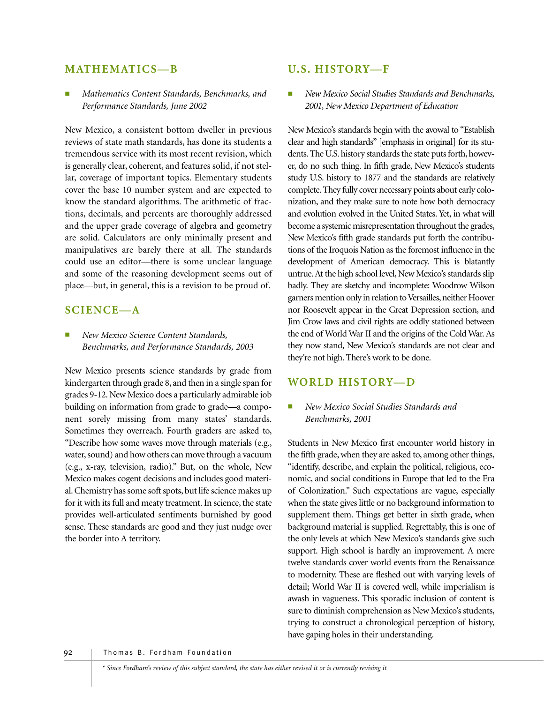#### **MATHEMATICS—B**

■ *Mathematics Content Standards, Benchmarks, and Performance Standards, June 2002*

New Mexico, a consistent bottom dweller in previous reviews of state math standards, has done its students a tremendous service with its most recent revision, which is generally clear, coherent, and features solid, if not stellar, coverage of important topics. Elementary students cover the base 10 number system and are expected to know the standard algorithms. The arithmetic of fractions, decimals, and percents are thoroughly addressed and the upper grade coverage of algebra and geometry are solid. Calculators are only minimally present and manipulatives are barely there at all. The standards could use an editor—there is some unclear language and some of the reasoning development seems out of place—but, in general, this is a revision to be proud of.

#### **SCIENCE—A**

 $New Mexico Science Content Standards,$ *Benchmarks, and Performance Standards, 2003*

New Mexico presents science standards by grade from kindergarten through grade 8, and then in a single span for grades 9-12. New Mexico does a particularly admirable job building on information from grade to grade—a component sorely missing from many states' standards. Sometimes they overreach. Fourth graders are asked to, "Describe how some waves move through materials (e.g., water, sound) and how others can move through a vacuum (e.g., x-ray, television, radio)." But, on the whole, New Mexico makes cogent decisions and includes good material. Chemistry has some soft spots, but life science makes up for it with its full and meaty treatment. In science, the state provides well-articulated sentiments burnished by good sense. These standards are good and they just nudge over the border into A territory.

#### **U.S. HISTORY—F**

■ *New Mexico Social Studies Standards and Benchmarks, 2001, New Mexico Department of Education*

New Mexico's standards begin with the avowal to "Establish clear and high standards" [emphasis in original] for its students. The U.S. history standards the state puts forth, however, do no such thing. In fifth grade, New Mexico's students study U.S. history to 1877 and the standards are relatively complete. They fully cover necessary points about early colonization, and they make sure to note how both democracy and evolution evolved in the United States. Yet, in what will become a systemic misrepresentation throughout the grades, New Mexico's fifth grade standards put forth the contributions of the Iroquois Nation as the foremost influence in the development of American democracy. This is blatantly untrue. At the high school level, New Mexico's standards slip badly. They are sketchy and incomplete: Woodrow Wilson garners mention only in relation to Versailles, neither Hoover nor Roosevelt appear in the Great Depression section, and Jim Crow laws and civil rights are oddly stationed between the end of World War II and the origins of the Cold War. As they now stand, New Mexico's standards are not clear and they're not high. There's work to be done.

#### **WORLD HISTORY—D**

#### ■ *New Mexico Social Studies Standards and Benchmarks, 2001*

Students in New Mexico first encounter world history in the fifth grade, when they are asked to, among other things, "identify, describe, and explain the political, religious, economic, and social conditions in Europe that led to the Era of Colonization." Such expectations are vague, especially when the state gives little or no background information to supplement them. Things get better in sixth grade, when background material is supplied. Regrettably, this is one of the only levels at which New Mexico's standards give such support. High school is hardly an improvement. A mere twelve standards cover world events from the Renaissance to modernity. These are fleshed out with varying levels of detail; World War II is covered well, while imperialism is awash in vagueness. This sporadic inclusion of content is sure to diminish comprehension as New Mexico's students, trying to construct a chronological perception of history, have gaping holes in their understanding.

92 Thomas B. Fordham Foundation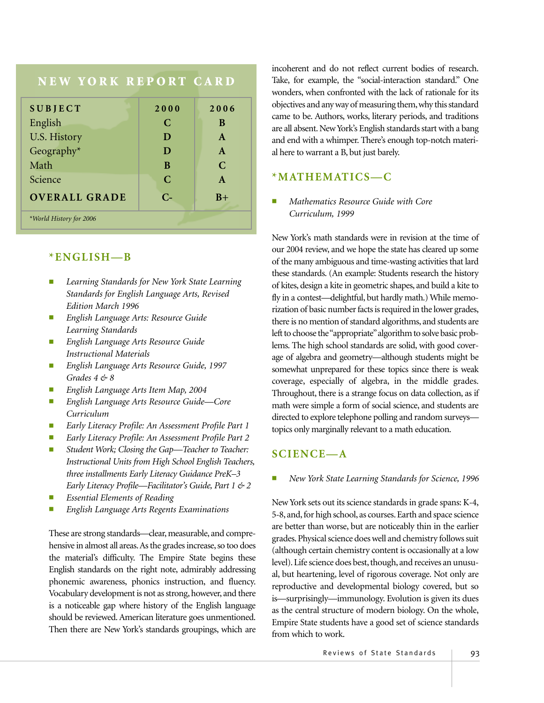# **NEW YORK REPORT CARD SUBJECT 2000 2006** English **C** B U.S. History **D A** Geography\* **D A** Math **B C** Science **C** A **OVERALL GRADE C- B+** *\*World History for 2006*

# **\*ENGLISH—B**

- **Learning Standards for New York State Learning** *Standards for English Language Arts, Revised Edition March 1996*
- *English Language Arts: Resource Guide Learning Standards*
- *English Language Arts Resource Guide Instructional Materials*
- *English Language Arts Resource Guide, 1997 Grades 4 & 8*
- *English Language Arts Item Map, 2004*
- *English Language Arts Resource Guide—Core Curriculum*
- *Early Literacy Profile: An Assessment Profile Part 1*
- *Early Literacy Profile: An Assessment Profile Part 2*
- *Student Work; Closing the Gap—Teacher to Teacher: Instructional Units from High School English Teachers, three installments Early Literacy Guidance PreK–3 Early Literacy Profile—Facilitator's Guide, Part 1 & 2*
- *Essential Elements of Reading*
- *English Language Arts Regents Examinations*

These are strong standards—clear, measurable, and comprehensive in almost all areas. As the grades increase, so too does the material's difficulty. The Empire State begins these English standards on the right note, admirably addressing phonemic awareness, phonics instruction, and fluency. Vocabulary development is not as strong, however, and there is a noticeable gap where history of the English language should be reviewed. American literature goes unmentioned. Then there are New York's standards groupings, which are incoherent and do not reflect current bodies of research. Take, for example, the "social-interaction standard." One wonders, when confronted with the lack of rationale for its objectives and any way of measuring them,why this standard came to be. Authors, works, literary periods, and traditions are all absent. New York's English standards start with a bang and end with a whimper. There's enough top-notch material here to warrant a B, but just barely.

## **\*MATHEMATICS—C**

■ *Mathematics Resource Guide with Core Curriculum, 1999*

New York's math standards were in revision at the time of our 2004 review, and we hope the state has cleared up some of the many ambiguous and time-wasting activities that lard these standards. (An example: Students research the history of kites, design a kite in geometric shapes, and build a kite to fly in a contest—delightful, but hardly math.) While memorization of basic number facts is required in the lower grades, there is no mention of standard algorithms, and students are left to choose the "appropriate"algorithm to solve basic problems. The high school standards are solid, with good coverage of algebra and geometry—although students might be somewhat unprepared for these topics since there is weak coverage, especially of algebra, in the middle grades. Throughout, there is a strange focus on data collection, as if math were simple a form of social science, and students are directed to explore telephone polling and random surveys topics only marginally relevant to a math education.

## **SCIENCE—A**

■ *New York State Learning Standards for Science, 1996*

New York sets out its science standards in grade spans: K-4, 5-8, and, for high school, as courses. Earth and space science are better than worse, but are noticeably thin in the earlier grades. Physical science does well and chemistry follows suit (although certain chemistry content is occasionally at a low level). Life science does best, though, and receives an unusual, but heartening, level of rigorous coverage. Not only are reproductive and developmental biology covered, but so is—surprisingly—immunology. Evolution is given its dues as the central structure of modern biology. On the whole, Empire State students have a good set of science standards from which to work.

Reviews of State Standards | 93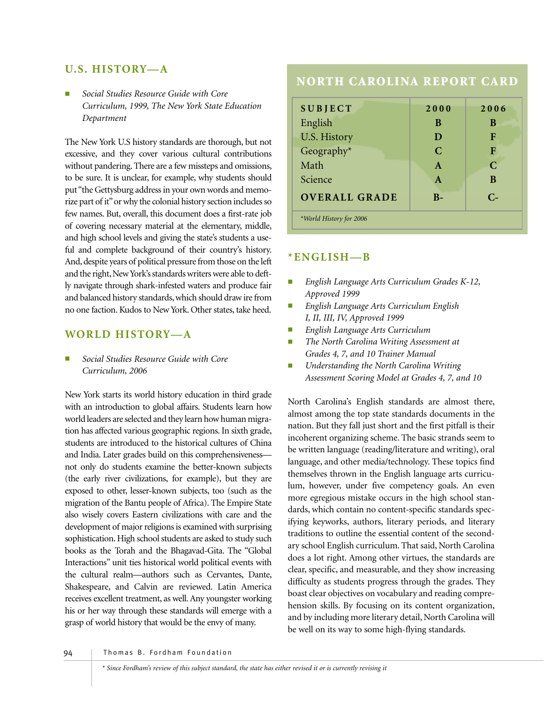## **U.S. HISTORY—A**

■ *Social Studies Resource Guide with Core Curriculum, 1999, The New York State Education Department*

The New York U.S history standards are thorough, but not excessive, and they cover various cultural contributions without pandering. There are a few missteps and omissions, to be sure. It is unclear, for example, why students should put "the Gettysburg address in your own words and memorize part of it"or why the colonial history section includes so few names. But, overall, this document does a first-rate job of covering necessary material at the elementary, middle, and high school levels and giving the state's students a useful and complete background of their country's history. And, despite years of political pressure from those on the left and the right, New York's standards writers were able to deftly navigate through shark-infested waters and produce fair and balanced history standards, which should draw ire from no one faction. Kudos to New York. Other states, take heed.

## **WORLD HISTORY—A**

■ *Social Studies Resource Guide with Core Curriculum, 2006* 

New York starts its world history education in third grade with an introduction to global affairs. Students learn how world leaders are selected and they learn how human migration has affected various geographic regions. In sixth grade, students are introduced to the historical cultures of China and India. Later grades build on this comprehensiveness not only do students examine the better-known subjects (the early river civilizations, for example), but they are exposed to other, lesser-known subjects, too (such as the migration of the Bantu people of Africa). The Empire State also wisely covers Eastern civilizations with care and the development of major religions is examined with surprising sophistication. High school students are asked to study such books as the Torah and the Bhagavad-Gita. The "Global Interactions" unit ties historical world political events with the cultural realm—authors such as Cervantes, Dante, Shakespeare, and Calvin are reviewed. Latin America receives excellent treatment, as well. Any youngster working his or her way through these standards will emerge with a grasp of world history that would be the envy of many.

# **NORTH CAROLINA REPORT CARD**

| <b>SUBJECT</b>          | 2000          | 2006        |
|-------------------------|---------------|-------------|
| English                 | B             | B           |
| U.S. History            | D             | F           |
| Geography*              | $\mathcal{C}$ | F           |
| Math                    | $\mathbf{A}$  | $\mathbf C$ |
| Science                 | $\mathbf{A}$  | B           |
| <b>OVERALL GRADE</b>    | $B-$          | $C-$        |
| *World History for 2006 |               |             |

#### **\*ENGLISH—B**

- *English Language Arts Curriculum Grades K-12, Approved 1999*
- *English Language Arts Curriculum English I, II, III, IV, Approved 1999*
- *English Language Arts Curriculum*
- *The North Carolina Writing Assessment at Grades 4, 7, and 10 Trainer Manual*
- *Understanding the North Carolina Writing Assessment Scoring Model at Grades 4, 7, and 10*

North Carolina's English standards are almost there, almost among the top state standards documents in the nation. But they fall just short and the first pitfall is their incoherent organizing scheme. The basic strands seem to be written language (reading/literature and writing), oral language, and other media/technology. These topics find themselves thrown in the English language arts curriculum, however, under five competency goals. An even more egregious mistake occurs in the high school standards, which contain no content-specific standards specifying keyworks, authors, literary periods, and literary traditions to outline the essential content of the secondary school English curriculum. That said, North Carolina does a lot right. Among other virtues, the standards are clear, specific, and measurable, and they show increasing difficulty as students progress through the grades. They boast clear objectives on vocabulary and reading comprehension skills. By focusing on its content organization, and by including more literary detail, North Carolina will be well on its way to some high-flying standards.

94 Thomas B. Fordham Foundation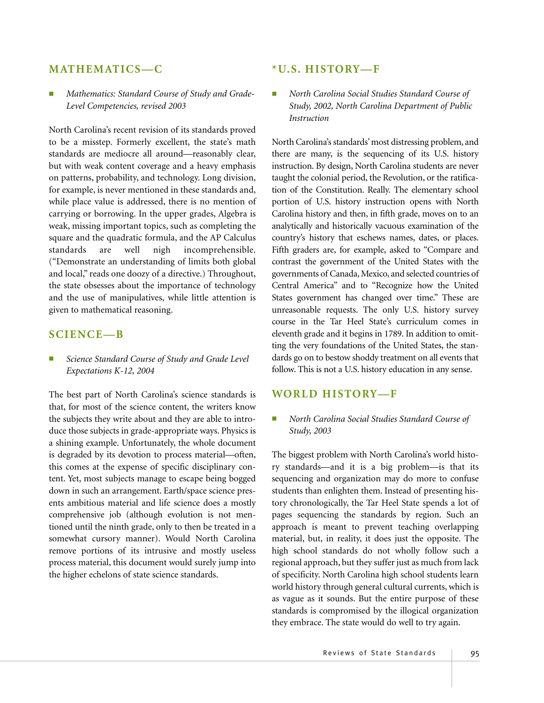#### **MATHEMATICS—C**

Mathematics: Standard Course of Study and Grade-*Level Competencies, revised 2003*

North Carolina's recent revision of its standards proved to be a misstep. Formerly excellent, the state's math standards are mediocre all around—reasonably clear, but with weak content coverage and a heavy emphasis on patterns, probability, and technology. Long division, for example, is never mentioned in these standards and, while place value is addressed, there is no mention of carrying or borrowing. In the upper grades, Algebra is weak, missing important topics, such as completing the square and the quadratic formula, and the AP Calculus standards are well nigh incomprehensible. ("Demonstrate an understanding of limits both global and local," reads one doozy of a directive.) Throughout, the state obsesses about the importance of technology and the use of manipulatives, while little attention is given to mathematical reasoning.

#### **SCIENCE—B**

Science Standard Course of Study and Grade Level *Expectations K-12, 2004*

The best part of North Carolina's science standards is that, for most of the science content, the writers know the subjects they write about and they are able to introduce those subjects in grade-appropriate ways. Physics is a shining example. Unfortunately, the whole document is degraded by its devotion to process material—often, this comes at the expense of specific disciplinary content. Yet, most subjects manage to escape being bogged down in such an arrangement. Earth/space science presents ambitious material and life science does a mostly comprehensive job (although evolution is not mentioned until the ninth grade, only to then be treated in a somewhat cursory manner). Would North Carolina remove portions of its intrusive and mostly useless process material, this document would surely jump into the higher echelons of state science standards.

#### **\*U.S. HISTORY—F**

■ *North Carolina Social Studies Standard Course of Study, 2002, North Carolina Department of Public Instruction*

North Carolina's standards' most distressing problem, and there are many, is the sequencing of its U.S. history instruction. By design, North Carolina students are never taught the colonial period, the Revolution, or the ratification of the Constitution. Really. The elementary school portion of U.S. history instruction opens with North Carolina history and then, in fifth grade, moves on to an analytically and historically vacuous examination of the country's history that eschews names, dates, or places. Fifth graders are, for example, asked to "Compare and contrast the government of the United States with the governments of Canada, Mexico, and selected countries of Central America" and to "Recognize how the United States government has changed over time." These are unreasonable requests. The only U.S. history survey course in the Tar Heel State's curriculum comes in eleventh grade and it begins in 1789. In addition to omitting the very foundations of the United States, the standards go on to bestow shoddy treatment on all events that follow. This is not a U.S. history education in any sense.

#### **WORLD HISTORY—F**

#### ■ *North Carolina Social Studies Standard Course of Study, 2003*

The biggest problem with North Carolina's world history standards—and it is a big problem—is that its sequencing and organization may do more to confuse students than enlighten them. Instead of presenting history chronologically, the Tar Heel State spends a lot of pages sequencing the standards by region. Such an approach is meant to prevent teaching overlapping material, but, in reality, it does just the opposite. The high school standards do not wholly follow such a regional approach, but they suffer just as much from lack of specificity. North Carolina high school students learn world history through general cultural currents, which is as vague as it sounds. But the entire purpose of these standards is compromised by the illogical organization they embrace. The state would do well to try again.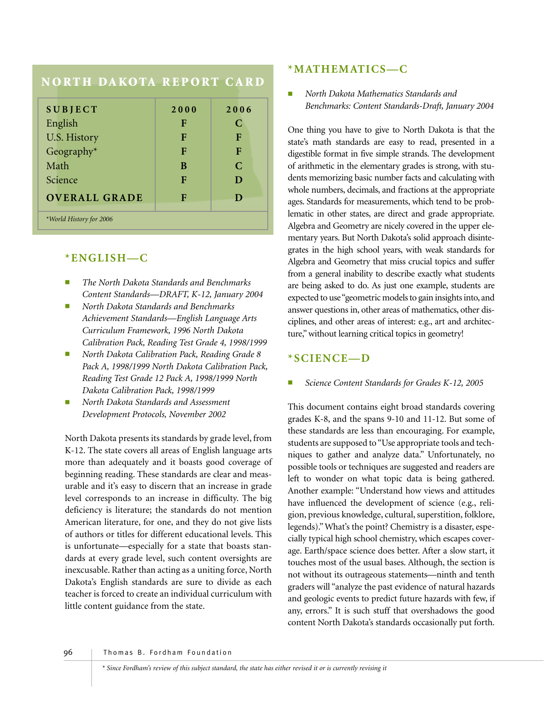# **NORTH DAKOTA REPORT CARD**

| <b>SUBJECT</b>          | 2000 | 2006          |
|-------------------------|------|---------------|
| English                 | F    | C             |
| U.S. History            | F    | F             |
| Geography $*$           | F    | F             |
| Math                    | B    | $\mathcal{C}$ |
| Science                 | F    | D             |
| <b>OVERALL GRADE</b>    | Е    | D             |
| *World History for 2006 |      |               |

## **\*ENGLISH—C**

- *The North Dakota Standards and Benchmarks Content Standards—DRAFT, K-12, January 2004*
- *North Dakota Standards and Benchmarks Achievement Standards—English Language Arts Curriculum Framework, 1996 North Dakota Calibration Pack, Reading Test Grade 4, 1998/1999*
- *North Dakota Calibration Pack, Reading Grade 8 Pack A, 1998/1999 North Dakota Calibration Pack, Reading Test Grade 12 Pack A, 1998/1999 North Dakota Calibration Pack, 1998/1999*
- *North Dakota Standards and Assessment Development Protocols, November 2002*

North Dakota presents its standards by grade level, from K-12. The state covers all areas of English language arts more than adequately and it boasts good coverage of beginning reading. These standards are clear and measurable and it's easy to discern that an increase in grade level corresponds to an increase in difficulty. The big deficiency is literature; the standards do not mention American literature, for one, and they do not give lists of authors or titles for different educational levels. This is unfortunate—especially for a state that boasts standards at every grade level, such content oversights are inexcusable. Rather than acting as a uniting force, North Dakota's English standards are sure to divide as each teacher is forced to create an individual curriculum with little content guidance from the state.

## **\*MATHEMATICS—C**

■ *North Dakota Mathematics Standards and Benchmarks: Content Standards-Draft, January 2004*

One thing you have to give to North Dakota is that the state's math standards are easy to read, presented in a digestible format in five simple strands. The development of arithmetic in the elementary grades is strong, with students memorizing basic number facts and calculating with whole numbers, decimals, and fractions at the appropriate ages. Standards for measurements, which tend to be problematic in other states, are direct and grade appropriate. Algebra and Geometry are nicely covered in the upper elementary years. But North Dakota's solid approach disintegrates in the high school years, with weak standards for Algebra and Geometry that miss crucial topics and suffer from a general inability to describe exactly what students are being asked to do. As just one example, students are expected to use "geometric models to gain insights into, and answer questions in, other areas of mathematics, other disciplines, and other areas of interest: e.g., art and architecture," without learning critical topics in geometry!

## **\*SCIENCE—D**

#### Science Content Standards for Grades K-12, 2005

This document contains eight broad standards covering grades K-8, and the spans 9-10 and 11-12. But some of these standards are less than encouraging. For example, students are supposed to "Use appropriate tools and techniques to gather and analyze data." Unfortunately, no possible tools or techniques are suggested and readers are left to wonder on what topic data is being gathered. Another example: "Understand how views and attitudes have influenced the development of science (e.g., religion, previous knowledge, cultural, superstition, folklore, legends)." What's the point? Chemistry is a disaster, especially typical high school chemistry, which escapes coverage. Earth/space science does better. After a slow start, it touches most of the usual bases. Although, the section is not without its outrageous statements—ninth and tenth graders will "analyze the past evidence of natural hazards and geologic events to predict future hazards with few, if any, errors." It is such stuff that overshadows the good content North Dakota's standards occasionally put forth.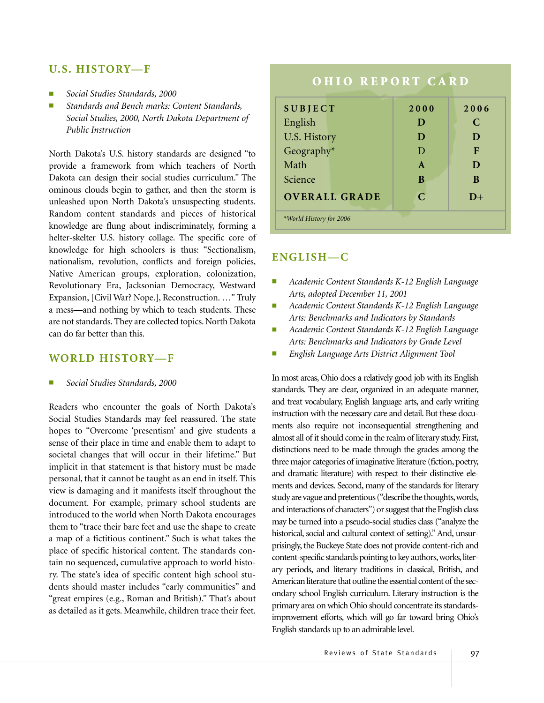### **U.S. HISTORY—F**

- *Social Studies Standards, 2000*
- Standards and Bench marks: Content Standards, *Social Studies, 2000, North Dakota Department of Public Instruction*

North Dakota's U.S. history standards are designed "to provide a framework from which teachers of North Dakota can design their social studies curriculum." The ominous clouds begin to gather, and then the storm is unleashed upon North Dakota's unsuspecting students. Random content standards and pieces of historical knowledge are flung about indiscriminately, forming a helter-skelter U.S. history collage. The specific core of knowledge for high schoolers is thus: "Sectionalism, nationalism, revolution, conflicts and foreign policies, Native American groups, exploration, colonization, Revolutionary Era, Jacksonian Democracy, Westward Expansion, [Civil War? Nope.], Reconstruction. …" Truly a mess—and nothing by which to teach students. These are not standards. They are collected topics. North Dakota can do far better than this.

#### **WORLD HISTORY—F**

■ *Social Studies Standards, 2000*

Readers who encounter the goals of North Dakota's Social Studies Standards may feel reassured. The state hopes to "Overcome 'presentism' and give students a sense of their place in time and enable them to adapt to societal changes that will occur in their lifetime." But implicit in that statement is that history must be made personal, that it cannot be taught as an end in itself. This view is damaging and it manifests itself throughout the document. For example, primary school students are introduced to the world when North Dakota encourages them to "trace their bare feet and use the shape to create a map of a fictitious continent." Such is what takes the place of specific historical content. The standards contain no sequenced, cumulative approach to world history. The state's idea of specific content high school students should master includes "early communities" and "great empires (e.g., Roman and British)." That's about as detailed as it gets. Meanwhile, children trace their feet.

# **OHIO REPORT CARD**

| <b>SUBJECT</b>          | 2000          | 2006 |
|-------------------------|---------------|------|
| English                 | D             | C    |
| <b>U.S. History</b>     | D             | D    |
| Geography*              | D             | F    |
| Math                    | $\mathbf{A}$  | D    |
| Science                 | B             | B    |
| <b>OVERALL GRADE</b>    | $\mathcal{C}$ | $D+$ |
| *World History for 2006 |               |      |

## **ENGLISH—C**

- *Academic Content Standards K-12 English Language Arts, adopted December 11, 2001*
- *Academic Content Standards K-12 English Language Arts: Benchmarks and Indicators by Standards*
- *Academic Content Standards K-12 English Language Arts: Benchmarks and Indicators by Grade Level*
- *English Language Arts District Alignment Tool*

In most areas, Ohio does a relatively good job with its English standards. They are clear, organized in an adequate manner, and treat vocabulary, English language arts, and early writing instruction with the necessary care and detail. But these documents also require not inconsequential strengthening and almost all of it should come in the realm of literary study. First, distinctions need to be made through the grades among the three major categories of imaginative literature (fiction, poetry, and dramatic literature) with respect to their distinctive elements and devices. Second, many of the standards for literary study are vague and pretentious ("describe the thoughts, words, and interactions of characters") or suggest that the English class may be turned into a pseudo-social studies class ("analyze the historical, social and cultural context of setting)." And, unsurprisingly, the Buckeye State does not provide content-rich and content-specific standards pointing to key authors, works, literary periods, and literary traditions in classical, British, and American literature that outline the essential content of the secondary school English curriculum. Literary instruction is the primary area on which Ohio should concentrate its standardsimprovement efforts, which will go far toward bring Ohio's English standards up to an admirable level.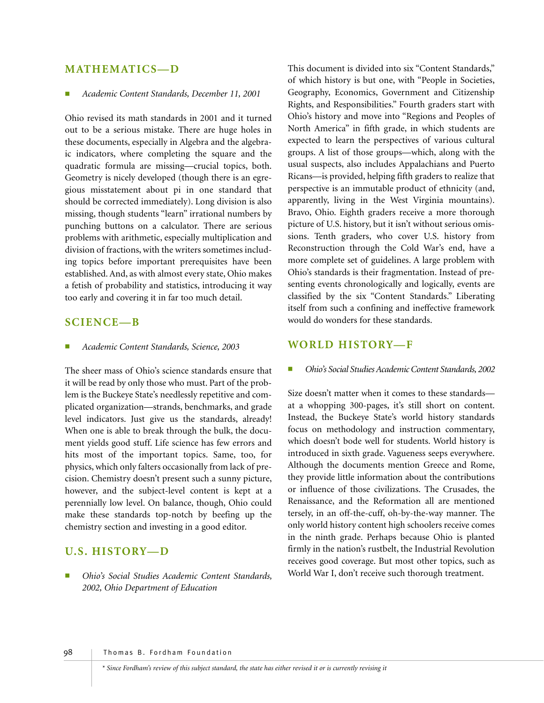#### **MATHEMATICS—D**

#### ■ *Academic Content Standards, December 11, 2001*

Ohio revised its math standards in 2001 and it turned out to be a serious mistake. There are huge holes in these documents, especially in Algebra and the algebraic indicators, where completing the square and the quadratic formula are missing—crucial topics, both. Geometry is nicely developed (though there is an egregious misstatement about pi in one standard that should be corrected immediately). Long division is also missing, though students "learn" irrational numbers by punching buttons on a calculator. There are serious problems with arithmetic, especially multiplication and division of fractions, with the writers sometimes including topics before important prerequisites have been established. And, as with almost every state, Ohio makes a fetish of probability and statistics, introducing it way too early and covering it in far too much detail.

### **SCIENCE—B**

■ *Academic Content Standards, Science, 2003*

The sheer mass of Ohio's science standards ensure that it will be read by only those who must. Part of the problem is the Buckeye State's needlessly repetitive and complicated organization—strands, benchmarks, and grade level indicators. Just give us the standards, already! When one is able to break through the bulk, the document yields good stuff. Life science has few errors and hits most of the important topics. Same, too, for physics, which only falters occasionally from lack of precision. Chemistry doesn't present such a sunny picture, however, and the subject-level content is kept at a perennially low level. On balance, though, Ohio could make these standards top-notch by beefing up the chemistry section and investing in a good editor.

## **U.S. HISTORY—D**

■ *Ohio's Social Studies Academic Content Standards, 2002, Ohio Department of Education*

This document is divided into six "Content Standards," of which history is but one, with "People in Societies, Geography, Economics, Government and Citizenship Rights, and Responsibilities." Fourth graders start with Ohio's history and move into "Regions and Peoples of North America" in fifth grade, in which students are expected to learn the perspectives of various cultural groups. A list of those groups—which, along with the usual suspects, also includes Appalachians and Puerto Ricans—is provided, helping fifth graders to realize that perspective is an immutable product of ethnicity (and, apparently, living in the West Virginia mountains). Bravo, Ohio. Eighth graders receive a more thorough picture of U.S. history, but it isn't without serious omissions. Tenth graders, who cover U.S. history from Reconstruction through the Cold War's end, have a more complete set of guidelines. A large problem with Ohio's standards is their fragmentation. Instead of presenting events chronologically and logically, events are classified by the six "Content Standards." Liberating itself from such a confining and ineffective framework would do wonders for these standards.

#### **WORLD HISTORY—F**

■ *Ohio's Social Studies Academic Content Standards, 2002*

Size doesn't matter when it comes to these standards at a whopping 300-pages, it's still short on content. Instead, the Buckeye State's world history standards focus on methodology and instruction commentary, which doesn't bode well for students. World history is introduced in sixth grade. Vagueness seeps everywhere. Although the documents mention Greece and Rome, they provide little information about the contributions or influence of those civilizations. The Crusades, the Renaissance, and the Reformation all are mentioned tersely, in an off-the-cuff, oh-by-the-way manner. The only world history content high schoolers receive comes in the ninth grade. Perhaps because Ohio is planted firmly in the nation's rustbelt, the Industrial Revolution receives good coverage. But most other topics, such as World War I, don't receive such thorough treatment.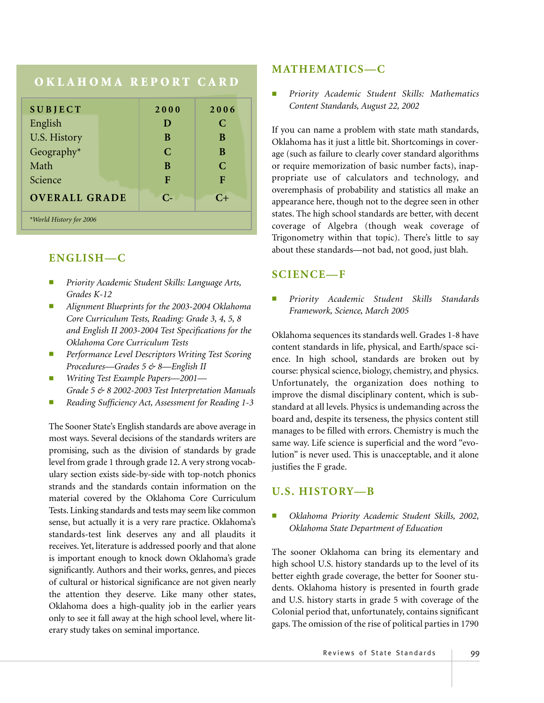## **OKLAHOMA REPORT CARD**

| <b>SUBJECT</b>          |  | 2000        | 2006          |
|-------------------------|--|-------------|---------------|
| English                 |  | D           | C             |
| U.S. History            |  | B           | B             |
| Geography*              |  | $\mathbf C$ | B             |
| Math                    |  | B           | $\mathcal{C}$ |
| Science                 |  | F           | F             |
| <b>OVERALL GRADE</b>    |  | $C-$        | $C+$          |
| *World History for 2006 |  |             |               |

# **ENGLISH—C**

- *Priority Academic Student Skills: Language Arts, Grades K-12*
- *Alignment Blueprints for the 2003-2004 Oklahoma Core Curriculum Tests, Reading: Grade 3, 4, 5, 8 and English II 2003-2004 Test Specifications for the Oklahoma Core Curriculum Tests*
- Performance Level Descriptors Writing Test Scoring *Procedures—Grades 5 & 8—English II*
- *Writing Test Example Papers—2001— Grade 5 & 8 2002-2003 Test Interpretation Manuals*
- *Reading Sufficiency Act, Assessment for Reading 1-3*

The Sooner State's English standards are above average in most ways. Several decisions of the standards writers are promising, such as the division of standards by grade level from grade 1 through grade 12. A very strong vocabulary section exists side-by-side with top-notch phonics strands and the standards contain information on the material covered by the Oklahoma Core Curriculum Tests. Linking standards and tests may seem like common sense, but actually it is a very rare practice. Oklahoma's standards-test link deserves any and all plaudits it receives. Yet, literature is addressed poorly and that alone is important enough to knock down Oklahoma's grade significantly. Authors and their works, genres, and pieces of cultural or historical significance are not given nearly the attention they deserve. Like many other states, Oklahoma does a high-quality job in the earlier years only to see it fall away at the high school level, where literary study takes on seminal importance.

#### **MATHEMATICS—C**

■ *Priority Academic Student Skills: Mathematics Content Standards, August 22, 2002*

If you can name a problem with state math standards, Oklahoma has it just a little bit. Shortcomings in coverage (such as failure to clearly cover standard algorithms or require memorization of basic number facts), inappropriate use of calculators and technology, and overemphasis of probability and statistics all make an appearance here, though not to the degree seen in other states. The high school standards are better, with decent coverage of Algebra (though weak coverage of Trigonometry within that topic). There's little to say about these standards—not bad, not good, just blah.

#### **SCIENCE—F**

■ *Priority Academic Student Skills Standards Framework, Science, March 2005*

Oklahoma sequences its standards well. Grades 1-8 have content standards in life, physical, and Earth/space science. In high school, standards are broken out by course: physical science, biology, chemistry, and physics. Unfortunately, the organization does nothing to improve the dismal disciplinary content, which is substandard at all levels. Physics is undemanding across the board and, despite its terseness, the physics content still manages to be filled with errors. Chemistry is much the same way. Life science is superficial and the word "evolution" is never used. This is unacceptable, and it alone justifies the F grade.

#### **U.S. HISTORY—B**

#### ■ *Oklahoma Priority Academic Student Skills, 2002, Oklahoma State Department of Education*

The sooner Oklahoma can bring its elementary and high school U.S. history standards up to the level of its better eighth grade coverage, the better for Sooner students. Oklahoma history is presented in fourth grade and U.S. history starts in grade 5 with coverage of the Colonial period that, unfortunately, contains significant gaps. The omission of the rise of political parties in 1790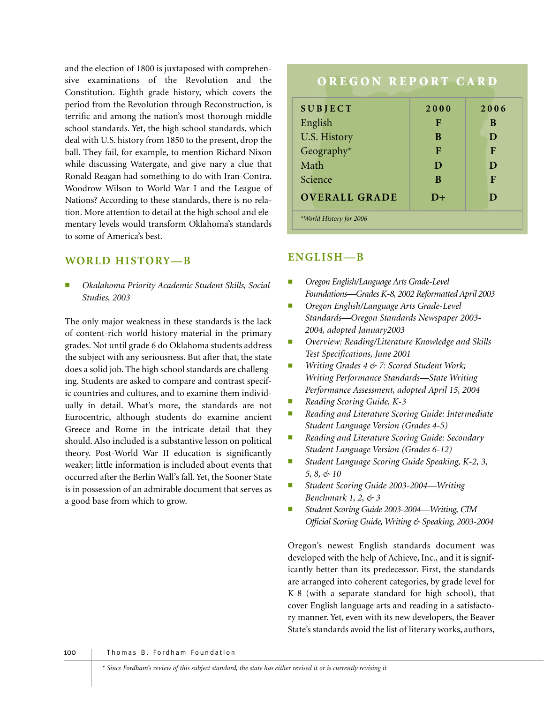and the election of 1800 is juxtaposed with comprehensive examinations of the Revolution and the Constitution. Eighth grade history, which covers the period from the Revolution through Reconstruction, is terrific and among the nation's most thorough middle school standards. Yet, the high school standards, which deal with U.S. history from 1850 to the present, drop the ball. They fail, for example, to mention Richard Nixon while discussing Watergate, and give nary a clue that Ronald Reagan had something to do with Iran-Contra. Woodrow Wilson to World War I and the League of Nations? According to these standards, there is no relation. More attention to detail at the high school and elementary levels would transform Oklahoma's standards to some of America's best.

# **WORLD HISTORY—B**

■ *Okalahoma Priority Academic Student Skills, Social Studies, 2003*

The only major weakness in these standards is the lack of content-rich world history material in the primary grades. Not until grade 6 do Oklahoma students address the subject with any seriousness. But after that, the state does a solid job. The high school standards are challenging. Students are asked to compare and contrast specific countries and cultures, and to examine them individually in detail. What's more, the standards are not Eurocentric, although students do examine ancient Greece and Rome in the intricate detail that they should. Also included is a substantive lesson on political theory. Post-World War II education is significantly weaker; little information is included about events that occurred after the Berlin Wall's fall. Yet, the Sooner State is in possession of an admirable document that serves as a good base from which to grow.

# **OREGON REPORT CARD**

| <b>SUBJECT</b>          | 2000 | 2006 |
|-------------------------|------|------|
| English                 | F    | B    |
| U.S. History            | В    | D    |
| Geography*              | F    | F    |
| Math                    | D    | D    |
| Science                 | B    | F    |
| <b>OVERALL GRADE</b>    | $D+$ | D    |
| *World History for 2006 |      |      |

# **ENGLISH—B**

- *Oregon English/Language Arts Grade-Level Foundations—Grades K-8, 2002 Reformatted April 2003*
- *Oregon English/Language Arts Grade-Level Standards—Oregon Standards Newspaper 2003- 2004, adopted January2003*
- *Overview: Reading/Literature Knowledge and Skills Test Specifications, June 2001*
- *Writing Grades 4 & 7: Scored Student Work; Writing Performance Standards—State Writing Performance Assessment, adopted April 15, 2004*
- *Reading Scoring Guide, K-3*
- *Reading and Literature Scoring Guide: Intermediate Student Language Version (Grades 4-5)*
- *Reading and Literature Scoring Guide: Secondary Student Language Version (Grades 6-12)*
- *Student Language Scoring Guide Speaking, K-2, 3, 5, 8, & 10*
- *Student Scoring Guide 2003-2004—Writing Benchmark 1, 2, & 3*
- Student Scoring Guide 2003-2004-Writing, CIM *Official Scoring Guide, Writing & Speaking, 2003-2004*

Oregon's newest English standards document was developed with the help of Achieve, Inc., and it is significantly better than its predecessor. First, the standards are arranged into coherent categories, by grade level for K-8 (with a separate standard for high school), that cover English language arts and reading in a satisfactory manner. Yet, even with its new developers, the Beaver State's standards avoid the list of literary works, authors,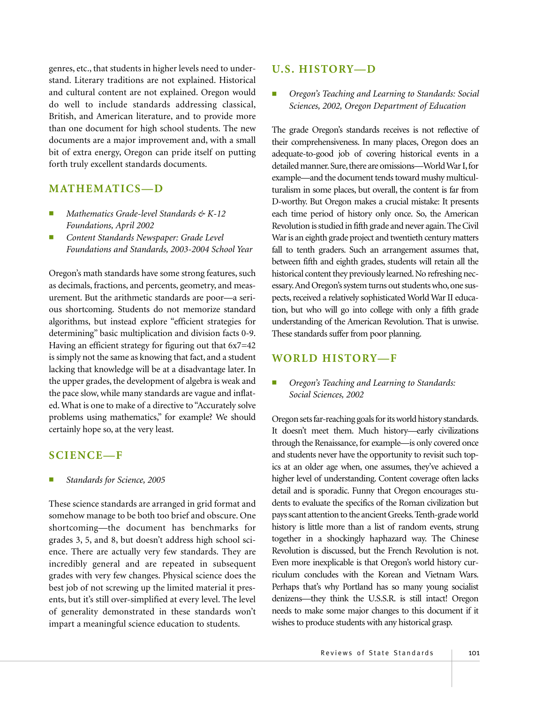genres, etc., that students in higher levels need to understand. Literary traditions are not explained. Historical and cultural content are not explained. Oregon would do well to include standards addressing classical, British, and American literature, and to provide more than one document for high school students. The new documents are a major improvement and, with a small bit of extra energy, Oregon can pride itself on putting forth truly excellent standards documents.

#### **MATHEMATICS—D**

- *Mathematics Grade-level Standards & K-12 Foundations, April 2002*
- *Content Standards Newspaper: Grade Level Foundations and Standards, 2003-2004 School Year*

Oregon's math standards have some strong features, such as decimals, fractions, and percents, geometry, and measurement. But the arithmetic standards are poor—a serious shortcoming. Students do not memorize standard algorithms, but instead explore "efficient strategies for determining" basic multiplication and division facts 0-9. Having an efficient strategy for figuring out that 6x7=42 is simply not the same as knowing that fact, and a student lacking that knowledge will be at a disadvantage later. In the upper grades, the development of algebra is weak and the pace slow, while many standards are vague and inflated. What is one to make of a directive to "Accurately solve problems using mathematics," for example? We should certainly hope so, at the very least.

#### **SCIENCE—F**

#### ■ *Standards for Science, 2005*

These science standards are arranged in grid format and somehow manage to be both too brief and obscure. One shortcoming—the document has benchmarks for grades 3, 5, and 8, but doesn't address high school science. There are actually very few standards. They are incredibly general and are repeated in subsequent grades with very few changes. Physical science does the best job of not screwing up the limited material it presents, but it's still over-simplified at every level. The level of generality demonstrated in these standards won't impart a meaningful science education to students.

#### **U.S. HISTORY—D**

■ *Oregon's Teaching and Learning to Standards: Social Sciences, 2002, Oregon Department of Education*

The grade Oregon's standards receives is not reflective of their comprehensiveness. In many places, Oregon does an adequate-to-good job of covering historical events in a detailed manner. Sure, there are omissions—World War I, for example—and the document tends toward mushy multiculturalism in some places, but overall, the content is far from D-worthy. But Oregon makes a crucial mistake: It presents each time period of history only once. So, the American Revolution is studied in fifth grade and never again.The Civil War is an eighth grade project and twentieth century matters fall to tenth graders. Such an arrangement assumes that, between fifth and eighth grades, students will retain all the historical content they previously learned. No refreshing necessary. And Oregon's system turns out students who, one suspects, received a relatively sophisticated World War II education, but who will go into college with only a fifth grade understanding of the American Revolution. That is unwise. These standards suffer from poor planning.

#### **WORLD HISTORY—F**

#### ■ *Oregon's Teaching and Learning to Standards: Social Sciences, 2002*

Oregon sets far-reaching goals for its world history standards. It doesn't meet them. Much history—early civilizations through the Renaissance, for example—is only covered once and students never have the opportunity to revisit such topics at an older age when, one assumes, they've achieved a higher level of understanding. Content coverage often lacks detail and is sporadic. Funny that Oregon encourages students to evaluate the specifics of the Roman civilization but pays scant attention to the ancient Greeks.Tenth-grade world history is little more than a list of random events, strung together in a shockingly haphazard way. The Chinese Revolution is discussed, but the French Revolution is not. Even more inexplicable is that Oregon's world history curriculum concludes with the Korean and Vietnam Wars. Perhaps that's why Portland has so many young socialist denizens—they think the U.S.S.R. is still intact! Oregon needs to make some major changes to this document if it wishes to produce students with any historical grasp.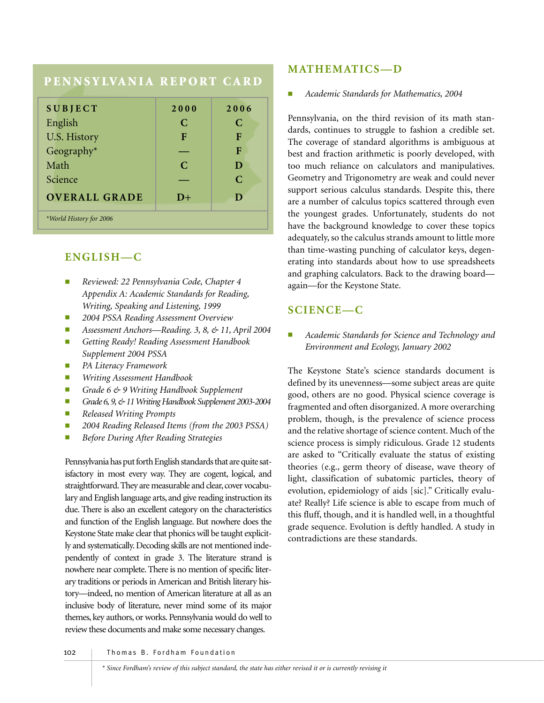# **PENNSYLVANIA REPORT CARD**

| <b>SUBJECT</b>          | 2000          | 2006        |
|-------------------------|---------------|-------------|
|                         |               |             |
| English                 | C             | C           |
| U.S. History            | F             | F           |
| Geography*              |               | F           |
| Math                    | $\mathcal{C}$ | D           |
| Science                 |               | $\mathbf C$ |
| <b>OVERALL GRADE</b>    | $D+$          | D           |
| *World History for 2006 |               |             |

# **ENGLISH—C**

- *Reviewed: 22 Pennsylvania Code, Chapter 4 Appendix A: Academic Standards for Reading, Writing, Speaking and Listening, 1999*
- *2004 PSSA Reading Assessment Overview*
- *Assessment Anchors—Reading. 3, 8, & 11, April 2004*
- *Getting Ready! Reading Assessment Handbook Supplement 2004 PSSA*
- *PA Literacy Framework*
- *Writing Assessment Handbook*
- *Grade 6 & 9 Writing Handbook Supplement*
- *Grade 6, 9, & 11 Writing Handbook Supplement 2003-2004*
- *Released Writing Prompts*
- 2004 Reading Released Items (from the 2003 PSSA)
- *Before During After Reading Strategies*

Pennsylvania has put forth English standards that are quite satisfactory in most every way. They are cogent, logical, and straightforward. They are measurable and clear, cover vocabulary and English language arts, and give reading instruction its due. There is also an excellent category on the characteristics and function of the English language. But nowhere does the Keystone State make clear that phonics will be taught explicitly and systematically. Decoding skills are not mentioned independently of context in grade 3. The literature strand is nowhere near complete. There is no mention of specific literary traditions or periods in American and British literary history—indeed, no mention of American literature at all as an inclusive body of literature, never mind some of its major themes, key authors, or works. Pennsylvania would do well to review these documents and make some necessary changes.

### **MATHEMATICS—D**

#### ■ *Academic Standards for Mathematics, 2004*

Pennsylvania, on the third revision of its math standards, continues to struggle to fashion a credible set. The coverage of standard algorithms is ambiguous at best and fraction arithmetic is poorly developed, with too much reliance on calculators and manipulatives. Geometry and Trigonometry are weak and could never support serious calculus standards. Despite this, there are a number of calculus topics scattered through even the youngest grades. Unfortunately, students do not have the background knowledge to cover these topics adequately, so the calculus strands amount to little more than time-wasting punching of calculator keys, degenerating into standards about how to use spreadsheets and graphing calculators. Back to the drawing board again—for the Keystone State.

## **SCIENCE—C**

■ *Academic Standards for Science and Technology and Environment and Ecology, January 2002*

The Keystone State's science standards document is defined by its unevenness—some subject areas are quite good, others are no good. Physical science coverage is fragmented and often disorganized. A more overarching problem, though, is the prevalence of science process and the relative shortage of science content. Much of the science process is simply ridiculous. Grade 12 students are asked to "Critically evaluate the status of existing theories (e.g., germ theory of disease, wave theory of light, classification of subatomic particles, theory of evolution, epidemiology of aids [sic]." Critically evaluate? Really? Life science is able to escape from much of this fluff, though, and it is handled well, in a thoughtful grade sequence. Evolution is deftly handled. A study in contradictions are these standards.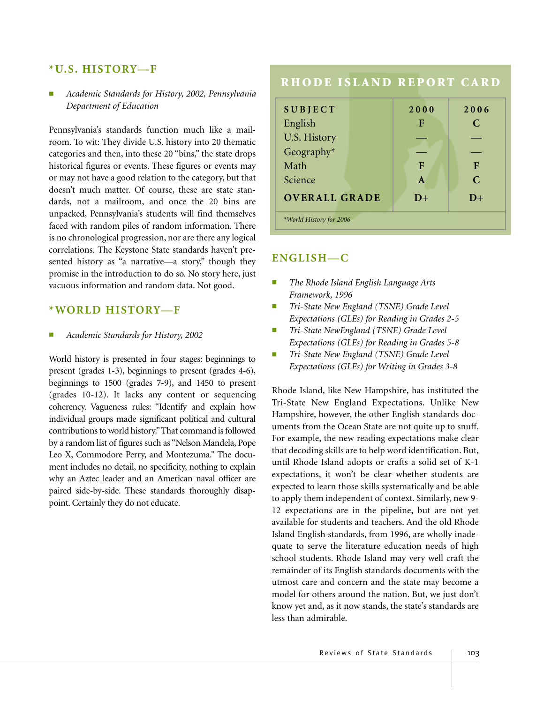#### **\*U.S. HISTORY—F**

#### ■ *Academic Standards for History, 2002, Pennsylvania Department of Education*

Pennsylvania's standards function much like a mailroom. To wit: They divide U.S. history into 20 thematic categories and then, into these 20 "bins," the state drops historical figures or events. These figures or events may or may not have a good relation to the category, but that doesn't much matter. Of course, these are state standards, not a mailroom, and once the 20 bins are unpacked, Pennsylvania's students will find themselves faced with random piles of random information. There is no chronological progression, nor are there any logical correlations. The Keystone State standards haven't presented history as "a narrative—a story," though they promise in the introduction to do so. No story here, just vacuous information and random data. Not good.

#### **\*WORLD HISTORY—F**

#### ■ *Academic Standards for History, 2002*

World history is presented in four stages: beginnings to present (grades 1-3), beginnings to present (grades 4-6), beginnings to 1500 (grades 7-9), and 1450 to present (grades 10-12). It lacks any content or sequencing coherency. Vagueness rules: "Identify and explain how individual groups made significant political and cultural contributions to world history."That command is followed by a random list of figures such as "Nelson Mandela, Pope Leo X, Commodore Perry, and Montezuma." The document includes no detail, no specificity, nothing to explain why an Aztec leader and an American naval officer are paired side-by-side. These standards thoroughly disappoint. Certainly they do not educate.

## **RHODE ISLAND REPORT CARD**

| <b>SUBJECT</b>          |  | 2000         | 2006          |
|-------------------------|--|--------------|---------------|
| English                 |  | F            | $\mathcal{C}$ |
| <b>U.S. History</b>     |  |              |               |
| Geography*              |  |              |               |
| Math                    |  | F            | F             |
| Science                 |  | $\mathbf{A}$ | $\mathcal{C}$ |
| <b>OVERALL GRADE</b>    |  | $D+$         | $D+$          |
| *World History for 2006 |  |              |               |

#### **ENGLISH—C**

- *The Rhode Island English Language Arts Framework, 1996*
- *Tri-State New England (TSNE) Grade Level Expectations (GLEs) for Reading in Grades 2-5*
- *Tri-State NewEngland (TSNE) Grade Level Expectations (GLEs) for Reading in Grades 5-8*
- *Tri-State New England (TSNE) Grade Level Expectations (GLEs) for Writing in Grades 3-8*

Rhode Island, like New Hampshire, has instituted the Tri-State New England Expectations. Unlike New Hampshire, however, the other English standards documents from the Ocean State are not quite up to snuff. For example, the new reading expectations make clear that decoding skills are to help word identification. But, until Rhode Island adopts or crafts a solid set of K-1 expectations, it won't be clear whether students are expected to learn those skills systematically and be able to apply them independent of context. Similarly, new 9- 12 expectations are in the pipeline, but are not yet available for students and teachers. And the old Rhode Island English standards, from 1996, are wholly inadequate to serve the literature education needs of high school students. Rhode Island may very well craft the remainder of its English standards documents with the utmost care and concern and the state may become a model for others around the nation. But, we just don't know yet and, as it now stands, the state's standards are less than admirable.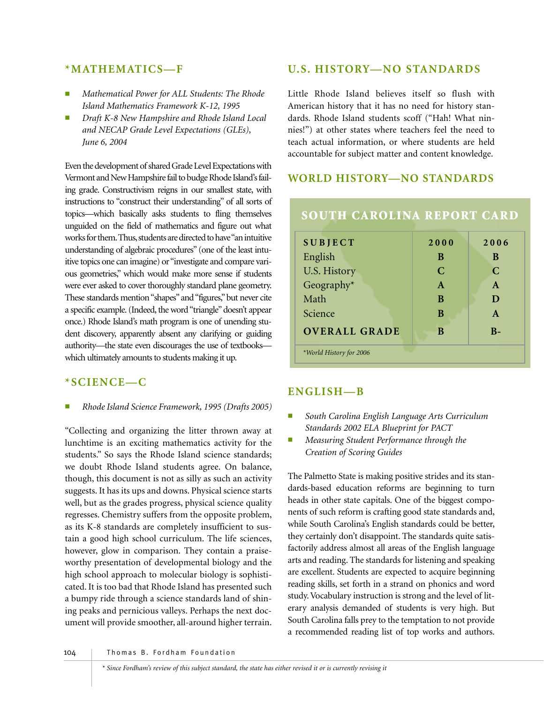#### **\*MATHEMATICS—F**

- *Mathematical Power for ALL Students: The Rhode Island Mathematics Framework K-12, 1995*
- Draft K-8 New Hampshire and Rhode Island Local *and NECAP Grade Level Expectations (GLEs), June 6, 2004*

Even the development of shared Grade Level Expectations with Vermont and New Hampshire fail to budge Rhode Island's failing grade. Constructivism reigns in our smallest state, with instructions to "construct their understanding" of all sorts of topics—which basically asks students to fling themselves unguided on the field of mathematics and figure out what works for them. Thus, students are directed to have "an intuitive understanding of algebraic procedures" (one of the least intuitive topics one can imagine) or "investigate and compare various geometries," which would make more sense if students were ever asked to cover thoroughly standard plane geometry. These standards mention "shapes"and "figures,"but never cite a specific example. (Indeed, the word "triangle" doesn't appear once.) Rhode Island's math program is one of unending student discovery, apparently absent any clarifying or guiding authority—the state even discourages the use of textbooks which ultimately amounts to students making it up.

## **\*SCIENCE—C**

■ *Rhode Island Science Framework, 1995 (Drafts 2005)*

"Collecting and organizing the litter thrown away at lunchtime is an exciting mathematics activity for the students." So says the Rhode Island science standards; we doubt Rhode Island students agree. On balance, though, this document is not as silly as such an activity suggests. It has its ups and downs. Physical science starts well, but as the grades progress, physical science quality regresses. Chemistry suffers from the opposite problem, as its K-8 standards are completely insufficient to sustain a good high school curriculum. The life sciences, however, glow in comparison. They contain a praiseworthy presentation of developmental biology and the high school approach to molecular biology is sophisticated. It is too bad that Rhode Island has presented such a bumpy ride through a science standards land of shining peaks and pernicious valleys. Perhaps the next document will provide smoother, all-around higher terrain.

## **U.S. HISTORY—NO STANDARDS**

Little Rhode Island believes itself so flush with American history that it has no need for history standards. Rhode Island students scoff ("Hah! What ninnies!") at other states where teachers feel the need to teach actual information, or where students are held accountable for subject matter and content knowledge.

## **WORLD HISTORY—NO STANDARDS**

| <b>SUBJECT</b>          | 2000         | 2006         |
|-------------------------|--------------|--------------|
| English                 | B            | B            |
| U.S. History            | C            | C            |
| Geography*              | $\mathbf{A}$ | $\mathbf{A}$ |
| Math                    | B            | D            |
| Science                 | B            | $\mathbf{A}$ |
| <b>OVERALL GRADE</b>    | B            | $R-$         |
| *World History for 2006 |              |              |

**SOUTH CAROLINA REPORT CARD**

## **ENGLISH—B**

- South Carolina English Language Arts Curriculum *Standards 2002 ELA Blueprint for PACT*
- *Measuring Student Performance through the Creation of Scoring Guides*

The Palmetto State is making positive strides and its standards-based education reforms are beginning to turn heads in other state capitals. One of the biggest components of such reform is crafting good state standards and, while South Carolina's English standards could be better, they certainly don't disappoint. The standards quite satisfactorily address almost all areas of the English language arts and reading. The standards for listening and speaking are excellent. Students are expected to acquire beginning reading skills, set forth in a strand on phonics and word study. Vocabulary instruction is strong and the level of literary analysis demanded of students is very high. But South Carolina falls prey to the temptation to not provide a recommended reading list of top works and authors.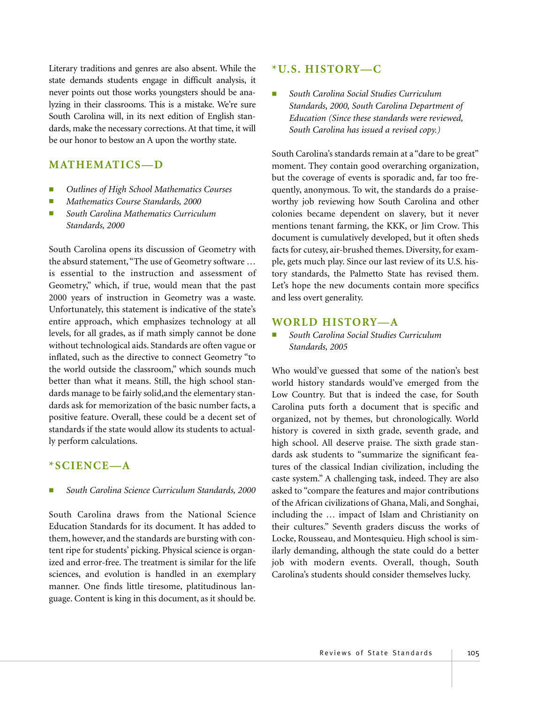Literary traditions and genres are also absent. While the state demands students engage in difficult analysis, it never points out those works youngsters should be analyzing in their classrooms. This is a mistake. We're sure South Carolina will, in its next edition of English standards, make the necessary corrections. At that time, it will be our honor to bestow an A upon the worthy state.

#### **MATHEMATICS—D**

- *Outlines of High School Mathematics Courses*
- *Mathematics Course Standards, 2000*
- *South Carolina Mathematics Curriculum Standards, 2000*

South Carolina opens its discussion of Geometry with the absurd statement,"The use of Geometry software … is essential to the instruction and assessment of Geometry," which, if true, would mean that the past 2000 years of instruction in Geometry was a waste. Unfortunately, this statement is indicative of the state's entire approach, which emphasizes technology at all levels, for all grades, as if math simply cannot be done without technological aids. Standards are often vague or inflated, such as the directive to connect Geometry "to the world outside the classroom," which sounds much better than what it means. Still, the high school standards manage to be fairly solid,and the elementary standards ask for memorization of the basic number facts, a positive feature. Overall, these could be a decent set of standards if the state would allow its students to actually perform calculations.

#### **\*SCIENCE—A**

#### ■ *South Carolina Science Curriculum Standards, 2000*

South Carolina draws from the National Science Education Standards for its document. It has added to them, however, and the standards are bursting with content ripe for students' picking. Physical science is organized and error-free. The treatment is similar for the life sciences, and evolution is handled in an exemplary manner. One finds little tiresome, platitudinous language. Content is king in this document, as it should be.

#### **\*U.S. HISTORY—C**

■ *South Carolina Social Studies Curriculum Standards, 2000, South Carolina Department of Education (Since these standards were reviewed, South Carolina has issued a revised copy.)*

South Carolina's standards remain at a "dare to be great" moment. They contain good overarching organization, but the coverage of events is sporadic and, far too frequently, anonymous. To wit, the standards do a praiseworthy job reviewing how South Carolina and other colonies became dependent on slavery, but it never mentions tenant farming, the KKK, or Jim Crow. This document is cumulatively developed, but it often sheds facts for cutesy, air-brushed themes. Diversity, for example, gets much play. Since our last review of its U.S. history standards, the Palmetto State has revised them. Let's hope the new documents contain more specifics and less overt generality.

#### **WORLD HISTORY—A**

#### ■ *South Carolina Social Studies Curriculum Standards, 2005*

Who would've guessed that some of the nation's best world history standards would've emerged from the Low Country. But that is indeed the case, for South Carolina puts forth a document that is specific and organized, not by themes, but chronologically. World history is covered in sixth grade, seventh grade, and high school. All deserve praise. The sixth grade standards ask students to "summarize the significant features of the classical Indian civilization, including the caste system." A challenging task, indeed. They are also asked to "compare the features and major contributions of the African civilizations of Ghana, Mali, and Songhai, including the … impact of Islam and Christianity on their cultures." Seventh graders discuss the works of Locke, Rousseau, and Montesquieu. High school is similarly demanding, although the state could do a better job with modern events. Overall, though, South Carolina's students should consider themselves lucky.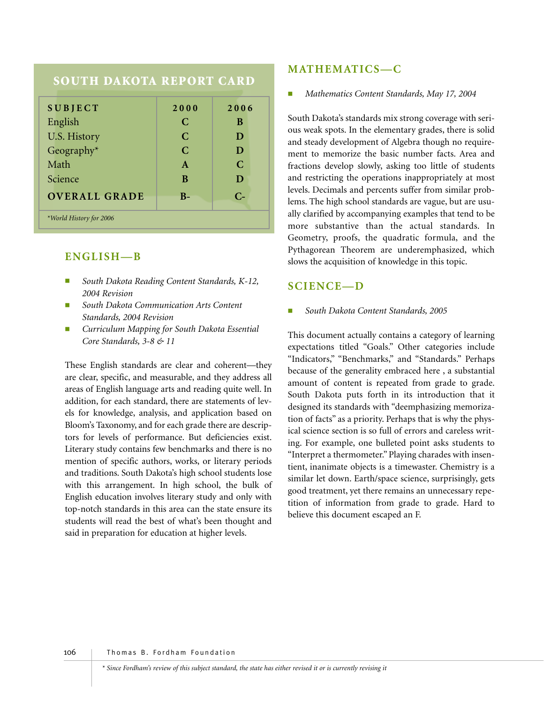# **SOUTH DAKOTA REPORT CARD**

| <b>SUBJECT</b>          | 2000          | 2006        |
|-------------------------|---------------|-------------|
| English                 | C             | B           |
| U.S. History            | $\mathbf C$   | D           |
| Geography $*$           | $\mathcal{C}$ | D           |
| Math                    | $\mathbf{A}$  | $\mathbf C$ |
| Science                 | B             | D           |
| <b>OVERALL GRADE</b>    | $B -$         | $C_{\tau}$  |
| *World History for 2006 |               |             |

#### **ENGLISH—B**

- *South Dakota Reading Content Standards, K-12, 2004 Revision*
- **South Dakota Communication Arts Content** *Standards, 2004 Revision*
- *Curriculum Mapping for South Dakota Essential Core Standards, 3-8 & 11*

These English standards are clear and coherent—they are clear, specific, and measurable, and they address all areas of English language arts and reading quite well. In addition, for each standard, there are statements of levels for knowledge, analysis, and application based on Bloom's Taxonomy, and for each grade there are descriptors for levels of performance. But deficiencies exist. Literary study contains few benchmarks and there is no mention of specific authors, works, or literary periods and traditions. South Dakota's high school students lose with this arrangement. In high school, the bulk of English education involves literary study and only with top-notch standards in this area can the state ensure its students will read the best of what's been thought and said in preparation for education at higher levels.

#### **MATHEMATICS—C**

#### ■ *Mathematics Content Standards, May 17, 2004*

South Dakota's standards mix strong coverage with serious weak spots. In the elementary grades, there is solid and steady development of Algebra though no requirement to memorize the basic number facts. Area and fractions develop slowly, asking too little of students and restricting the operations inappropriately at most levels. Decimals and percents suffer from similar problems. The high school standards are vague, but are usually clarified by accompanying examples that tend to be more substantive than the actual standards. In Geometry, proofs, the quadratic formula, and the Pythagorean Theorem are underemphasized, which slows the acquisition of knowledge in this topic.

#### **SCIENCE—D**

#### ■ *South Dakota Content Standards, 2005*

This document actually contains a category of learning expectations titled "Goals." Other categories include "Indicators," "Benchmarks," and "Standards." Perhaps because of the generality embraced here , a substantial amount of content is repeated from grade to grade. South Dakota puts forth in its introduction that it designed its standards with "deemphasizing memorization of facts" as a priority. Perhaps that is why the physical science section is so full of errors and careless writing. For example, one bulleted point asks students to "Interpret a thermometer." Playing charades with insentient, inanimate objects is a timewaster. Chemistry is a similar let down. Earth/space science, surprisingly, gets good treatment, yet there remains an unnecessary repetition of information from grade to grade. Hard to believe this document escaped an F.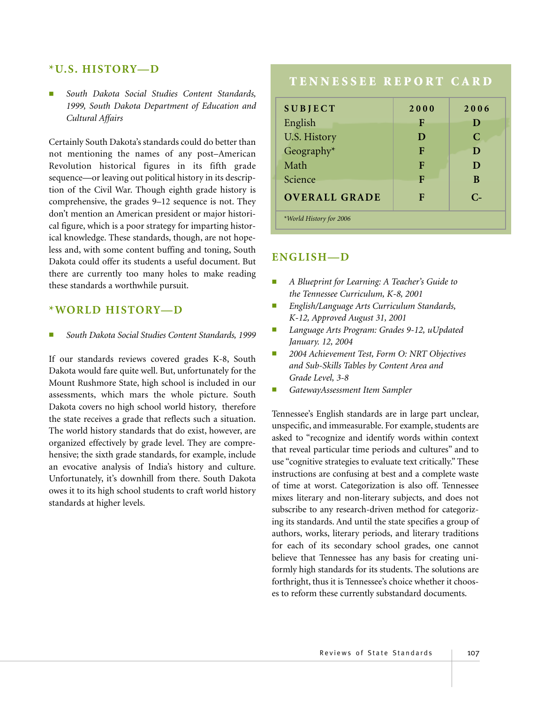#### **\*U.S. HISTORY—D**

South Dakota Social Studies Content Standards, *1999, South Dakota Department of Education and Cultural Affairs*

Certainly South Dakota's standards could do better than not mentioning the names of any post–American Revolution historical figures in its fifth grade sequence—or leaving out political history in its description of the Civil War. Though eighth grade history is comprehensive, the grades 9–12 sequence is not. They don't mention an American president or major historical figure, which is a poor strategy for imparting historical knowledge. These standards, though, are not hopeless and, with some content buffing and toning, South Dakota could offer its students a useful document. But there are currently too many holes to make reading these standards a worthwhile pursuit.

#### **\*WORLD HISTORY—D**

■ *South Dakota Social Studies Content Standards, 1999*

If our standards reviews covered grades K-8, South Dakota would fare quite well. But, unfortunately for the Mount Rushmore State, high school is included in our assessments, which mars the whole picture. South Dakota covers no high school world history, therefore the state receives a grade that reflects such a situation. The world history standards that do exist, however, are organized effectively by grade level. They are comprehensive; the sixth grade standards, for example, include an evocative analysis of India's history and culture. Unfortunately, it's downhill from there. South Dakota owes it to its high school students to craft world history standards at higher levels.

# **TENNESSEE REPORT CARD**

| <b>SUBJECT</b>                        | 2000 | 2006               |
|---------------------------------------|------|--------------------|
| English                               | F    | D                  |
| U.S. History                          | D    | C                  |
| Geography*                            | F    | D                  |
| Math                                  | F    | D                  |
| Science                               | F    | B                  |
| <b>OVERALL GRADE</b>                  | F    | $C_{\overline{z}}$ |
| <i><b>*World History for 2006</b></i> |      |                    |

## **ENGLISH—D**

- *A Blueprint for Learning: A Teacher's Guide to the Tennessee Curriculum, K-8, 2001*
- *English/Language Arts Curriculum Standards, K-12, Approved August 31, 2001*
- *Language Arts Program: Grades 9-12, uUpdated January. 12, 2004*
- *2004 Achievement Test, Form O: NRT Objectives and Sub-Skills Tables by Content Area and Grade Level, 3-8*
- *GatewayAssessment Item Sampler*

Tennessee's English standards are in large part unclear, unspecific, and immeasurable. For example, students are asked to "recognize and identify words within context that reveal particular time periods and cultures" and to use "cognitive strategies to evaluate text critically." These instructions are confusing at best and a complete waste of time at worst. Categorization is also off. Tennessee mixes literary and non-literary subjects, and does not subscribe to any research-driven method for categorizing its standards. And until the state specifies a group of authors, works, literary periods, and literary traditions for each of its secondary school grades, one cannot believe that Tennessee has any basis for creating uniformly high standards for its students. The solutions are forthright, thus it is Tennessee's choice whether it chooses to reform these currently substandard documents.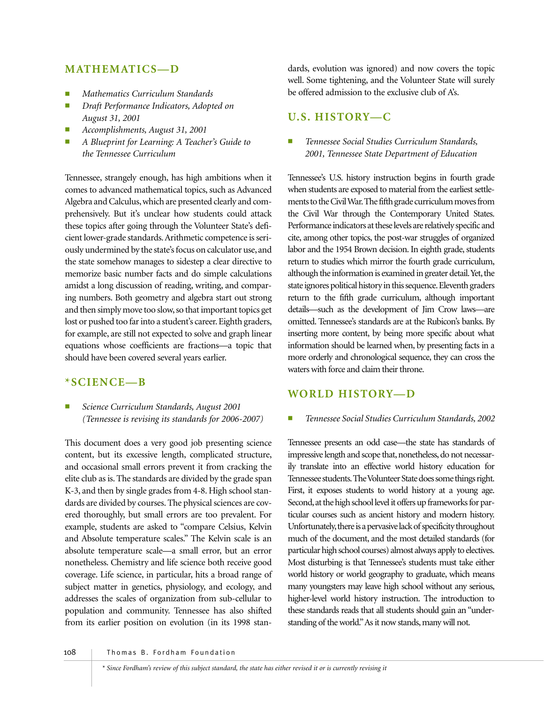## **MATHEMATICS—D**

- *Mathematics Curriculum Standards*
- *Draft Performance Indicators, Adopted on August 31, 2001*
- *Accomplishments, August 31, 2001*
- *A Blueprint for Learning: A Teacher's Guide to the Tennessee Curriculum*

Tennessee, strangely enough, has high ambitions when it comes to advanced mathematical topics, such as Advanced Algebra and Calculus, which are presented clearly and comprehensively. But it's unclear how students could attack these topics after going through the Volunteer State's deficient lower-grade standards.Arithmetic competence is seriously undermined by the state's focus on calculator use, and the state somehow manages to sidestep a clear directive to memorize basic number facts and do simple calculations amidst a long discussion of reading, writing, and comparing numbers. Both geometry and algebra start out strong and then simply move too slow, so that important topics get lost or pushed too far into a student's career. Eighth graders, for example, are still not expected to solve and graph linear equations whose coefficients are fractions—a topic that should have been covered several years earlier.

#### **\*SCIENCE—B**

■ *Science Curriculum Standards, August 2001 (Tennessee is revising its standards for 2006-2007)*

This document does a very good job presenting science content, but its excessive length, complicated structure, and occasional small errors prevent it from cracking the elite club as is. The standards are divided by the grade span K-3, and then by single grades from 4-8. High school standards are divided by courses. The physical sciences are covered thoroughly, but small errors are too prevalent. For example, students are asked to "compare Celsius, Kelvin and Absolute temperature scales." The Kelvin scale is an absolute temperature scale—a small error, but an error nonetheless. Chemistry and life science both receive good coverage. Life science, in particular, hits a broad range of subject matter in genetics, physiology, and ecology, and addresses the scales of organization from sub-cellular to population and community. Tennessee has also shifted from its earlier position on evolution (in its 1998 stan-

dards, evolution was ignored) and now covers the topic well. Some tightening, and the Volunteer State will surely be offered admission to the exclusive club of A's.

## **U.S. HISTORY—C**

■ *Tennessee Social Studies Curriculum Standards, 2001, Tennessee State Department of Education*

Tennessee's U.S. history instruction begins in fourth grade when students are exposed to material from the earliest settlements to the Civil War.The fifth grade curriculum moves from the Civil War through the Contemporary United States. Performance indicators at these levels are relatively specific and cite, among other topics, the post-war struggles of organized labor and the 1954 Brown decision. In eighth grade, students return to studies which mirror the fourth grade curriculum, although the information is examined in greater detail. Yet, the state ignores political history in this sequence. Eleventh graders return to the fifth grade curriculum, although important details—such as the development of Jim Crow laws—are omitted. Tennessee's standards are at the Rubicon's banks. By inserting more content, by being more specific about what information should be learned when, by presenting facts in a more orderly and chronological sequence, they can cross the waters with force and claim their throne.

## **WORLD HISTORY—D**

#### ■ *Tennessee Social Studies Curriculum Standards, 2002*

Tennessee presents an odd case—the state has standards of impressive length and scope that, nonetheless, do not necessarily translate into an effective world history education for Tennessee students.The Volunteer State does some things right. First, it exposes students to world history at a young age. Second, at the high school level it offers up frameworks for particular courses such as ancient history and modern history. Unfortunately, there is a pervasive lack of specificity throughout much of the document, and the most detailed standards (for particular high school courses) almost always apply to electives. Most disturbing is that Tennessee's students must take either world history or world geography to graduate, which means many youngsters may leave high school without any serious, higher-level world history instruction. The introduction to these standards reads that all students should gain an "understanding of the world."As it now stands, many will not.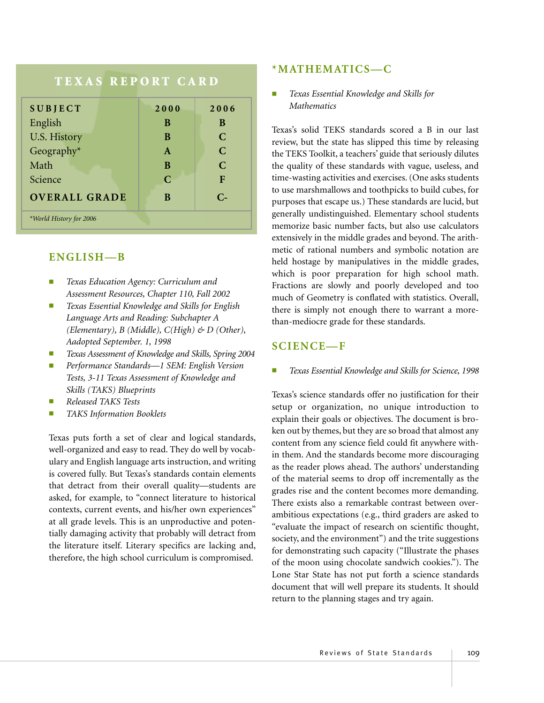# **TEXAS REPORT CARD**

| <b>SUBJECT</b>          | 2000         | 2006          |
|-------------------------|--------------|---------------|
| English                 | B            | B             |
| U.S. History            | B            | $\mathcal{C}$ |
| Geography*              | $\mathbf{A}$ | $\mathbf C$   |
| Math                    | B            | $\mathbf C$   |
| Science                 | $\mathbf C$  | F             |
| <b>OVERALL GRADE</b>    | B            | $C_{\tau}$    |
| *World History for 2006 |              |               |

## **ENGLISH—B**

- *Texas Education Agency: Curriculum and Assessment Resources, Chapter 110, Fall 2002*
- *Texas Essential Knowledge and Skills for English Language Arts and Reading: Subchapter A (Elementary), B (Middle), C(High) & D (Other), Aadopted September. 1, 1998*
- *Texas Assessment of Knowledge and Skills, Spring 2004*
- *Performance Standards—1 SEM: English Version Tests, 3-11 Texas Assessment of Knowledge and Skills (TAKS) Blueprints*
- *Released TAKS Tests*
- *TAKS Information Booklets*

Texas puts forth a set of clear and logical standards, well-organized and easy to read. They do well by vocabulary and English language arts instruction, and writing is covered fully. But Texas's standards contain elements that detract from their overall quality—students are asked, for example, to "connect literature to historical contexts, current events, and his/her own experiences" at all grade levels. This is an unproductive and potentially damaging activity that probably will detract from the literature itself. Literary specifics are lacking and, therefore, the high school curriculum is compromised.

## **\*MATHEMATICS—C**

■ *Texas Essential Knowledge and Skills for Mathematics*

Texas's solid TEKS standards scored a B in our last review, but the state has slipped this time by releasing the TEKS Toolkit, a teachers' guide that seriously dilutes the quality of these standards with vague, useless, and time-wasting activities and exercises. (One asks students to use marshmallows and toothpicks to build cubes, for purposes that escape us.) These standards are lucid, but generally undistinguished. Elementary school students memorize basic number facts, but also use calculators extensively in the middle grades and beyond. The arithmetic of rational numbers and symbolic notation are held hostage by manipulatives in the middle grades, which is poor preparation for high school math. Fractions are slowly and poorly developed and too much of Geometry is conflated with statistics. Overall, there is simply not enough there to warrant a morethan-mediocre grade for these standards.

## **SCIENCE—F**

*Texas Essential Knowledge and Skills for Science, 1998* 

Texas's science standards offer no justification for their setup or organization, no unique introduction to explain their goals or objectives. The document is broken out by themes, but they are so broad that almost any content from any science field could fit anywhere within them. And the standards become more discouraging as the reader plows ahead. The authors' understanding of the material seems to drop off incrementally as the grades rise and the content becomes more demanding. There exists also a remarkable contrast between overambitious expectations (e.g., third graders are asked to "evaluate the impact of research on scientific thought, society, and the environment") and the trite suggestions for demonstrating such capacity ("Illustrate the phases of the moon using chocolate sandwich cookies."). The Lone Star State has not put forth a science standards document that will well prepare its students. It should return to the planning stages and try again.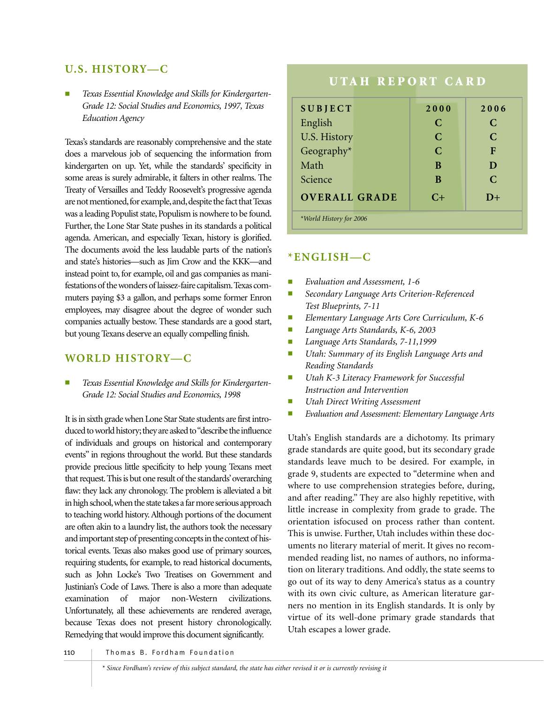## **U.S. HISTORY—C**

Texas Essential Knowledge and Skills for Kindergarten-*Grade 12: Social Studies and Economics, 1997, Texas Education Agency*

Texas's standards are reasonably comprehensive and the state does a marvelous job of sequencing the information from kindergarten on up. Yet, while the standards' specificity in some areas is surely admirable, it falters in other realms. The Treaty of Versailles and Teddy Roosevelt's progressive agenda are not mentioned, for example, and, despite the fact that Texas was a leading Populist state, Populism is nowhere to be found. Further, the Lone Star State pushes in its standards a political agenda. American, and especially Texan, history is glorified. The documents avoid the less laudable parts of the nation's and state's histories—such as Jim Crow and the KKK—and instead point to, for example, oil and gas companies as manifestations of the wonders of laissez-faire capitalism.Texas commuters paying \$3 a gallon, and perhaps some former Enron employees, may disagree about the degree of wonder such companies actually bestow. These standards are a good start, but young Texans deserve an equally compelling finish.

## **WORLD HISTORY—C**

Texas Essential Knowledge and Skills for Kindergarten-*Grade 12: Social Studies and Economics, 1998*

It is in sixth grade when Lone Star State students are first introduced to world history; they are asked to "describe the influence of individuals and groups on historical and contemporary events" in regions throughout the world. But these standards provide precious little specificity to help young Texans meet that request.This is but one result of the standards'overarching flaw: they lack any chronology. The problem is alleviated a bit in high school,when the state takes a far more serious approach to teaching world history. Although portions of the document are often akin to a laundry list, the authors took the necessary and important step of presenting concepts in the context of historical events. Texas also makes good use of primary sources, requiring students, for example, to read historical documents, such as John Locke's Two Treatises on Government and Justinian's Code of Laws. There is also a more than adequate examination of major non-Western civilizations. Unfortunately, all these achievements are rendered average, because Texas does not present history chronologically. Remedying that would improve this document significantly.

# **UTAH REPORT CARD SUBJECT 2000 2006** English **C C** U.S. History **C** C C Geography\* **C F** Math **B D** Science **B B C OVERALL GRADE C+ D+** *\*World History for 2006*

## **\*ENGLISH—C**

- *Evaluation and Assessment, 1-6*
- *Secondary Language Arts Criterion-Referenced Test Blueprints, 7-11*
- *Elementary Language Arts Core Curriculum, K-6*
- *Language Arts Standards, K-6, 2003*
- *Language Arts Standards, 7-11,1999*
- *Utah: Summary of its English Language Arts and Reading Standards*
- *Utah K-3 Literacy Framework for Successful Instruction and Intervention*
- *Utah Direct Writing Assessment*
- Evaluation and Assessment: Elementary Language Arts

Utah's English standards are a dichotomy. Its primary grade standards are quite good, but its secondary grade standards leave much to be desired. For example, in grade 9, students are expected to "determine when and where to use comprehension strategies before, during, and after reading." They are also highly repetitive, with little increase in complexity from grade to grade. The orientation isfocused on process rather than content. This is unwise. Further, Utah includes within these documents no literary material of merit. It gives no recommended reading list, no names of authors, no information on literary traditions. And oddly, the state seems to go out of its way to deny America's status as a country with its own civic culture, as American literature garners no mention in its English standards. It is only by virtue of its well-done primary grade standards that Utah escapes a lower grade.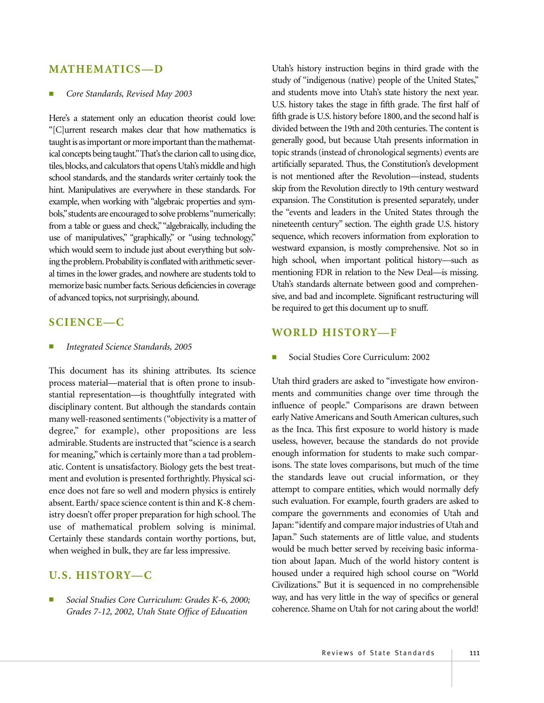### **MATHEMATICS—D**

#### ■ *Core Standards, Revised May 2003*

Here's a statement only an education theorist could love: "[C]urrent research makes clear that how mathematics is taught is as important or more important than the mathematical concepts being taught."That's the clarion call to using dice, tiles, blocks, and calculators that opens Utah's middle and high school standards, and the standards writer certainly took the hint. Manipulatives are everywhere in these standards. For example, when working with "algebraic properties and symbols,"students are encouraged to solve problems "numerically: from a table or guess and check,""algebraically, including the use of manipulatives," "graphically," or "using technology," which would seem to include just about everything but solving the problem. Probability is conflated with arithmetic several times in the lower grades, and nowhere are students told to memorize basic number facts. Serious deficiencies in coverage of advanced topics, not surprisingly, abound.

## **SCIENCE—C**

#### ■ *Integrated Science Standards, 2005*

This document has its shining attributes. Its science process material—material that is often prone to insubstantial representation—is thoughtfully integrated with disciplinary content. But although the standards contain many well-reasoned sentiments ("objectivity is a matter of degree," for example), other propositions are less admirable. Students are instructed that "science is a search for meaning," which is certainly more than a tad problematic. Content is unsatisfactory. Biology gets the best treatment and evolution is presented forthrightly. Physical science does not fare so well and modern physics is entirely absent. Earth/ space science content is thin and K-8 chemistry doesn't offer proper preparation for high school. The use of mathematical problem solving is minimal. Certainly these standards contain worthy portions, but, when weighed in bulk, they are far less impressive.

#### **U.S. HISTORY—C**

Social Studies Core Curriculum: Grades K-6, 2000; *Grades 7-12, 2002, Utah State Office of Education*

Utah's history instruction begins in third grade with the study of "indigenous (native) people of the United States," and students move into Utah's state history the next year. U.S. history takes the stage in fifth grade. The first half of fifth grade is U.S. history before 1800, and the second half is divided between the 19th and 20th centuries. The content is generally good, but because Utah presents information in topic strands (instead of chronological segments) events are artificially separated. Thus, the Constitution's development is not mentioned after the Revolution—instead, students skip from the Revolution directly to 19th century westward expansion. The Constitution is presented separately, under the "events and leaders in the United States through the nineteenth century" section. The eighth grade U.S. history sequence, which recovers information from exploration to westward expansion, is mostly comprehensive. Not so in high school, when important political history—such as mentioning FDR in relation to the New Deal—is missing. Utah's standards alternate between good and comprehensive, and bad and incomplete. Significant restructuring will be required to get this document up to snuff.

#### **WORLD HISTORY—F**

Social Studies Core Curriculum: 2002

Utah third graders are asked to "investigate how environments and communities change over time through the influence of people." Comparisons are drawn between early Native Americans and South American cultures, such as the Inca. This first exposure to world history is made useless, however, because the standards do not provide enough information for students to make such comparisons. The state loves comparisons, but much of the time the standards leave out crucial information, or they attempt to compare entities, which would normally defy such evaluation. For example, fourth graders are asked to compare the governments and economies of Utah and Japan:"identify and compare major industries of Utah and Japan." Such statements are of little value, and students would be much better served by receiving basic information about Japan. Much of the world history content is housed under a required high school course on "World Civilizations." But it is sequenced in no comprehensible way, and has very little in the way of specifics or general coherence. Shame on Utah for not caring about the world!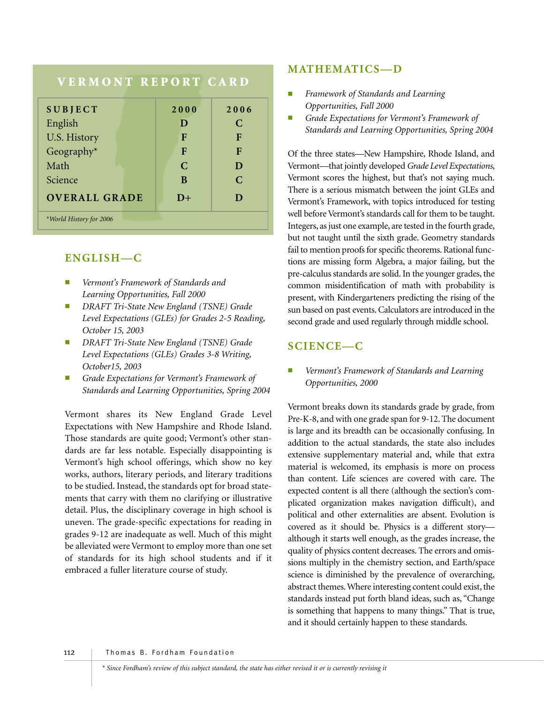# **VERMONT REPORT CARD**

| <b>SUBJECT</b>          | 2000          | 2006          |
|-------------------------|---------------|---------------|
| English                 | D             | C             |
| U.S. History            | F             | F             |
| Geography $*$           | F             | F             |
| Math                    | $\mathcal{C}$ | D             |
| Science                 | B             | $\mathcal{C}$ |
| <b>OVERALL GRADE</b>    | $D+$          | D             |
| *World History for 2006 |               |               |

## **ENGLISH—C**

- *Vermont's Framework of Standards and Learning Opportunities, Fall 2000*
- *DRAFT Tri-State New England (TSNE) Grade Level Expectations (GLEs) for Grades 2-5 Reading, October 15, 2003*
- *DRAFT Tri-State New England (TSNE) Grade Level Expectations (GLEs) Grades 3-8 Writing, October15, 2003*
- Grade Expectations for Vermont's Framework of *Standards and Learning Opportunities, Spring 2004*

Vermont shares its New England Grade Level Expectations with New Hampshire and Rhode Island. Those standards are quite good; Vermont's other standards are far less notable. Especially disappointing is Vermont's high school offerings, which show no key works, authors, literary periods, and literary traditions to be studied. Instead, the standards opt for broad statements that carry with them no clarifying or illustrative detail. Plus, the disciplinary coverage in high school is uneven. The grade-specific expectations for reading in grades 9-12 are inadequate as well. Much of this might be alleviated were Vermont to employ more than one set of standards for its high school students and if it embraced a fuller literature course of study.

## **MATHEMATICS—D**

- *Framework of Standards and Learning Opportunities, Fall 2000*
- Grade Expectations for Vermont's Framework of *Standards and Learning Opportunities, Spring 2004*

Of the three states—New Hampshire, Rhode Island, and Vermont—that jointly developed *Grade Level Expectations*, Vermont scores the highest, but that's not saying much. There is a serious mismatch between the joint GLEs and Vermont's Framework, with topics introduced for testing well before Vermont's standards call for them to be taught. Integers, as just one example, are tested in the fourth grade, but not taught until the sixth grade. Geometry standards fail to mention proofs for specific theorems. Rational functions are missing form Algebra, a major failing, but the pre-calculus standards are solid. In the younger grades, the common misidentification of math with probability is present, with Kindergarteners predicting the rising of the sun based on past events. Calculators are introduced in the second grade and used regularly through middle school.

# **SCIENCE—C**

#### Vermont's Framework of Standards and Learning *Opportunities, 2000*

Vermont breaks down its standards grade by grade, from Pre-K-8, and with one grade span for 9-12. The document is large and its breadth can be occasionally confusing. In addition to the actual standards, the state also includes extensive supplementary material and, while that extra material is welcomed, its emphasis is more on process than content. Life sciences are covered with care. The expected content is all there (although the section's complicated organization makes navigation difficult), and political and other externalities are absent. Evolution is covered as it should be. Physics is a different story although it starts well enough, as the grades increase, the quality of physics content decreases. The errors and omissions multiply in the chemistry section, and Earth/space science is diminished by the prevalence of overarching, abstract themes. Where interesting content could exist, the standards instead put forth bland ideas, such as, "Change is something that happens to many things." That is true, and it should certainly happen to these standards.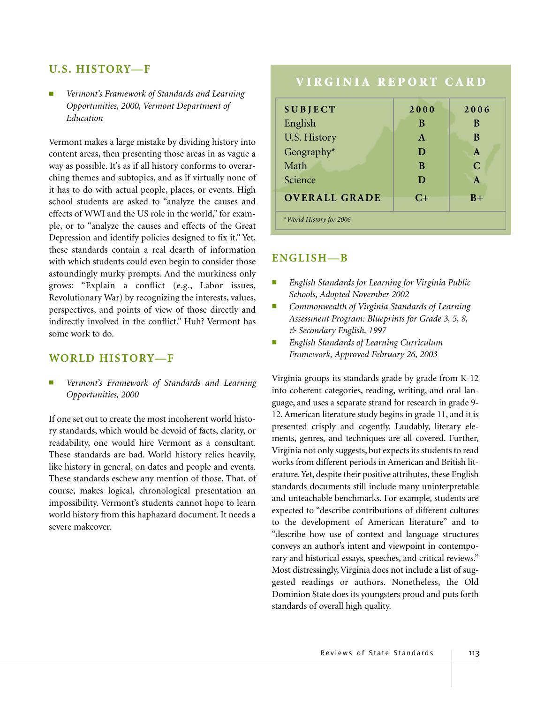#### **U.S. HISTORY—F**

Vermont's Framework of Standards and Learning *Opportunities, 2000, Vermont Department of Education*

Vermont makes a large mistake by dividing history into content areas, then presenting those areas in as vague a way as possible. It's as if all history conforms to overarching themes and subtopics, and as if virtually none of it has to do with actual people, places, or events. High school students are asked to "analyze the causes and effects of WWI and the US role in the world," for example, or to "analyze the causes and effects of the Great Depression and identify policies designed to fix it." Yet, these standards contain a real dearth of information with which students could even begin to consider those astoundingly murky prompts. And the murkiness only grows: "Explain a conflict (e.g., Labor issues, Revolutionary War) by recognizing the interests, values, perspectives, and points of view of those directly and indirectly involved in the conflict." Huh? Vermont has some work to do.

#### **WORLD HISTORY—F**

Vermont's Framework of Standards and Learning *Opportunities, 2000*

If one set out to create the most incoherent world history standards, which would be devoid of facts, clarity, or readability, one would hire Vermont as a consultant. These standards are bad. World history relies heavily, like history in general, on dates and people and events. These standards eschew any mention of those. That, of course, makes logical, chronological presentation an impossibility. Vermont's students cannot hope to learn world history from this haphazard document. It needs a severe makeover.

## **VIRGINIA REPORT CARD**

| <b>SUBJECT</b>          | 2000         | 2006         |
|-------------------------|--------------|--------------|
| English                 | B            | B            |
| U.S. History            | $\mathbf{A}$ | B            |
| Geography*              | D            | $\mathbf{A}$ |
| Math                    | B            | $\mathbb{C}$ |
| Science                 | D            | $\mathbf{A}$ |
| <b>OVERALL GRADE</b>    | $C+$         | $B+$         |
| *World History for 2006 |              |              |

#### **ENGLISH—B**

- *English Standards for Learning for Virginia Public Schools, Adopted November 2002*
- *Commonwealth of Virginia Standards of Learning Assessment Program: Blueprints for Grade 3, 5, 8, & Secondary English, 1997*
- *English Standards of Learning Curriculum Framework, Approved February 26, 2003*

Virginia groups its standards grade by grade from K-12 into coherent categories, reading, writing, and oral language, and uses a separate strand for research in grade 9- 12. American literature study begins in grade 11, and it is presented crisply and cogently. Laudably, literary elements, genres, and techniques are all covered. Further, Virginia not only suggests, but expects its students to read works from different periods in American and British literature. Yet, despite their positive attributes, these English standards documents still include many uninterpretable and unteachable benchmarks. For example, students are expected to "describe contributions of different cultures to the development of American literature" and to "describe how use of context and language structures conveys an author's intent and viewpoint in contemporary and historical essays, speeches, and critical reviews." Most distressingly, Virginia does not include a list of suggested readings or authors. Nonetheless, the Old Dominion State does its youngsters proud and puts forth standards of overall high quality.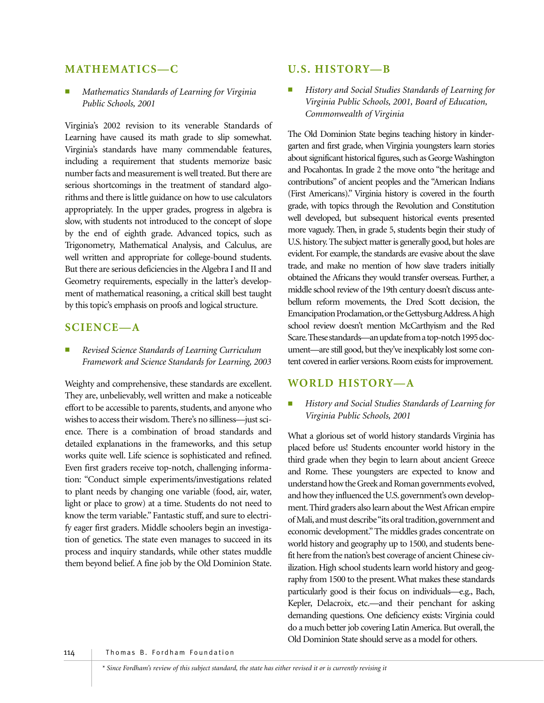### **MATHEMATICS—C**

■ *Mathematics Standards of Learning for Virginia Public Schools, 2001*

Virginia's 2002 revision to its venerable Standards of Learning have caused its math grade to slip somewhat. Virginia's standards have many commendable features, including a requirement that students memorize basic number facts and measurement is well treated. But there are serious shortcomings in the treatment of standard algorithms and there is little guidance on how to use calculators appropriately. In the upper grades, progress in algebra is slow, with students not introduced to the concept of slope by the end of eighth grade. Advanced topics, such as Trigonometry, Mathematical Analysis, and Calculus, are well written and appropriate for college-bound students. But there are serious deficiencies in the Algebra I and II and Geometry requirements, especially in the latter's development of mathematical reasoning, a critical skill best taught by this topic's emphasis on proofs and logical structure.

## **SCIENCE—A**

■ *Revised Science Standards of Learning Curriculum Framework and Science Standards for Learning, 2003*

Weighty and comprehensive, these standards are excellent. They are, unbelievably, well written and make a noticeable effort to be accessible to parents, students, and anyone who wishes to access their wisdom. There's no silliness—just science. There is a combination of broad standards and detailed explanations in the frameworks, and this setup works quite well. Life science is sophisticated and refined. Even first graders receive top-notch, challenging information: "Conduct simple experiments/investigations related to plant needs by changing one variable (food, air, water, light or place to grow) at a time. Students do not need to know the term variable." Fantastic stuff, and sure to electrify eager first graders. Middle schoolers begin an investigation of genetics. The state even manages to succeed in its process and inquiry standards, while other states muddle them beyond belief. A fine job by the Old Dominion State.

#### **U.S. HISTORY—B**

**History and Social Studies Standards of Learning for** *Virginia Public Schools, 2001, Board of Education, Commonwealth of Virginia*

The Old Dominion State begins teaching history in kindergarten and first grade, when Virginia youngsters learn stories about significant historical figures, such as George Washington and Pocahontas. In grade 2 the move onto "the heritage and contributions" of ancient peoples and the "American Indians (First Americans)." Virginia history is covered in the fourth grade, with topics through the Revolution and Constitution well developed, but subsequent historical events presented more vaguely. Then, in grade 5, students begin their study of U.S. history. The subject matter is generally good, but holes are evident. For example, the standards are evasive about the slave trade, and make no mention of how slave traders initially obtained the Africans they would transfer overseas. Further, a middle school review of the 19th century doesn't discuss antebellum reform movements, the Dred Scott decision, the Emancipation Proclamation,or the Gettysburg Address.A high school review doesn't mention McCarthyism and the Red Scare.These standards—an update from a top-notch 1995 document—are still good, but they've inexplicably lost some content covered in earlier versions. Room exists for improvement.

#### **WORLD HISTORY—A**

*History and Social Studies Standards of Learning for Virginia Public Schools, 2001*

What a glorious set of world history standards Virginia has placed before us! Students encounter world history in the third grade when they begin to learn about ancient Greece and Rome. These youngsters are expected to know and understand how the Greek and Roman governments evolved, and how they influenced the U.S. government's own development. Third graders also learn about the West African empire of Mali, and must describe "its oral tradition, government and economic development." The middles grades concentrate on world history and geography up to 1500, and students benefit here from the nation's best coverage of ancient Chinese civilization. High school students learn world history and geography from 1500 to the present. What makes these standards particularly good is their focus on individuals—e.g., Bach, Kepler, Delacroix, etc.—and their penchant for asking demanding questions. One deficiency exists: Virginia could do a much better job covering Latin America. But overall, the Old Dominion State should serve as a model for others.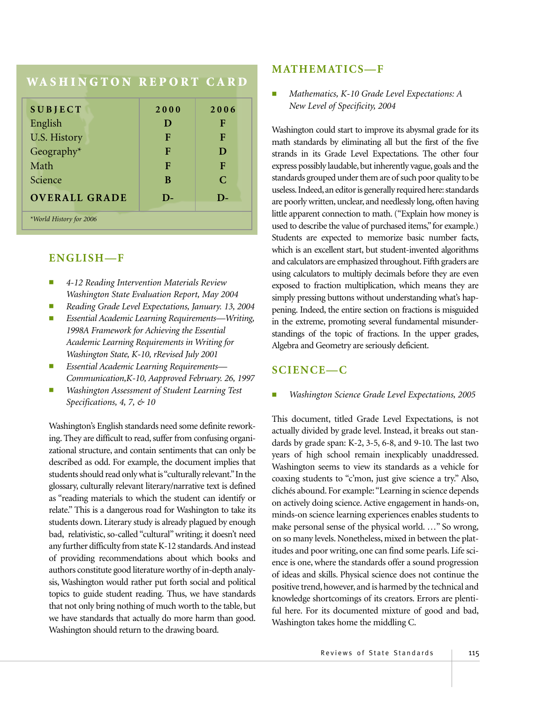## **WA S H I N G TO N R E P O RT C A R D**

| <b>SUBJECT</b>          | 2000         | 2006          |
|-------------------------|--------------|---------------|
| English                 | D            | F             |
| <b>U.S. History</b>     | F            | F             |
| Geography*              | F            | D             |
| Math                    | F            | F             |
| Science                 | B            | $\mathcal{C}$ |
| <b>OVERALL GRADE</b>    | $\mathbf{D}$ | $\mathbf{D}$  |
| *World History for 2006 |              |               |

## **ENGLISH—F**

- *4-12 Reading Intervention Materials Review Washington State Evaluation Report, May 2004*
- *Reading Grade Level Expectations, January. 13, 2004*
- *Essential Academic Learning Requirements—Writing, 1998A Framework for Achieving the Essential Academic Learning Requirements in Writing for Washington State, K-10, rRevised July 2001*
- *Essential Academic Learning Requirements— Communication,K-10, Aapproved February. 26, 1997*
- **Washington Assessment of Student Learning Test** *Specifications, 4, 7, & 10*

Washington's English standards need some definite reworking. They are difficult to read, suffer from confusing organizational structure, and contain sentiments that can only be described as odd. For example, the document implies that students should read only what is "culturally relevant."In the glossary, culturally relevant literary/narrative text is defined as "reading materials to which the student can identify or relate." This is a dangerous road for Washington to take its students down. Literary study is already plagued by enough bad, relativistic, so-called "cultural" writing; it doesn't need any further difficulty from state K-12 standards.And instead of providing recommendations about which books and authors constitute good literature worthy of in-depth analysis, Washington would rather put forth social and political topics to guide student reading. Thus, we have standards that not only bring nothing of much worth to the table, but we have standards that actually do more harm than good. Washington should return to the drawing board.

#### **MATHEMATICS—F**

Mathematics, K-10 Grade Level Expectations: A *New Level of Specificity, 2004*

Washington could start to improve its abysmal grade for its math standards by eliminating all but the first of the five strands in its Grade Level Expectations. The other four express possibly laudable, but inherently vague, goals and the standards grouped under them are of such poor quality to be useless. Indeed, an editor is generally required here: standards are poorly written, unclear, and needlessly long, often having little apparent connection to math. ("Explain how money is used to describe the value of purchased items,"for example.) Students are expected to memorize basic number facts, which is an excellent start, but student-invented algorithms and calculators are emphasized throughout. Fifth graders are using calculators to multiply decimals before they are even exposed to fraction multiplication, which means they are simply pressing buttons without understanding what's happening. Indeed, the entire section on fractions is misguided in the extreme, promoting several fundamental misunderstandings of the topic of fractions. In the upper grades, Algebra and Geometry are seriously deficient.

## **SCIENCE—C**

#### **Washington Science Grade Level Expectations, 2005**

This document, titled Grade Level Expectations, is not actually divided by grade level. Instead, it breaks out standards by grade span: K-2, 3-5, 6-8, and 9-10. The last two years of high school remain inexplicably unaddressed. Washington seems to view its standards as a vehicle for coaxing students to "c'mon, just give science a try." Also, clichés abound. For example:"Learning in science depends on actively doing science. Active engagement in hands-on, minds-on science learning experiences enables students to make personal sense of the physical world. …" So wrong, on so many levels. Nonetheless, mixed in between the platitudes and poor writing, one can find some pearls. Life science is one, where the standards offer a sound progression of ideas and skills. Physical science does not continue the positive trend, however, and is harmed by the technical and knowledge shortcomings of its creators. Errors are plentiful here. For its documented mixture of good and bad, Washington takes home the middling C.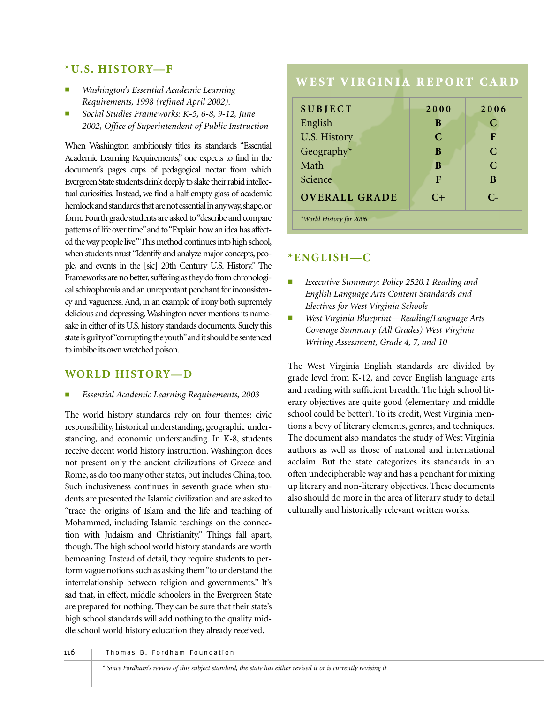#### **\*U.S. HISTORY—F**

- *Washington's Essential Academic Learning Requirements, 1998 (refined April 2002).*
- *Social Studies Frameworks: K-5, 6-8, 9-12, June 2002, Office of Superintendent of Public Instruction*

When Washington ambitiously titles its standards "Essential Academic Learning Requirements," one expects to find in the document's pages cups of pedagogical nectar from which Evergreen State students drink deeply to slake their rabid intellectual curiosities. Instead, we find a half-empty glass of academic hemlock and standards that are not essential in any way, shape, or form.Fourth grade students are asked to "describe and compare patterns of life over time" and to "Explain how an idea has affected the way people live."This method continues into high school, when students must "Identify and analyze major concepts, people, and events in the [sic] 20th Century U.S. History." The Frameworks are no better, suffering as they do from chronological schizophrenia and an unrepentant penchant for inconsistency and vagueness. And, in an example of irony both supremely delicious and depressing,Washington never mentions its namesake in either of its U.S. history standards documents. Surely this state is guilty of"corrupting the youth"and it should be sentenced to imbibe its own wretched poison.

#### **WORLD HISTORY—D**

#### ■ *Essential Academic Learning Requirements, 2003*

The world history standards rely on four themes: civic responsibility, historical understanding, geographic understanding, and economic understanding. In K-8, students receive decent world history instruction. Washington does not present only the ancient civilizations of Greece and Rome, as do too many other states, but includes China, too. Such inclusiveness continues in seventh grade when students are presented the Islamic civilization and are asked to "trace the origins of Islam and the life and teaching of Mohammed, including Islamic teachings on the connection with Judaism and Christianity." Things fall apart, though. The high school world history standards are worth bemoaning. Instead of detail, they require students to perform vague notions such as asking them "to understand the interrelationship between religion and governments." It's sad that, in effect, middle schoolers in the Evergreen State are prepared for nothing. They can be sure that their state's high school standards will add nothing to the quality middle school world history education they already received.

# **WEST VIRGINIA REPORT CARD**

| <b>SUBJECT</b>          | 2000          | 2006          |
|-------------------------|---------------|---------------|
| English                 | B             | C             |
| U.S. History            | $\mathcal{C}$ | F             |
| Geography $*$           | B             | $\mathcal{C}$ |
| Math                    | B             | $\mathcal{C}$ |
| Science                 | F             | B             |
| <b>OVERALL GRADE</b>    | $C+$          | $C_{\pm}$     |
| *World History for 2006 |               |               |

#### **\*ENGLISH—C**

- Executive Summary: Policy 2520.1 Reading and *English Language Arts Content Standards and Electives for West Virginia Schools*
- *West Virginia Blueprint—Reading/Language Arts Coverage Summary (All Grades) West Virginia Writing Assessment, Grade 4, 7, and 10*

The West Virginia English standards are divided by grade level from K-12, and cover English language arts and reading with sufficient breadth. The high school literary objectives are quite good (elementary and middle school could be better). To its credit, West Virginia mentions a bevy of literary elements, genres, and techniques. The document also mandates the study of West Virginia authors as well as those of national and international acclaim. But the state categorizes its standards in an often undecipherable way and has a penchant for mixing up literary and non-literary objectives. These documents also should do more in the area of literary study to detail culturally and historically relevant written works.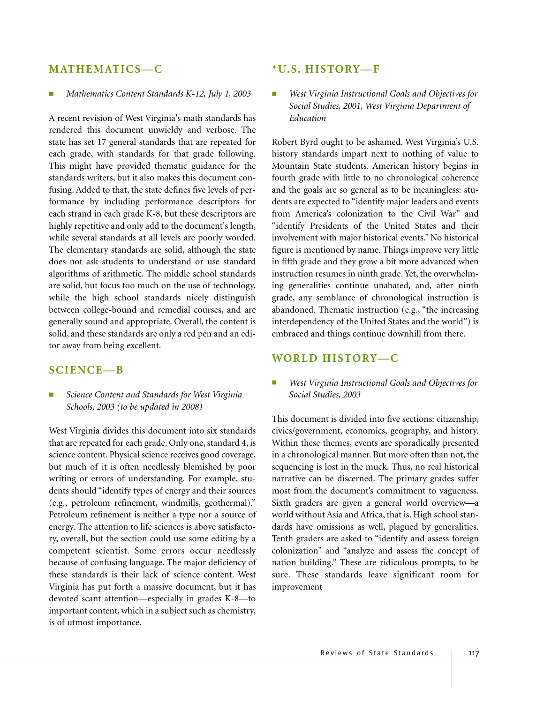#### **MATHEMATICS—C**

#### *Mathematics Content Standards K-12, July 1, 2003*

A recent revision of West Virginia's math standards has rendered this document unwieldy and verbose. The state has set 17 general standards that are repeated for each grade, with standards for that grade following. This might have provided thematic guidance for the standards writers, but it also makes this document confusing. Added to that, the state defines five levels of performance by including performance descriptors for each strand in each grade K-8, but these descriptors are highly repetitive and only add to the document's length, while several standards at all levels are poorly worded. The elementary standards are solid, although the state does not ask students to understand or use standard algorithms of arithmetic. The middle school standards are solid, but focus too much on the use of technology, while the high school standards nicely distinguish between college-bound and remedial courses, and are generally sound and appropriate. Overall, the content is solid, and these standards are only a red pen and an editor away from being excellent.

#### **SCIENCE—B**

#### Science Content and Standards for West Virginia *Schools, 2003 (to be updated in 2008)*

West Virginia divides this document into six standards that are repeated for each grade. Only one, standard 4, is science content. Physical science receives good coverage, but much of it is often needlessly blemished by poor writing or errors of understanding. For example, students should "identify types of energy and their sources (e.g., petroleum refinement, windmills, geothermal)." Petroleum refinement is neither a type nor a source of energy. The attention to life sciences is above satisfactory, overall, but the section could use some editing by a competent scientist. Some errors occur needlessly because of confusing language. The major deficiency of these standards is their lack of science content. West Virginia has put forth a massive document, but it has devoted scant attention—especially in grades K-8—to important content, which in a subject such as chemistry, is of utmost importance.

#### **\*U.S. HISTORY—F**

*West Virginia Instructional Goals and Objectives for Social Studies, 2001, West Virginia Department of Education*

Robert Byrd ought to be ashamed. West Virginia's U.S. history standards impart next to nothing of value to Mountain State students. American history begins in fourth grade with little to no chronological coherence and the goals are so general as to be meaningless: students are expected to "identify major leaders and events from America's colonization to the Civil War" and "identify Presidents of the United States and their involvement with major historical events." No historical figure is mentioned by name. Things improve very little in fifth grade and they grow a bit more advanced when instruction resumes in ninth grade. Yet, the overwhelming generalities continue unabated, and, after ninth grade, any semblance of chronological instruction is abandoned. Thematic instruction (e.g., "the increasing interdependency of the United States and the world") is embraced and things continue downhill from there.

#### **WORLD HISTORY—C**

■ *West Virginia Instructional Goals and Objectives for Social Studies, 2003*

This document is divided into five sections: citizenship, civics/government, economics, geography, and history. Within these themes, events are sporadically presented in a chronological manner. But more often than not, the sequencing is lost in the muck. Thus, no real historical narrative can be discerned. The primary grades suffer most from the document's commitment to vagueness. Sixth graders are given a general world overview—a world without Asia and Africa, that is. High school standards have omissions as well, plagued by generalities. Tenth graders are asked to "identify and assess foreign colonization" and "analyze and assess the concept of nation building." These are ridiculous prompts, to be sure. These standards leave significant room for improvement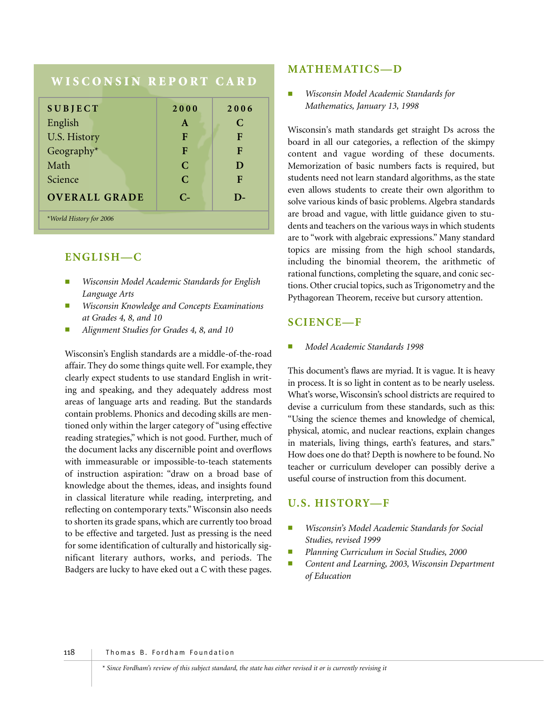## **WISCONSIN REPORT CARD**

| <b>SUBJECT</b>          | 2000         | 2006 |
|-------------------------|--------------|------|
| English                 | $\mathbf{A}$ | C    |
| U.S. History            | F            | F    |
| Geography*              | F            | F    |
| Math                    | C            | D    |
| Science                 | $\mathbf C$  | F    |
| <b>OVERALL GRADE</b>    | $C_{\tau}$   | D-   |
| *World History for 2006 |              |      |

#### **ENGLISH—C**

- *Wisconsin Model Academic Standards for English Language Arts*
- *Wisconsin Knowledge and Concepts Examinations at Grades 4, 8, and 10*
- *Alignment Studies for Grades 4, 8, and 10*

Wisconsin's English standards are a middle-of-the-road affair. They do some things quite well. For example, they clearly expect students to use standard English in writing and speaking, and they adequately address most areas of language arts and reading. But the standards contain problems. Phonics and decoding skills are mentioned only within the larger category of "using effective reading strategies," which is not good. Further, much of the document lacks any discernible point and overflows with immeasurable or impossible-to-teach statements of instruction aspiration: "draw on a broad base of knowledge about the themes, ideas, and insights found in classical literature while reading, interpreting, and reflecting on contemporary texts." Wisconsin also needs to shorten its grade spans, which are currently too broad to be effective and targeted. Just as pressing is the need for some identification of culturally and historically significant literary authors, works, and periods. The Badgers are lucky to have eked out a C with these pages.

#### **MATHEMATICS—D**

■ *Wisconsin Model Academic Standards for Mathematics, January 13, 1998*

Wisconsin's math standards get straight Ds across the board in all our categories, a reflection of the skimpy content and vague wording of these documents. Memorization of basic numbers facts is required, but students need not learn standard algorithms, as the state even allows students to create their own algorithm to solve various kinds of basic problems. Algebra standards are broad and vague, with little guidance given to students and teachers on the various ways in which students are to "work with algebraic expressions." Many standard topics are missing from the high school standards, including the binomial theorem, the arithmetic of rational functions, completing the square, and conic sections. Other crucial topics, such as Trigonometry and the Pythagorean Theorem, receive but cursory attention.

#### **SCIENCE—F**

■ *Model Academic Standards 1998*

This document's flaws are myriad. It is vague. It is heavy in process. It is so light in content as to be nearly useless. What's worse, Wisconsin's school districts are required to devise a curriculum from these standards, such as this: "Using the science themes and knowledge of chemical, physical, atomic, and nuclear reactions, explain changes in materials, living things, earth's features, and stars." How does one do that? Depth is nowhere to be found. No teacher or curriculum developer can possibly derive a useful course of instruction from this document.

#### **U.S. HISTORY—F**

- *Wisconsin's Model Academic Standards for Social Studies, revised 1999*
- *Planning Curriculum in Social Studies, 2000*
- Content and Learning, 2003, Wisconsin Department *of Education*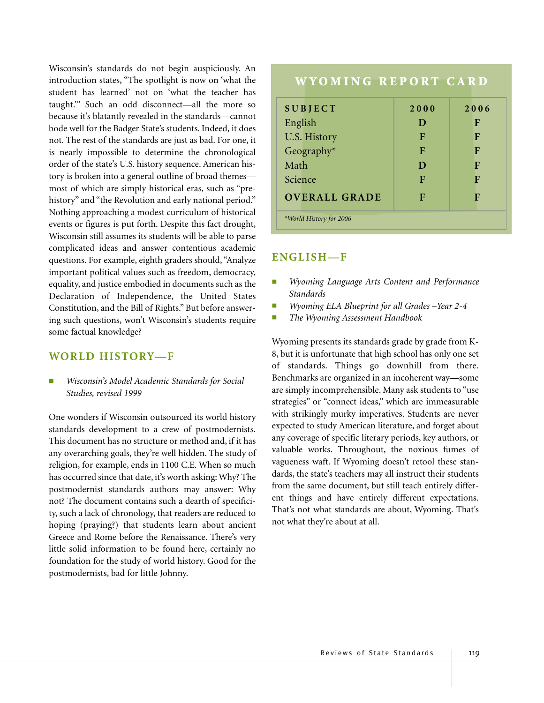Wisconsin's standards do not begin auspiciously. An introduction states, "The spotlight is now on 'what the student has learned' not on 'what the teacher has taught.'" Such an odd disconnect—all the more so because it's blatantly revealed in the standards—cannot bode well for the Badger State's students. Indeed, it does not. The rest of the standards are just as bad. For one, it is nearly impossible to determine the chronological order of the state's U.S. history sequence. American history is broken into a general outline of broad themes most of which are simply historical eras, such as "prehistory" and "the Revolution and early national period." Nothing approaching a modest curriculum of historical events or figures is put forth. Despite this fact drought, Wisconsin still assumes its students will be able to parse complicated ideas and answer contentious academic questions. For example, eighth graders should, "Analyze important political values such as freedom, democracy, equality, and justice embodied in documents such as the Declaration of Independence, the United States Constitution, and the Bill of Rights." But before answering such questions, won't Wisconsin's students require some factual knowledge?

## **WORLD HISTORY—F**

■ *Wisconsin's Model Academic Standards for Social Studies, revised 1999*

One wonders if Wisconsin outsourced its world history standards development to a crew of postmodernists. This document has no structure or method and, if it has any overarching goals, they're well hidden. The study of religion, for example, ends in 1100 C.E. When so much has occurred since that date, it's worth asking: Why? The postmodernist standards authors may answer: Why not? The document contains such a dearth of specificity, such a lack of chronology, that readers are reduced to hoping (praying?) that students learn about ancient Greece and Rome before the Renaissance. There's very little solid information to be found here, certainly no foundation for the study of world history. Good for the postmodernists, bad for little Johnny.

# **WYOMING REPORT CARD SUBJECT 2000 2006** English **D F** U.S. History **F F F** Geography<sup>\*</sup> **F F F** Math **D F** Science **F F F OVERALL GRADE F F** *\*World History for 2006*

## **ENGLISH—F**

- *Wyoming Language Arts Content and Performance Standards*
- *Wyoming ELA Blueprint for all Grades –Year 2-4*
- *The Wyoming Assessment Handbook*

Wyoming presents its standards grade by grade from K-8, but it is unfortunate that high school has only one set of standards. Things go downhill from there. Benchmarks are organized in an incoherent way—some are simply incomprehensible. Many ask students to "use strategies" or "connect ideas," which are immeasurable with strikingly murky imperatives. Students are never expected to study American literature, and forget about any coverage of specific literary periods, key authors, or valuable works. Throughout, the noxious fumes of vagueness waft. If Wyoming doesn't retool these standards, the state's teachers may all instruct their students from the same document, but still teach entirely different things and have entirely different expectations. That's not what standards are about, Wyoming. That's not what they're about at all.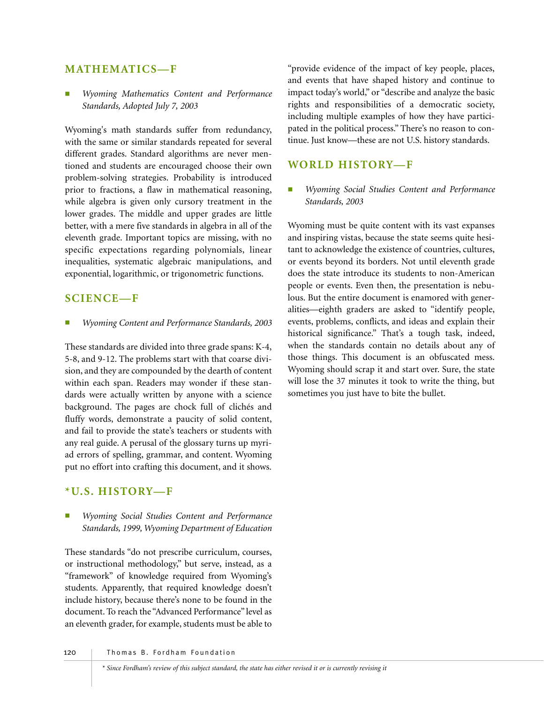#### **MATHEMATICS—F**

■ *Wyoming Mathematics Content and Performance Standards, Adopted July 7, 2003*

Wyoming's math standards suffer from redundancy, with the same or similar standards repeated for several different grades. Standard algorithms are never mentioned and students are encouraged choose their own problem-solving strategies. Probability is introduced prior to fractions, a flaw in mathematical reasoning, while algebra is given only cursory treatment in the lower grades. The middle and upper grades are little better, with a mere five standards in algebra in all of the eleventh grade. Important topics are missing, with no specific expectations regarding polynomials, linear inequalities, systematic algebraic manipulations, and exponential, logarithmic, or trigonometric functions.

## **SCIENCE—F**

■ *Wyoming Content and Performance Standards, 2003*

These standards are divided into three grade spans: K-4, 5-8, and 9-12. The problems start with that coarse division, and they are compounded by the dearth of content within each span. Readers may wonder if these standards were actually written by anyone with a science background. The pages are chock full of clichés and fluffy words, demonstrate a paucity of solid content, and fail to provide the state's teachers or students with any real guide. A perusal of the glossary turns up myriad errors of spelling, grammar, and content. Wyoming put no effort into crafting this document, and it shows.

#### **\*U.S. HISTORY—F**

*Wyoming Social Studies Content and Performance Standards, 1999, Wyoming Department of Education*

These standards "do not prescribe curriculum, courses, or instructional methodology," but serve, instead, as a "framework" of knowledge required from Wyoming's students. Apparently, that required knowledge doesn't include history, because there's none to be found in the document. To reach the "Advanced Performance" level as an eleventh grader, for example, students must be able to

"provide evidence of the impact of key people, places, and events that have shaped history and continue to impact today's world," or "describe and analyze the basic rights and responsibilities of a democratic society, including multiple examples of how they have participated in the political process." There's no reason to continue. Just know—these are not U.S. history standards.

## **WORLD HISTORY—F**

*Wyoming Social Studies Content and Performance Standards, 2003*

Wyoming must be quite content with its vast expanses and inspiring vistas, because the state seems quite hesitant to acknowledge the existence of countries, cultures, or events beyond its borders. Not until eleventh grade does the state introduce its students to non-American people or events. Even then, the presentation is nebulous. But the entire document is enamored with generalities—eighth graders are asked to "identify people, events, problems, conflicts, and ideas and explain their historical significance." That's a tough task, indeed, when the standards contain no details about any of those things. This document is an obfuscated mess. Wyoming should scrap it and start over. Sure, the state will lose the 37 minutes it took to write the thing, but sometimes you just have to bite the bullet.

#### 120 | Thomas B. Fordham Foundation